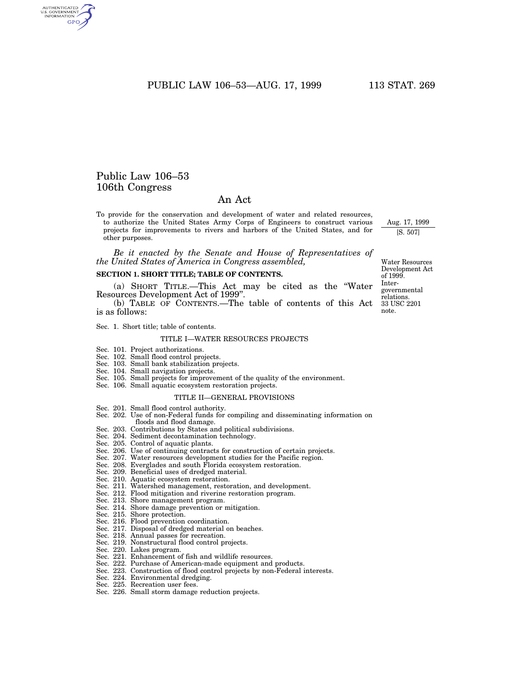PUBLIC LAW 106-53-AUG. 17, 1999 113 STAT. 269

# Public Law 106–53 106th Congress

AUTHENTICATED<br>U.S. GOVERNMENT<br>INFORMATION **GPO** 

# An Act

To provide for the conservation and development of water and related resources, to authorize the United States Army Corps of Engineers to construct various projects for improvements to rivers and harbors of the United States, and for other purposes.

*Be it enacted by the Senate and House of Representatives of the United States of America in Congress assembled,*

# **SECTION 1. SHORT TITLE; TABLE OF CONTENTS.**

(a) SHORT TITLE.—This Act may be cited as the ''Water Resources Development Act of 1999''.

(b) TABLE OF CONTENTS.—The table of contents of this Act is as follows:

Sec. 1. Short title; table of contents.

#### TITLE I—WATER RESOURCES PROJECTS

- Sec. 101. Project authorizations.
- Sec. 102. Small flood control projects.
- Sec. 103. Small bank stabilization projects.
- Sec. 104. Small navigation projects.
- Sec. 105. Small projects for improvement of the quality of the environment. Sec. 106. Small aquatic ecosystem restoration projects.
	- TITLE II—GENERAL PROVISIONS
	-
- Sec. 201. Small flood control authority.
- Sec. 202. Use of non-Federal funds for compiling and disseminating information on floods and flood damage.
- Sec. 203. Contributions by States and political subdivisions.
- Sec. 204. Sediment decontamination technology.
- Sec. 205. Control of aquatic plants.
- Sec. 206. Use of continuing contracts for construction of certain projects.
- Sec. 207. Water resources development studies for the Pacific region.
- Sec. 208. Everglades and south Florida ecosystem restoration.
- Sec. 209. Beneficial uses of dredged material.
- Sec. 210. Aquatic ecosystem restoration.
- Sec. 211. Watershed management, restoration, and development.
- Sec. 212. Flood mitigation and riverine restoration program.
- Sec. 213. Shore management program.
- Sec. 214. Shore damage prevention or mitigation.
- Sec. 215. Shore protection.
- Sec. 216. Flood prevention coordination.
- Sec. 217. Disposal of dredged material on beaches.
- Sec. 218. Annual passes for recreation.
- Sec. 219. Nonstructural flood control projects.
- Sec. 220. Lakes program.
- Sec. 221. Enhancement of fish and wildlife resources.
- Sec. 222. Purchase of American-made equipment and products.
- Sec. 223. Construction of flood control projects by non-Federal interests.
- Sec. 224. Environmental dredging.
- Sec. 225. Recreation user fees.
- Sec. 226. Small storm damage reduction projects.

33 USC 2201 note. Water Resources Development Act of 1999. Intergovernmental relations.

Aug. 17, 1999

[S. 507]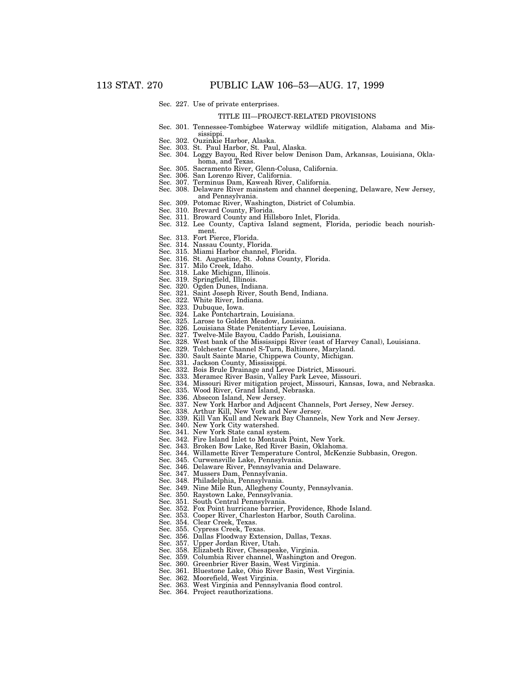#### Sec. 227. Use of private enterprises.

#### TITLE III—PROJECT-RELATED PROVISIONS

- Sec. 301. Tennessee-Tombigbee Waterway wildlife mitigation, Alabama and Mississippi.
- Sec. 302. Ouzinkie Harbor, Alaska.
- Sec. 303. St. Paul Harbor, St. Paul, Alaska.
- Sec. 304. Loggy Bayou, Red River below Denison Dam, Arkansas, Louisiana, Oklahoma, and Texas.
- Sec. 305. Sacramento River, Glenn-Colusa, California.
- Sec. 306. San Lorenzo River, California.
- Sec. 307. Terminus Dam, Kaweah River, California.
- Sec. 308. Delaware River mainstem and channel deepening, Delaware, New Jersey, and Pennsylvania.
- Sec. 309. Potomac River, Washington, District of Columbia.
- Sec. 310. Brevard County, Florida.
- Sec. 311. Broward County and Hillsboro Inlet, Florida.
- Sec. 312. Lee County, Captiva Island segment, Florida, periodic beach nourishment.
	- Sec. 313. Fort Pierce, Florida.
	- Sec. 314. Nassau County, Florida.
- Sec. 315. Miami Harbor channel, Florida.
- Sec. 316. St. Augustine, St. Johns County, Florida.
- Sec. 317. Milo Creek, Idaho.
- Sec. 318. Lake Michigan, Illinois.
- Sec. 319. Springfield, Illinois.
- Sec. 320. Ogden Dunes, Indiana.
- Sec. 321. Saint Joseph River, South Bend, Indiana.
- Sec. 322. White River, Indiana.
- Sec. 323. Dubuque, Iowa.
- Sec. 324. Lake Pontchartrain, Louisiana.
- Sec. 325. Larose to Golden Meadow, Louisiana.
- Sec. 326. Louisiana State Penitentiary Levee, Louisiana.
- Sec. 327. Twelve-Mile Bayou, Caddo Parish, Louisiana.
- Sec. 328. West bank of the Mississippi River (east of Harvey Canal), Louisiana. Sec. 329. Tolchester Channel S-Turn, Baltimore, Maryland.
- Sec. 330. Sault Sainte Marie, Chippewa County, Michigan.
- 
- Sec. 331. Jackson County, Mississippi.
- Sec. 332. Bois Brule Drainage and Levee District, Missouri.
- Sec. 333. Meramec River Basin, Valley Park Levee, Missouri.
- Sec. 334. Missouri River mitigation project, Missouri, Kansas, Iowa, and Nebraska.
- Sec. 335. Wood River, Grand Island, Nebraska.
- Sec. 336. Absecon Island, New Jersey.
- Sec. 337. New York Harbor and Adjacent Channels, Port Jersey, New Jersey.
- Sec. 338. Arthur Kill, New York and New Jersey. Sec. 339. Kill Van Kull and Newark Bay Channels, New York and New Jersey.
- Sec. 340. New York City watershed.
- 
- Sec. 341. New York State canal system.<br>Sec. 342. Fire Island Inlet to Montauk l Fire Island Inlet to Montauk Point, New York.
- 
- Sec. 343. Broken Bow Lake, Red River Basin, Oklahoma. Willamette River Temperature Control, McKenzie Subbasin, Oregon.
- Sec. 345. Curwensville Lake, Pennsylvania.
- Sec. 346. Delaware River, Pennsylvania and Delaware.
- Sec. 347. Mussers Dam, Pennsylvania.
- Sec. 348. Philadelphia, Pennsylvania.
- Sec. 349. Nine Mile Run, Allegheny County, Pennsylvania.
- Sec. 350. Raystown Lake, Pennsylvania.
- Sec. 351. South Central Pennsylvania.
- Sec. 352. Fox Point hurricane barrier, Providence, Rhode Island.
- Sec. 353. Cooper River, Charleston Harbor, South Carolina.
- Sec. 354. Clear Creek, Texas.
- Sec. 355. Cypress Creek, Texas.
- Sec. 356. Dallas Floodway Extension, Dallas, Texas.
- Sec. 357. Upper Jordan River, Utah.
- Sec. 358. Elizabeth River, Chesapeake, Virginia.
- Sec. 359. Columbia River channel, Washington and Oregon.
- Sec. 360. Greenbrier River Basin, West Virginia.
- Sec. 361. Bluestone Lake, Ohio River Basin, West Virginia.
- Sec. 362. Moorefield, West Virginia.
- Sec. 363. West Virginia and Pennsylvania flood control.
- Sec. 364. Project reauthorizations.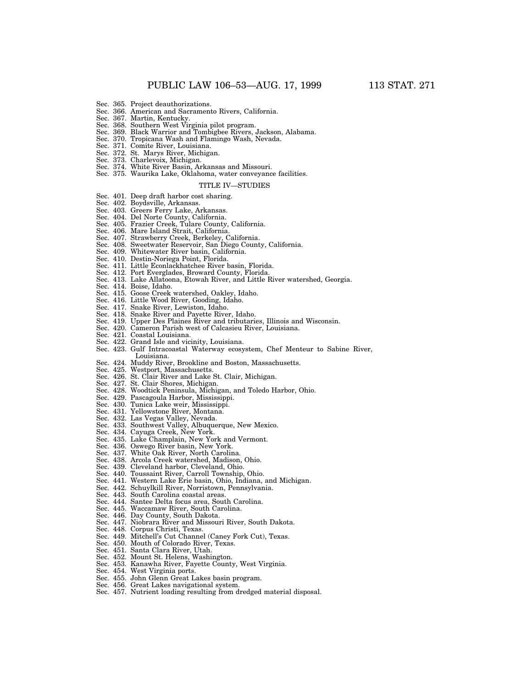- Sec. 365. Project deauthorizations.
- Sec. 366. American and Sacramento Rivers, California.
- Sec. 367. Martin, Kentucky.
- Sec. 368. Southern West Virginia pilot program.
- Sec. 369. Black Warrior and Tombigbee Rivers, Jackson, Alabama.
- Sec. 370. Tropicana Wash and Flamingo Wash, Nevada.
- Sec. 371. Comite River, Louisiana.
- Sec. 372. St. Marys River, Michigan.
- Sec. 373. Charlevoix, Michigan.
- Sec. 374. White River Basin, Arkansas and Missouri.
- Sec. 375. Waurika Lake, Oklahoma, water conveyance facilities.

#### TITLE IV—STUDIES

- Sec. 401. Deep draft harbor cost sharing.
- Sec. 402. Boydsville, Arkansas.
- Sec. 403. Greers Ferry Lake, Arkansas.
- Sec. 404. Del Norte County, California.
- Sec. 405. Frazier Creek, Tulare County, California.
- Sec. 406. Mare Island Strait, California.
- Sec. 407. Strawberry Creek, Berkeley, California.
- Sec. 408. Sweetwater Reservoir, San Diego County, California.
- Sec. 409. Whitewater River basin, California.
- Sec. 410. Destin-Noriega Point, Florida.
- Sec. 411. Little Econlackhatchee River basin, Florida.
- Sec. 412. Port Everglades, Broward County, Florida.
- Sec. 413. Lake Allatoona, Etowah River, and Little River watershed, Georgia.
- Sec. 414. Boise, Idaho.
- Sec. 415. Goose Creek watershed, Oakley, Idaho.
- Sec. 416. Little Wood River, Gooding, Idaho.
- Sec. 417. Snake River, Lewiston, Idaho.
- Sec. 418. Snake River and Payette River, Idaho.
- Sec. 419. Upper Des Plaines River and tributaries, Illinois and Wisconsin.
- Sec. 420. Cameron Parish west of Calcasieu River, Louisiana.
- Sec. 421. Coastal Louisiana.
- Sec. 422. Grand Isle and vicinity, Louisiana.
- Sec. 423. Gulf Intracoastal Waterway ecosystem, Chef Menteur to Sabine River, Louisiana.
- Sec. 424. Muddy River, Brookline and Boston, Massachusetts.
- Sec. 425. Westport, Massachusetts.
- Sec. 426. St. Clair River and Lake St. Clair, Michigan.
- Sec. 427. St. Clair Shores, Michigan.
- Sec. 428. Woodtick Peninsula, Michigan, and Toledo Harbor, Ohio.
- Sec. 429. Pascagoula Harbor, Mississippi.
- Sec. 430. Tunica Lake weir, Mississippi.
- Sec. 431. Yellowstone River, Montana.
- Sec. 432. Las Vegas Valley, Nevada.
- Sec. 433. Southwest Valley, Albuquerque, New Mexico.
- Sec. 434. Cayuga Creek, New York.
- Sec. 435. Lake Champlain, New York and Vermont.
- Sec. 436. Oswego River basin, New York.
- Sec. 437. White Oak River, North Carolina.
- Sec. 438. Arcola Creek watershed, Madison, Ohio.
- Sec. 439. Cleveland harbor, Cleveland, Ohio.
- Sec. 440. Toussaint River, Carroll Township, Ohio.
- Sec. 441. Western Lake Erie basin, Ohio, Indiana, and Michigan.
- Sec. 442. Schuylkill River, Norristown, Pennsylvania.
- Sec. 443. South Carolina coastal areas.
- Sec. 444. Santee Delta focus area, South Carolina.
- Sec. 445. Waccamaw River, South Carolina.
- Sec. 446. Day County, South Dakota.
- Sec. 447. Niobrara River and Missouri River, South Dakota.
- Sec. 448. Corpus Christi, Texas.
- Sec. 449. Mitchell's Cut Channel (Caney Fork Cut), Texas.
- Sec. 450. Mouth of Colorado River, Texas.
- Sec. 451. Santa Clara River, Utah.
- Sec. 452. Mount St. Helens, Washington.
- Sec. 453. Kanawha River, Fayette County, West Virginia.
- Sec. 454. West Virginia ports.
- Sec. 455. John Glenn Great Lakes basin program.
- Sec. 456. Great Lakes navigational system.
- Sec. 457. Nutrient loading resulting from dredged material disposal.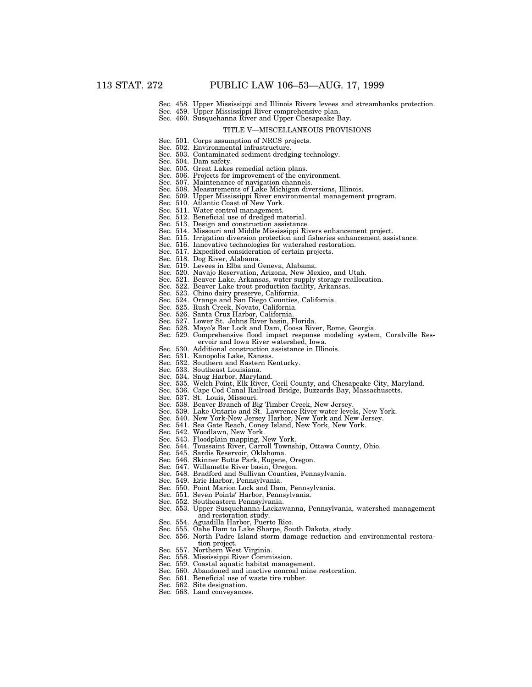- Sec. 458. Upper Mississippi and Illinois Rivers levees and streambanks protection.
- Sec. 459. Upper Mississippi River comprehensive plan. Sec. 460. Susquehanna River and Upper Chesapeake Bay.

# TITLE V—MISCELLANEOUS PROVISIONS

- Sec. 501. Corps assumption of NRCS projects.
- Sec. 502. Environmental infrastructure.
- Sec. 503. Contaminated sediment dredging technology.
- Sec. 504. Dam safety.
- Sec. 505. Great Lakes remedial action plans.
- Sec. 506. Projects for improvement of the environment.
- Sec. 507. Maintenance of navigation channels.
- Sec. 508. Measurements of Lake Michigan diversions, Illinois.
- Sec. 509. Upper Mississippi River environmental management program.
- Sec. 510. Atlantic Coast of New York.
- Sec. 511. Water control management.
- Sec. 512. Beneficial use of dredged material.
- Sec. 513. Design and construction assistance.
- Sec. 514. Missouri and Middle Mississippi Rivers enhancement project.
- Sec. 515. Irrigation diversion protection and fisheries enhancement assistance.
- Sec. 516. Innovative technologies for watershed restoration.
- Sec. 517. Expedited consideration of certain projects.
- Sec. 518. Dog River, Alabama.
- Sec. 519. Levees in Elba and Geneva, Alabama.
- Sec. 520. Navajo Reservation, Arizona, New Mexico, and Utah.
- Sec. 521. Beaver Lake, Arkansas, water supply storage reallocation.
- Sec. 522. Beaver Lake trout production facility, Arkansas.
- Sec. 523. Chino dairy preserve, California.
- Sec. 524. Orange and San Diego Counties, California.
- Sec. 525. Rush Creek, Novato, California.
- Sec. 526. Santa Cruz Harbor, California.
- Sec. 527. Lower St. Johns River basin, Florida.
- Sec. 528. Mayo's Bar Lock and Dam, Coosa River, Rome, Georgia.
- Sec. 529. Comprehensive flood impact response modeling system, Coralville Reservoir and Iowa River watershed, Iowa.
- Sec. 530. Additional construction assistance in Illinois.
- Sec. 531. Kanopolis Lake, Kansas.
- Sec. 532. Southern and Eastern Kentucky.
- Sec. 533. Southeast Louisiana.
- Sec. 534. Snug Harbor, Maryland.
- Sec. 535. Welch Point, Elk River, Cecil County, and Chesapeake City, Maryland.
- Sec. 536. Cape Cod Canal Railroad Bridge, Buzzards Bay, Massachusetts.
- Sec. 537. St. Louis, Missouri.
- Sec. 538. Beaver Branch of Big Timber Creek, New Jersey.
- Sec. 539. Lake Ontario and St. Lawrence River water levels, New York.
- Sec. 540. New York-New Jersey Harbor, New York and New Jersey.
- Sec. 541. Sea Gate Reach, Coney Island, New York, New York.
- Sec. 542. Woodlawn, New York.
- Sec. 543. Floodplain mapping, New York.
- Sec. 544. Toussaint River, Carroll Township, Ottawa County, Ohio.
- Sec. 545. Sardis Reservoir, Oklahoma.
- Sec. 546. Skinner Butte Park, Eugene, Oregon.
- Sec. 547. Willamette River basin, Oregon.
- Sec. 548. Bradford and Sullivan Counties, Pennsylvania.
- Sec. 549. Erie Harbor, Pennsylvania.
- Sec. 550. Point Marion Lock and Dam, Pennsylvania.
- Sec. 551. Seven Points' Harbor, Pennsylvania.
- Sec. 552. Southeastern Pennsylvania.
- Sec. 553. Upper Susquehanna-Lackawanna, Pennsylvania, watershed management and restoration study.
- Sec. 554. Aguadilla Harbor, Puerto Rico.
- Sec. 555. Oahe Dam to Lake Sharpe, South Dakota, study.
- Sec. 556. North Padre Island storm damage reduction and environmental restoration project.
- 
- Sec. 557. Northern West Virginia.
- Sec. 558. Mississippi River Commission.
- Sec. 559. Coastal aquatic habitat management.
- Sec. 560. Abandoned and inactive noncoal mine restoration.
- Sec. 561. Beneficial use of waste tire rubber.
- Sec. 562. Site designation.
- Sec. 563. Land conveyances.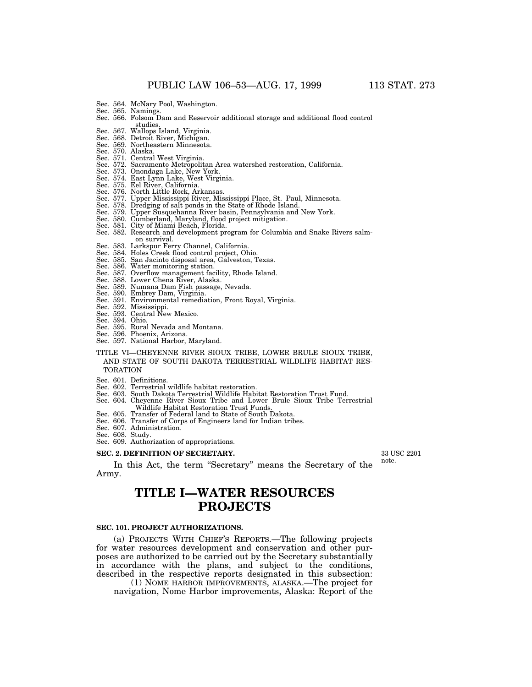- 
- Sec. 565. Namings. Sec. 566. Folsom Dam and Reservoir additional storage and additional flood control studies. Sec. 567. Wallops Island, Virginia.
- 
- Sec. 568. Detroit River, Michigan. Sec. 569. Northeastern Minnesota.
- Sec. 570. Alaska.
- Sec. 571. Central West Virginia.
- Sec. 572. Sacramento Metropolitan Area watershed restoration, California.
- Sec. 573. Onondaga Lake, New York.
- Sec. 574. East Lynn Lake, West Virginia.
- Sec. 575. Eel River, California.
- Sec. 576. North Little Rock, Arkansas.
- Sec. 577. Upper Mississippi River, Mississippi Place, St. Paul, Minnesota. Sec. 578. Dredging of salt ponds in the State of Rhode Island.
- 
- Sec. 579. Upper Susquehanna River basin, Pennsylvania and New York. Sec. 580. Cumberland, Maryland, flood project mitigation. Sec. 581. City of Miami Beach, Florida.
- 
- 
- Sec. 582. Research and development program for Columbia and Snake Rivers salmon survival.
- Sec. 583. Larkspur Ferry Channel, California.
- Sec. 584. Holes Creek flood control project, Ohio.
- Sec. 585. San Jacinto disposal area, Galveston, Texas. Sec. 586. Water monitoring station.
- 
- Sec. 587. Overflow management facility, Rhode Island.
- 
- Sec. 588. Lower Chena River, Alaska. Sec. 589. Numana Dam Fish passage, Nevada.
- Sec. 590. Embrey Dam, Virginia. Sec. 591. Environmental remediation, Front Royal, Virginia.
- 
- Sec. 592. Mississippi. Sec. 593. Central New Mexico. Sec. 594. Ohio.
- 
- Sec. 595. Rural Nevada and Montana.
- Sec. 596. Phoenix, Arizona.
- Sec. 597. National Harbor, Maryland.

#### TITLE VI—CHEYENNE RIVER SIOUX TRIBE, LOWER BRULE SIOUX TRIBE, AND STATE OF SOUTH DAKOTA TERRESTRIAL WILDLIFE HABITAT RES-TORATION

- Sec. 601. Definitions.
- Sec. 602. Terrestrial wildlife habitat restoration.
- 
- Sec. 603. South Dakota Terrestrial Wildlife Habitat Restoration Trust Fund. Sec. 604. Cheyenne River Sioux Tribe and Lower Brule Sioux Tribe Terrestrial Wildlife Habitat Restoration Trust Funds.
- Sec. 605. Transfer of Federal land to State of South Dakota.
- Sec. 606. Transfer of Corps of Engineers land for Indian tribes.
- Sec. 607. Administration.
- Sec. 608. Study. Sec. 609. Authorization of appropriations.

# **SEC. 2. DEFINITION OF SECRETARY.**

In this Act, the term "Secretary" means the Secretary of the Army.

# **TITLE I—WATER RESOURCES PROJECTS**

#### **SEC. 101. PROJECT AUTHORIZATIONS.**

(a) PROJECTS WITH CHIEF'S REPORTS.—The following projects for water resources development and conservation and other purposes are authorized to be carried out by the Secretary substantially in accordance with the plans, and subject to the conditions, described in the respective reports designated in this subsection:

(1) NOME HARBOR IMPROVEMENTS, ALASKA.—The project for navigation, Nome Harbor improvements, Alaska: Report of the

33 USC 2201

note.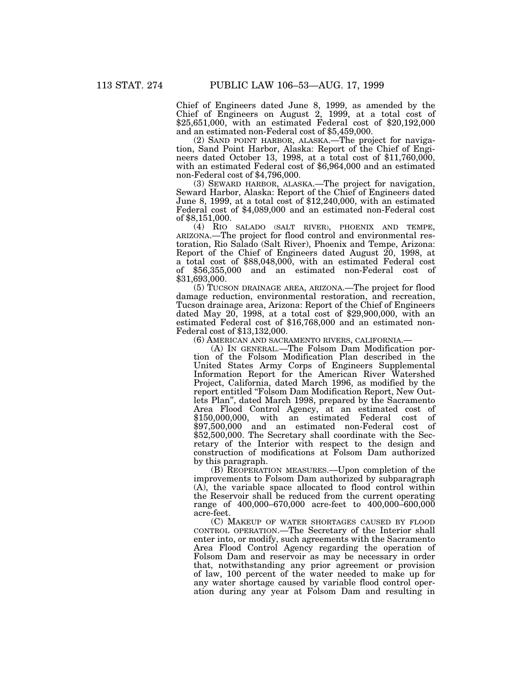Chief of Engineers dated June 8, 1999, as amended by the Chief of Engineers on August 2, 1999, at a total cost of \$25,651,000, with an estimated Federal cost of \$20,192,000 and an estimated non-Federal cost of \$5,459,000.

(2) SAND POINT HARBOR, ALASKA.—The project for navigation, Sand Point Harbor, Alaska: Report of the Chief of Engineers dated October 13, 1998, at a total cost of \$11,760,000, with an estimated Federal cost of \$6,964,000 and an estimated non-Federal cost of \$4,796,000.

(3) SEWARD HARBOR, ALASKA.—The project for navigation, Seward Harbor, Alaska: Report of the Chief of Engineers dated June 8, 1999, at a total cost of \$12,240,000, with an estimated Federal cost of \$4,089,000 and an estimated non-Federal cost of \$8,151,000.

(4) RIO SALADO (SALT RIVER), PHOENIX AND TEMPE, ARIZONA.—The project for flood control and environmental restoration, Rio Salado (Salt River), Phoenix and Tempe, Arizona: Report of the Chief of Engineers dated August 20, 1998, at a total cost of \$88,048,000, with an estimated Federal cost of \$56,355,000 and an estimated non-Federal cost of \$31,693,000.

(5) TUCSON DRAINAGE AREA, ARIZONA.—The project for flood damage reduction, environmental restoration, and recreation, Tucson drainage area, Arizona: Report of the Chief of Engineers dated May 20, 1998, at a total cost of \$29,900,000, with an estimated Federal cost of \$16,768,000 and an estimated non-Federal cost of \$13,132,000.

(6) AMERICAN AND SACRAMENTO RIVERS, CALIFORNIA.—

(A) IN GENERAL.—The Folsom Dam Modification portion of the Folsom Modification Plan described in the United States Army Corps of Engineers Supplemental Information Report for the American River Watershed Project, California, dated March 1996, as modified by the report entitled ''Folsom Dam Modification Report, New Outlets Plan'', dated March 1998, prepared by the Sacramento Area Flood Control Agency, at an estimated cost of \$150,000,000, with an estimated Federal cost of \$97,500,000 and an estimated non-Federal cost of \$52,500,000. The Secretary shall coordinate with the Secretary of the Interior with respect to the design and construction of modifications at Folsom Dam authorized by this paragraph.

(B) REOPERATION MEASURES.—Upon completion of the improvements to Folsom Dam authorized by subparagraph (A), the variable space allocated to flood control within the Reservoir shall be reduced from the current operating range of 400,000–670,000 acre-feet to 400,000–600,000 acre-feet.

(C) MAKEUP OF WATER SHORTAGES CAUSED BY FLOOD CONTROL OPERATION.—The Secretary of the Interior shall enter into, or modify, such agreements with the Sacramento Area Flood Control Agency regarding the operation of Folsom Dam and reservoir as may be necessary in order that, notwithstanding any prior agreement or provision of law, 100 percent of the water needed to make up for any water shortage caused by variable flood control operation during any year at Folsom Dam and resulting in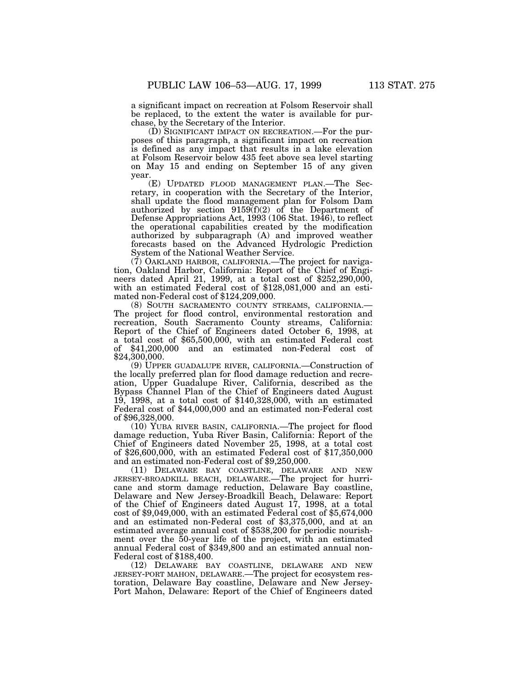a significant impact on recreation at Folsom Reservoir shall be replaced, to the extent the water is available for purchase, by the Secretary of the Interior.

(D) SIGNIFICANT IMPACT ON RECREATION.—For the purposes of this paragraph, a significant impact on recreation is defined as any impact that results in a lake elevation at Folsom Reservoir below 435 feet above sea level starting on May 15 and ending on September 15 of any given year.

(E) UPDATED FLOOD MANAGEMENT PLAN.—The Secretary, in cooperation with the Secretary of the Interior, shall update the flood management plan for Folsom Dam authorized by section 9159(f)(2) of the Department of Defense Appropriations Act, 1993 (106 Stat. 1946), to reflect the operational capabilities created by the modification authorized by subparagraph (A) and improved weather forecasts based on the Advanced Hydrologic Prediction System of the National Weather Service.

(7) OAKLAND HARBOR, CALIFORNIA.—The project for navigation, Oakland Harbor, California: Report of the Chief of Engineers dated April 21, 1999, at a total cost of \$252,290,000, with an estimated Federal cost of \$128,081,000 and an estimated non-Federal cost of \$124,209,000.

(8) SOUTH SACRAMENTO COUNTY STREAMS, CALIFORNIA.— The project for flood control, environmental restoration and recreation, South Sacramento County streams, California: Report of the Chief of Engineers dated October 6, 1998, at a total cost of \$65,500,000, with an estimated Federal cost of \$41,200,000 and an estimated non-Federal cost of \$24,300,000.

(9) UPPER GUADALUPE RIVER, CALIFORNIA.—Construction of the locally preferred plan for flood damage reduction and recreation, Upper Guadalupe River, California, described as the Bypass Channel Plan of the Chief of Engineers dated August 19, 1998, at a total cost of \$140,328,000, with an estimated Federal cost of \$44,000,000 and an estimated non-Federal cost of \$96,328,000.

(10) YUBA RIVER BASIN, CALIFORNIA.—The project for flood damage reduction, Yuba River Basin, California: Report of the Chief of Engineers dated November 25, 1998, at a total cost of \$26,600,000, with an estimated Federal cost of \$17,350,000 and an estimated non-Federal cost of \$9,250,000.

(11) DELAWARE BAY COASTLINE, DELAWARE AND NEW JERSEY-BROADKILL BEACH, DELAWARE.—The project for hurricane and storm damage reduction, Delaware Bay coastline, Delaware and New Jersey-Broadkill Beach, Delaware: Report of the Chief of Engineers dated August 17, 1998, at a total cost of \$9,049,000, with an estimated Federal cost of \$5,674,000 and an estimated non-Federal cost of \$3,375,000, and at an estimated average annual cost of \$538,200 for periodic nourishment over the 50-year life of the project, with an estimated annual Federal cost of \$349,800 and an estimated annual non-Federal cost of \$188,400.

(12) DELAWARE BAY COASTLINE, DELAWARE AND NEW JERSEY-PORT MAHON, DELAWARE.—The project for ecosystem restoration, Delaware Bay coastline, Delaware and New Jersey-Port Mahon, Delaware: Report of the Chief of Engineers dated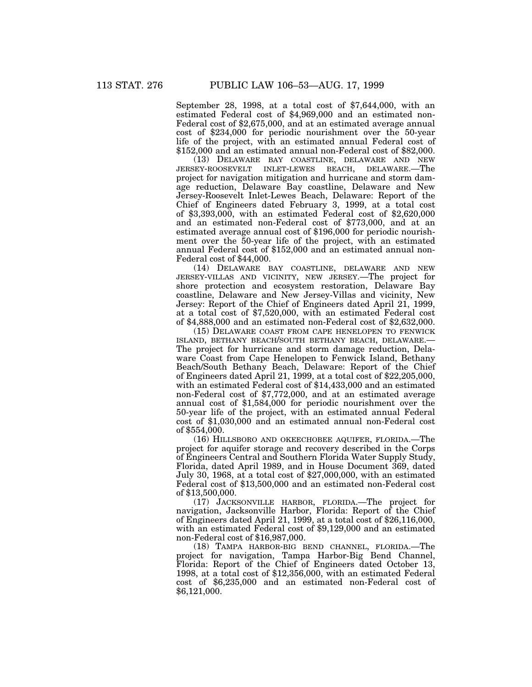September 28, 1998, at a total cost of \$7,644,000, with an estimated Federal cost of \$4,969,000 and an estimated non-Federal cost of \$2,675,000, and at an estimated average annual cost of \$234,000 for periodic nourishment over the 50-year life of the project, with an estimated annual Federal cost of \$152,000 and an estimated annual non-Federal cost of \$82,000.

(13) DELAWARE BAY COASTLINE, DELAWARE AND NEW JERSEY-ROOSEVELT INLET-LEWES BEACH, DELAWARE.—The project for navigation mitigation and hurricane and storm damage reduction, Delaware Bay coastline, Delaware and New Jersey-Roosevelt Inlet-Lewes Beach, Delaware: Report of the Chief of Engineers dated February 3, 1999, at a total cost of \$3,393,000, with an estimated Federal cost of \$2,620,000 and an estimated non-Federal cost of \$773,000, and at an estimated average annual cost of \$196,000 for periodic nourishment over the 50-year life of the project, with an estimated annual Federal cost of \$152,000 and an estimated annual non-Federal cost of \$44,000.

(14) DELAWARE BAY COASTLINE, DELAWARE AND NEW JERSEY-VILLAS AND VICINITY, NEW JERSEY.—The project for shore protection and ecosystem restoration, Delaware Bay coastline, Delaware and New Jersey-Villas and vicinity, New Jersey: Report of the Chief of Engineers dated April 21, 1999, at a total cost of \$7,520,000, with an estimated Federal cost of \$4,888,000 and an estimated non-Federal cost of \$2,632,000.

(15) DELAWARE COAST FROM CAPE HENELOPEN TO FENWICK ISLAND, BETHANY BEACH/SOUTH BETHANY BEACH, DELAWARE.— The project for hurricane and storm damage reduction, Delaware Coast from Cape Henelopen to Fenwick Island, Bethany Beach/South Bethany Beach, Delaware: Report of the Chief of Engineers dated April 21, 1999, at a total cost of \$22,205,000, with an estimated Federal cost of \$14,433,000 and an estimated non-Federal cost of \$7,772,000, and at an estimated average annual cost of \$1,584,000 for periodic nourishment over the 50-year life of the project, with an estimated annual Federal cost of \$1,030,000 and an estimated annual non-Federal cost of \$554,000.

(16) HILLSBORO AND OKEECHOBEE AQUIFER, FLORIDA.—The project for aquifer storage and recovery described in the Corps of Engineers Central and Southern Florida Water Supply Study, Florida, dated April 1989, and in House Document 369, dated July 30, 1968, at a total cost of \$27,000,000, with an estimated Federal cost of \$13,500,000 and an estimated non-Federal cost of \$13,500,000.

(17) JACKSONVILLE HARBOR, FLORIDA.—The project for navigation, Jacksonville Harbor, Florida: Report of the Chief of Engineers dated April 21, 1999, at a total cost of \$26,116,000, with an estimated Federal cost of \$9,129,000 and an estimated non-Federal cost of \$16,987,000.

(18) TAMPA HARBOR-BIG BEND CHANNEL, FLORIDA.—The project for navigation, Tampa Harbor-Big Bend Channel, Florida: Report of the Chief of Engineers dated October 13, 1998, at a total cost of \$12,356,000, with an estimated Federal cost of \$6,235,000 and an estimated non-Federal cost of \$6,121,000.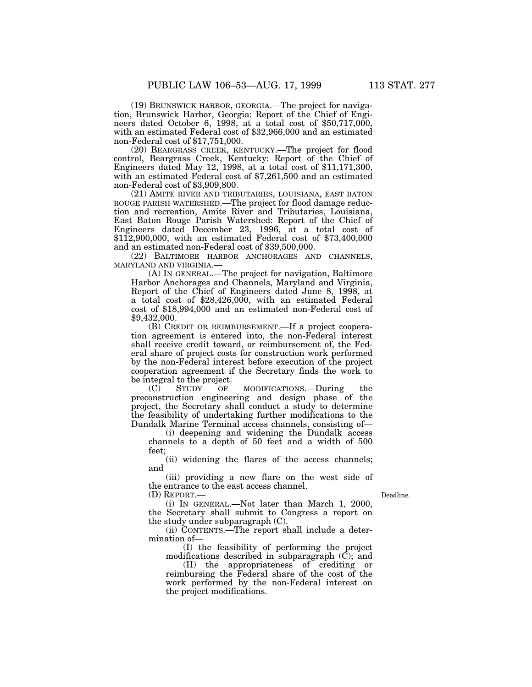(19) BRUNSWICK HARBOR, GEORGIA.—The project for navigation, Brunswick Harbor, Georgia: Report of the Chief of Engineers dated October 6, 1998, at a total cost of \$50,717,000, with an estimated Federal cost of \$32,966,000 and an estimated non-Federal cost of \$17,751,000.

(20) BEARGRASS CREEK, KENTUCKY.—The project for flood control, Beargrass Creek, Kentucky: Report of the Chief of Engineers dated May 12, 1998, at a total cost of \$11,171,300, with an estimated Federal cost of \$7,261,500 and an estimated non-Federal cost of \$3,909,800.

(21) AMITE RIVER AND TRIBUTARIES, LOUISIANA, EAST BATON ROUGE PARISH WATERSHED.—The project for flood damage reduction and recreation, Amite River and Tributaries, Louisiana, East Baton Rouge Parish Watershed: Report of the Chief of Engineers dated December 23, 1996, at a total cost of \$112,900,000, with an estimated Federal cost of \$73,400,000 and an estimated non-Federal cost of \$39,500,000.

(22) BALTIMORE HARBOR ANCHORAGES AND CHANNELS, MARYLAND AND VIRGINIA.—

(A) IN GENERAL.—The project for navigation, Baltimore Harbor Anchorages and Channels, Maryland and Virginia, Report of the Chief of Engineers dated June 8, 1998, at a total cost of \$28,426,000, with an estimated Federal cost of \$18,994,000 and an estimated non-Federal cost of \$9,432,000.

(B) CREDIT OR REIMBURSEMENT.—If a project cooperation agreement is entered into, the non-Federal interest shall receive credit toward, or reimbursement of, the Federal share of project costs for construction work performed by the non-Federal interest before execution of the project cooperation agreement if the Secretary finds the work to be integral to the project.

(C) STUDY OF MODIFICATIONS.—During the preconstruction engineering and design phase of the project, the Secretary shall conduct a study to determine the feasibility of undertaking further modifications to the Dundalk Marine Terminal access channels, consisting of—

(i) deepening and widening the Dundalk access channels to a depth of 50 feet and a width of 500 feet;

(ii) widening the flares of the access channels; and

(iii) providing a new flare on the west side of the entrance to the east access channel.

(D) REPORT.—

Deadline.

(i) IN GENERAL.—Not later than March 1, 2000, the Secretary shall submit to Congress a report on the study under subparagraph (C).

(ii) CONTENTS.—The report shall include a determination of—

(I) the feasibility of performing the project modifications described in subparagraph  $(\vec{C})$ ; and

(II) the appropriateness of crediting or reimbursing the Federal share of the cost of the work performed by the non-Federal interest on the project modifications.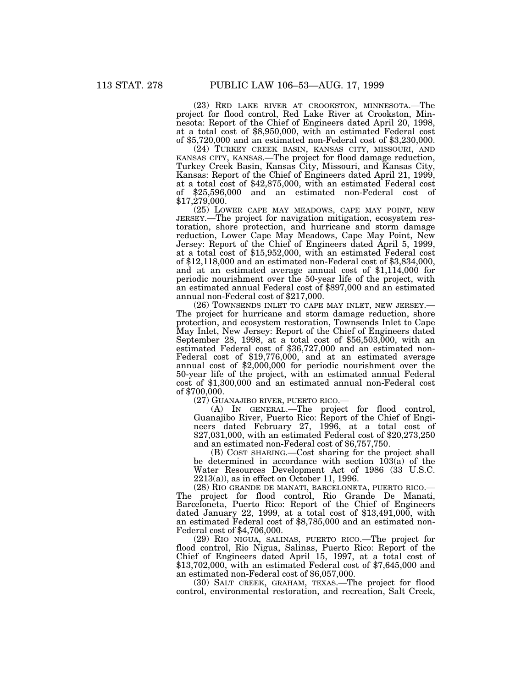(23) RED LAKE RIVER AT CROOKSTON, MINNESOTA.—The project for flood control, Red Lake River at Crookston, Minnesota: Report of the Chief of Engineers dated April 20, 1998, at a total cost of \$8,950,000, with an estimated Federal cost of \$5,720,000 and an estimated non-Federal cost of \$3,230,000.

(24) TURKEY CREEK BASIN, KANSAS CITY, MISSOURI, AND KANSAS CITY, KANSAS.—The project for flood damage reduction, Turkey Creek Basin, Kansas City, Missouri, and Kansas City, Kansas: Report of the Chief of Engineers dated April 21, 1999, at a total cost of \$42,875,000, with an estimated Federal cost of \$25,596,000 and an estimated non-Federal cost of \$17,279,000.

(25) LOWER CAPE MAY MEADOWS, CAPE MAY POINT, NEW JERSEY.—The project for navigation mitigation, ecosystem restoration, shore protection, and hurricane and storm damage reduction, Lower Cape May Meadows, Cape May Point, New Jersey: Report of the Chief of Engineers dated April 5, 1999, at a total cost of \$15,952,000, with an estimated Federal cost of \$12,118,000 and an estimated non-Federal cost of \$3,834,000, and at an estimated average annual cost of \$1,114,000 for periodic nourishment over the 50-year life of the project, with an estimated annual Federal cost of \$897,000 and an estimated annual non-Federal cost of \$217,000.

(26) TOWNSENDS INLET TO CAPE MAY INLET, NEW JERSEY.— The project for hurricane and storm damage reduction, shore protection, and ecosystem restoration, Townsends Inlet to Cape May Inlet, New Jersey: Report of the Chief of Engineers dated September 28, 1998, at a total cost of \$56,503,000, with an estimated Federal cost of \$36,727,000 and an estimated non-Federal cost of \$19,776,000, and at an estimated average annual cost of \$2,000,000 for periodic nourishment over the 50-year life of the project, with an estimated annual Federal cost of \$1,300,000 and an estimated annual non-Federal cost of \$700,000.

(27) GUANAJIBO RIVER, PUERTO RICO.—

(A) IN GENERAL.—The project for flood control, Guanajibo River, Puerto Rico: Report of the Chief of Engineers dated February 27, 1996, at a total cost of \$27,031,000, with an estimated Federal cost of \$20,273,250 and an estimated non-Federal cost of \$6,757,750.

(B) COST SHARING.—Cost sharing for the project shall be determined in accordance with section 103(a) of the Water Resources Development Act of 1986 (33 U.S.C. 2213(a)), as in effect on October 11, 1996.

(28) RIO GRANDE DE MANATI, BARCELONETA, PUERTO RICO.— The project for flood control, Rio Grande De Manati, Barceloneta, Puerto Rico: Report of the Chief of Engineers dated January 22, 1999, at a total cost of  $$13,491,000$ , with an estimated Federal cost of \$8,785,000 and an estimated non-Federal cost of \$4,706,000.

(29) RIO NIGUA, SALINAS, PUERTO RICO.—The project for flood control, Rio Nigua, Salinas, Puerto Rico: Report of the Chief of Engineers dated April 15, 1997, at a total cost of \$13,702,000, with an estimated Federal cost of \$7,645,000 and an estimated non-Federal cost of \$6,057,000.

(30) SALT CREEK, GRAHAM, TEXAS.—The project for flood control, environmental restoration, and recreation, Salt Creek,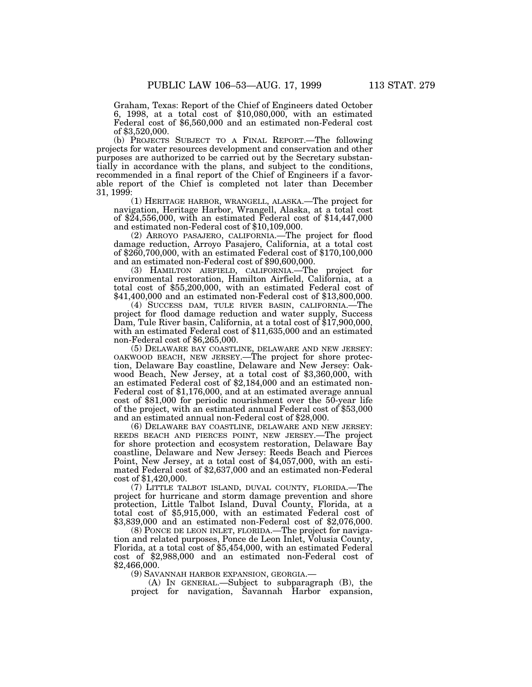Graham, Texas: Report of the Chief of Engineers dated October 6, 1998, at a total cost of \$10,080,000, with an estimated Federal cost of \$6,560,000 and an estimated non-Federal cost of \$3,520,000.

(b) PROJECTS SUBJECT TO A FINAL REPORT.—The following projects for water resources development and conservation and other purposes are authorized to be carried out by the Secretary substantially in accordance with the plans, and subject to the conditions, recommended in a final report of the Chief of Engineers if a favorable report of the Chief is completed not later than December 31, 1999:

(1) HERITAGE HARBOR, WRANGELL, ALASKA.—The project for navigation, Heritage Harbor, Wrangell, Alaska, at a total cost of \$24,556,000, with an estimated Federal cost of \$14,447,000 and estimated non-Federal cost of \$10,109,000.

(2) ARROYO PASAJERO, CALIFORNIA.—The project for flood damage reduction, Arroyo Pasajero, California, at a total cost of \$260,700,000, with an estimated Federal cost of \$170,100,000 and an estimated non-Federal cost of \$90,600,000.

(3) HAMILTON AIRFIELD, CALIFORNIA.—The project for environmental restoration, Hamilton Airfield, California, at a total cost of \$55,200,000, with an estimated Federal cost of \$41,400,000 and an estimated non-Federal cost of \$13,800,000.

(4) SUCCESS DAM, TULE RIVER BASIN, CALIFORNIA.—The project for flood damage reduction and water supply, Success Dam, Tule River basin, California, at a total cost of \$17,900,000, with an estimated Federal cost of \$11,635,000 and an estimated non-Federal cost of \$6,265,000.

(5) DELAWARE BAY COASTLINE, DELAWARE AND NEW JERSEY: OAKWOOD BEACH, NEW JERSEY.—The project for shore protection, Delaware Bay coastline, Delaware and New Jersey: Oakwood Beach, New Jersey, at a total cost of \$3,360,000, with an estimated Federal cost of \$2,184,000 and an estimated non-Federal cost of \$1,176,000, and at an estimated average annual cost of \$81,000 for periodic nourishment over the 50-year life of the project, with an estimated annual Federal cost of \$53,000 and an estimated annual non-Federal cost of \$28,000.

(6) DELAWARE BAY COASTLINE, DELAWARE AND NEW JERSEY: REEDS BEACH AND PIERCES POINT, NEW JERSEY.—The project for shore protection and ecosystem restoration, Delaware Bay coastline, Delaware and New Jersey: Reeds Beach and Pierces Point, New Jersey, at a total cost of \$4,057,000, with an estimated Federal cost of \$2,637,000 and an estimated non-Federal cost of \$1,420,000.

(7) LITTLE TALBOT ISLAND, DUVAL COUNTY, FLORIDA.—The project for hurricane and storm damage prevention and shore protection, Little Talbot Island, Duval County, Florida, at a total cost of \$5,915,000, with an estimated Federal cost of \$3,839,000 and an estimated non-Federal cost of \$2,076,000.

(8) PONCE DE LEON INLET, FLORIDA.—The project for navigation and related purposes, Ponce de Leon Inlet, Volusia County, Florida, at a total cost of \$5,454,000, with an estimated Federal cost of \$2,988,000 and an estimated non-Federal cost of \$2,466,000.

(9) SAVANNAH HARBOR EXPANSION, GEORGIA.—

(A) IN GENERAL.—Subject to subparagraph (B), the project for navigation, Savannah Harbor expansion,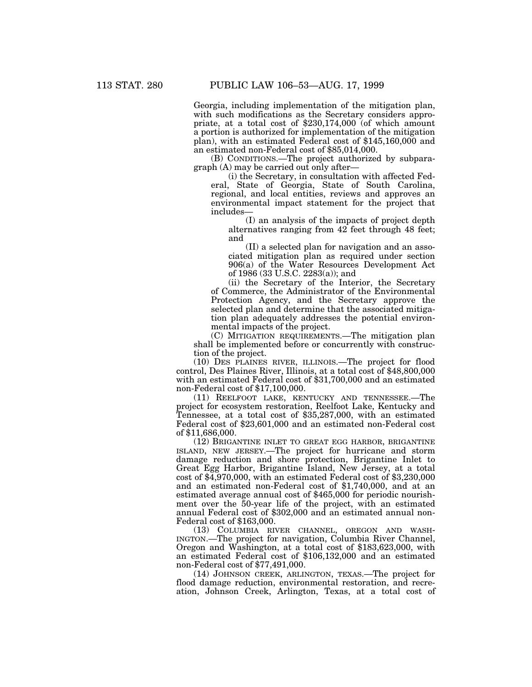Georgia, including implementation of the mitigation plan, with such modifications as the Secretary considers appropriate, at a total cost of \$230,174,000 (of which amount a portion is authorized for implementation of the mitigation plan), with an estimated Federal cost of \$145,160,000 and an estimated non-Federal cost of \$85,014,000.

(B) CONDITIONS.—The project authorized by subparagraph (A) may be carried out only after—

(i) the Secretary, in consultation with affected Federal, State of Georgia, State of South Carolina, regional, and local entities, reviews and approves an environmental impact statement for the project that includes—

(I) an analysis of the impacts of project depth alternatives ranging from 42 feet through 48 feet; and

(II) a selected plan for navigation and an associated mitigation plan as required under section 906(a) of the Water Resources Development Act of 1986 (33 U.S.C. 2283(a)); and

(ii) the Secretary of the Interior, the Secretary of Commerce, the Administrator of the Environmental Protection Agency, and the Secretary approve the selected plan and determine that the associated mitigation plan adequately addresses the potential environmental impacts of the project.

(C) MITIGATION REQUIREMENTS.—The mitigation plan shall be implemented before or concurrently with construction of the project.

(10) DES PLAINES RIVER, ILLINOIS.—The project for flood control, Des Plaines River, Illinois, at a total cost of \$48,800,000 with an estimated Federal cost of \$31,700,000 and an estimated non-Federal cost of \$17,100,000.

(11) REELFOOT LAKE, KENTUCKY AND TENNESSEE.—The project for ecosystem restoration, Reelfoot Lake, Kentucky and Tennessee, at a total cost of \$35,287,000, with an estimated Federal cost of \$23,601,000 and an estimated non-Federal cost of \$11,686,000.

(12) BRIGANTINE INLET TO GREAT EGG HARBOR, BRIGANTINE ISLAND, NEW JERSEY.—The project for hurricane and storm damage reduction and shore protection, Brigantine Inlet to Great Egg Harbor, Brigantine Island, New Jersey, at a total cost of \$4,970,000, with an estimated Federal cost of \$3,230,000 and an estimated non-Federal cost of \$1,740,000, and at an estimated average annual cost of \$465,000 for periodic nourishment over the 50-year life of the project, with an estimated annual Federal cost of \$302,000 and an estimated annual non-Federal cost of \$163,000.

(13) COLUMBIA RIVER CHANNEL, OREGON AND WASH-INGTON.—The project for navigation, Columbia River Channel, Oregon and Washington, at a total cost of \$183,623,000, with an estimated Federal cost of \$106,132,000 and an estimated non-Federal cost of \$77,491,000.

(14) JOHNSON CREEK, ARLINGTON, TEXAS.—The project for flood damage reduction, environmental restoration, and recreation, Johnson Creek, Arlington, Texas, at a total cost of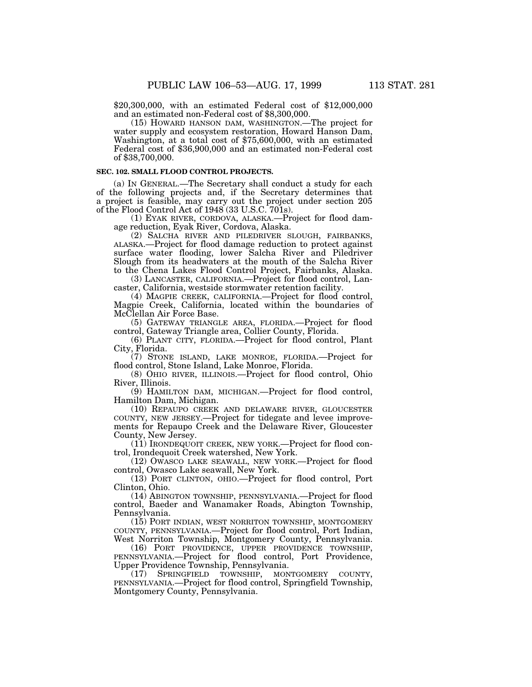\$20,300,000, with an estimated Federal cost of \$12,000,000 and an estimated non-Federal cost of \$8,300,000.

(15) HOWARD HANSON DAM, WASHINGTON.—The project for water supply and ecosystem restoration, Howard Hanson Dam, Washington, at a total cost of \$75,600,000, with an estimated Federal cost of \$36,900,000 and an estimated non-Federal cost of \$38,700,000.

### **SEC. 102. SMALL FLOOD CONTROL PROJECTS.**

(a) IN GENERAL.—The Secretary shall conduct a study for each of the following projects and, if the Secretary determines that a project is feasible, may carry out the project under section 205 of the Flood Control Act of 1948 (33 U.S.C. 701s).

(1) EYAK RIVER, CORDOVA, ALASKA.—Project for flood damage reduction, Eyak River, Cordova, Alaska.

(2) SALCHA RIVER AND PILEDRIVER SLOUGH, FAIRBANKS, ALASKA.—Project for flood damage reduction to protect against surface water flooding, lower Salcha River and Piledriver Slough from its headwaters at the mouth of the Salcha River to the Chena Lakes Flood Control Project, Fairbanks, Alaska.

(3) LANCASTER, CALIFORNIA.—Project for flood control, Lancaster, California, westside stormwater retention facility.

(4) MAGPIE CREEK, CALIFORNIA.—Project for flood control, Magpie Creek, California, located within the boundaries of McClellan Air Force Base.

(5) GATEWAY TRIANGLE AREA, FLORIDA.—Project for flood control, Gateway Triangle area, Collier County, Florida.

(6) PLANT CITY, FLORIDA.—Project for flood control, Plant City, Florida.

(7) STONE ISLAND, LAKE MONROE, FLORIDA.—Project for flood control, Stone Island, Lake Monroe, Florida.

(8) OHIO RIVER, ILLINOIS.—Project for flood control, Ohio River, Illinois.

(9) HAMILTON DAM, MICHIGAN.—Project for flood control, Hamilton Dam, Michigan.

(10) REPAUPO CREEK AND DELAWARE RIVER, GLOUCESTER COUNTY, NEW JERSEY.—Project for tidegate and levee improvements for Repaupo Creek and the Delaware River, Gloucester County, New Jersey.

(11) IRONDEQUOIT CREEK, NEW YORK.—Project for flood control, Irondequoit Creek watershed, New York.

(12) OWASCO LAKE SEAWALL, NEW YORK.—Project for flood control, Owasco Lake seawall, New York.

(13) PORT CLINTON, OHIO.—Project for flood control, Port Clinton, Ohio.

(14) ABINGTON TOWNSHIP, PENNSYLVANIA.—Project for flood control, Baeder and Wanamaker Roads, Abington Township, Pennsylvania.

(15) PORT INDIAN, WEST NORRITON TOWNSHIP, MONTGOMERY COUNTY, PENNSYLVANIA.—Project for flood control, Port Indian, West Norriton Township, Montgomery County, Pennsylvania.

(16) PORT PROVIDENCE, UPPER PROVIDENCE TOWNSHIP, PENNSYLVANIA.—Project for flood control, Port Providence, Upper Providence Township, Pennsylvania.

(17) SPRINGFIELD TOWNSHIP, MONTGOMERY COUNTY, PENNSYLVANIA.—Project for flood control, Springfield Township, Montgomery County, Pennsylvania.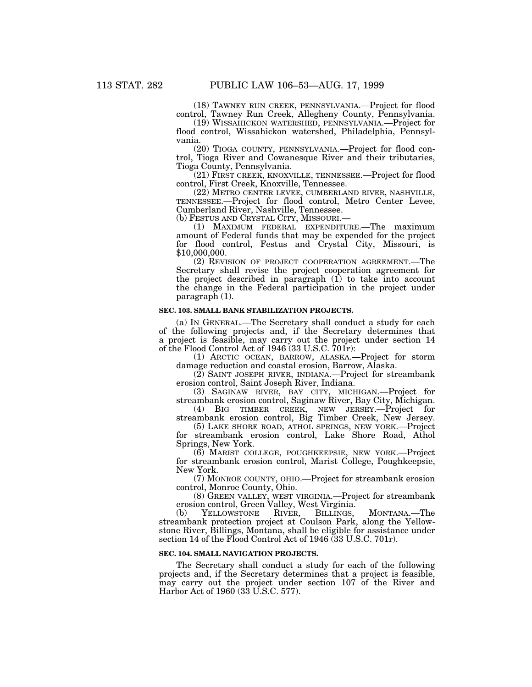(18) TAWNEY RUN CREEK, PENNSYLVANIA.—Project for flood control, Tawney Run Creek, Allegheny County, Pennsylvania.

(19) WISSAHICKON WATERSHED, PENNSYLVANIA.—Project for flood control, Wissahickon watershed, Philadelphia, Pennsylvania.

(20) TIOGA COUNTY, PENNSYLVANIA.—Project for flood control, Tioga River and Cowanesque River and their tributaries, Tioga County, Pennsylvania.

(21) FIRST CREEK, KNOXVILLE, TENNESSEE.—Project for flood control, First Creek, Knoxville, Tennessee.

(22) METRO CENTER LEVEE, CUMBERLAND RIVER, NASHVILLE, TENNESSEE.—Project for flood control, Metro Center Levee, Cumberland River, Nashville, Tennessee.

(b) FESTUS AND CRYSTAL CITY, MISSOURI.—

(1) MAXIMUM FEDERAL EXPENDITURE.—The maximum amount of Federal funds that may be expended for the project for flood control, Festus and Crystal City, Missouri, is \$10,000,000.

(2) REVISION OF PROJECT COOPERATION AGREEMENT.—The Secretary shall revise the project cooperation agreement for the project described in paragraph (1) to take into account the change in the Federal participation in the project under paragraph (1).

#### **SEC. 103. SMALL BANK STABILIZATION PROJECTS.**

(a) IN GENERAL.—The Secretary shall conduct a study for each of the following projects and, if the Secretary determines that a project is feasible, may carry out the project under section 14 of the Flood Control Act of 1946 (33 U.S.C. 701r):

(1) ARCTIC OCEAN, BARROW, ALASKA.—Project for storm damage reduction and coastal erosion, Barrow, Alaska.

(2) SAINT JOSEPH RIVER, INDIANA.—Project for streambank erosion control, Saint Joseph River, Indiana.

(3) SAGINAW RIVER, BAY CITY, MICHIGAN.—Project for streambank erosion control, Saginaw River, Bay City, Michigan.

(4) BIG TIMBER CREEK, NEW JERSEY.—Project for streambank erosion control, Big Timber Creek, New Jersey.

(5) LAKE SHORE ROAD, ATHOL SPRINGS, NEW YORK.—Project for streambank erosion control, Lake Shore Road, Athol Springs, New York.

(6) MARIST COLLEGE, POUGHKEEPSIE, NEW YORK.—Project for streambank erosion control, Marist College, Poughkeepsie, New York.

(7) MONROE COUNTY, OHIO.—Project for streambank erosion control, Monroe County, Ohio.

(8) GREEN VALLEY, WEST VIRGINIA.—Project for streambank erosion control, Green Valley, West Virginia.<br>
(b) YELLOWSTONE RIVER, BILLINGS,

(b) YELLOWSTONE RIVER, BILLINGS, MONTANA.—The streambank protection project at Coulson Park, along the Yellowstone River, Billings, Montana, shall be eligible for assistance under section 14 of the Flood Control Act of 1946 (33 U.S.C. 701r).

#### **SEC. 104. SMALL NAVIGATION PROJECTS.**

The Secretary shall conduct a study for each of the following projects and, if the Secretary determines that a project is feasible, may carry out the project under section 107 of the River and Harbor Act of 1960 (33 U.S.C. 577).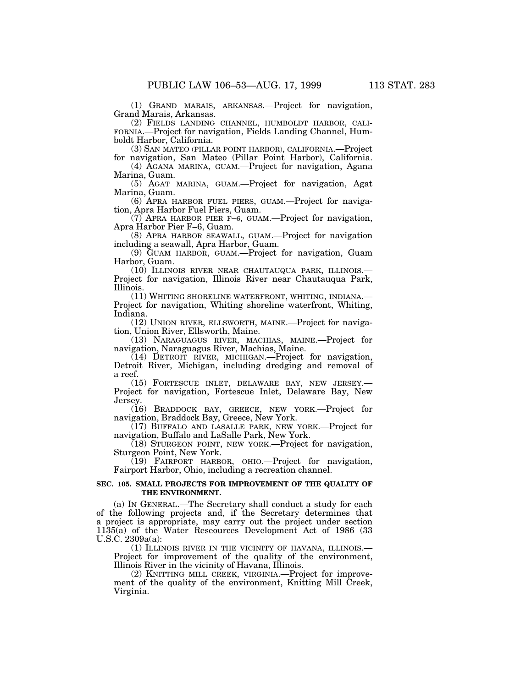(1) GRAND MARAIS, ARKANSAS.—Project for navigation, Grand Marais, Arkansas.<br>(2) FIELDS LANDING CHANNEL, HUMBOLDT HARBOR, CALI-

FORNIA.—Project for navigation, Fields Landing Channel, Humboldt Harbor, California.

(3) SAN MATEO (PILLAR POINT HARBOR), CALIFORNIA.—Project for navigation, San Mateo (Pillar Point Harbor), California.

(4) AGANA MARINA, GUAM.—Project for navigation, Agana Marina, Guam.

(5) AGAT MARINA, GUAM.—Project for navigation, Agat Marina, Guam.

(6) APRA HARBOR FUEL PIERS, GUAM.—Project for navigation, Apra Harbor Fuel Piers, Guam.

(7) APRA HARBOR PIER F–6, GUAM.—Project for navigation, Apra Harbor Pier F–6, Guam.

(8) APRA HARBOR SEAWALL, GUAM.—Project for navigation including a seawall, Apra Harbor, Guam.

(9) GUAM HARBOR, GUAM.—Project for navigation, Guam Harbor, Guam.

(10) ILLINOIS RIVER NEAR CHAUTAUQUA PARK, ILLINOIS.— Project for navigation, Illinois River near Chautauqua Park, Illinois.

(11) WHITING SHORELINE WATERFRONT, WHITING, INDIANA.— Project for navigation, Whiting shoreline waterfront, Whiting, Indiana.

(12) UNION RIVER, ELLSWORTH, MAINE.—Project for navigation, Union River, Ellsworth, Maine.

(13) NARAGUAGUS RIVER, MACHIAS, MAINE.—Project for navigation, Naraguagus River, Machias, Maine.

(14) DETROIT RIVER, MICHIGAN.—Project for navigation, Detroit River, Michigan, including dredging and removal of a reef.

(15) FORTESCUE INLET, DELAWARE BAY, NEW JERSEY.— Project for navigation, Fortescue Inlet, Delaware Bay, New Jersey.

(16) BRADDOCK BAY, GREECE, NEW YORK.—Project for navigation, Braddock Bay, Greece, New York.

(17) BUFFALO AND LASALLE PARK, NEW YORK.—Project for navigation, Buffalo and LaSalle Park, New York.

(18) STURGEON POINT, NEW YORK.—Project for navigation, Sturgeon Point, New York.

(19) FAIRPORT HARBOR, OHIO.—Project for navigation, Fairport Harbor, Ohio, including a recreation channel.

## **SEC. 105. SMALL PROJECTS FOR IMPROVEMENT OF THE QUALITY OF THE ENVIRONMENT.**

(a) IN GENERAL.—The Secretary shall conduct a study for each of the following projects and, if the Secretary determines that a project is appropriate, may carry out the project under section 1135(a) of the Water Reseources Development Act of 1986 (33 U.S.C. 2309a(a):

(1) ILLINOIS RIVER IN THE VICINITY OF HAVANA, ILLINOIS.— Project for improvement of the quality of the environment, Illinois River in the vicinity of Havana, Illinois.

(2) KNITTING MILL CREEK, VIRGINIA.—Project for improvement of the quality of the environment, Knitting Mill Creek, Virginia.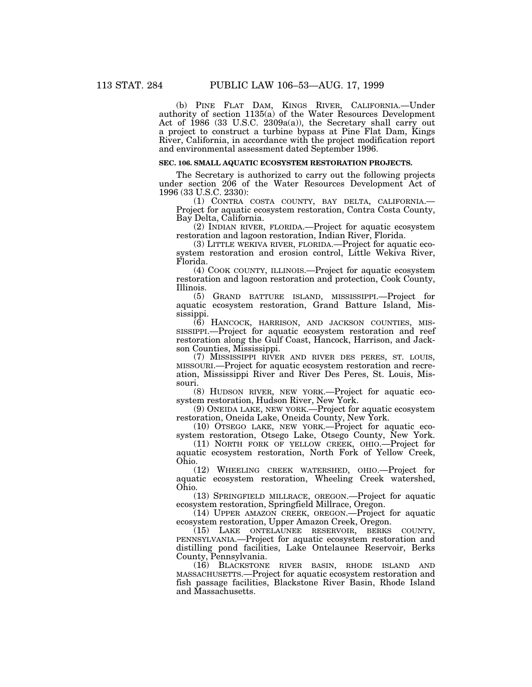(b) PINE FLAT DAM, KINGS RIVER, CALIFORNIA.—Under authority of section 1135(a) of the Water Resources Development Act of 1986 (33 U.S.C. 2309a(a)), the Secretary shall carry out a project to construct a turbine bypass at Pine Flat Dam, Kings River, California, in accordance with the project modification report and environmental assessment dated September 1996.

# **SEC. 106. SMALL AQUATIC ECOSYSTEM RESTORATION PROJECTS.**

The Secretary is authorized to carry out the following projects under section 206 of the Water Resources Development Act of 1996 (33 U.S.C. 2330):

(1) CONTRA COSTA COUNTY, BAY DELTA, CALIFORNIA.— Project for aquatic ecosystem restoration, Contra Costa County, Bay Delta, California.

(2) INDIAN RIVER, FLORIDA.—Project for aquatic ecosystem restoration and lagoon restoration, Indian River, Florida.

(3) LITTLE WEKIVA RIVER, FLORIDA.—Project for aquatic ecosystem restoration and erosion control, Little Wekiva River, Florida.

(4) COOK COUNTY, ILLINOIS.—Project for aquatic ecosystem restoration and lagoon restoration and protection, Cook County, Illinois.

(5) GRAND BATTURE ISLAND, MISSISSIPPI.—Project for aquatic ecosystem restoration, Grand Batture Island, Mississippi.

(6) HANCOCK, HARRISON, AND JACKSON COUNTIES, MIS-SISSIPPI.—Project for aquatic ecosystem restoration and reef restoration along the Gulf Coast, Hancock, Harrison, and Jackson Counties, Mississippi.

(7) MISSISSIPPI RIVER AND RIVER DES PERES, ST. LOUIS, MISSOURI.—Project for aquatic ecosystem restoration and recreation, Mississippi River and River Des Peres, St. Louis, Missouri.

(8) HUDSON RIVER, NEW YORK.—Project for aquatic ecosystem restoration, Hudson River, New York.

(9) ONEIDA LAKE, NEW YORK.—Project for aquatic ecosystem restoration, Oneida Lake, Oneida County, New York.

(10) OTSEGO LAKE, NEW YORK.—Project for aquatic ecosystem restoration, Otsego Lake, Otsego County, New York.

(11) NORTH FORK OF YELLOW CREEK, OHIO.—Project for aquatic ecosystem restoration, North Fork of Yellow Creek, Ohio.

(12) WHEELING CREEK WATERSHED, OHIO.—Project for aquatic ecosystem restoration, Wheeling Creek watershed, Ohio.

(13) SPRINGFIELD MILLRACE, OREGON.—Project for aquatic ecosystem restoration, Springfield Millrace, Oregon.

(14) UPPER AMAZON CREEK, OREGON.—Project for aquatic ecosystem restoration, Upper Amazon Creek, Oregon.

(15) LAKE ONTELAUNEE RESERVOIR, BERKS COUNTY, PENNSYLVANIA.—Project for aquatic ecosystem restoration and distilling pond facilities, Lake Ontelaunee Reservoir, Berks County, Pennsylvania.

(16) BLACKSTONE RIVER BASIN, RHODE ISLAND AND MASSACHUSETTS.—Project for aquatic ecosystem restoration and fish passage facilities, Blackstone River Basin, Rhode Island and Massachusetts.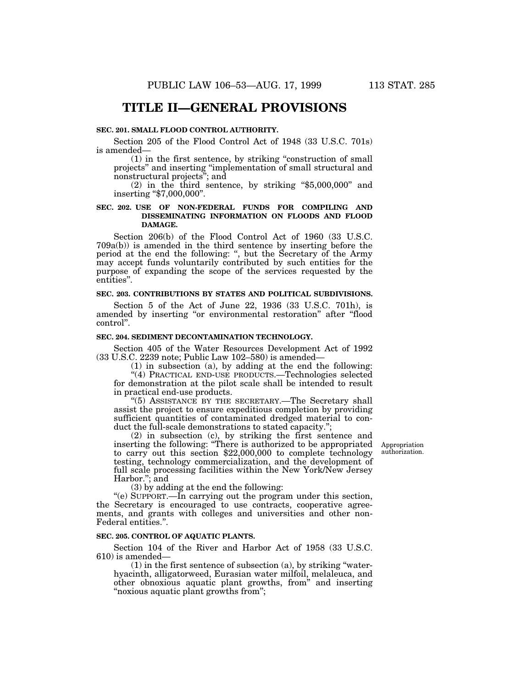# **TITLE II—GENERAL PROVISIONS**

# **SEC. 201. SMALL FLOOD CONTROL AUTHORITY.**

Section 205 of the Flood Control Act of 1948 (33 U.S.C. 701s) is amended—

(1) in the first sentence, by striking ''construction of small projects'' and inserting ''implementation of small structural and

nonstructural projects"; and<br>(2) in the third sentence, by striking "\$5,000,000" and<br>inserting "\$7,000,000".

#### **SEC. 202. USE OF NON-FEDERAL FUNDS FOR COMPILING AND DISSEMINATING INFORMATION ON FLOODS AND FLOOD DAMAGE.**

Section 206(b) of the Flood Control Act of 1960 (33 U.S.C. 709a(b)) is amended in the third sentence by inserting before the period at the end the following: '', but the Secretary of the Army may accept funds voluntarily contributed by such entities for the purpose of expanding the scope of the services requested by the entities''.

#### **SEC. 203. CONTRIBUTIONS BY STATES AND POLITICAL SUBDIVISIONS.**

Section 5 of the Act of June 22, 1936 (33 U.S.C. 701h), is amended by inserting "or environmental restoration" after "flood control''.

#### **SEC. 204. SEDIMENT DECONTAMINATION TECHNOLOGY.**

Section 405 of the Water Resources Development Act of 1992 (33 U.S.C. 2239 note; Public Law 102–580) is amended—

(1) in subsection (a), by adding at the end the following: ''(4) PRACTICAL END-USE PRODUCTS.—Technologies selected for demonstration at the pilot scale shall be intended to result in practical end-use products.

"(5) ASSISTANCE BY THE SECRETARY.—The Secretary shall assist the project to ensure expeditious completion by providing sufficient quantities of contaminated dredged material to conduct the full-scale demonstrations to stated capacity.'';

(2) in subsection (c), by striking the first sentence and inserting the following: ''There is authorized to be appropriated to carry out this section \$22,000,000 to complete technology testing, technology commercialization, and the development of full scale processing facilities within the New York/New Jersey Harbor.''; and

(3) by adding at the end the following:

''(e) SUPPORT.—In carrying out the program under this section, the Secretary is encouraged to use contracts, cooperative agreements, and grants with colleges and universities and other non-Federal entities.''.

#### **SEC. 205. CONTROL OF AQUATIC PLANTS.**

Section 104 of the River and Harbor Act of 1958 (33 U.S.C. 610) is amended—

 $(1)$  in the first sentence of subsection  $(a)$ , by striking "waterhyacinth, alligatorweed, Eurasian water milfoil, melaleuca, and other obnoxious aquatic plant growths, from'' and inserting "noxious aquatic plant growths from";

Appropriation authorization.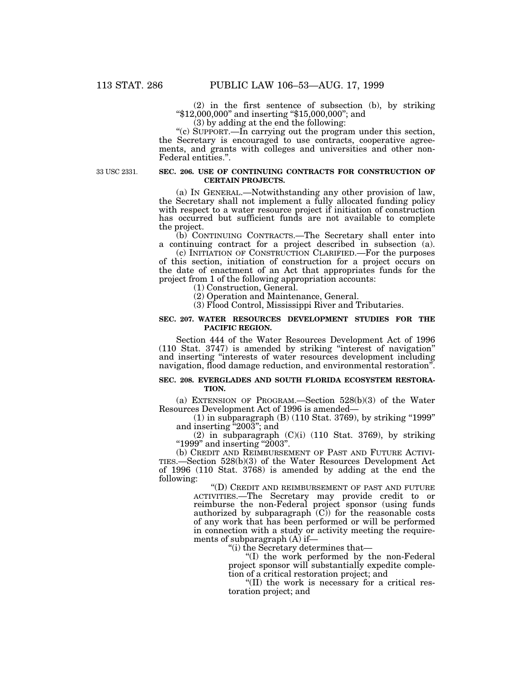$(2)$  in the first sentence of subsection  $(b)$ , by striking  $*12,000,000"$  and inserting  $*15,000,000"$ ; and (3) by adding at the end the following:

''(c) SUPPORT.—In carrying out the program under this section, the Secretary is encouraged to use contracts, cooperative agreements, and grants with colleges and universities and other non-Federal entities.''.

33 USC 2331.

#### **SEC. 206. USE OF CONTINUING CONTRACTS FOR CONSTRUCTION OF CERTAIN PROJECTS.**

(a) IN GENERAL.—Notwithstanding any other provision of law, the Secretary shall not implement a fully allocated funding policy with respect to a water resource project if initiation of construction has occurred but sufficient funds are not available to complete the project.

(b) CONTINUING CONTRACTS.—The Secretary shall enter into a continuing contract for a project described in subsection (a).

(c) INITIATION OF CONSTRUCTION CLARIFIED.—For the purposes of this section, initiation of construction for a project occurs on the date of enactment of an Act that appropriates funds for the project from 1 of the following appropriation accounts:

(1) Construction, General.

(2) Operation and Maintenance, General.

(3) Flood Control, Mississippi River and Tributaries.

#### **SEC. 207. WATER RESOURCES DEVELOPMENT STUDIES FOR THE PACIFIC REGION.**

Section 444 of the Water Resources Development Act of 1996 (110 Stat. 3747) is amended by striking ''interest of navigation'' and inserting ''interests of water resources development including navigation, flood damage reduction, and environmental restoration''.

#### **SEC. 208. EVERGLADES AND SOUTH FLORIDA ECOSYSTEM RESTORA-TION.**

(a) EXTENSION OF PROGRAM.—Section 528(b)(3) of the Water Resources Development Act of 1996 is amended—

(1) in subparagraph (B) (110 Stat. 3769), by striking ''1999'' and inserting "2003"; and

(2) in subparagraph  $(C)(i)$  (110 Stat. 3769), by striking ''1999'' and inserting ''2003''.

(b) CREDIT AND REIMBURSEMENT OF PAST AND FUTURE ACTIVI-TIES.—Section 528(b)(3) of the Water Resources Development Act of 1996 (110 Stat. 3768) is amended by adding at the end the following:

> ''(D) CREDIT AND REIMBURSEMENT OF PAST AND FUTURE ACTIVITIES.—The Secretary may provide credit to or reimburse the non-Federal project sponsor (using funds authorized by subparagraph  $(C)$  for the reasonable costs of any work that has been performed or will be performed in connection with a study or activity meeting the requirements of subparagraph (A) if—

''(i) the Secretary determines that—

''(I) the work performed by the non-Federal project sponsor will substantially expedite completion of a critical restoration project; and

''(II) the work is necessary for a critical restoration project; and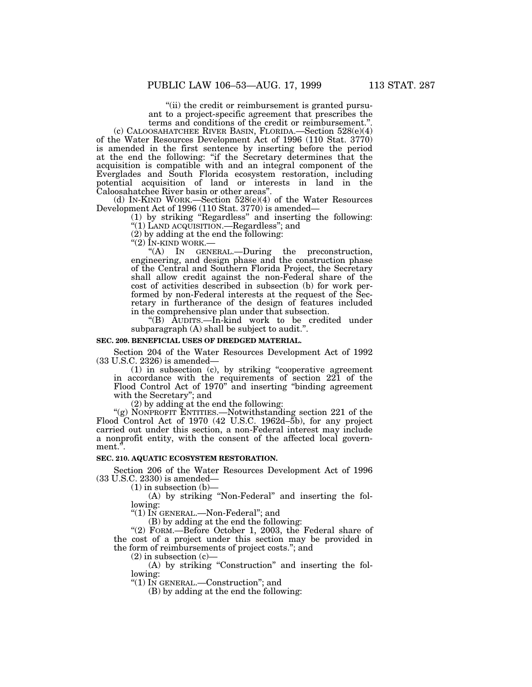"(ii) the credit or reimbursement is granted pursuant to a project-specific agreement that prescribes the terms and conditions of the credit or reimbursement."

(c) CALOOSAHATCHEE RIVER BASIN, FLORIDA.—Section 528(e)(4) of the Water Resources Development Act of 1996 (110 Stat. 3770) is amended in the first sentence by inserting before the period at the end the following: ''if the Secretary determines that the acquisition is compatible with and an integral component of the Everglades and South Florida ecosystem restoration, including potential acquisition of land or interests in land in the Caloosahatchee River basin or other areas''.

(d) IN-KIND WORK.—Section 528(e)(4) of the Water Resources Development Act of 1996 (110 Stat. 3770) is amended—

(1) by striking ''Regardless'' and inserting the following: "(1) LAND ACQUISITION.—Regardless"; and

(2) by adding at the end the following:  $\binom{4}{2}$  IN-KIND WORK.

''(2) IN-KIND WORK.— ''(A) IN GENERAL.—During the preconstruction, engineering, and design phase and the construction phase of the Central and Southern Florida Project, the Secretary shall allow credit against the non-Federal share of the cost of activities described in subsection (b) for work performed by non-Federal interests at the request of the Secretary in furtherance of the design of features included in the comprehensive plan under that subsection.

''(B) AUDITS.—In-kind work to be credited under subparagraph (A) shall be subject to audit.''.

#### **SEC. 209. BENEFICIAL USES OF DREDGED MATERIAL.**

Section 204 of the Water Resources Development Act of 1992 (33 U.S.C. 2326) is amended—

(1) in subsection (c), by striking ''cooperative agreement in accordance with the requirements of section 221 of the Flood Control Act of 1970'' and inserting ''binding agreement with the Secretary''; and

(2) by adding at the end the following:

''(g) NONPROFIT ENTITIES.—Notwithstanding section 221 of the Flood Control Act of 1970 (42 U.S.C. 1962d–5b), for any project carried out under this section, a non-Federal interest may include a nonprofit entity, with the consent of the affected local government.''.

# **SEC. 210. AQUATIC ECOSYSTEM RESTORATION.**

Section 206 of the Water Resources Development Act of 1996 (33 U.S.C. 2330) is amended—

(1) in subsection (b)—

(A) by striking ''Non-Federal'' and inserting the following:

''(1) IN GENERAL.—Non-Federal''; and

(B) by adding at the end the following:

"(2) FORM.-Before October 1, 2003, the Federal share of the cost of a project under this section may be provided in the form of reimbursements of project costs.''; and

 $(2)$  in subsection  $(c)$ 

(A) by striking "Construction" and inserting the following:

''(1) IN GENERAL.—Construction''; and

(B) by adding at the end the following: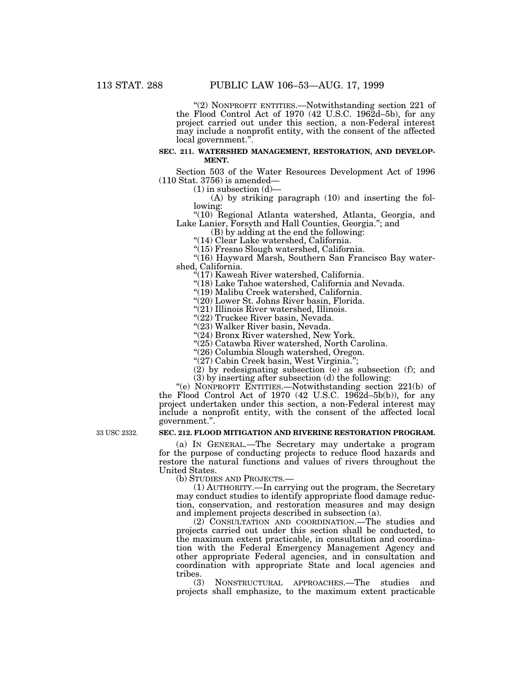"(2) NONPROFIT ENTITIES.—Notwithstanding section 221 of the Flood Control Act of 1970 (42 U.S.C. 1962d–5b), for any project carried out under this section, a non-Federal interest may include a nonprofit entity, with the consent of the affected local government.''.

#### **SEC. 211. WATERSHED MANAGEMENT, RESTORATION, AND DEVELOP-MENT.**

Section 503 of the Water Resources Development Act of 1996 (110 Stat. 3756) is amended—

 $(1)$  in subsection  $(d)$ —

(A) by striking paragraph (10) and inserting the following:

''(10) Regional Atlanta watershed, Atlanta, Georgia, and Lake Lanier, Forsyth and Hall Counties, Georgia.''; and

(B) by adding at the end the following:

''(14) Clear Lake watershed, California.

''(15) Fresno Slough watershed, California.

"(16) Hayward Marsh, Southern San Francisco Bay watershed, California.

 $\mathcal{F}(17)$  Kaweah River watershed, California.

"(18) Lake Tahoe watershed, California and Nevada.

''(19) Malibu Creek watershed, California.

"(20) Lower St. Johns River basin, Florida.

"(21) Illinois River watershed, Illinois.

"(22) Truckee River basin, Nevada.

"(23) Walker River basin, Nevada.

"(24) Bronx River watershed, New York.

''(25) Catawba River watershed, North Carolina.

''(26) Columbia Slough watershed, Oregon.

''(27) Cabin Creek basin, West Virginia.'';

(2) by redesignating subsection (e) as subsection (f); and

(3) by inserting after subsection (d) the following:

''(e) NONPROFIT ENTITIES.—Notwithstanding section 221(b) of the Flood Control Act of 1970 (42 U.S.C. 1962d–5b(b)), for any project undertaken under this section, a non-Federal interest may include a nonprofit entity, with the consent of the affected local government.''.

33 USC 2332.

# **SEC. 212. FLOOD MITIGATION AND RIVERINE RESTORATION PROGRAM.**

(a) IN GENERAL.—The Secretary may undertake a program for the purpose of conducting projects to reduce flood hazards and restore the natural functions and values of rivers throughout the United States.<br>(b) STUDIES AND PROJECTS.—

 $(1)$  AUTHORITY.—In carrying out the program, the Secretary may conduct studies to identify appropriate flood damage reduction, conservation, and restoration measures and may design and implement projects described in subsection (a).

(2) CONSULTATION AND COORDINATION.—The studies and projects carried out under this section shall be conducted, to the maximum extent practicable, in consultation and coordination with the Federal Emergency Management Agency and other appropriate Federal agencies, and in consultation and coordination with appropriate State and local agencies and tribes.

(3) NONSTRUCTURAL APPROACHES.—The studies and projects shall emphasize, to the maximum extent practicable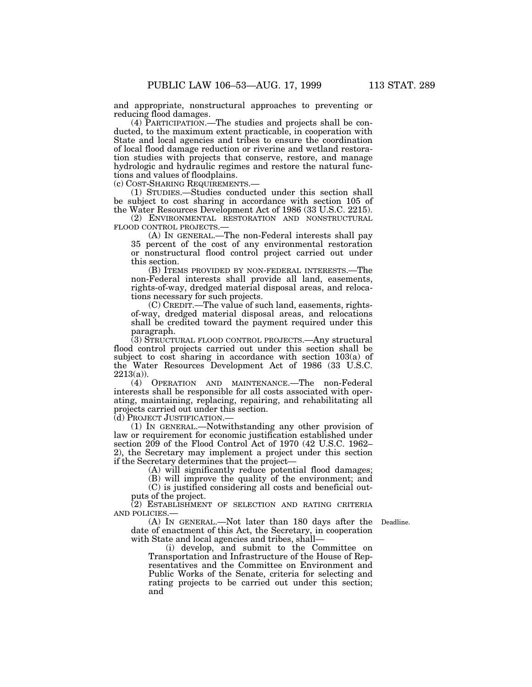and appropriate, nonstructural approaches to preventing or reducing flood damages.

(4) PARTICIPATION.—The studies and projects shall be conducted, to the maximum extent practicable, in cooperation with State and local agencies and tribes to ensure the coordination of local flood damage reduction or riverine and wetland restoration studies with projects that conserve, restore, and manage hydrologic and hydraulic regimes and restore the natural functions and values of floodplains.

(c) COST-SHARING REQUIREMENTS.—

(1) STUDIES.—Studies conducted under this section shall be subject to cost sharing in accordance with section 105 of the Water Resources Development Act of 1986 (33 U.S.C. 2215).

(2) ENVIRONMENTAL RESTORATION AND NONSTRUCTURAL FLOOD CONTROL PROJECTS.—

(A) IN GENERAL.—The non-Federal interests shall pay 35 percent of the cost of any environmental restoration or nonstructural flood control project carried out under this section.

(B) ITEMS PROVIDED BY NON-FEDERAL INTERESTS.—The non-Federal interests shall provide all land, easements, rights-of-way, dredged material disposal areas, and relocations necessary for such projects.

(C) CREDIT.—The value of such land, easements, rightsof-way, dredged material disposal areas, and relocations shall be credited toward the payment required under this paragraph.

(3) STRUCTURAL FLOOD CONTROL PROJECTS.—Any structural flood control projects carried out under this section shall be subject to cost sharing in accordance with section 103(a) of the Water Resources Development Act of 1986 (33 U.S.C.  $2213(a)$ ).

(4) OPERATION AND MAINTENANCE.—The non-Federal interests shall be responsible for all costs associated with operating, maintaining, replacing, repairing, and rehabilitating all projects carried out under this section.

(d) PROJECT JUSTIFICATION.—

(1) IN GENERAL.—Notwithstanding any other provision of law or requirement for economic justification established under section 209 of the Flood Control Act of 1970 (42 U.S.C. 1962– 2), the Secretary may implement a project under this section if the Secretary determines that the project—

(A) will significantly reduce potential flood damages;

(B) will improve the quality of the environment; and

(C) is justified considering all costs and beneficial outputs of the project.

(2) ESTABLISHMENT OF SELECTION AND RATING CRITERIA AND POLICIES.—

Deadline.

(A) IN GENERAL.—Not later than 180 days after the date of enactment of this Act, the Secretary, in cooperation with State and local agencies and tribes, shall—

(i) develop, and submit to the Committee on Transportation and Infrastructure of the House of Representatives and the Committee on Environment and Public Works of the Senate, criteria for selecting and rating projects to be carried out under this section; and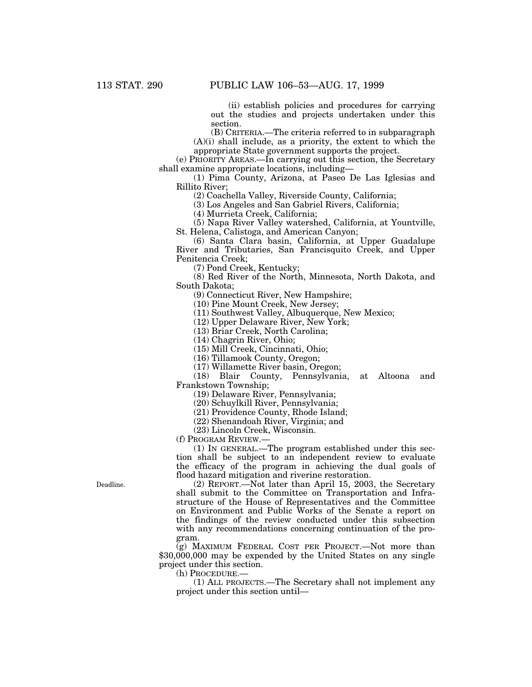(ii) establish policies and procedures for carrying out the studies and projects undertaken under this section.

(B) CRITERIA.—The criteria referred to in subparagraph  $(A)(i)$  shall include, as a priority, the extent to which the appropriate State government supports the project.

(e) PRIORITY AREAS.—In carrying out this section, the Secretary shall examine appropriate locations, including—

(1) Pima County, Arizona, at Paseo De Las Iglesias and Rillito River;

(2) Coachella Valley, Riverside County, California;

(3) Los Angeles and San Gabriel Rivers, California;

(4) Murrieta Creek, California;

(5) Napa River Valley watershed, California, at Yountville, St. Helena, Calistoga, and American Canyon;

(6) Santa Clara basin, California, at Upper Guadalupe River and Tributaries, San Francisquito Creek, and Upper Penitencia Creek;

(7) Pond Creek, Kentucky;

(8) Red River of the North, Minnesota, North Dakota, and South Dakota;

(9) Connecticut River, New Hampshire;

(10) Pine Mount Creek, New Jersey;

(11) Southwest Valley, Albuquerque, New Mexico;

(12) Upper Delaware River, New York;

(13) Briar Creek, North Carolina;

(14) Chagrin River, Ohio;

(15) Mill Creek, Cincinnati, Ohio;

(16) Tillamook County, Oregon;

(17) Willamette River basin, Oregon;

(18) Blair County, Pennsylvania, at Altoona and Frankstown Township;

(19) Delaware River, Pennsylvania;

(20) Schuylkill River, Pennsylvania;

(21) Providence County, Rhode Island;

(22) Shenandoah River, Virginia; and

(23) Lincoln Creek, Wisconsin.

(f) PROGRAM REVIEW.—

(1) IN GENERAL.—The program established under this section shall be subject to an independent review to evaluate the efficacy of the program in achieving the dual goals of flood hazard mitigation and riverine restoration.

(2) REPORT.—Not later than April 15, 2003, the Secretary shall submit to the Committee on Transportation and Infrastructure of the House of Representatives and the Committee on Environment and Public Works of the Senate a report on the findings of the review conducted under this subsection with any recommendations concerning continuation of the program.

(g) MAXIMUM FEDERAL COST PER PROJECT.—Not more than \$30,000,000 may be expended by the United States on any single project under this section.

(h) PROCEDURE.—

(1) ALL PROJECTS.—The Secretary shall not implement any project under this section until—

Deadline.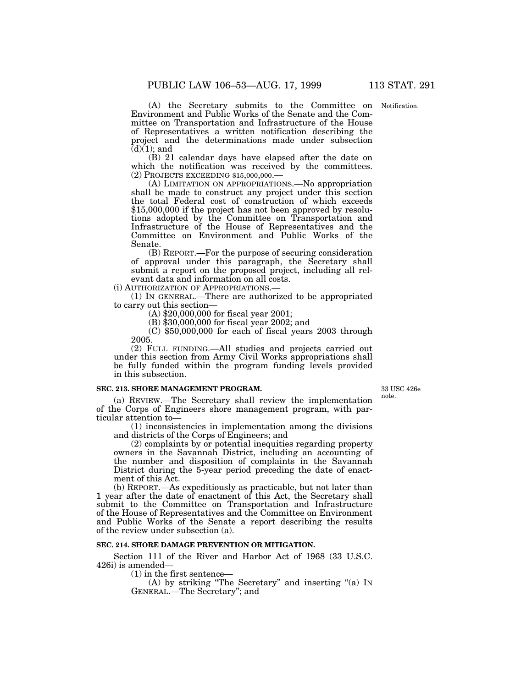Notification.

(A) the Secretary submits to the Committee on Environment and Public Works of the Senate and the Committee on Transportation and Infrastructure of the House of Representatives a written notification describing the project and the determinations made under subsection  $(d)(1)$ ; and

(B) 21 calendar days have elapsed after the date on which the notification was received by the committees. (2) PROJECTS EXCEEDING \$15,000,000.—

(A) LIMITATION ON APPROPRIATIONS.—No appropriation shall be made to construct any project under this section the total Federal cost of construction of which exceeds \$15,000,000 if the project has not been approved by resolutions adopted by the Committee on Transportation and Infrastructure of the House of Representatives and the Committee on Environment and Public Works of the Senate.

(B) REPORT.—For the purpose of securing consideration of approval under this paragraph, the Secretary shall submit a report on the proposed project, including all relevant data and information on all costs.

(i) AUTHORIZATION OF APPROPRIATIONS.—

(1) IN GENERAL.—There are authorized to be appropriated to carry out this section—

(A) \$20,000,000 for fiscal year 2001;

(B) \$30,000,000 for fiscal year 2002; and

(C) \$50,000,000 for each of fiscal years 2003 through 2005.

(2) FULL FUNDING.—All studies and projects carried out under this section from Army Civil Works appropriations shall be fully funded within the program funding levels provided in this subsection.

# **SEC. 213. SHORE MANAGEMENT PROGRAM.**

33 USC 426e note.

(a) REVIEW.—The Secretary shall review the implementation of the Corps of Engineers shore management program, with particular attention to—

(1) inconsistencies in implementation among the divisions and districts of the Corps of Engineers; and

(2) complaints by or potential inequities regarding property owners in the Savannah District, including an accounting of the number and disposition of complaints in the Savannah District during the 5-year period preceding the date of enactment of this Act.

(b) REPORT.—As expeditiously as practicable, but not later than 1 year after the date of enactment of this Act, the Secretary shall submit to the Committee on Transportation and Infrastructure of the House of Representatives and the Committee on Environment and Public Works of the Senate a report describing the results of the review under subsection (a).

#### **SEC. 214. SHORE DAMAGE PREVENTION OR MITIGATION.**

Section 111 of the River and Harbor Act of 1968 (33 U.S.C. 426i) is amended—

(1) in the first sentence—

(A) by striking "The Secretary" and inserting "(a) In GENERAL.—The Secretary''; and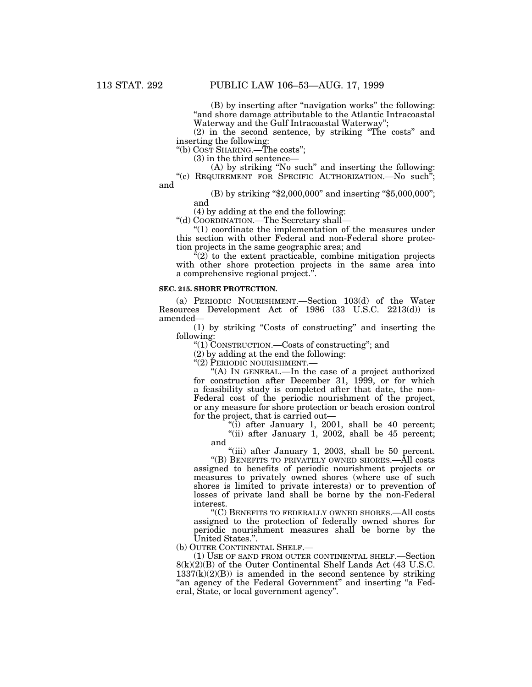(B) by inserting after ''navigation works'' the following: "and shore damage attributable to the Atlantic Intracoastal Waterway and the Gulf Intracoastal Waterway'';

(2) in the second sentence, by striking ''The costs'' and inserting the following:

''(b) COST SHARING.—The costs'';

(3) in the third sentence—

(A) by striking ''No such'' and inserting the following:

''(c) REQUIREMENT FOR SPECIFIC AUTHORIZATION.—No such''; and

> (B) by striking "\$2,000,000" and inserting "\$5,000,000"; and

(4) by adding at the end the following:

''(d) COORDINATION.—The Secretary shall—

''(1) coordinate the implementation of the measures under this section with other Federal and non-Federal shore protection projects in the same geographic area; and

 $\sqrt[a(2)]$  to the extent practicable, combine mitigation projects with other shore protection projects in the same area into a comprehensive regional project.''.

#### **SEC. 215. SHORE PROTECTION.**

(a) PERIODIC NOURISHMENT.—Section 103(d) of the Water Resources Development Act of 1986 (33 U.S.C. 2213(d)) is amended—

(1) by striking ''Costs of constructing'' and inserting the following:

''(1) CONSTRUCTION.—Costs of constructing''; and

(2) by adding at the end the following:

''(2) PERIODIC NOURISHMENT.—

''(A) IN GENERAL.—In the case of a project authorized for construction after December 31, 1999, or for which a feasibility study is completed after that date, the non-Federal cost of the periodic nourishment of the project, or any measure for shore protection or beach erosion control for the project, that is carried out—

"(i) after January 1, 2001, shall be 40 percent; "(ii) after January 1, 2002, shall be  $45$  percent; and

"(iii) after January 1, 2003, shall be 50 percent.

''(B) BENEFITS TO PRIVATELY OWNED SHORES.—All costs assigned to benefits of periodic nourishment projects or measures to privately owned shores (where use of such shores is limited to private interests) or to prevention of losses of private land shall be borne by the non-Federal interest.

''(C) BENEFITS TO FEDERALLY OWNED SHORES.—All costs assigned to the protection of federally owned shores for periodic nourishment measures shall be borne by the United States.''.

(b) OUTER CONTINENTAL SHELF.—

(1) USE OF SAND FROM OUTER CONTINENTAL SHELF.—Section 8(k)(2)(B) of the Outer Continental Shelf Lands Act (43 U.S.C.  $1337(k)(2)(B)$  is amended in the second sentence by striking "an agency of the Federal Government" and inserting "a Federal, State, or local government agency''.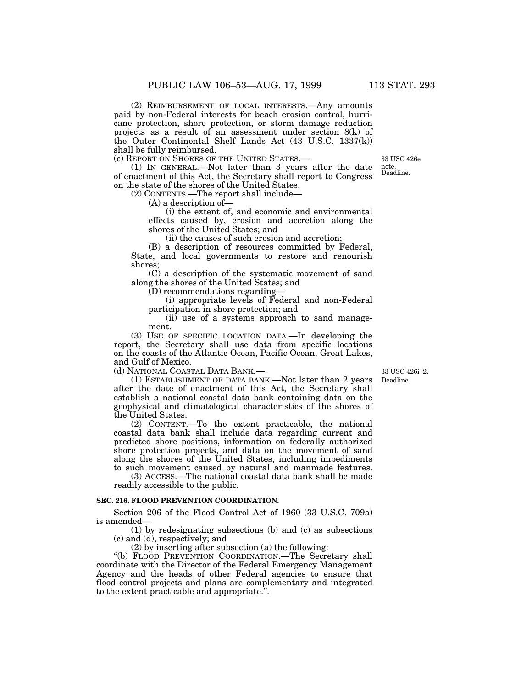(2) REIMBURSEMENT OF LOCAL INTERESTS.—Any amounts paid by non-Federal interests for beach erosion control, hurricane protection, shore protection, or storm damage reduction projects as a result of an assessment under section 8(k) of the Outer Continental Shelf Lands Act (43 U.S.C. 1337(k)) shall be fully reimbursed.

(c) REPORT ON SHORES OF THE UNITED STATES.—

(1) IN GENERAL.—Not later than 3 years after the date of enactment of this Act, the Secretary shall report to Congress on the state of the shores of the United States.

(2) CONTENTS.—The report shall include—

(A) a description of—

(i) the extent of, and economic and environmental effects caused by, erosion and accretion along the shores of the United States; and

(ii) the causes of such erosion and accretion;

(B) a description of resources committed by Federal, State, and local governments to restore and renourish shores;

(C) a description of the systematic movement of sand along the shores of the United States; and

(D) recommendations regarding—

(i) appropriate levels of Federal and non-Federal participation in shore protection; and

(ii) use of a systems approach to sand management.

(3) USE OF SPECIFIC LOCATION DATA.—In developing the report, the Secretary shall use data from specific locations on the coasts of the Atlantic Ocean, Pacific Ocean, Great Lakes, and Gulf of Mexico.

(d) NATIONAL COASTAL DATA BANK.—

(1) ESTABLISHMENT OF DATA BANK.—Not later than 2 years after the date of enactment of this Act, the Secretary shall establish a national coastal data bank containing data on the geophysical and climatological characteristics of the shores of the United States.

(2) CONTENT.—To the extent practicable, the national coastal data bank shall include data regarding current and predicted shore positions, information on federally authorized shore protection projects, and data on the movement of sand along the shores of the United States, including impediments to such movement caused by natural and manmade features.

(3) ACCESS.—The national coastal data bank shall be made readily accessible to the public.

#### **SEC. 216. FLOOD PREVENTION COORDINATION.**

Section 206 of the Flood Control Act of 1960 (33 U.S.C. 709a) is amended—

(1) by redesignating subsections (b) and (c) as subsections (c) and (d), respectively; and

(2) by inserting after subsection (a) the following:

''(b) FLOOD PREVENTION COORDINATION.—The Secretary shall coordinate with the Director of the Federal Emergency Management Agency and the heads of other Federal agencies to ensure that flood control projects and plans are complementary and integrated to the extent practicable and appropriate.''.

Deadline. 33 USC 426i–2.

Deadline. 33 USC 426e note.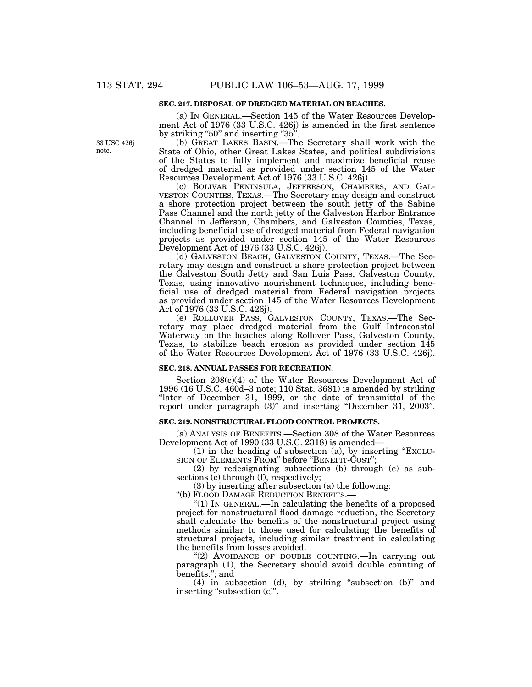#### **SEC. 217. DISPOSAL OF DREDGED MATERIAL ON BEACHES.**

(a) IN GENERAL.—Section 145 of the Water Resources Development Act of 1976 (33 U.S.C. 426j) is amended in the first sentence by striking "50" and inserting "35".

(b) GREAT LAKES BASIN.—The Secretary shall work with the State of Ohio, other Great Lakes States, and political subdivisions of the States to fully implement and maximize beneficial reuse of dredged material as provided under section 145 of the Water Resources Development Act of 1976 (33 U.S.C. 426j).

(c) BOLIVAR PENINSULA, JEFFERSON, CHAMBERS, AND GAL-VESTON COUNTIES, TEXAS.—The Secretary may design and construct a shore protection project between the south jetty of the Sabine Pass Channel and the north jetty of the Galveston Harbor Entrance Channel in Jefferson, Chambers, and Galveston Counties, Texas, including beneficial use of dredged material from Federal navigation projects as provided under section 145 of the Water Resources Development Act of 1976 (33 U.S.C. 426j).

(d) GALVESTON BEACH, GALVESTON COUNTY, TEXAS.—The Secretary may design and construct a shore protection project between the Galveston South Jetty and San Luis Pass, Galveston County, Texas, using innovative nourishment techniques, including beneficial use of dredged material from Federal navigation projects as provided under section 145 of the Water Resources Development Act of 1976 (33 U.S.C. 426j).

(e) ROLLOVER PASS, GALVESTON COUNTY, TEXAS.—The Secretary may place dredged material from the Gulf Intracoastal Waterway on the beaches along Rollover Pass, Galveston County, Texas, to stabilize beach erosion as provided under section 145 of the Water Resources Development Act of 1976 (33 U.S.C. 426j).

#### **SEC. 218. ANNUAL PASSES FOR RECREATION.**

Section  $208(c)(4)$  of the Water Resources Development Act of  $1996$  (16 U.S.C. 460d–3 note; 110 Stat. 3681) is amended by striking "later of December 31, 1999, or the date of transmittal of the report under paragraph (3)'' and inserting ''December 31, 2003''.

#### **SEC. 219. NONSTRUCTURAL FLOOD CONTROL PROJECTS.**

(a) ANALYSIS OF BENEFITS.—Section 308 of the Water Resources Development Act of 1990 (33 U.S.C. 2318) is amended—

(1) in the heading of subsection (a), by inserting ''EXCLU-SION OF ELEMENTS FROM" before "BENEFIT-COST";

(2) by redesignating subsections (b) through (e) as subsections (c) through (f), respectively;

(3) by inserting after subsection (a) the following:

''(b) FLOOD DAMAGE REDUCTION BENEFITS.—

''(1) IN GENERAL.—In calculating the benefits of a proposed project for nonstructural flood damage reduction, the Secretary shall calculate the benefits of the nonstructural project using methods similar to those used for calculating the benefits of structural projects, including similar treatment in calculating the benefits from losses avoided.

"(2) AVOIDANCE OF DOUBLE COUNTING.—In carrying out paragraph (1), the Secretary should avoid double counting of benefits.''; and

(4) in subsection (d), by striking ''subsection (b)'' and inserting "subsection (c)".

33 USC 426j note.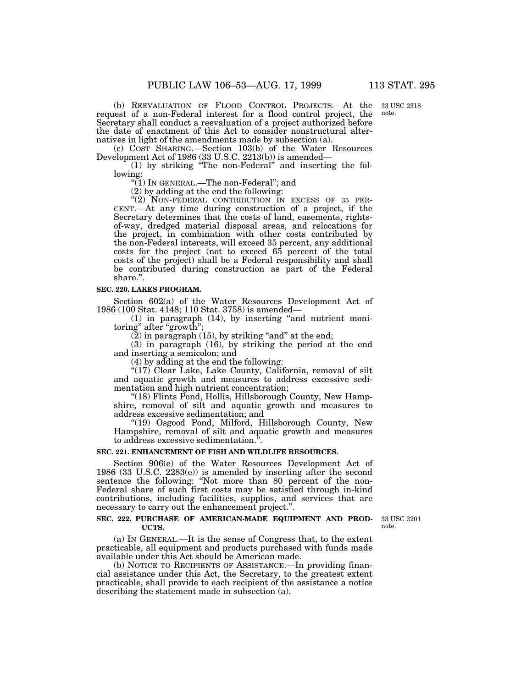33 USC 2318 note.

(b) REEVALUATION OF FLOOD CONTROL PROJECTS.—At the request of a non-Federal interest for a flood control project, the Secretary shall conduct a reevaluation of a project authorized before the date of enactment of this Act to consider nonstructural alternatives in light of the amendments made by subsection (a).

(c) COST SHARING.—Section 103(b) of the Water Resources Development Act of 1986 (33 U.S.C. 2213(b)) is amended—

(1) by striking ''The non-Federal'' and inserting the following:

''(1) IN GENERAL.—The non-Federal''; and

(2) by adding at the end the following:<br>"(2) NON-FEDERAL CONTRIBUTION IN EXCESS OF 35 PER-CENT.—At any time during construction of a project, if the Secretary determines that the costs of land, easements, rightsof-way, dredged material disposal areas, and relocations for the project, in combination with other costs contributed by the non-Federal interests, will exceed 35 percent, any additional costs for the project (not to exceed 65 percent of the total costs of the project) shall be a Federal responsibility and shall be contributed during construction as part of the Federal share.''.

#### **SEC. 220. LAKES PROGRAM.**

Section 602(a) of the Water Resources Development Act of 1986 (100 Stat. 4148; 110 Stat. 3758) is amended—

(1) in paragraph (14), by inserting ''and nutrient monitoring" after "growth";

 $(2)$  in paragraph  $(15)$ , by striking "and" at the end;

(3) in paragraph (16), by striking the period at the end and inserting a semicolon; and

(4) by adding at the end the following:

"(17) Clear Lake, Lake County, California, removal of silt and aquatic growth and measures to address excessive sedimentation and high nutrient concentration;

"(18) Flints Pond, Hollis, Hillsborough County, New Hampshire, removal of silt and aquatic growth and measures to address excessive sedimentation; and

''(19) Osgood Pond, Milford, Hillsborough County, New Hampshire, removal of silt and aquatic growth and measures to address excessive sedimentation.''.

#### **SEC. 221. ENHANCEMENT OF FISH AND WILDLIFE RESOURCES.**

Section 906(e) of the Water Resources Development Act of 1986 (33 U.S.C. 2283(e)) is amended by inserting after the second sentence the following: "Not more than 80 percent of the non-Federal share of such first costs may be satisfied through in-kind contributions, including facilities, supplies, and services that are necessary to carry out the enhancement project.''.

#### **SEC. 222. PURCHASE OF AMERICAN-MADE EQUIPMENT AND PROD-UCTS.**

33 USC 2201 note.

(a) IN GENERAL.—It is the sense of Congress that, to the extent practicable, all equipment and products purchased with funds made available under this Act should be American made.

(b) NOTICE TO RECIPIENTS OF ASSISTANCE.—In providing financial assistance under this Act, the Secretary, to the greatest extent practicable, shall provide to each recipient of the assistance a notice describing the statement made in subsection (a).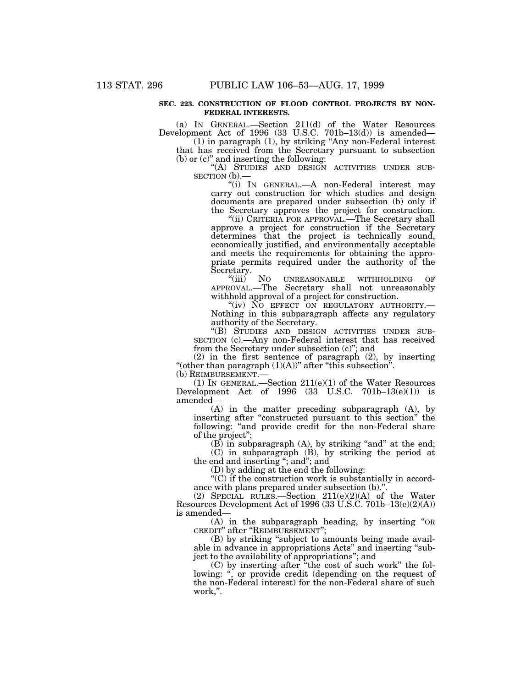#### **SEC. 223. CONSTRUCTION OF FLOOD CONTROL PROJECTS BY NON-FEDERAL INTERESTS.**

(a) IN GENERAL.—Section 211(d) of the Water Resources Development Act of 1996 (33 U.S.C. 701b–13(d)) is amended—

(1) in paragraph (1), by striking ''Any non-Federal interest that has received from the Secretary pursuant to subsection (b) or (c)'' and inserting the following:

''(A) STUDIES AND DESIGN ACTIVITIES UNDER SUB- SECTION (b).—

''(i) IN GENERAL.—A non-Federal interest may carry out construction for which studies and design documents are prepared under subsection (b) only if the Secretary approves the project for construction.

"(ii) CRITERIA FOR APPROVAL.—The Secretary shall approve a project for construction if the Secretary determines that the project is technically sound, economically justified, and environmentally acceptable and meets the requirements for obtaining the appropriate permits required under the authority of the Secretary.

"(iii) NO UNREASONABLE WITHHOLDING OF APPROVAL.—The Secretary shall not unreasonably withhold approval of a project for construction.

"(iv) NO EFFECT ON REGULATORY AUTHORITY.-Nothing in this subparagraph affects any regulatory authority of the Secretary.

''(B) STUDIES AND DESIGN ACTIVITIES UNDER SUB-SECTION (c).—Any non-Federal interest that has received from the Secretary under subsection (c)''; and

(2) in the first sentence of paragraph (2), by inserting "(other than paragraph  $(1)(A)$ " after "this subsection". (b) REIMBURSEMENT.—

(1) IN GENERAL.—Section  $211(e)(1)$  of the Water Resources Development Act of  $1996$  (33 U.S.C.  $701b-13(e)(1)$ ) is amended—

(A) in the matter preceding subparagraph (A), by inserting after ''constructed pursuant to this section'' the following: "and provide credit for the non-Federal share of the project'';

 $(B)$  in subparagraph  $(A)$ , by striking "and" at the end; (C) in subparagraph (B), by striking the period at the end and inserting "; and"; and

(D) by adding at the end the following:

''(C) if the construction work is substantially in accordance with plans prepared under subsection (b)."

(2) SPECIAL RULES.—Section  $211(e)(2)(A)$  of the Water Resources Development Act of 1996 (33 U.S.C. 701b–13(e)(2)(A)) is amended—

(A) in the subparagraph heading, by inserting ''OR CREDIT'' after ''REIMBURSEMENT'';

(B) by striking ''subject to amounts being made available in advance in appropriations Acts" and inserting "subject to the availability of appropriations''; and

(C) by inserting after ''the cost of such work'' the following: ", or provide credit (depending on the request of the non-Federal interest) for the non-Federal share of such work,''.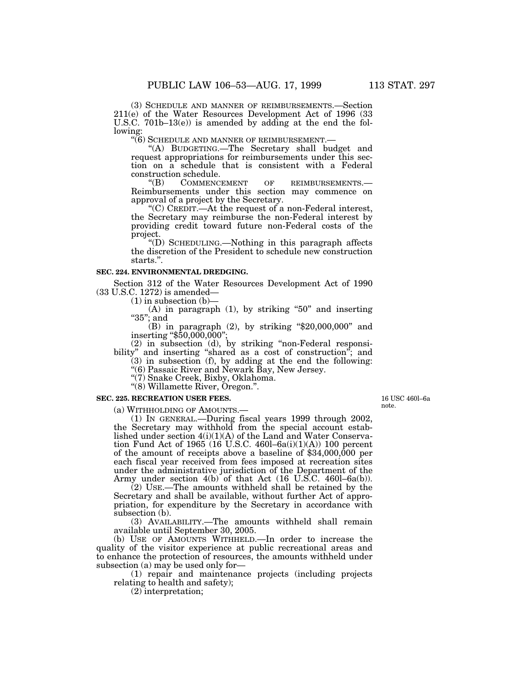(3) SCHEDULE AND MANNER OF REIMBURSEMENTS.—Section 211(e) of the Water Resources Development Act of 1996 (33 U.S.C. 701b–13(e)) is amended by adding at the end the following:<br>"(6) SCHEDULE AND MANNER OF REIMBURSEMENT.—

"(A) BUDGETING.—The Secretary shall budget and request appropriations for reimbursements under this section on a schedule that is consistent with a Federal

construction schedule.<br>
"(B) COMMENCEMENT ''(B) COMMENCEMENT OF REIMBURSEMENTS.— Reimbursements under this section may commence on approval of a project by the Secretary.

''(C) CREDIT.—At the request of a non-Federal interest, the Secretary may reimburse the non-Federal interest by providing credit toward future non-Federal costs of the project.

''(D) SCHEDULING.—Nothing in this paragraph affects the discretion of the President to schedule new construction starts.".

#### **SEC. 224. ENVIRONMENTAL DREDGING.**

Section 312 of the Water Resources Development Act of 1990 (33 U.S.C. 1272) is amended—

 $(1)$  in subsection  $(b)$ –

(A) in paragraph (1), by striking "50" and inserting "35": and

 $(B)$  in paragraph  $(2)$ , by striking "\$20,000,000" and inserting "\$50,000,000";

(2) in subsection (d), by striking ''non-Federal responsibility'' and inserting ''shared as a cost of construction''; and

(3) in subsection (f), by adding at the end the following:

''(6) Passaic River and Newark Bay, New Jersey.

''(7) Snake Creek, Bixby, Oklahoma. ''(8) Willamette River, Oregon.''.

**SEC. 225. RECREATION USER FEES.**

(a) WITHHOLDING OF AMOUNTS.— (1) IN GENERAL.—During fiscal years 1999 through 2002, the Secretary may withhold from the special account established under section 4(i)(1)(A) of the Land and Water Conservation Fund Act of 1965 (16 U.S.C. 460l–6a(i)(1)(A)) 100 percent of the amount of receipts above a baseline of \$34,000,000 per each fiscal year received from fees imposed at recreation sites under the administrative jurisdiction of the Department of the Army under section 4(b) of that Act (16 U.S.C. 460l-6a(b)).

(2) USE.—The amounts withheld shall be retained by the Secretary and shall be available, without further Act of appropriation, for expenditure by the Secretary in accordance with subsection (b).

(3) AVAILABILITY.—The amounts withheld shall remain available until September 30, 2005.

(b) USE OF AMOUNTS WITHHELD.—In order to increase the quality of the visitor experience at public recreational areas and to enhance the protection of resources, the amounts withheld under subsection (a) may be used only for—

(1) repair and maintenance projects (including projects relating to health and safety);

(2) interpretation;

16 USC 460l–6a note.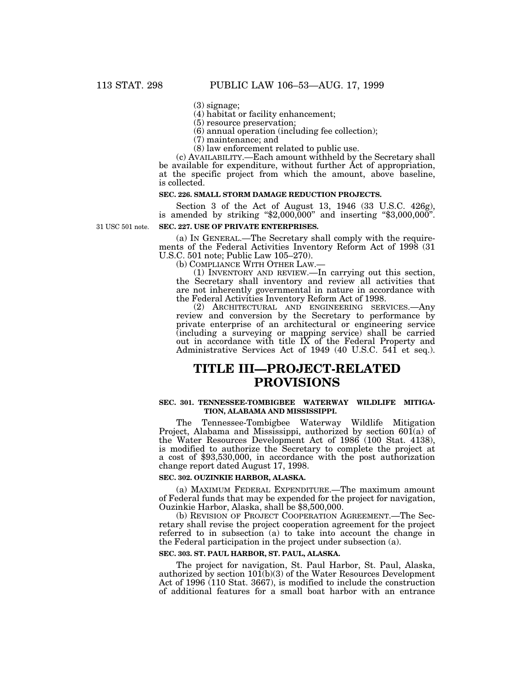(3) signage;

(4) habitat or facility enhancement;

(5) resource preservation;

(6) annual operation (including fee collection);

(7) maintenance; and

(8) law enforcement related to public use.

(c) AVAILABILITY.—Each amount withheld by the Secretary shall be available for expenditure, without further Act of appropriation, at the specific project from which the amount, above baseline, is collected.

### **SEC. 226. SMALL STORM DAMAGE REDUCTION PROJECTS.**

Section 3 of the Act of August 13, 1946 (33 U.S.C. 426g), is amended by striking "\$2,000,000" and inserting "\$3,000,000".

31 USC 501 note.

#### **SEC. 227. USE OF PRIVATE ENTERPRISES.**

(a) IN GENERAL.—The Secretary shall comply with the requirements of the Federal Activities Inventory Reform Act of 1998 (31 U.S.C. 501 note; Public Law 105–270).

 $(1)$  INVENTORY AND REVIEW.—In carrying out this section, the Secretary shall inventory and review all activities that are not inherently governmental in nature in accordance with the Federal Activities Inventory Reform Act of 1998.

(2) ARCHITECTURAL AND ENGINEERING SERVICES.—Any review and conversion by the Secretary to performance by private enterprise of an architectural or engineering service (including a surveying or mapping service) shall be carried out in accordance with title IX of the Federal Property and Administrative Services Act of 1949 (40 U.S.C. 541 et seq.).

# **TITLE III—PROJECT-RELATED PROVISIONS**

#### **SEC. 301. TENNESSEE-TOMBIGBEE WATERWAY WILDLIFE MITIGA-TION, ALABAMA AND MISSISSIPPI.**

The Tennessee-Tombigbee Waterway Wildlife Mitigation Project, Alabama and Mississippi, authorized by section  $60\tilde{1}(a)$  of the Water Resources Development Act of 1986 (100 Stat. 4138), is modified to authorize the Secretary to complete the project at a cost of \$93,530,000, in accordance with the post authorization change report dated August 17, 1998.

### **SEC. 302. OUZINKIE HARBOR, ALASKA.**

(a) MAXIMUM FEDERAL EXPENDITURE.—The maximum amount of Federal funds that may be expended for the project for navigation, Ouzinkie Harbor, Alaska, shall be \$8,500,000.

(b) REVISION OF PROJECT COOPERATION AGREEMENT.—The Secretary shall revise the project cooperation agreement for the project referred to in subsection (a) to take into account the change in the Federal participation in the project under subsection (a).

### **SEC. 303. ST. PAUL HARBOR, ST. PAUL, ALASKA.**

The project for navigation, St. Paul Harbor, St. Paul, Alaska, authorized by section 101(b)(3) of the Water Resources Development Act of 1996 (110 Stat. 3667), is modified to include the construction of additional features for a small boat harbor with an entrance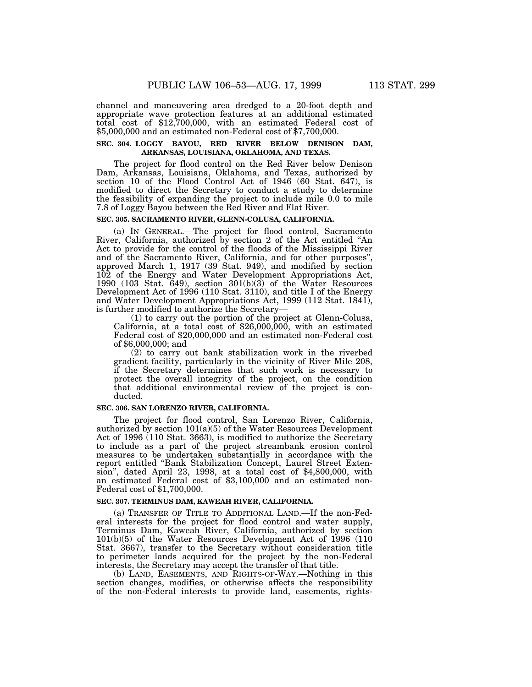channel and maneuvering area dredged to a 20-foot depth and appropriate wave protection features at an additional estimated total cost of \$12,700,000, with an estimated Federal cost of \$5,000,000 and an estimated non-Federal cost of \$7,700,000.

### **SEC. 304. LOGGY BAYOU, RED RIVER BELOW DENISON DAM, ARKANSAS, LOUISIANA, OKLAHOMA, AND TEXAS.**

The project for flood control on the Red River below Denison Dam, Arkansas, Louisiana, Oklahoma, and Texas, authorized by section 10 of the Flood Control Act of 1946 (60 Stat. 647), is modified to direct the Secretary to conduct a study to determine the feasibility of expanding the project to include mile 0.0 to mile 7.8 of Loggy Bayou between the Red River and Flat River.

# **SEC. 305. SACRAMENTO RIVER, GLENN-COLUSA, CALIFORNIA.**

(a) IN GENERAL.—The project for flood control, Sacramento River, California, authorized by section 2 of the Act entitled ''An Act to provide for the control of the floods of the Mississippi River and of the Sacramento River, California, and for other purposes'', approved March 1, 1917 (39 Stat. 949), and modified by section 102 of the Energy and Water Development Appropriations Act, 1990 (103 Stat. 649), section 301(b)(3) of the Water Resources Development Act of 1996 (110 Stat. 3110), and title I of the Energy and Water Development Appropriations Act, 1999 (112 Stat. 1841), is further modified to authorize the Secretary—

(1) to carry out the portion of the project at Glenn-Colusa, California, at a total cost of \$26,000,000, with an estimated Federal cost of \$20,000,000 and an estimated non-Federal cost of \$6,000,000; and

(2) to carry out bank stabilization work in the riverbed gradient facility, particularly in the vicinity of River Mile 208, if the Secretary determines that such work is necessary to protect the overall integrity of the project, on the condition that additional environmental review of the project is conducted.

#### **SEC. 306. SAN LORENZO RIVER, CALIFORNIA.**

The project for flood control, San Lorenzo River, California, authorized by section  $101(a)(5)$  of the Water Resources Development Act of 1996 (110 Stat. 3663), is modified to authorize the Secretary to include as a part of the project streambank erosion control measures to be undertaken substantially in accordance with the report entitled ''Bank Stabilization Concept, Laurel Street Extension'', dated April 23, 1998, at a total cost of \$4,800,000, with an estimated Federal cost of \$3,100,000 and an estimated non-Federal cost of \$1,700,000.

#### **SEC. 307. TERMINUS DAM, KAWEAH RIVER, CALIFORNIA.**

(a) TRANSFER OF TITLE TO ADDITIONAL LAND.—If the non-Federal interests for the project for flood control and water supply, Terminus Dam, Kaweah River, California, authorized by section 101(b)(5) of the Water Resources Development Act of 1996 (110 Stat. 3667), transfer to the Secretary without consideration title to perimeter lands acquired for the project by the non-Federal interests, the Secretary may accept the transfer of that title.

(b) LAND, EASEMENTS, AND RIGHTS-OF-WAY.—Nothing in this section changes, modifies, or otherwise affects the responsibility of the non-Federal interests to provide land, easements, rights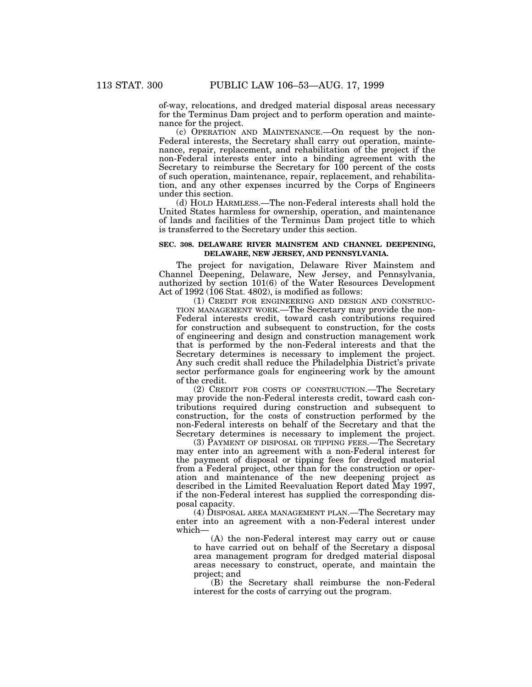of-way, relocations, and dredged material disposal areas necessary for the Terminus Dam project and to perform operation and maintenance for the project.

(c) OPERATION AND MAINTENANCE.—On request by the non-Federal interests, the Secretary shall carry out operation, maintenance, repair, replacement, and rehabilitation of the project if the non-Federal interests enter into a binding agreement with the Secretary to reimburse the Secretary for 100 percent of the costs of such operation, maintenance, repair, replacement, and rehabilitation, and any other expenses incurred by the Corps of Engineers under this section.

(d) HOLD HARMLESS.—The non-Federal interests shall hold the United States harmless for ownership, operation, and maintenance of lands and facilities of the Terminus Dam project title to which is transferred to the Secretary under this section.

#### **SEC. 308. DELAWARE RIVER MAINSTEM AND CHANNEL DEEPENING, DELAWARE, NEW JERSEY, AND PENNSYLVANIA.**

The project for navigation, Delaware River Mainstem and Channel Deepening, Delaware, New Jersey, and Pennsylvania, authorized by section 101(6) of the Water Resources Development Act of  $1992$  (106 Stat. 4802), is modified as follows:

(1) CREDIT FOR ENGINEERING AND DESIGN AND CONSTRUC-TION MANAGEMENT WORK.—The Secretary may provide the non-Federal interests credit, toward cash contributions required for construction and subsequent to construction, for the costs of engineering and design and construction management work that is performed by the non-Federal interests and that the Secretary determines is necessary to implement the project. Any such credit shall reduce the Philadelphia District's private sector performance goals for engineering work by the amount of the credit.

(2) CREDIT FOR COSTS OF CONSTRUCTION.—The Secretary may provide the non-Federal interests credit, toward cash contributions required during construction and subsequent to construction, for the costs of construction performed by the non-Federal interests on behalf of the Secretary and that the Secretary determines is necessary to implement the project.

(3) PAYMENT OF DISPOSAL OR TIPPING FEES.—The Secretary may enter into an agreement with a non-Federal interest for the payment of disposal or tipping fees for dredged material from a Federal project, other than for the construction or operation and maintenance of the new deepening project as described in the Limited Reevaluation Report dated May 1997, if the non-Federal interest has supplied the corresponding disposal capacity.

(4) DISPOSAL AREA MANAGEMENT PLAN.—The Secretary may enter into an agreement with a non-Federal interest under which—

(A) the non-Federal interest may carry out or cause to have carried out on behalf of the Secretary a disposal area management program for dredged material disposal areas necessary to construct, operate, and maintain the project; and

(B) the Secretary shall reimburse the non-Federal interest for the costs of carrying out the program.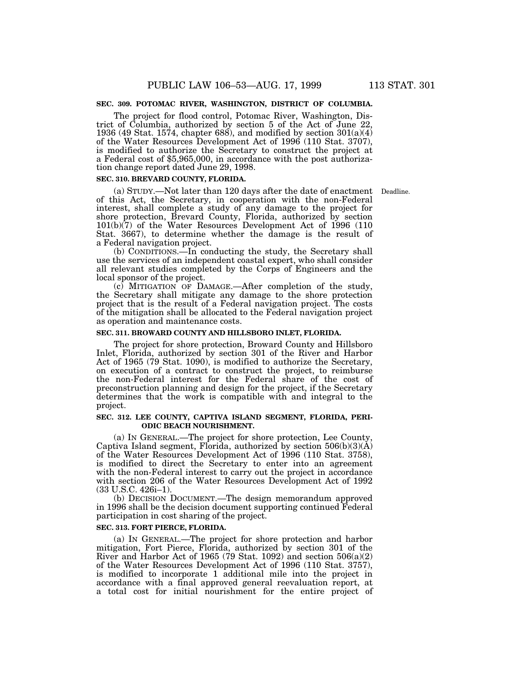## **SEC. 309. POTOMAC RIVER, WASHINGTON, DISTRICT OF COLUMBIA.**

The project for flood control, Potomac River, Washington, District of Columbia, authorized by section 5 of the Act of June 22, 1936 (49 Stat. 1574, chapter 688), and modified by section 301(a)(4) of the Water Resources Development Act of 1996 (110 Stat. 3707), is modified to authorize the Secretary to construct the project at a Federal cost of \$5,965,000, in accordance with the post authorization change report dated June 29, 1998.

#### **SEC. 310. BREVARD COUNTY, FLORIDA.**

(a) STUDY.—Not later than 120 days after the date of enactment Deadline.of this Act, the Secretary, in cooperation with the non-Federal interest, shall complete a study of any damage to the project for shore protection, Brevard County, Florida, authorized by section 101(b)(7) of the Water Resources Development Act of 1996 (110 Stat. 3667), to determine whether the damage is the result of a Federal navigation project.

(b) CONDITIONS.—In conducting the study, the Secretary shall use the services of an independent coastal expert, who shall consider all relevant studies completed by the Corps of Engineers and the local sponsor of the project.

(c) MITIGATION OF DAMAGE.—After completion of the study, the Secretary shall mitigate any damage to the shore protection project that is the result of a Federal navigation project. The costs of the mitigation shall be allocated to the Federal navigation project as operation and maintenance costs.

#### **SEC. 311. BROWARD COUNTY AND HILLSBORO INLET, FLORIDA.**

The project for shore protection, Broward County and Hillsboro Inlet, Florida, authorized by section 301 of the River and Harbor Act of 1965 (79 Stat. 1090), is modified to authorize the Secretary, on execution of a contract to construct the project, to reimburse the non-Federal interest for the Federal share of the cost of preconstruction planning and design for the project, if the Secretary determines that the work is compatible with and integral to the project.

#### **SEC. 312. LEE COUNTY, CAPTIVA ISLAND SEGMENT, FLORIDA, PERI-ODIC BEACH NOURISHMENT.**

(a) IN GENERAL.—The project for shore protection, Lee County, Captiva Island segment, Florida, authorized by section  $506(b)(3)(\AA)$ of the Water Resources Development Act of 1996 (110 Stat. 3758), is modified to direct the Secretary to enter into an agreement with the non-Federal interest to carry out the project in accordance with section 206 of the Water Resources Development Act of 1992 (33 U.S.C. 426i–1).

(b) DECISION DOCUMENT.—The design memorandum approved in 1996 shall be the decision document supporting continued Federal participation in cost sharing of the project.

#### **SEC. 313. FORT PIERCE, FLORIDA.**

(a) IN GENERAL.—The project for shore protection and harbor mitigation, Fort Pierce, Florida, authorized by section 301 of the River and Harbor Act of 1965 (79 Stat. 1092) and section  $506(a)(2)$ of the Water Resources Development Act of 1996 (110 Stat. 3757), is modified to incorporate 1 additional mile into the project in accordance with a final approved general reevaluation report, at a total cost for initial nourishment for the entire project of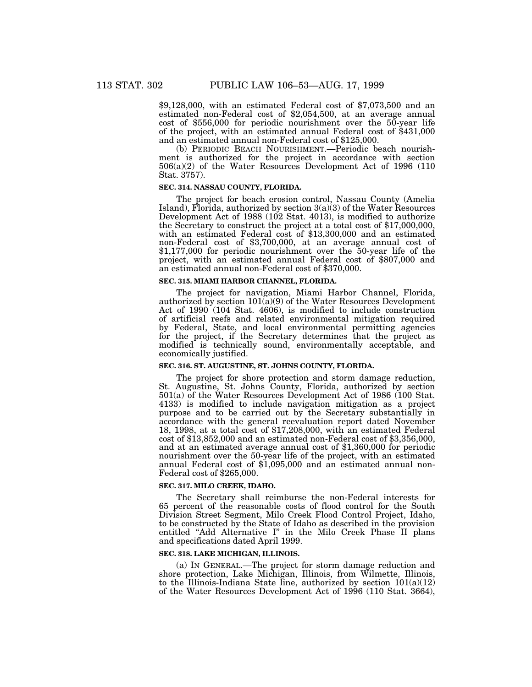\$9,128,000, with an estimated Federal cost of \$7,073,500 and an estimated non-Federal cost of \$2,054,500, at an average annual cost of \$556,000 for periodic nourishment over the 50-year life of the project, with an estimated annual Federal cost of \$431,000 and an estimated annual non-Federal cost of \$125,000.

(b) PERIODIC BEACH NOURISHMENT.—Periodic beach nourishment is authorized for the project in accordance with section 506(a)(2) of the Water Resources Development Act of 1996 (110 Stat. 3757).

#### **SEC. 314. NASSAU COUNTY, FLORIDA.**

The project for beach erosion control, Nassau County (Amelia Island), Florida, authorized by section  $3(a)(3)$  of the Water Resources Development Act of 1988 (102 Stat. 4013), is modified to authorize the Secretary to construct the project at a total cost of \$17,000,000, with an estimated Federal cost of \$13,300,000 and an estimated non-Federal cost of \$3,700,000, at an average annual cost of \$1,177,000 for periodic nourishment over the 50-year life of the project, with an estimated annual Federal cost of \$807,000 and an estimated annual non-Federal cost of \$370,000.

#### **SEC. 315. MIAMI HARBOR CHANNEL, FLORIDA.**

The project for navigation, Miami Harbor Channel, Florida, authorized by section 101(a)(9) of the Water Resources Development Act of 1990 (104 Stat. 4606), is modified to include construction of artificial reefs and related environmental mitigation required by Federal, State, and local environmental permitting agencies for the project, if the Secretary determines that the project as modified is technically sound, environmentally acceptable, and economically justified.

#### **SEC. 316. ST. AUGUSTINE, ST. JOHNS COUNTY, FLORIDA.**

The project for shore protection and storm damage reduction, St. Augustine, St. Johns County, Florida, authorized by section 501(a) of the Water Resources Development Act of 1986 (100 Stat. 4133) is modified to include navigation mitigation as a project purpose and to be carried out by the Secretary substantially in accordance with the general reevaluation report dated November 18, 1998, at a total cost of \$17,208,000, with an estimated Federal cost of \$13,852,000 and an estimated non-Federal cost of \$3,356,000, and at an estimated average annual cost of \$1,360,000 for periodic nourishment over the 50-year life of the project, with an estimated annual Federal cost of \$1,095,000 and an estimated annual non-Federal cost of \$265,000.

#### **SEC. 317. MILO CREEK, IDAHO.**

The Secretary shall reimburse the non-Federal interests for 65 percent of the reasonable costs of flood control for the South Division Street Segment, Milo Creek Flood Control Project, Idaho, to be constructed by the State of Idaho as described in the provision entitled "Add Alternative I" in the Milo Creek Phase II plans and specifications dated April 1999.

#### **SEC. 318. LAKE MICHIGAN, ILLINOIS.**

(a) IN GENERAL.—The project for storm damage reduction and shore protection, Lake Michigan, Illinois, from Wilmette, Illinois, to the Illinois-Indiana State line, authorized by section  $101(a)(12)$ of the Water Resources Development Act of 1996 (110 Stat. 3664),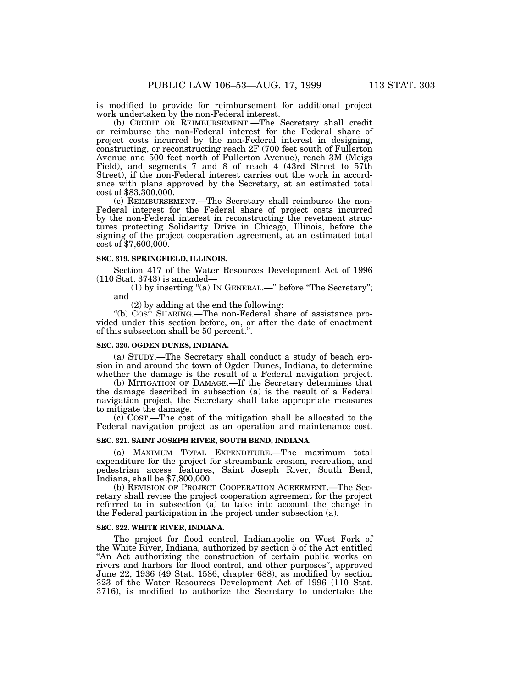is modified to provide for reimbursement for additional project work undertaken by the non-Federal interest.

(b) CREDIT OR REIMBURSEMENT.—The Secretary shall credit or reimburse the non-Federal interest for the Federal share of project costs incurred by the non-Federal interest in designing, constructing, or reconstructing reach 2F (700 feet south of Fullerton Avenue and 500 feet north of Fullerton Avenue), reach 3M (Meigs Field), and segments 7 and 8 of reach 4 (43rd Street to 57th Street), if the non-Federal interest carries out the work in accordance with plans approved by the Secretary, at an estimated total cost of \$83,300,000.

(c) REIMBURSEMENT.—The Secretary shall reimburse the non-Federal interest for the Federal share of project costs incurred by the non-Federal interest in reconstructing the revetment structures protecting Solidarity Drive in Chicago, Illinois, before the signing of the project cooperation agreement, at an estimated total cost of \$7,600,000.

#### **SEC. 319. SPRINGFIELD, ILLINOIS.**

Section 417 of the Water Resources Development Act of 1996 (110 Stat. 3743) is amended—

(1) by inserting ''(a) IN GENERAL.—'' before ''The Secretary''; and

(2) by adding at the end the following:

''(b) COST SHARING.—The non-Federal share of assistance provided under this section before, on, or after the date of enactment of this subsection shall be 50 percent.''.

#### **SEC. 320. OGDEN DUNES, INDIANA.**

(a) STUDY.—The Secretary shall conduct a study of beach erosion in and around the town of Ogden Dunes, Indiana, to determine whether the damage is the result of a Federal navigation project.

(b) MITIGATION OF DAMAGE.—If the Secretary determines that the damage described in subsection (a) is the result of a Federal navigation project, the Secretary shall take appropriate measures to mitigate the damage.

(c) COST.—The cost of the mitigation shall be allocated to the Federal navigation project as an operation and maintenance cost.

# **SEC. 321. SAINT JOSEPH RIVER, SOUTH BEND, INDIANA.**

(a) MAXIMUM TOTAL EXPENDITURE.—The maximum total expenditure for the project for streambank erosion, recreation, and pedestrian access features, Saint Joseph River, South Bend, Indiana, shall be \$7,800,000.

(b) REVISION OF PROJECT COOPERATION AGREEMENT.—The Secretary shall revise the project cooperation agreement for the project referred to in subsection (a) to take into account the change in the Federal participation in the project under subsection (a).

#### **SEC. 322. WHITE RIVER, INDIANA.**

The project for flood control, Indianapolis on West Fork of the White River, Indiana, authorized by section 5 of the Act entitled ''An Act authorizing the construction of certain public works on rivers and harbors for flood control, and other purposes'', approved June 22, 1936 (49 Stat. 1586, chapter 688), as modified by section 323 of the Water Resources Development Act of 1996 (110 Stat. 3716), is modified to authorize the Secretary to undertake the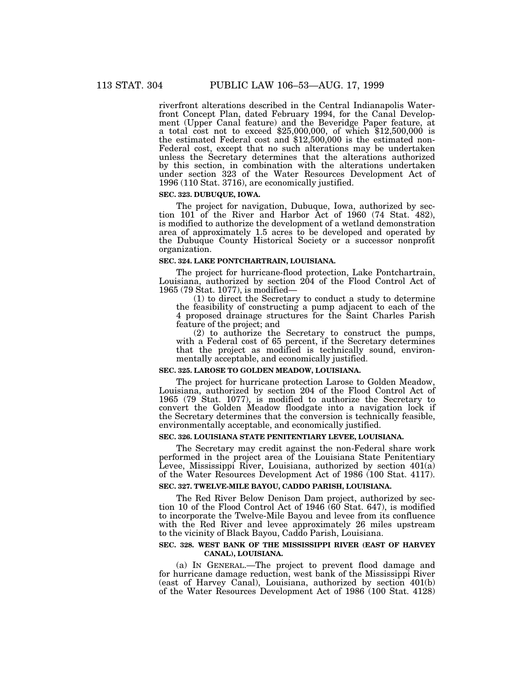riverfront alterations described in the Central Indianapolis Waterfront Concept Plan, dated February 1994, for the Canal Development (Upper Canal feature) and the Beveridge Paper feature, at a total cost not to exceed \$25,000,000, of which \$12,500,000 is the estimated Federal cost and \$12,500,000 is the estimated non-Federal cost, except that no such alterations may be undertaken unless the Secretary determines that the alterations authorized by this section, in combination with the alterations undertaken under section 323 of the Water Resources Development Act of 1996 (110 Stat. 3716), are economically justified.

### **SEC. 323. DUBUQUE, IOWA.**

The project for navigation, Dubuque, Iowa, authorized by section 101 of the River and Harbor Act of 1960 (74 Stat. 482), is modified to authorize the development of a wetland demonstration area of approximately 1.5 acres to be developed and operated by the Dubuque County Historical Society or a successor nonprofit organization.

#### **SEC. 324. LAKE PONTCHARTRAIN, LOUISIANA.**

The project for hurricane-flood protection, Lake Pontchartrain, Louisiana, authorized by section 204 of the Flood Control Act of 1965 (79 Stat. 1077), is modified—

(1) to direct the Secretary to conduct a study to determine the feasibility of constructing a pump adjacent to each of the 4 proposed drainage structures for the Saint Charles Parish feature of the project; and

(2) to authorize the Secretary to construct the pumps, with a Federal cost of 65 percent, if the Secretary determines that the project as modified is technically sound, environmentally acceptable, and economically justified.

# **SEC. 325. LAROSE TO GOLDEN MEADOW, LOUISIANA.**

The project for hurricane protection Larose to Golden Meadow, Louisiana, authorized by section 204 of the Flood Control Act of 1965 (79 Stat. 1077), is modified to authorize the Secretary to convert the Golden Meadow floodgate into a navigation lock if the Secretary determines that the conversion is technically feasible, environmentally acceptable, and economically justified.

#### **SEC. 326. LOUISIANA STATE PENITENTIARY LEVEE, LOUISIANA.**

The Secretary may credit against the non-Federal share work performed in the project area of the Louisiana State Penitentiary Levee, Mississippi River, Louisiana, authorized by section  $401(a)$ of the Water Resources Development Act of 1986 (100 Stat. 4117).

# **SEC. 327. TWELVE-MILE BAYOU, CADDO PARISH, LOUISIANA.**

The Red River Below Denison Dam project, authorized by section 10 of the Flood Control Act of 1946 (60 Stat. 647), is modified to incorporate the Twelve-Mile Bayou and levee from its confluence with the Red River and levee approximately 26 miles upstream to the vicinity of Black Bayou, Caddo Parish, Louisiana.

# **SEC. 328. WEST BANK OF THE MISSISSIPPI RIVER (EAST OF HARVEY CANAL), LOUISIANA.**

(a) IN GENERAL.—The project to prevent flood damage and for hurricane damage reduction, west bank of the Mississippi River (east of Harvey Canal), Louisiana, authorized by section 401(b) of the Water Resources Development Act of 1986 (100 Stat. 4128)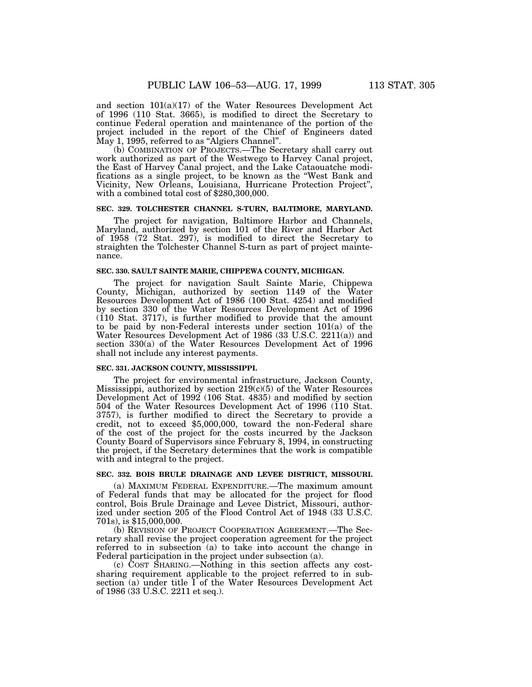and section 101(a)(17) of the Water Resources Development Act of 1996 (110 Stat. 3665), is modified to direct the Secretary to continue Federal operation and maintenance of the portion of the project included in the report of the Chief of Engineers dated May 1, 1995, referred to as "Algiers Channel".

(b) COMBINATION OF PROJECTS.—The Secretary shall carry out work authorized as part of the Westwego to Harvey Canal project, the East of Harvey Canal project, and the Lake Cataouatche modifications as a single project, to be known as the ''West Bank and Vicinity, New Orleans, Louisiana, Hurricane Protection Project'', with a combined total cost of \$280,300,000.

### **SEC. 329. TOLCHESTER CHANNEL S-TURN, BALTIMORE, MARYLAND.**

The project for navigation, Baltimore Harbor and Channels, Maryland, authorized by section 101 of the River and Harbor Act of 1958 (72 Stat. 297), is modified to direct the Secretary to straighten the Tolchester Channel S-turn as part of project maintenance.

### **SEC. 330. SAULT SAINTE MARIE, CHIPPEWA COUNTY, MICHIGAN.**

The project for navigation Sault Sainte Marie, Chippewa County, Michigan, authorized by section 1149 of the Water Resources Development Act of 1986 (100 Stat. 4254) and modified by section 330 of the Water Resources Development Act of 1996 (110 Stat. 3717), is further modified to provide that the amount to be paid by non-Federal interests under section 101(a) of the Water Resources Development Act of 1986 (33 U.S.C. 2211(a)) and section 330(a) of the Water Resources Development Act of 1996 shall not include any interest payments.

#### **SEC. 331. JACKSON COUNTY, MISSISSIPPI.**

The project for environmental infrastructure, Jackson County, Mississippi, authorized by section 219(c)(5) of the Water Resources Development Act of 1992 (106 Stat. 4835) and modified by section 504 of the Water Resources Development Act of 1996 (110 Stat. 3757), is further modified to direct the Secretary to provide a credit, not to exceed \$5,000,000, toward the non-Federal share of the cost of the project for the costs incurred by the Jackson County Board of Supervisors since February 8, 1994, in constructing the project, if the Secretary determines that the work is compatible with and integral to the project.

#### **SEC. 332. BOIS BRULE DRAINAGE AND LEVEE DISTRICT, MISSOURI.**

(a) MAXIMUM FEDERAL EXPENDITURE.—The maximum amount of Federal funds that may be allocated for the project for flood control, Bois Brule Drainage and Levee District, Missouri, authorized under section 205 of the Flood Control Act of 1948 (33 U.S.C. 701s), is \$15,000,000.

(b) REVISION OF PROJECT COOPERATION AGREEMENT.—The Secretary shall revise the project cooperation agreement for the project referred to in subsection (a) to take into account the change in Federal participation in the project under subsection (a).

(c) COST SHARING.—Nothing in this section affects any costsharing requirement applicable to the project referred to in subsection (a) under title I of the Water Resources Development Act of 1986 (33 U.S.C. 2211 et seq.).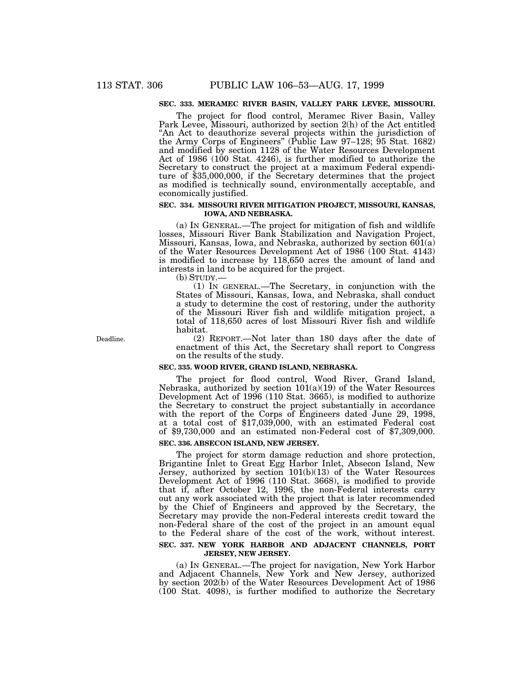# **SEC. 333. MERAMEC RIVER BASIN, VALLEY PARK LEVEE, MISSOURI.**

The project for flood control, Meramec River Basin, Valley Park Levee, Missouri, authorized by section 2(h) of the Act entitled ''An Act to deauthorize several projects within the jurisdiction of the Army Corps of Engineers'' (Public Law 97–128; 95 Stat. 1682) and modified by section 1128 of the Water Resources Development Act of 1986 (100 Stat. 4246), is further modified to authorize the Secretary to construct the project at a maximum Federal expenditure of \$35,000,000, if the Secretary determines that the project as modified is technically sound, environmentally acceptable, and economically justified.

# **SEC. 334. MISSOURI RIVER MITIGATION PROJECT, MISSOURI, KANSAS, IOWA, AND NEBRASKA.**

(a) IN GENERAL.—The project for mitigation of fish and wildlife losses, Missouri River Bank Stabilization and Navigation Project, Missouri, Kansas, Iowa, and Nebraska, authorized by section 601(a) of the Water Resources Development Act of 1986 (100 Stat. 4143) is modified to increase by 118,650 acres the amount of land and interests in land to be acquired for the project.

(b) STUDY.—

(1) IN GENERAL.—The Secretary, in conjunction with the States of Missouri, Kansas, Iowa, and Nebraska, shall conduct a study to determine the cost of restoring, under the authority of the Missouri River fish and wildlife mitigation project, a total of 118,650 acres of lost Missouri River fish and wildlife habitat.

(2) REPORT.—Not later than 180 days after the date of enactment of this Act, the Secretary shall report to Congress on the results of the study.

# **SEC. 335. WOOD RIVER, GRAND ISLAND, NEBRASKA.**

The project for flood control, Wood River, Grand Island, Nebraska, authorized by section 101(a)(19) of the Water Resources Development Act of 1996 (110 Stat. 3665), is modified to authorize the Secretary to construct the project substantially in accordance with the report of the Corps of Engineers dated June 29, 1998, at a total cost of \$17,039,000, with an estimated Federal cost of \$9,730,000 and an estimated non-Federal cost of \$7,309,000.

# **SEC. 336. ABSECON ISLAND, NEW JERSEY.**

The project for storm damage reduction and shore protection, Brigantine Inlet to Great Egg Harbor Inlet, Absecon Island, New Jersey, authorized by section 101(b)(13) of the Water Resources Development Act of 1996 (110 Stat. 3668), is modified to provide that if, after October 12, 1996, the non-Federal interests carry out any work associated with the project that is later recommended by the Chief of Engineers and approved by the Secretary, the Secretary may provide the non-Federal interests credit toward the non-Federal share of the cost of the project in an amount equal to the Federal share of the cost of the work, without interest. **SEC. 337. NEW YORK HARBOR AND ADJACENT CHANNELS, PORT**

### **JERSEY, NEW JERSEY.**

(a) IN GENERAL.—The project for navigation, New York Harbor and Adjacent Channels, New York and New Jersey, authorized by section 202(b) of the Water Resources Development Act of 1986 (100 Stat. 4098), is further modified to authorize the Secretary

Deadline.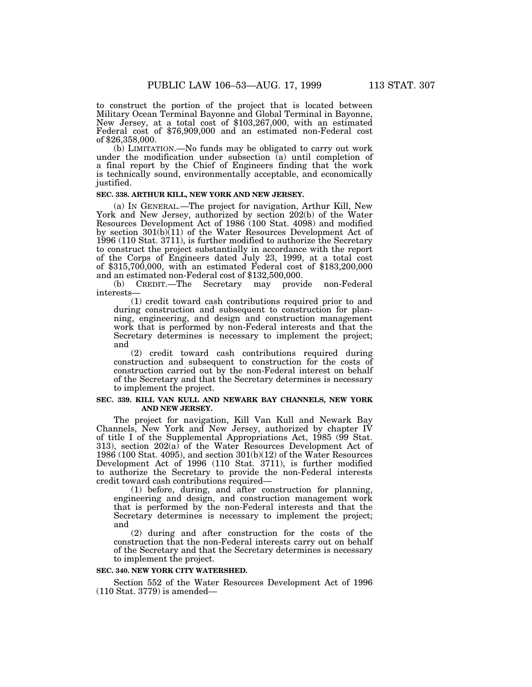to construct the portion of the project that is located between Military Ocean Terminal Bayonne and Global Terminal in Bayonne, New Jersey, at a total cost of \$103,267,000, with an estimated Federal cost of \$76,909,000 and an estimated non-Federal cost of \$26,358,000.

(b) LIMITATION.—No funds may be obligated to carry out work under the modification under subsection (a) until completion of a final report by the Chief of Engineers finding that the work is technically sound, environmentally acceptable, and economically justified.

# **SEC. 338. ARTHUR KILL, NEW YORK AND NEW JERSEY.**

(a) IN GENERAL.—The project for navigation, Arthur Kill, New York and New Jersey, authorized by section 202(b) of the Water Resources Development Act of 1986 (100 Stat. 4098) and modified by section  $301(b)(11)$  of the Water Resources Development Act of 1996 (110 Stat. 3711), is further modified to authorize the Secretary to construct the project substantially in accordance with the report of the Corps of Engineers dated July 23, 1999, at a total cost of \$315,700,000, with an estimated Federal cost of \$183,200,000 and an estimated non-Federal cost of \$132,500,000.

(b) CREDIT.—The Secretary may provide non-Federal interests—

(1) credit toward cash contributions required prior to and during construction and subsequent to construction for planning, engineering, and design and construction management work that is performed by non-Federal interests and that the Secretary determines is necessary to implement the project; and

(2) credit toward cash contributions required during construction and subsequent to construction for the costs of construction carried out by the non-Federal interest on behalf of the Secretary and that the Secretary determines is necessary to implement the project.

# **SEC. 339. KILL VAN KULL AND NEWARK BAY CHANNELS, NEW YORK AND NEW JERSEY.**

The project for navigation, Kill Van Kull and Newark Bay Channels, New York and New Jersey, authorized by chapter IV of title I of the Supplemental Appropriations Act, 1985 (99 Stat. 313), section  $202(a)$  of the Water Resources Development Act of 1986 (100 Stat. 4095), and section 301(b)(12) of the Water Resources Development Act of 1996 (110 Stat. 3711), is further modified to authorize the Secretary to provide the non-Federal interests credit toward cash contributions required—

(1) before, during, and after construction for planning, engineering and design, and construction management work that is performed by the non-Federal interests and that the Secretary determines is necessary to implement the project; and

(2) during and after construction for the costs of the construction that the non-Federal interests carry out on behalf of the Secretary and that the Secretary determines is necessary to implement the project.

### **SEC. 340. NEW YORK CITY WATERSHED.**

Section 552 of the Water Resources Development Act of 1996 (110 Stat. 3779) is amended—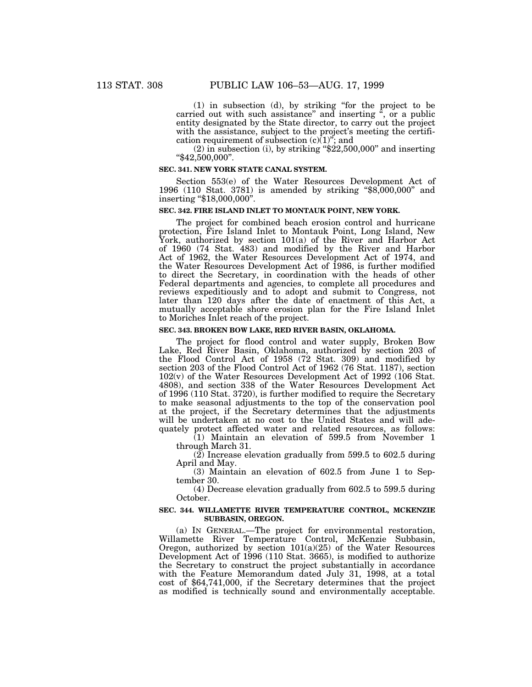(1) in subsection (d), by striking ''for the project to be carried out with such assistance" and inserting ", or a public entity designated by the State director, to carry out the project with the assistance, subject to the project's meeting the certification requirement of subsection  $(c)(1)$ "; and

 $(2)$  in subsection  $(i)$ , by striking "\$22,500,000" and inserting ''\$42,500,000''.

#### **SEC. 341. NEW YORK STATE CANAL SYSTEM.**

Section 553(e) of the Water Resources Development Act of 1996 (110 Stat. 3781) is amended by striking ''\$8,000,000'' and inserting "\$18,000,000".

# **SEC. 342. FIRE ISLAND INLET TO MONTAUK POINT, NEW YORK.**

The project for combined beach erosion control and hurricane protection, Fire Island Inlet to Montauk Point, Long Island, New York, authorized by section 101(a) of the River and Harbor Act of 1960 (74 Stat. 483) and modified by the River and Harbor Act of 1962, the Water Resources Development Act of 1974, and the Water Resources Development Act of 1986, is further modified to direct the Secretary, in coordination with the heads of other Federal departments and agencies, to complete all procedures and reviews expeditiously and to adopt and submit to Congress, not later than 120 days after the date of enactment of this Act, a mutually acceptable shore erosion plan for the Fire Island Inlet to Moriches Inlet reach of the project.

### **SEC. 343. BROKEN BOW LAKE, RED RIVER BASIN, OKLAHOMA.**

The project for flood control and water supply, Broken Bow Lake, Red River Basin, Oklahoma, authorized by section 203 of the Flood Control Act of 1958 (72 Stat. 309) and modified by section 203 of the Flood Control Act of 1962 (76 Stat. 1187), section 102(v) of the Water Resources Development Act of 1992 (106 Stat. 4808), and section 338 of the Water Resources Development Act of 1996 (110 Stat. 3720), is further modified to require the Secretary to make seasonal adjustments to the top of the conservation pool at the project, if the Secretary determines that the adjustments will be undertaken at no cost to the United States and will adequately protect affected water and related resources, as follows:

(1) Maintain an elevation of 599.5 from November 1 through March 31.

 $(2)$  Increase elevation gradually from 599.5 to 602.5 during April and May.

(3) Maintain an elevation of 602.5 from June 1 to September 30.

(4) Decrease elevation gradually from 602.5 to 599.5 during October.

#### **SEC. 344. WILLAMETTE RIVER TEMPERATURE CONTROL, MCKENZIE SUBBASIN, OREGON.**

(a) IN GENERAL.—The project for environmental restoration, Willamette River Temperature Control, McKenzie Subbasin, Oregon, authorized by section 101(a)(25) of the Water Resources Development Act of 1996 (110 Stat. 3665), is modified to authorize the Secretary to construct the project substantially in accordance with the Feature Memorandum dated July 31, 1998, at a total cost of \$64,741,000, if the Secretary determines that the project as modified is technically sound and environmentally acceptable.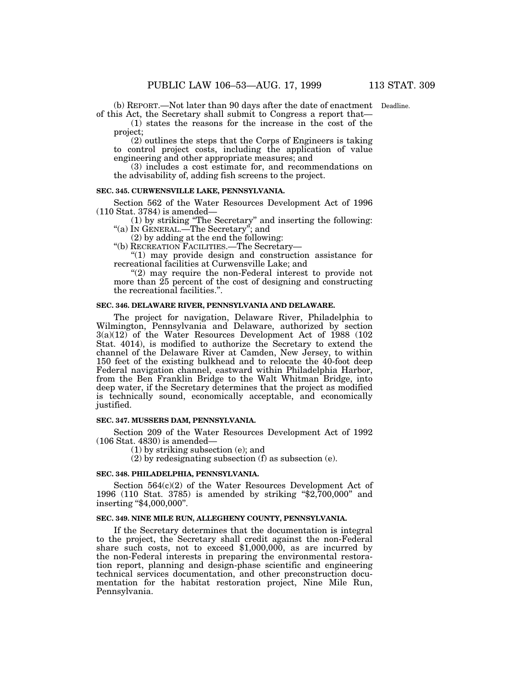(b) REPORT.—Not later than 90 days after the date of enactment Deadline.of this Act, the Secretary shall submit to Congress a report that—

(1) states the reasons for the increase in the cost of the project; (2) outlines the steps that the Corps of Engineers is taking

to control project costs, including the application of value engineering and other appropriate measures; and

(3) includes a cost estimate for, and recommendations on the advisability of, adding fish screens to the project.

# **SEC. 345. CURWENSVILLE LAKE, PENNSYLVANIA.**

Section 562 of the Water Resources Development Act of 1996 (110 Stat. 3784) is amended—

(1) by striking ''The Secretary'' and inserting the following: ''(a) IN GENERAL.—The Secretary''; and

(2) by adding at the end the following:

''(b) RECREATION FACILITIES.—The Secretary—

''(1) may provide design and construction assistance for recreational facilities at Curwensville Lake; and

 $(2)$  may require the non-Federal interest to provide not more than 25 percent of the cost of designing and constructing the recreational facilities.''.

### **SEC. 346. DELAWARE RIVER, PENNSYLVANIA AND DELAWARE.**

The project for navigation, Delaware River, Philadelphia to Wilmington, Pennsylvania and Delaware, authorized by section 3(a)(12) of the Water Resources Development Act of 1988 (102 Stat. 4014), is modified to authorize the Secretary to extend the channel of the Delaware River at Camden, New Jersey, to within 150 feet of the existing bulkhead and to relocate the 40-foot deep Federal navigation channel, eastward within Philadelphia Harbor, from the Ben Franklin Bridge to the Walt Whitman Bridge, into deep water, if the Secretary determines that the project as modified is technically sound, economically acceptable, and economically justified.

# **SEC. 347. MUSSERS DAM, PENNSYLVANIA.**

Section 209 of the Water Resources Development Act of 1992 (106 Stat. 4830) is amended—

(1) by striking subsection (e); and

(2) by redesignating subsection (f) as subsection (e).

#### **SEC. 348. PHILADELPHIA, PENNSYLVANIA.**

Section 564(c)(2) of the Water Resources Development Act of 1996 (110 Stat. 3785) is amended by striking ''\$2,700,000'' and inserting "\$4,000,000".

#### **SEC. 349. NINE MILE RUN, ALLEGHENY COUNTY, PENNSYLVANIA.**

If the Secretary determines that the documentation is integral to the project, the Secretary shall credit against the non-Federal share such costs, not to exceed \$1,000,000, as are incurred by the non-Federal interests in preparing the environmental restoration report, planning and design-phase scientific and engineering technical services documentation, and other preconstruction documentation for the habitat restoration project, Nine Mile Run, Pennsylvania.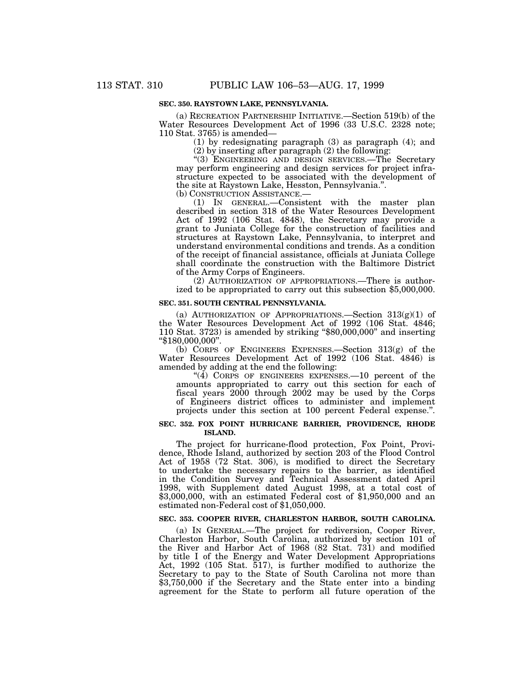# **SEC. 350. RAYSTOWN LAKE, PENNSYLVANIA.**

(a) RECREATION PARTNERSHIP INITIATIVE.—Section 519(b) of the Water Resources Development Act of 1996 (33 U.S.C. 2328 note; 110 Stat. 3765) is amended—

(1) by redesignating paragraph (3) as paragraph (4); and

(2) by inserting after paragraph (2) the following:

''(3) ENGINEERING AND DESIGN SERVICES.—The Secretary may perform engineering and design services for project infrastructure expected to be associated with the development of the site at Raystown Lake, Hesston, Pennsylvania.''.

(b) CONSTRUCTION ASSISTANCE.—

(1) IN GENERAL.—Consistent with the master plan described in section 318 of the Water Resources Development Act of 1992 (106 Stat. 4848), the Secretary may provide a grant to Juniata College for the construction of facilities and structures at Raystown Lake, Pennsylvania, to interpret and understand environmental conditions and trends. As a condition of the receipt of financial assistance, officials at Juniata College shall coordinate the construction with the Baltimore District of the Army Corps of Engineers.

(2) AUTHORIZATION OF APPROPRIATIONS.—There is authorized to be appropriated to carry out this subsection \$5,000,000.

#### **SEC. 351. SOUTH CENTRAL PENNSYLVANIA.**

(a) AUTHORIZATION OF APPROPRIATIONS.—Section  $313(g)(1)$  of the Water Resources Development Act of 1992 (106 Stat. 4846; 110 Stat. 3723) is amended by striking ''\$80,000,000'' and inserting ''\$180,000,000''.

(b) CORPS OF ENGINEERS EXPENSES.—Section 313(g) of the Water Resources Development Act of 1992 (106 Stat. 4846) is amended by adding at the end the following:

"( $4$ ) CORPS OF ENGINEERS EXPENSES.  $-10$  percent of the amounts appropriated to carry out this section for each of fiscal years 2000 through 2002 may be used by the Corps of Engineers district offices to administer and implement projects under this section at 100 percent Federal expense.".

#### **SEC. 352. FOX POINT HURRICANE BARRIER, PROVIDENCE, RHODE ISLAND.**

The project for hurricane-flood protection, Fox Point, Providence, Rhode Island, authorized by section 203 of the Flood Control Act of 1958 (72 Stat. 306), is modified to direct the Secretary to undertake the necessary repairs to the barrier, as identified in the Condition Survey and Technical Assessment dated April 1998, with Supplement dated August 1998, at a total cost of \$3,000,000, with an estimated Federal cost of \$1,950,000 and an estimated non-Federal cost of \$1,050,000.

#### **SEC. 353. COOPER RIVER, CHARLESTON HARBOR, SOUTH CAROLINA.**

(a) IN GENERAL.—The project for rediversion, Cooper River, Charleston Harbor, South Carolina, authorized by section 101 of the River and Harbor Act of 1968 (82 Stat. 731) and modified by title I of the Energy and Water Development Appropriations Act, 1992 (105 Stat. 517), is further modified to authorize the Secretary to pay to the State of South Carolina not more than \$3,750,000 if the Secretary and the State enter into a binding agreement for the State to perform all future operation of the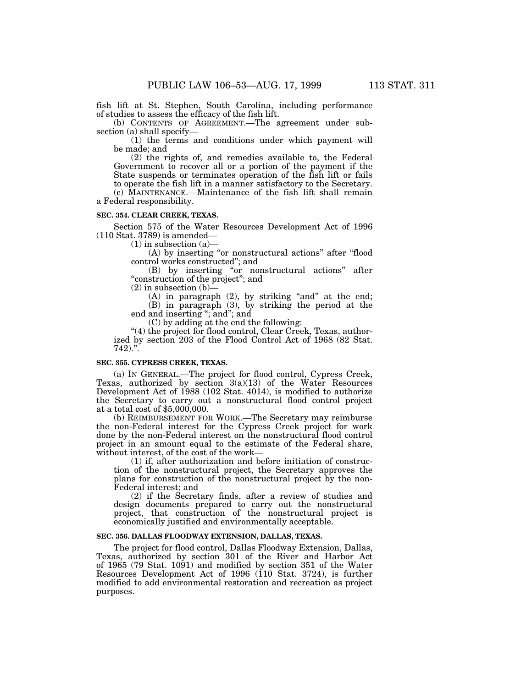fish lift at St. Stephen, South Carolina, including performance of studies to assess the efficacy of the fish lift.

(b) CONTENTS OF AGREEMENT.—The agreement under subsection (a) shall specify—

(1) the terms and conditions under which payment will be made; and

(2) the rights of, and remedies available to, the Federal Government to recover all or a portion of the payment if the State suspends or terminates operation of the fish lift or fails to operate the fish lift in a manner satisfactory to the Secretary.

(c) MAINTENANCE.—Maintenance of the fish lift shall remain a Federal responsibility.

# **SEC. 354. CLEAR CREEK, TEXAS.**

Section 575 of the Water Resources Development Act of 1996 (110 Stat. 3789) is amended—

 $(1)$  in subsection  $(a)$ —

(A) by inserting "or nonstructural actions" after "flood control works constructed''; and

(B) by inserting ''or nonstructural actions'' after "construction of the project"; and

 $(2)$  in subsection  $(b)$ —

 $(A)$  in paragraph  $(2)$ , by striking "and" at the end; (B) in paragraph (3), by striking the period at the end and inserting "; and"; and

(C) by adding at the end the following:

''(4) the project for flood control, Clear Creek, Texas, authorized by section 203 of the Flood Control Act of 1968 (82 Stat.  $742$ ).".

### **SEC. 355. CYPRESS CREEK, TEXAS.**

(a) IN GENERAL.—The project for flood control, Cypress Creek, Texas, authorized by section  $3(a)(13)$  of the Water Resources Development Act of 1988 (102 Stat. 4014), is modified to authorize the Secretary to carry out a nonstructural flood control project at a total cost of \$5,000,000.

(b) REIMBURSEMENT FOR WORK.—The Secretary may reimburse the non-Federal interest for the Cypress Creek project for work done by the non-Federal interest on the nonstructural flood control project in an amount equal to the estimate of the Federal share, without interest, of the cost of the work—

(1) if, after authorization and before initiation of construction of the nonstructural project, the Secretary approves the plans for construction of the nonstructural project by the non-Federal interest; and

(2) if the Secretary finds, after a review of studies and design documents prepared to carry out the nonstructural project, that construction of the nonstructural project is economically justified and environmentally acceptable.

# **SEC. 356. DALLAS FLOODWAY EXTENSION, DALLAS, TEXAS.**

The project for flood control, Dallas Floodway Extension, Dallas, Texas, authorized by section 301 of the River and Harbor Act of 1965 (79 Stat. 1091) and modified by section 351 of the Water Resources Development Act of 1996 (110 Stat. 3724), is further modified to add environmental restoration and recreation as project purposes.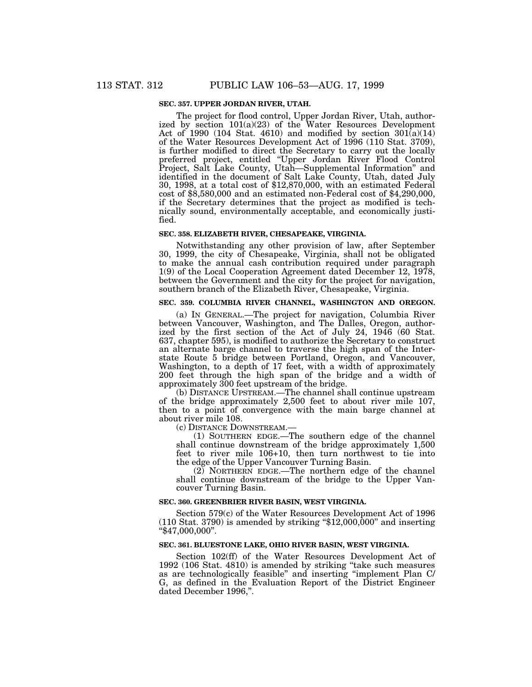# **SEC. 357. UPPER JORDAN RIVER, UTAH.**

The project for flood control, Upper Jordan River, Utah, authorized by section 101(a)(23) of the Water Resources Development Act of 1990 (104 Stat. 4610) and modified by section  $301(a)(14)$ of the Water Resources Development Act of 1996 (110 Stat. 3709), is further modified to direct the Secretary to carry out the locally preferred project, entitled ''Upper Jordan River Flood Control Project, Salt Lake County, Utah—Supplemental Information'' and identified in the document of Salt Lake County, Utah, dated July 30, 1998, at a total cost of \$12,870,000, with an estimated Federal cost of \$8,580,000 and an estimated non-Federal cost of \$4,290,000, if the Secretary determines that the project as modified is technically sound, environmentally acceptable, and economically justified.

### **SEC. 358. ELIZABETH RIVER, CHESAPEAKE, VIRGINIA.**

Notwithstanding any other provision of law, after September 30, 1999, the city of Chesapeake, Virginia, shall not be obligated to make the annual cash contribution required under paragraph 1(9) of the Local Cooperation Agreement dated December 12, 1978, between the Government and the city for the project for navigation, southern branch of the Elizabeth River, Chesapeake, Virginia.

# **SEC. 359. COLUMBIA RIVER CHANNEL, WASHINGTON AND OREGON.**

(a) IN GENERAL.—The project for navigation, Columbia River between Vancouver, Washington, and The Dalles, Oregon, authorized by the first section of the Act of July 24, 1946 (60 Stat. 637, chapter 595), is modified to authorize the Secretary to construct an alternate barge channel to traverse the high span of the Interstate Route 5 bridge between Portland, Oregon, and Vancouver, Washington, to a depth of 17 feet, with a width of approximately 200 feet through the high span of the bridge and a width of approximately 300 feet upstream of the bridge.

(b) DISTANCE UPSTREAM.—The channel shall continue upstream of the bridge approximately 2,500 feet to about river mile 107, then to a point of convergence with the main barge channel at about river mile 108.

(c) DISTANCE DOWNSTREAM.—

(1) SOUTHERN EDGE.—The southern edge of the channel shall continue downstream of the bridge approximately 1,500 feet to river mile 106+10, then turn northwest to tie into the edge of the Upper Vancouver Turning Basin.

(2) NORTHERN EDGE.—The northern edge of the channel shall continue downstream of the bridge to the Upper Vancouver Turning Basin.

### **SEC. 360. GREENBRIER RIVER BASIN, WEST VIRGINIA.**

Section 579(c) of the Water Resources Development Act of 1996  $(110 \text{ Stat. } 3790)$  is amended by striking "\$12,000,000" and inserting ''\$47,000,000''.

# **SEC. 361. BLUESTONE LAKE, OHIO RIVER BASIN, WEST VIRGINIA.**

Section 102(ff) of the Water Resources Development Act of 1992 (106 Stat. 4810) is amended by striking ''take such measures as are technologically feasible'' and inserting ''implement Plan C/ G, as defined in the Evaluation Report of the District Engineer dated December 1996,".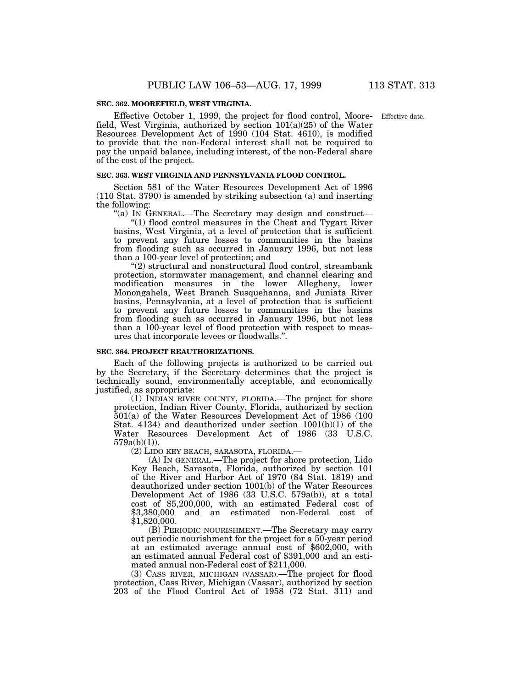### **SEC. 362. MOOREFIELD, WEST VIRGINIA.**

Effective October 1, 1999, the project for flood control, Moore-Effective date.field, West Virginia, authorized by section  $101(a)(25)$  of the Water Resources Development Act of 1990 (104 Stat. 4610), is modified to provide that the non-Federal interest shall not be required to pay the unpaid balance, including interest, of the non-Federal share of the cost of the project.

#### **SEC. 363. WEST VIRGINIA AND PENNSYLVANIA FLOOD CONTROL.**

Section 581 of the Water Resources Development Act of 1996 (110 Stat. 3790) is amended by striking subsection (a) and inserting the following:

"(a) IN GENERAL.—The Secretary may design and construct—

''(1) flood control measures in the Cheat and Tygart River basins, West Virginia, at a level of protection that is sufficient to prevent any future losses to communities in the basins from flooding such as occurred in January 1996, but not less than a 100-year level of protection; and

''(2) structural and nonstructural flood control, streambank protection, stormwater management, and channel clearing and modification measures in the lower Allegheny, lower Monongahela, West Branch Susquehanna, and Juniata River basins, Pennsylvania, at a level of protection that is sufficient to prevent any future losses to communities in the basins from flooding such as occurred in January 1996, but not less than a 100-year level of flood protection with respect to measures that incorporate levees or floodwalls.''.

#### **SEC. 364. PROJECT REAUTHORIZATIONS.**

Each of the following projects is authorized to be carried out by the Secretary, if the Secretary determines that the project is technically sound, environmentally acceptable, and economically justified, as appropriate:

(1) INDIAN RIVER COUNTY, FLORIDA.—The project for shore protection, Indian River County, Florida, authorized by section 501(a) of the Water Resources Development Act of 1986 (100 Stat. 4134) and deauthorized under section 1001(b)(1) of the Water Resources Development Act of 1986 (33 U.S.C. 579a(b)(1)).

(2) LIDO KEY BEACH, SARASOTA, FLORIDA.—

(A) IN GENERAL.—The project for shore protection, Lido Key Beach, Sarasota, Florida, authorized by section 101 of the River and Harbor Act of 1970 (84 Stat. 1819) and deauthorized under section 1001(b) of the Water Resources Development Act of 1986 (33 U.S.C. 579a(b)), at a total cost of \$5,200,000, with an estimated Federal cost of \$3,380,000 and an estimated non-Federal cost of \$1,820,000.

(B) PERIODIC NOURISHMENT.—The Secretary may carry out periodic nourishment for the project for a 50-year period at an estimated average annual cost of \$602,000, with an estimated annual Federal cost of \$391,000 and an estimated annual non-Federal cost of \$211,000.

(3) CASS RIVER, MICHIGAN (VASSAR).—The project for flood protection, Cass River, Michigan (Vassar), authorized by section 203 of the Flood Control Act of 1958 (72 Stat. 311) and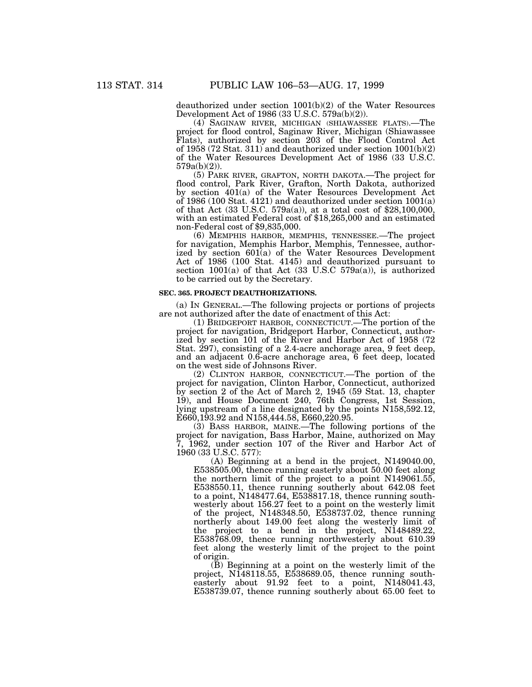deauthorized under section 1001(b)(2) of the Water Resources Development Act of 1986 (33 U.S.C. 579a(b)(2)).

(4) SAGINAW RIVER, MICHIGAN (SHIAWASSEE FLATS).—The project for flood control, Saginaw River, Michigan (Shiawassee Flats), authorized by section 203 of the Flood Control Act of 1958 (72 Stat. 311) and deauthorized under section 1001(b)(2) of the Water Resources Development Act of 1986 (33 U.S.C. 579a(b)(2)).

(5) PARK RIVER, GRAFTON, NORTH DAKOTA.—The project for flood control, Park River, Grafton, North Dakota, authorized by section 401(a) of the Water Resources Development Act of 1986 (100 Stat. 4121) and deauthorized under section 1001(a) of that Act (33 U.S.C. 579a(a)), at a total cost of \$28,100,000, with an estimated Federal cost of \$18,265,000 and an estimated non-Federal cost of \$9,835,000.

(6) MEMPHIS HARBOR, MEMPHIS, TENNESSEE.—The project for navigation, Memphis Harbor, Memphis, Tennessee, authorized by section 601(a) of the Water Resources Development Act of 1986 (100 Stat. 4145) and deauthorized pursuant to section  $1001(a)$  of that Act (33 U.S.C 579a(a)), is authorized to be carried out by the Secretary.

#### **SEC. 365. PROJECT DEAUTHORIZATIONS.**

(a) IN GENERAL.—The following projects or portions of projects are not authorized after the date of enactment of this Act:

(1) BRIDGEPORT HARBOR, CONNECTICUT.—The portion of the project for navigation, Bridgeport Harbor, Connecticut, authorized by section 101 of the River and Harbor Act of 1958 (72 Stat. 297), consisting of a 2.4-acre anchorage area, 9 feet deep, and an adjacent 0.6-acre anchorage area, 6 feet deep, located on the west side of Johnsons River.

(2) CLINTON HARBOR, CONNECTICUT.—The portion of the project for navigation, Clinton Harbor, Connecticut, authorized by section 2 of the Act of March 2, 1945 (59 Stat. 13, chapter 19), and House Document 240, 76th Congress, 1st Session, lying upstream of a line designated by the points N158,592.12, E660,193.92 and N158,444.58, E660,220.95.

(3) BASS HARBOR, MAINE.—The following portions of the project for navigation, Bass Harbor, Maine, authorized on May 7, 1962, under section 107 of the River and Harbor Act of 1960 (33 U.S.C. 577):

(A) Beginning at a bend in the project, N149040.00, E538505.00, thence running easterly about 50.00 feet along the northern limit of the project to a point N149061.55, E538550.11, thence running southerly about 642.08 feet to a point, N148477.64, E538817.18, thence running southwesterly about 156.27 feet to a point on the westerly limit of the project, N148348.50, E538737.02, thence running northerly about 149.00 feet along the westerly limit of the project to a bend in the project, N148489.22, E538768.09, thence running northwesterly about 610.39 feet along the westerly limit of the project to the point of origin.

(B) Beginning at a point on the westerly limit of the project, N148118.55, E538689.05, thence running southeasterly about 91.92 feet to a point, N148041.43, E538739.07, thence running southerly about 65.00 feet to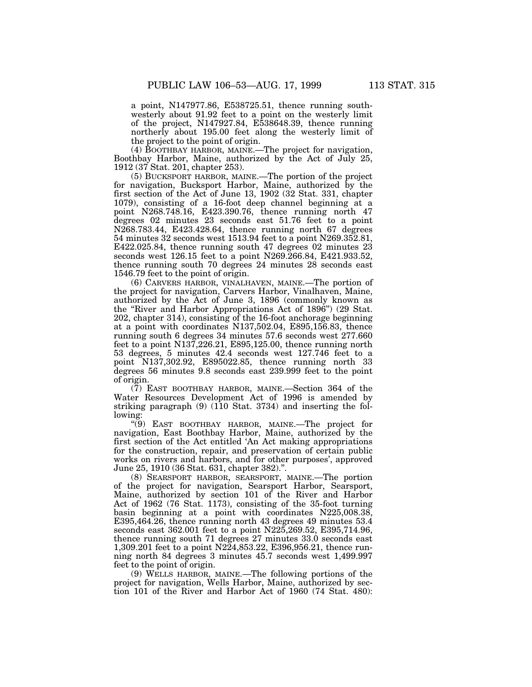a point, N147977.86, E538725.51, thence running southwesterly about 91.92 feet to a point on the westerly limit of the project, N147927.84, E538648.39, thence running northerly about 195.00 feet along the westerly limit of the project to the point of origin.

(4) BOOTHBAY HARBOR, MAINE.—The project for navigation, Boothbay Harbor, Maine, authorized by the Act of July 25, 1912 (37 Stat. 201, chapter 253).

(5) BUCKSPORT HARBOR, MAINE.—The portion of the project for navigation, Bucksport Harbor, Maine, authorized by the first section of the Act of June 13, 1902 (32 Stat. 331, chapter 1079), consisting of a 16-foot deep channel beginning at a point N268.748.16, E423.390.76, thence running north 47 degrees 02 minutes 23 seconds east 51.76 feet to a point N268.783.44, E423.428.64, thence running north 67 degrees 54 minutes 32 seconds west 1513.94 feet to a point N269.352.81, E422.025.84, thence running south 47 degrees 02 minutes 23 seconds west 126.15 feet to a point N269.266.84, E421.933.52, thence running south 70 degrees 24 minutes 28 seconds east 1546.79 feet to the point of origin.

(6) CARVERS HARBOR, VINALHAVEN, MAINE.—The portion of the project for navigation, Carvers Harbor, Vinalhaven, Maine, authorized by the Act of June 3, 1896 (commonly known as the ''River and Harbor Appropriations Act of 1896'') (29 Stat. 202, chapter 314), consisting of the 16-foot anchorage beginning at a point with coordinates N137,502.04, E895,156.83, thence running south 6 degrees 34 minutes 57.6 seconds west 277.660 feet to a point N137,226.21, E895,125.00, thence running north 53 degrees, 5 minutes 42.4 seconds west 127.746 feet to a point N137,302.92, E895022.85, thence running north 33 degrees 56 minutes 9.8 seconds east 239.999 feet to the point of origin.

(7) EAST BOOTHBAY HARBOR, MAINE.—Section 364 of the Water Resources Development Act of 1996 is amended by striking paragraph  $(9)$  (110 Stat. 3734) and inserting the following:

''(9) EAST BOOTHBAY HARBOR, MAINE.—The project for navigation, East Boothbay Harbor, Maine, authorized by the first section of the Act entitled 'An Act making appropriations for the construction, repair, and preservation of certain public works on rivers and harbors, and for other purposes', approved June 25, 1910 (36 Stat. 631, chapter 382).''.

(8) SEARSPORT HARBOR, SEARSPORT, MAINE.—The portion of the project for navigation, Searsport Harbor, Searsport, Maine, authorized by section 101 of the River and Harbor Act of 1962 (76 Stat. 1173), consisting of the 35-foot turning basin beginning at a point with coordinates N225,008.38, E395,464.26, thence running north 43 degrees 49 minutes 53.4 seconds east 362.001 feet to a point N225,269.52, E395,714.96, thence running south 71 degrees 27 minutes 33.0 seconds east 1,309.201 feet to a point N224,853.22, E396,956.21, thence running north 84 degrees 3 minutes 45.7 seconds west 1,499.997 feet to the point of origin.

(9) WELLS HARBOR, MAINE.—The following portions of the project for navigation, Wells Harbor, Maine, authorized by section 101 of the River and Harbor Act of 1960 (74 Stat. 480):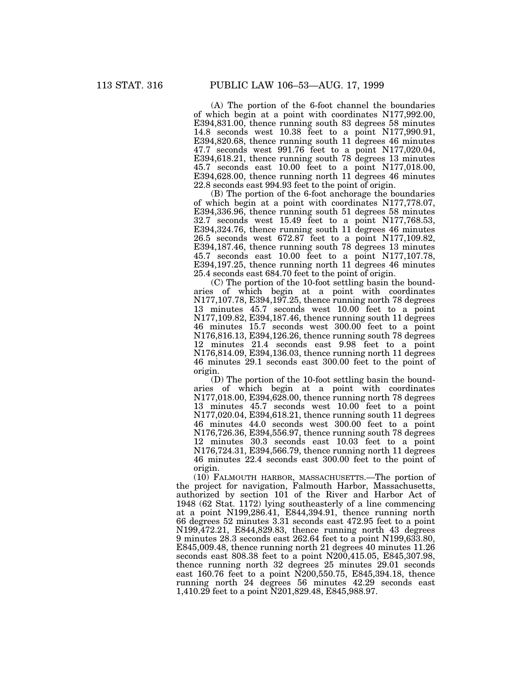(A) The portion of the 6-foot channel the boundaries of which begin at a point with coordinates N177,992.00, E394,831.00, thence running south 83 degrees 58 minutes 14.8 seconds west 10.38 feet to a point N177,990.91, E394,820.68, thence running south 11 degrees 46 minutes 47.7 seconds west 991.76 feet to a point N177,020.04, E394,618.21, thence running south 78 degrees 13 minutes 45.7 seconds east 10.00 feet to a point N177,018.00, E394,628.00, thence running north 11 degrees 46 minutes 22.8 seconds east 994.93 feet to the point of origin.

(B) The portion of the 6-foot anchorage the boundaries of which begin at a point with coordinates N177,778.07, E394,336.96, thence running south 51 degrees 58 minutes 32.7 seconds west 15.49 feet to a point N177,768.53, E394,324.76, thence running south 11 degrees 46 minutes 26.5 seconds west 672.87 feet to a point N177,109.82, E394,187.46, thence running south 78 degrees 13 minutes 45.7 seconds east 10.00 feet to a point N177,107.78, E394,197.25, thence running north 11 degrees 46 minutes 25.4 seconds east 684.70 feet to the point of origin.

(C) The portion of the 10-foot settling basin the boundaries of which begin at a point with coordinates N177,107.78, E394,197.25, thence running north 78 degrees 13 minutes 45.7 seconds west 10.00 feet to a point N177,109.82, E394,187.46, thence running south 11 degrees 46 minutes 15.7 seconds west 300.00 feet to a point N176,816.13, E394,126.26, thence running south 78 degrees 12 minutes 21.4 seconds east 9.98 feet to a point N176,814.09, E394,136.03, thence running north 11 degrees 46 minutes 29.1 seconds east 300.00 feet to the point of origin.

(D) The portion of the 10-foot settling basin the boundaries of which begin at a point with coordinates N177,018.00, E394,628.00, thence running north 78 degrees 13 minutes 45.7 seconds west 10.00 feet to a point N177,020.04, E394,618.21, thence running south 11 degrees 46 minutes 44.0 seconds west 300.00 feet to a point N176,726.36, E394,556.97, thence running south 78 degrees 12 minutes 30.3 seconds east 10.03 feet to a point N176,724.31, E394,566.79, thence running north 11 degrees 46 minutes 22.4 seconds east 300.00 feet to the point of origin.

(10) FALMOUTH HARBOR, MASSACHUSETTS.—The portion of the project for navigation, Falmouth Harbor, Massachusetts, authorized by section 101 of the River and Harbor Act of 1948 (62 Stat. 1172) lying southeasterly of a line commencing at a point N199,286.41, E844,394.91, thence running north 66 degrees 52 minutes 3.31 seconds east 472.95 feet to a point N199,472.21, E844,829.83, thence running north 43 degrees 9 minutes 28.3 seconds east 262.64 feet to a point N199,633.80, E845,009.48, thence running north 21 degrees 40 minutes 11.26 seconds east 808.38 feet to a point N200,415.05, E845,307.98, thence running north 32 degrees 25 minutes 29.01 seconds east 160.76 feet to a point N200,550.75, E845,394.18, thence running north 24 degrees 56 minutes 42.29 seconds east 1,410.29 feet to a point N201,829.48, E845,988.97.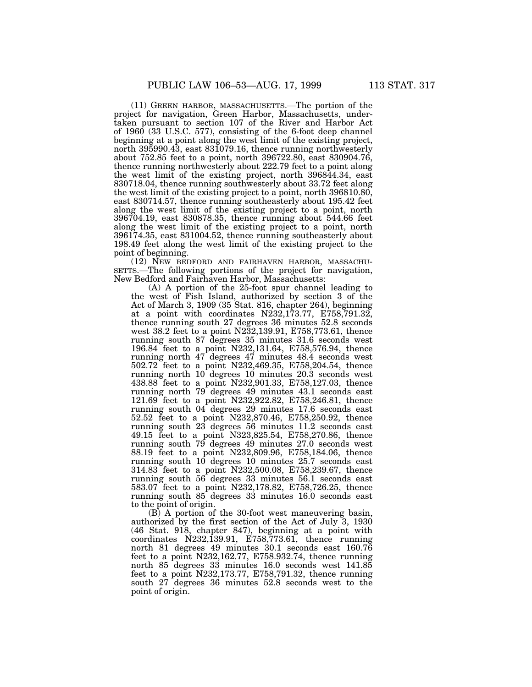(11) GREEN HARBOR, MASSACHUSETTS.—The portion of the project for navigation, Green Harbor, Massachusetts, undertaken pursuant to section 107 of the River and Harbor Act of 1960 (33 U.S.C. 577), consisting of the 6-foot deep channel beginning at a point along the west limit of the existing project, north 395990.43, east 831079.16, thence running northwesterly about 752.85 feet to a point, north 396722.80, east 830904.76, thence running northwesterly about 222.79 feet to a point along the west limit of the existing project, north 396844.34, east 830718.04, thence running southwesterly about 33.72 feet along the west limit of the existing project to a point, north 396810.80, east 830714.57, thence running southeasterly about 195.42 feet along the west limit of the existing project to a point, north 396704.19, east 830878.35, thence running about 544.66 feet along the west limit of the existing project to a point, north 396174.35, east 831004.52, thence running southeasterly about 198.49 feet along the west limit of the existing project to the point of beginning.

(12) NEW BEDFORD AND FAIRHAVEN HARBOR, MASSACHU-SETTS.—The following portions of the project for navigation, New Bedford and Fairhaven Harbor, Massachusetts:

(A) A portion of the 25-foot spur channel leading to the west of Fish Island, authorized by section 3 of the Act of March 3, 1909 (35 Stat. 816, chapter 264), beginning at a point with coordinates  $N232,173.77$ ,  $E758,791.32$ , thence running south 27 degrees 36 minutes 52.8 seconds west 38.2 feet to a point N232,139.91, E758,773.61, thence running south 87 degrees 35 minutes 31.6 seconds west 196.84 feet to a point N232,131.64, E758,576.94, thence running north 47 degrees 47 minutes 48.4 seconds west 502.72 feet to a point N232,469.35, E758,204.54, thence running north 10 degrees 10 minutes 20.3 seconds west 438.88 feet to a point N232,901.33, E758,127.03, thence running north 79 degrees 49 minutes 43.1 seconds east 121.69 feet to a point N232,922.82, E758,246.81, thence running south 04 degrees 29 minutes 17.6 seconds east 52.52 feet to a point N232,870.46, E758,250.92, thence running south 23 degrees 56 minutes 11.2 seconds east 49.15 feet to a point N323,825.54, E758,270.86, thence running south 79 degrees 49 minutes 27.0 seconds west 88.19 feet to a point N232,809.96, E758,184.06, thence running south 10 degrees 10 minutes 25.7 seconds east 314.83 feet to a point N232,500.08, E758,239.67, thence running south 56 degrees 33 minutes 56.1 seconds east 583.07 feet to a point N232,178.82, E758,726.25, thence running south 85 degrees 33 minutes 16.0 seconds east to the point of origin.

(B) A portion of the 30-foot west maneuvering basin, authorized by the first section of the Act of July 3, 1930 (46 Stat. 918, chapter 847), beginning at a point with coordinates N232,139.91, E758,773.61, thence running north 81 degrees 49 minutes 30.1 seconds east 160.76 feet to a point N232,162.77, E758.932.74, thence running north 85 degrees 33 minutes 16.0 seconds west 141.85 feet to a point N232,173.77, E758,791.32, thence running south 27 degrees 36 minutes 52.8 seconds west to the point of origin.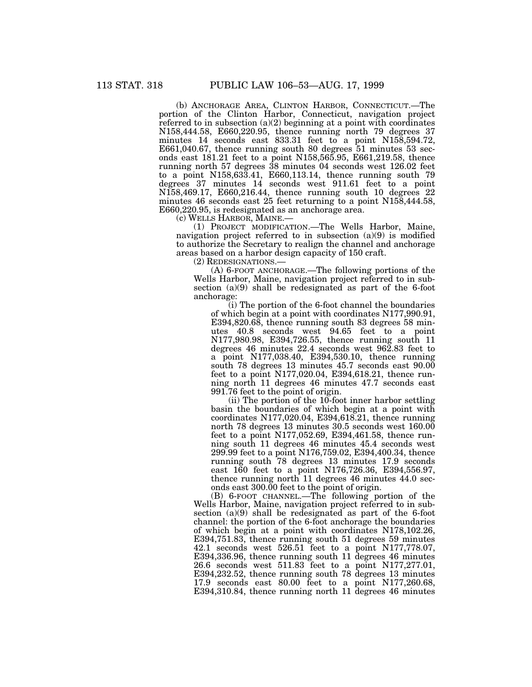(b) ANCHORAGE AREA, CLINTON HARBOR, CONNECTICUT.—The portion of the Clinton Harbor, Connecticut, navigation project referred to in subsection  $(a)(2)$  beginning at a point with coordinates N158,444.58, E660,220.95, thence running north 79 degrees 37 minutes 14 seconds east 833.31 feet to a point N158,594.72, E661,040.67, thence running south 80 degrees 51 minutes 53 seconds east 181.21 feet to a point N158,565.95, E661,219.58, thence running north 57 degrees 38 minutes 04 seconds west 126.02 feet to a point N158,633.41, E660,113.14, thence running south 79 degrees 37 minutes 14 seconds west 911.61 feet to a point N158,469.17, E660,216.44, thence running south 10 degrees 22 minutes 46 seconds east 25 feet returning to a point N158,444.58, E660,220.95, is redesignated as an anchorage area.

(c) WELLS HARBOR, MAINE.—

(1) PROJECT MODIFICATION.—The Wells Harbor, Maine, navigation project referred to in subsection (a)(9) is modified to authorize the Secretary to realign the channel and anchorage areas based on a harbor design capacity of 150 craft.

(2) REDESIGNATIONS.—

(A) 6-FOOT ANCHORAGE.—The following portions of the Wells Harbor, Maine, navigation project referred to in subsection (a)(9) shall be redesignated as part of the 6-foot anchorage:

(i) The portion of the 6-foot channel the boundaries of which begin at a point with coordinates N177,990.91, E394,820.68, thence running south 83 degrees 58 minutes 40.8 seconds west 94.65 feet to a point N177,980.98, E394,726.55, thence running south 11 degrees 46 minutes 22.4 seconds west 962.83 feet to a point N177,038.40, E394,530.10, thence running south 78 degrees 13 minutes 45.7 seconds east 90.00 feet to a point N177,020.04, E394,618.21, thence running north 11 degrees 46 minutes 47.7 seconds east 991.76 feet to the point of origin.

(ii) The portion of the 10-foot inner harbor settling basin the boundaries of which begin at a point with coordinates N177,020.04, E394,618.21, thence running north 78 degrees 13 minutes 30.5 seconds west 160.00 feet to a point N177,052.69, E394,461.58, thence running south 11 degrees 46 minutes 45.4 seconds west 299.99 feet to a point N176,759.02, E394,400.34, thence running south 78 degrees 13 minutes 17.9 seconds east 160 feet to a point N176,726.36, E394,556.97, thence running north 11 degrees 46 minutes 44.0 seconds east 300.00 feet to the point of origin.

(B) 6-FOOT CHANNEL.—The following portion of the Wells Harbor, Maine, navigation project referred to in subsection (a)(9) shall be redesignated as part of the 6-foot channel: the portion of the 6-foot anchorage the boundaries of which begin at a point with coordinates N178,102.26, E394,751.83, thence running south 51 degrees 59 minutes 42.1 seconds west 526.51 feet to a point N177,778.07, E394,336.96, thence running south 11 degrees 46 minutes 26.6 seconds west 511.83 feet to a point N177,277.01, E394,232.52, thence running south 78 degrees 13 minutes 17.9 seconds east 80.00 feet to a point N177,260.68, E394,310.84, thence running north 11 degrees 46 minutes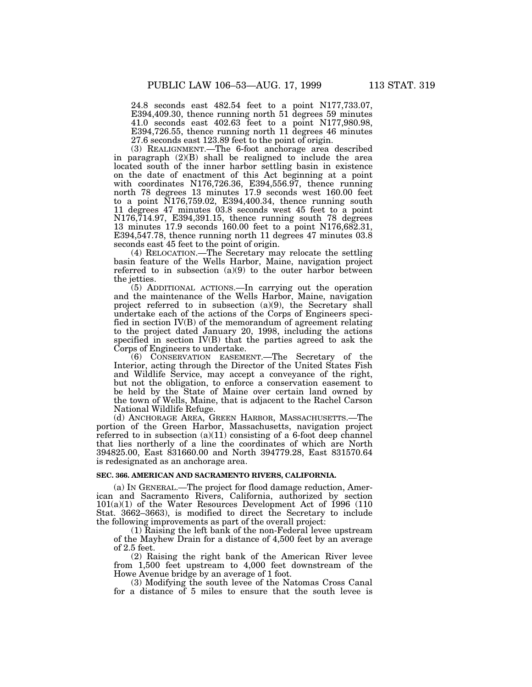24.8 seconds east 482.54 feet to a point N177,733.07, E394,409.30, thence running north 51 degrees 59 minutes 41.0 seconds east 402.63 feet to a point N177,980.98, E394,726.55, thence running north 11 degrees 46 minutes 27.6 seconds east 123.89 feet to the point of origin.

(3) REALIGNMENT.—The 6-foot anchorage area described in paragraph (2)(B) shall be realigned to include the area located south of the inner harbor settling basin in existence on the date of enactment of this Act beginning at a point with coordinates N176,726.36, E394,556.97, thence running north 78 degrees 13 minutes 17.9 seconds west 160.00 feet to a point N176,759.02, E394,400.34, thence running south 11 degrees 47 minutes 03.8 seconds west 45 feet to a point N176,714.97, E394,391.15, thence running south 78 degrees 13 minutes 17.9 seconds 160.00 feet to a point N176,682.31, E394,547.78, thence running north 11 degrees 47 minutes 03.8 seconds east 45 feet to the point of origin.

(4) RELOCATION.—The Secretary may relocate the settling basin feature of the Wells Harbor, Maine, navigation project referred to in subsection (a)(9) to the outer harbor between the jetties.

(5) ADDITIONAL ACTIONS.—In carrying out the operation and the maintenance of the Wells Harbor, Maine, navigation project referred to in subsection (a)(9), the Secretary shall undertake each of the actions of the Corps of Engineers specified in section IV(B) of the memorandum of agreement relating to the project dated January 20, 1998, including the actions specified in section IV(B) that the parties agreed to ask the Corps of Engineers to undertake.

(6) CONSERVATION EASEMENT.—The Secretary of the Interior, acting through the Director of the United States Fish and Wildlife Service, may accept a conveyance of the right, but not the obligation, to enforce a conservation easement to be held by the State of Maine over certain land owned by the town of Wells, Maine, that is adjacent to the Rachel Carson National Wildlife Refuge.

(d) ANCHORAGE AREA, GREEN HARBOR, MASSACHUSETTS.—The portion of the Green Harbor, Massachusetts, navigation project referred to in subsection  $(a)(11)$  consisting of a 6-foot deep channel that lies northerly of a line the coordinates of which are North 394825.00, East 831660.00 and North 394779.28, East 831570.64 is redesignated as an anchorage area.

#### **SEC. 366. AMERICAN AND SACRAMENTO RIVERS, CALIFORNIA.**

(a) IN GENERAL.—The project for flood damage reduction, American and Sacramento Rivers, California, authorized by section 101(a)(1) of the Water Resources Development Act of 1996 (110 Stat. 3662–3663), is modified to direct the Secretary to include the following improvements as part of the overall project:

(1) Raising the left bank of the non-Federal levee upstream of the Mayhew Drain for a distance of 4,500 feet by an average of 2.5 feet.

(2) Raising the right bank of the American River levee from 1,500 feet upstream to 4,000 feet downstream of the Howe Avenue bridge by an average of 1 foot.

(3) Modifying the south levee of the Natomas Cross Canal for a distance of 5 miles to ensure that the south levee is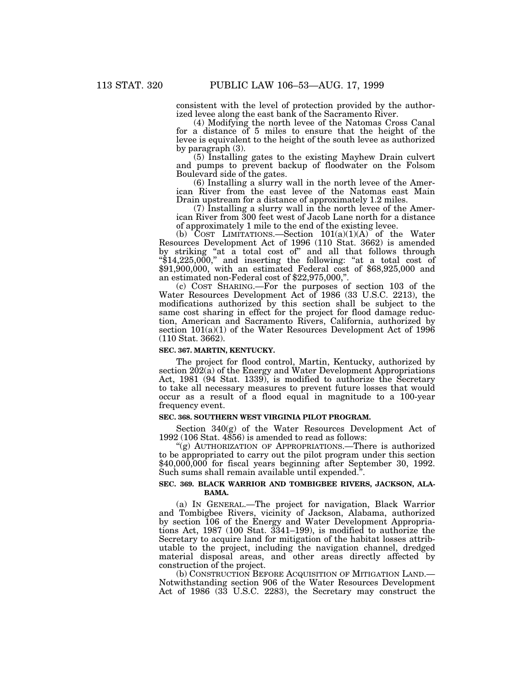consistent with the level of protection provided by the authorized levee along the east bank of the Sacramento River.

(4) Modifying the north levee of the Natomas Cross Canal for a distance of 5 miles to ensure that the height of the levee is equivalent to the height of the south levee as authorized by paragraph (3).

(5) Installing gates to the existing Mayhew Drain culvert and pumps to prevent backup of floodwater on the Folsom Boulevard side of the gates.

(6) Installing a slurry wall in the north levee of the American River from the east levee of the Natomas east Main Drain upstream for a distance of approximately 1.2 miles.

(7) Installing a slurry wall in the north levee of the American River from 300 feet west of Jacob Lane north for a distance of approximately 1 mile to the end of the existing levee.

(b)  $\text{COST}$  LIMITATIONS.—Section  $101(a)(1)(A)$  of the Water Resources Development Act of 1996 (110 Stat. 3662) is amended by striking "at a total cost of" and all that follows through ''\$14,225,000,'' and inserting the following: ''at a total cost of \$91,900,000, with an estimated Federal cost of \$68,925,000 and an estimated non-Federal cost of \$22,975,000,''.

(c) COST SHARING.—For the purposes of section 103 of the Water Resources Development Act of 1986 (33 U.S.C. 2213), the modifications authorized by this section shall be subject to the same cost sharing in effect for the project for flood damage reduction, American and Sacramento Rivers, California, authorized by section  $101(a)(1)$  of the Water Resources Development Act of 1996 (110 Stat. 3662).

### **SEC. 367. MARTIN, KENTUCKY.**

The project for flood control, Martin, Kentucky, authorized by section 202(a) of the Energy and Water Development Appropriations Act, 1981 (94 Stat. 1339), is modified to authorize the Secretary to take all necessary measures to prevent future losses that would occur as a result of a flood equal in magnitude to a 100-year frequency event.

### **SEC. 368. SOUTHERN WEST VIRGINIA PILOT PROGRAM.**

Section 340(g) of the Water Resources Development Act of 1992 (106 Stat. 4856) is amended to read as follows:

"(g) AUTHORIZATION OF APPROPRIATIONS.—There is authorized to be appropriated to carry out the pilot program under this section \$40,000,000 for fiscal years beginning after September 30, 1992. Such sums shall remain available until expended.''.

# **SEC. 369. BLACK WARRIOR AND TOMBIGBEE RIVERS, JACKSON, ALA-BAMA.**

(a) IN GENERAL.—The project for navigation, Black Warrior and Tombigbee Rivers, vicinity of Jackson, Alabama, authorized by section 106 of the Energy and Water Development Appropriations Act, 1987 (100 Stat. 3341–199), is modified to authorize the Secretary to acquire land for mitigation of the habitat losses attributable to the project, including the navigation channel, dredged material disposal areas, and other areas directly affected by construction of the project.

(b) CONSTRUCTION BEFORE ACQUISITION OF MITIGATION LAND.— Notwithstanding section 906 of the Water Resources Development Act of 1986 (33 U.S.C. 2283), the Secretary may construct the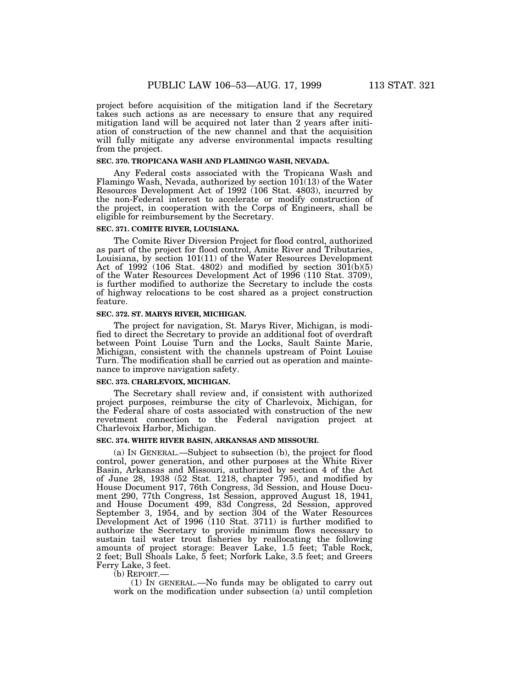project before acquisition of the mitigation land if the Secretary takes such actions as are necessary to ensure that any required mitigation land will be acquired not later than 2 years after initiation of construction of the new channel and that the acquisition will fully mitigate any adverse environmental impacts resulting from the project.

### **SEC. 370. TROPICANA WASH AND FLAMINGO WASH, NEVADA.**

Any Federal costs associated with the Tropicana Wash and Flamingo Wash, Nevada, authorized by section  $10(113)$  of the Water Resources Development Act of 1992 (106 Stat. 4803), incurred by the non-Federal interest to accelerate or modify construction of the project, in cooperation with the Corps of Engineers, shall be eligible for reimbursement by the Secretary.

# **SEC. 371. COMITE RIVER, LOUISIANA.**

The Comite River Diversion Project for flood control, authorized as part of the project for flood control, Amite River and Tributaries, Louisiana, by section 101(11) of the Water Resources Development Act of 1992 (106 Stat. 4802) and modified by section  $301(b)(5)$ of the Water Resources Development Act of 1996 (110 Stat. 3709), is further modified to authorize the Secretary to include the costs of highway relocations to be cost shared as a project construction feature.

### **SEC. 372. ST. MARYS RIVER, MICHIGAN.**

The project for navigation, St. Marys River, Michigan, is modified to direct the Secretary to provide an additional foot of overdraft between Point Louise Turn and the Locks, Sault Sainte Marie, Michigan, consistent with the channels upstream of Point Louise Turn. The modification shall be carried out as operation and maintenance to improve navigation safety.

#### **SEC. 373. CHARLEVOIX, MICHIGAN.**

The Secretary shall review and, if consistent with authorized project purposes, reimburse the city of Charlevoix, Michigan, for the Federal share of costs associated with construction of the new revetment connection to the Federal navigation project at Charlevoix Harbor, Michigan.

# **SEC. 374. WHITE RIVER BASIN, ARKANSAS AND MISSOURI.**

(a) IN GENERAL.—Subject to subsection (b), the project for flood control, power generation, and other purposes at the White River Basin, Arkansas and Missouri, authorized by section 4 of the Act of June 28, 1938 (52 Stat. 1218, chapter 795), and modified by House Document 917, 76th Congress, 3d Session, and House Document 290, 77th Congress, 1st Session, approved August 18, 1941, and House Document 499, 83d Congress, 2d Session, approved September 3, 1954, and by section 304 of the Water Resources Development Act of 1996 (110 Stat. 3711) is further modified to authorize the Secretary to provide minimum flows necessary to sustain tail water trout fisheries by reallocating the following amounts of project storage: Beaver Lake, 1.5 feet; Table Rock, 2 feet; Bull Shoals Lake, 5 feet; Norfork Lake, 3.5 feet; and Greers Ferry Lake, 3 feet.

## (b) REPORT.—

(1) IN GENERAL.—No funds may be obligated to carry out work on the modification under subsection (a) until completion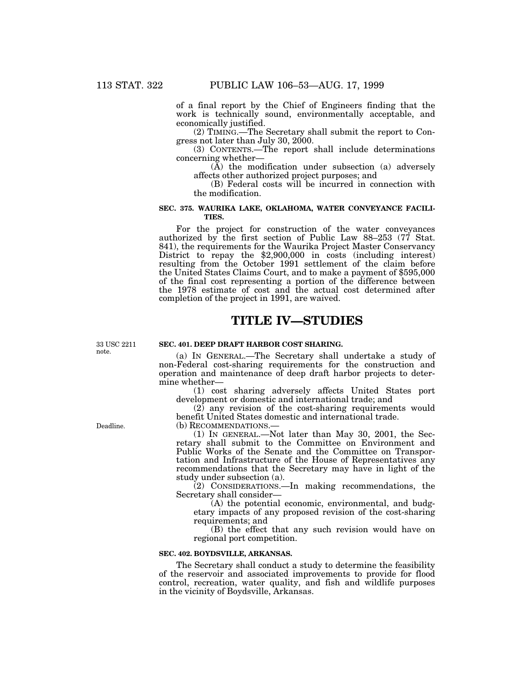of a final report by the Chief of Engineers finding that the work is technically sound, environmentally acceptable, and economically justified.

(2) TIMING.—The Secretary shall submit the report to Congress not later than July 30, 2000.

(3) CONTENTS.—The report shall include determinations concerning whether—

(A) the modification under subsection (a) adversely affects other authorized project purposes; and

(B) Federal costs will be incurred in connection with the modification.

### **SEC. 375. WAURIKA LAKE, OKLAHOMA, WATER CONVEYANCE FACILI-TIES.**

For the project for construction of the water conveyances authorized by the first section of Public Law 88–253 (77 Stat. 841), the requirements for the Waurika Project Master Conservancy District to repay the \$2,900,000 in costs (including interest) resulting from the October 1991 settlement of the claim before the United States Claims Court, and to make a payment of \$595,000 of the final cost representing a portion of the difference between the 1978 estimate of cost and the actual cost determined after completion of the project in 1991, are waived.

# **TITLE IV—STUDIES**

33 USC 2211 note.

#### **SEC. 401. DEEP DRAFT HARBOR COST SHARING.**

(a) IN GENERAL.—The Secretary shall undertake a study of non-Federal cost-sharing requirements for the construction and operation and maintenance of deep draft harbor projects to determine whether—

(1) cost sharing adversely affects United States port development or domestic and international trade; and

(2) any revision of the cost-sharing requirements would benefit United States domestic and international trade.

(b) RECOMMENDATIONS.— (1) IN GENERAL.—Not later than May 30, 2001, the Secretary shall submit to the Committee on Environment and Public Works of the Senate and the Committee on Transportation and Infrastructure of the House of Representatives any recommendations that the Secretary may have in light of the study under subsection (a).

(2) CONSIDERATIONS.—In making recommendations, the Secretary shall consider—

(A) the potential economic, environmental, and budgetary impacts of any proposed revision of the cost-sharing requirements; and

(B) the effect that any such revision would have on regional port competition.

#### **SEC. 402. BOYDSVILLE, ARKANSAS.**

The Secretary shall conduct a study to determine the feasibility of the reservoir and associated improvements to provide for flood control, recreation, water quality, and fish and wildlife purposes in the vicinity of Boydsville, Arkansas.

Deadline.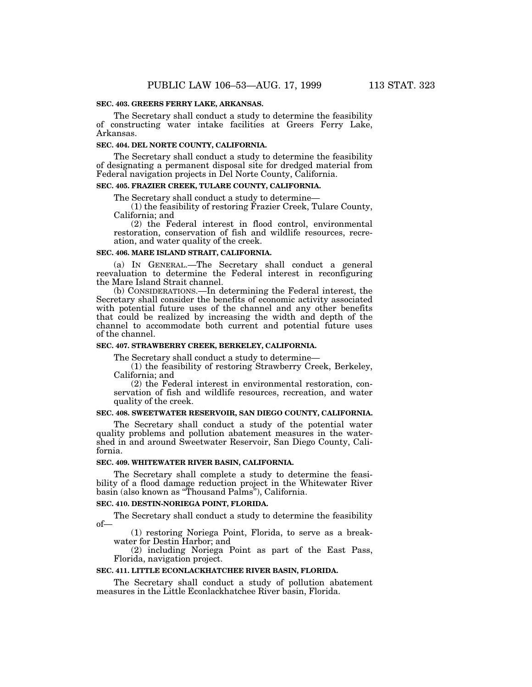### **SEC. 403. GREERS FERRY LAKE, ARKANSAS.**

The Secretary shall conduct a study to determine the feasibility of constructing water intake facilities at Greers Ferry Lake, Arkansas.

## **SEC. 404. DEL NORTE COUNTY, CALIFORNIA.**

The Secretary shall conduct a study to determine the feasibility of designating a permanent disposal site for dredged material from Federal navigation projects in Del Norte County, California.

# **SEC. 405. FRAZIER CREEK, TULARE COUNTY, CALIFORNIA.**

The Secretary shall conduct a study to determine—

(1) the feasibility of restoring Frazier Creek, Tulare County, California; and

(2) the Federal interest in flood control, environmental restoration, conservation of fish and wildlife resources, recreation, and water quality of the creek.

#### **SEC. 406. MARE ISLAND STRAIT, CALIFORNIA.**

(a) IN GENERAL.—The Secretary shall conduct a general reevaluation to determine the Federal interest in reconfiguring the Mare Island Strait channel.

(b) CONSIDERATIONS.—In determining the Federal interest, the Secretary shall consider the benefits of economic activity associated with potential future uses of the channel and any other benefits that could be realized by increasing the width and depth of the channel to accommodate both current and potential future uses of the channel.

# **SEC. 407. STRAWBERRY CREEK, BERKELEY, CALIFORNIA.**

The Secretary shall conduct a study to determine—

(1) the feasibility of restoring Strawberry Creek, Berkeley, California; and

(2) the Federal interest in environmental restoration, conservation of fish and wildlife resources, recreation, and water quality of the creek.

# **SEC. 408. SWEETWATER RESERVOIR, SAN DIEGO COUNTY, CALIFORNIA.**

The Secretary shall conduct a study of the potential water quality problems and pollution abatement measures in the watershed in and around Sweetwater Reservoir, San Diego County, California.

### **SEC. 409. WHITEWATER RIVER BASIN, CALIFORNIA.**

The Secretary shall complete a study to determine the feasibility of a flood damage reduction project in the Whitewater River basin (also known as ''Thousand Palms''), California.

#### **SEC. 410. DESTIN-NORIEGA POINT, FLORIDA.**

The Secretary shall conduct a study to determine the feasibility of—

(1) restoring Noriega Point, Florida, to serve as a breakwater for Destin Harbor; and

(2) including Noriega Point as part of the East Pass, Florida, navigation project.

### **SEC. 411. LITTLE ECONLACKHATCHEE RIVER BASIN, FLORIDA.**

The Secretary shall conduct a study of pollution abatement measures in the Little Econlackhatchee River basin, Florida.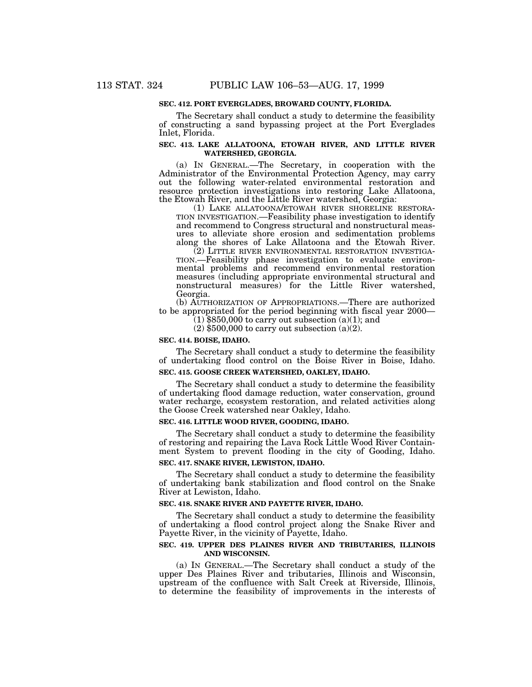### **SEC. 412. PORT EVERGLADES, BROWARD COUNTY, FLORIDA.**

The Secretary shall conduct a study to determine the feasibility of constructing a sand bypassing project at the Port Everglades Inlet, Florida.

### **SEC. 413. LAKE ALLATOONA, ETOWAH RIVER, AND LITTLE RIVER WATERSHED, GEORGIA.**

(a) IN GENERAL.—The Secretary, in cooperation with the Administrator of the Environmental Protection Agency, may carry out the following water-related environmental restoration and resource protection investigations into restoring Lake Allatoona, the Etowah River, and the Little River watershed, Georgia:

TION INVESTIGATION.—Feasibility phase investigation to identify and recommend to Congress structural and nonstructural measures to alleviate shore erosion and sedimentation problems along the shores of Lake Allatoona and the Etowah River.

TION.—Feasibility phase investigation to evaluate environmental problems and recommend environmental restoration measures (including appropriate environmental structural and nonstructural measures) for the Little River watershed, Georgia.

(b) AUTHORIZATION OF APPROPRIATIONS.—There are authorized to be appropriated for the period beginning with fiscal year 2000—

(1) \$850,000 to carry out subsection (a)(1); and (2) \$500,000 to carry out subsection (a)(2).

# **SEC. 414. BOISE, IDAHO.**

The Secretary shall conduct a study to determine the feasibility of undertaking flood control on the Boise River in Boise, Idaho. **SEC. 415. GOOSE CREEK WATERSHED, OAKLEY, IDAHO.**

The Secretary shall conduct a study to determine the feasibility of undertaking flood damage reduction, water conservation, ground water recharge, ecosystem restoration, and related activities along the Goose Creek watershed near Oakley, Idaho.

# **SEC. 416. LITTLE WOOD RIVER, GOODING, IDAHO.**

The Secretary shall conduct a study to determine the feasibility of restoring and repairing the Lava Rock Little Wood River Containment System to prevent flooding in the city of Gooding, Idaho. **SEC. 417. SNAKE RIVER, LEWISTON, IDAHO.**

The Secretary shall conduct a study to determine the feasibility of undertaking bank stabilization and flood control on the Snake River at Lewiston, Idaho.

#### **SEC. 418. SNAKE RIVER AND PAYETTE RIVER, IDAHO.**

The Secretary shall conduct a study to determine the feasibility of undertaking a flood control project along the Snake River and Payette River, in the vicinity of Payette, Idaho.

# **SEC. 419. UPPER DES PLAINES RIVER AND TRIBUTARIES, ILLINOIS AND WISCONSIN.**

(a) IN GENERAL.—The Secretary shall conduct a study of the upper Des Plaines River and tributaries, Illinois and Wisconsin, upstream of the confluence with Salt Creek at Riverside, Illinois, to determine the feasibility of improvements in the interests of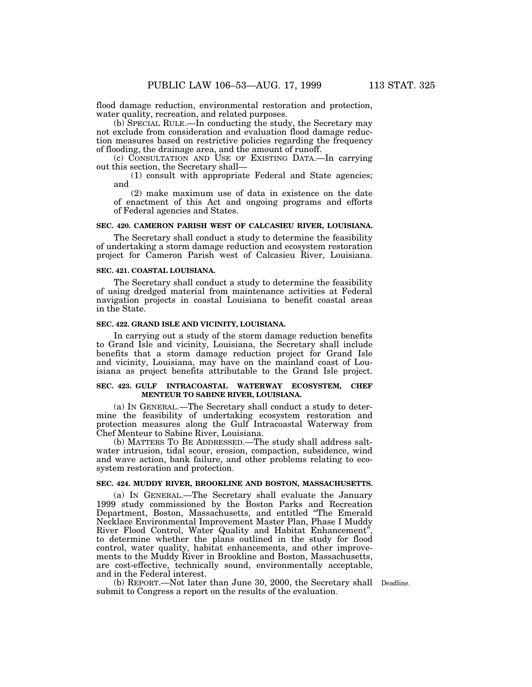flood damage reduction, environmental restoration and protection, water quality, recreation, and related purposes.

(b) SPECIAL RULE.—In conducting the study, the Secretary may not exclude from consideration and evaluation flood damage reduction measures based on restrictive policies regarding the frequency of flooding, the drainage area, and the amount of runoff.

(c) CONSULTATION AND USE OF EXISTING DATA.—In carrying out this section, the Secretary shall—

(1) consult with appropriate Federal and State agencies; and

(2) make maximum use of data in existence on the date of enactment of this Act and ongoing programs and efforts of Federal agencies and States.

#### **SEC. 420. CAMERON PARISH WEST OF CALCASIEU RIVER, LOUISIANA.**

The Secretary shall conduct a study to determine the feasibility of undertaking a storm damage reduction and ecosystem restoration project for Cameron Parish west of Calcasieu River, Louisiana.

# **SEC. 421. COASTAL LOUISIANA.**

The Secretary shall conduct a study to determine the feasibility of using dredged material from maintenance activities at Federal navigation projects in coastal Louisiana to benefit coastal areas in the State.

# **SEC. 422. GRAND ISLE AND VICINITY, LOUISIANA.**

In carrying out a study of the storm damage reduction benefits to Grand Isle and vicinity, Louisiana, the Secretary shall include benefits that a storm damage reduction project for Grand Isle and vicinity, Louisiana, may have on the mainland coast of Louisiana as project benefits attributable to the Grand Isle project.

#### **SEC. 423. GULF INTRACOASTAL WATERWAY ECOSYSTEM, CHEF MENTEUR TO SABINE RIVER, LOUISIANA.**

(a) IN GENERAL.—The Secretary shall conduct a study to determine the feasibility of undertaking ecosystem restoration and protection measures along the Gulf Intracoastal Waterway from Chef Menteur to Sabine River, Louisiana.

(b) MATTERS TO BE ADDRESSED.—The study shall address saltwater intrusion, tidal scour, erosion, compaction, subsidence, wind and wave action, bank failure, and other problems relating to ecosystem restoration and protection.

# **SEC. 424. MUDDY RIVER, BROOKLINE AND BOSTON, MASSACHUSETTS.**

(a) IN GENERAL.—The Secretary shall evaluate the January 1999 study commissioned by the Boston Parks and Recreation Department, Boston, Massachusetts, and entitled ''The Emerald Necklace Environmental Improvement Master Plan, Phase I Muddy River Flood Control, Water Quality and Habitat Enhancement'', to determine whether the plans outlined in the study for flood control, water quality, habitat enhancements, and other improvements to the Muddy River in Brookline and Boston, Massachusetts, are cost-effective, technically sound, environmentally acceptable, and in the Federal interest.

(b) REPORT.—Not later than June 30, 2000, the Secretary shall Deadline.submit to Congress a report on the results of the evaluation.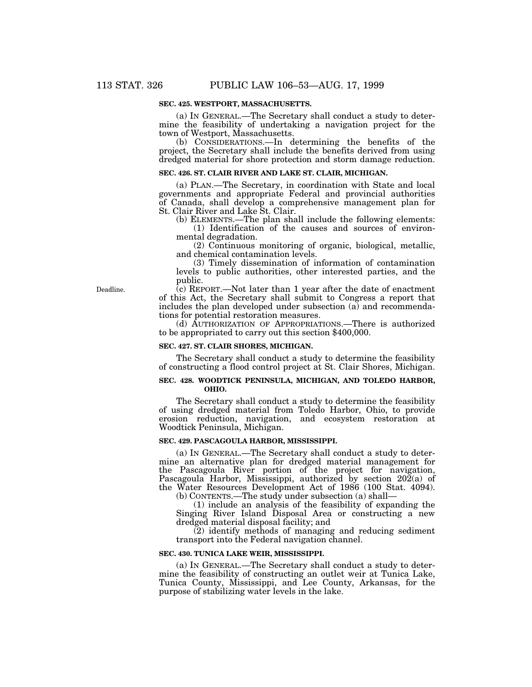### **SEC. 425. WESTPORT, MASSACHUSETTS.**

(a) IN GENERAL.—The Secretary shall conduct a study to determine the feasibility of undertaking a navigation project for the town of Westport, Massachusetts.

(b) CONSIDERATIONS.—In determining the benefits of the project, the Secretary shall include the benefits derived from using dredged material for shore protection and storm damage reduction.

#### **SEC. 426. ST. CLAIR RIVER AND LAKE ST. CLAIR, MICHIGAN.**

(a) PLAN.—The Secretary, in coordination with State and local governments and appropriate Federal and provincial authorities of Canada, shall develop a comprehensive management plan for St. Clair River and Lake St. Clair.

(b) ELEMENTS.—The plan shall include the following elements: (1) Identification of the causes and sources of environmental degradation.

(2) Continuous monitoring of organic, biological, metallic, and chemical contamination levels.

(3) Timely dissemination of information of contamination levels to public authorities, other interested parties, and the public.

 $\overline{c}$ ) REPORT.—Not later than 1 year after the date of enactment of this Act, the Secretary shall submit to Congress a report that includes the plan developed under subsection (a) and recommendations for potential restoration measures.

(d) AUTHORIZATION OF APPROPRIATIONS.—There is authorized to be appropriated to carry out this section \$400,000.

#### **SEC. 427. ST. CLAIR SHORES, MICHIGAN.**

The Secretary shall conduct a study to determine the feasibility of constructing a flood control project at St. Clair Shores, Michigan.

### **SEC. 428. WOODTICK PENINSULA, MICHIGAN, AND TOLEDO HARBOR, OHIO.**

The Secretary shall conduct a study to determine the feasibility of using dredged material from Toledo Harbor, Ohio, to provide erosion reduction, navigation, and ecosystem restoration at Woodtick Peninsula, Michigan.

#### **SEC. 429. PASCAGOULA HARBOR, MISSISSIPPI.**

(a) IN GENERAL.—The Secretary shall conduct a study to determine an alternative plan for dredged material management for the Pascagoula River portion of the project for navigation, Pascagoula Harbor, Mississippi, authorized by section  $20\overline{2}(a)$  of the Water Resources Development Act of 1986 (100 Stat. 4094).

(b) CONTENTS.—The study under subsection (a) shall—

(1) include an analysis of the feasibility of expanding the Singing River Island Disposal Area or constructing a new dredged material disposal facility; and

(2) identify methods of managing and reducing sediment transport into the Federal navigation channel.

#### **SEC. 430. TUNICA LAKE WEIR, MISSISSIPPI.**

(a) IN GENERAL.—The Secretary shall conduct a study to determine the feasibility of constructing an outlet weir at Tunica Lake, Tunica County, Mississippi, and Lee County, Arkansas, for the purpose of stabilizing water levels in the lake.

Deadline.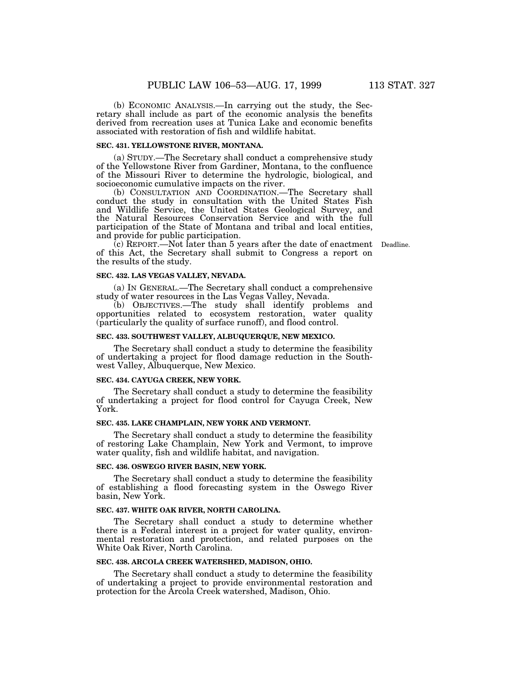(b) ECONOMIC ANALYSIS.—In carrying out the study, the Secretary shall include as part of the economic analysis the benefits derived from recreation uses at Tunica Lake and economic benefits associated with restoration of fish and wildlife habitat.

#### **SEC. 431. YELLOWSTONE RIVER, MONTANA.**

(a) STUDY.—The Secretary shall conduct a comprehensive study of the Yellowstone River from Gardiner, Montana, to the confluence of the Missouri River to determine the hydrologic, biological, and socioeconomic cumulative impacts on the river.

(b) CONSULTATION AND COORDINATION.—The Secretary shall conduct the study in consultation with the United States Fish and Wildlife Service, the United States Geological Survey, and the Natural Resources Conservation Service and with the full participation of the State of Montana and tribal and local entities, and provide for public participation.

(c) REPORT.—Not later than 5 years after the date of enactment Deadline.of this Act, the Secretary shall submit to Congress a report on the results of the study.

#### **SEC. 432. LAS VEGAS VALLEY, NEVADA.**

(a) IN GENERAL.—The Secretary shall conduct a comprehensive study of water resources in the Las Vegas Valley, Nevada.

(b) OBJECTIVES.—The study shall identify problems and opportunities related to ecosystem restoration, water quality (particularly the quality of surface runoff), and flood control.

#### **SEC. 433. SOUTHWEST VALLEY, ALBUQUERQUE, NEW MEXICO.**

The Secretary shall conduct a study to determine the feasibility of undertaking a project for flood damage reduction in the Southwest Valley, Albuquerque, New Mexico.

#### **SEC. 434. CAYUGA CREEK, NEW YORK.**

The Secretary shall conduct a study to determine the feasibility of undertaking a project for flood control for Cayuga Creek, New York.

### **SEC. 435. LAKE CHAMPLAIN, NEW YORK AND VERMONT.**

The Secretary shall conduct a study to determine the feasibility of restoring Lake Champlain, New York and Vermont, to improve water quality, fish and wildlife habitat, and navigation.

### **SEC. 436. OSWEGO RIVER BASIN, NEW YORK.**

The Secretary shall conduct a study to determine the feasibility of establishing a flood forecasting system in the Oswego River basin, New York.

## **SEC. 437. WHITE OAK RIVER, NORTH CAROLINA.**

The Secretary shall conduct a study to determine whether there is a Federal interest in a project for water quality, environmental restoration and protection, and related purposes on the White Oak River, North Carolina.

### **SEC. 438. ARCOLA CREEK WATERSHED, MADISON, OHIO.**

The Secretary shall conduct a study to determine the feasibility of undertaking a project to provide environmental restoration and protection for the Arcola Creek watershed, Madison, Ohio.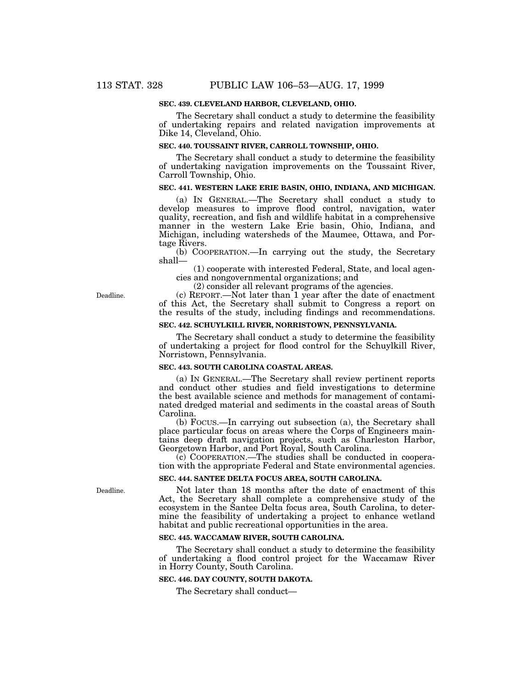### **SEC. 439. CLEVELAND HARBOR, CLEVELAND, OHIO.**

The Secretary shall conduct a study to determine the feasibility of undertaking repairs and related navigation improvements at Dike 14, Cleveland, Ohio.

#### **SEC. 440. TOUSSAINT RIVER, CARROLL TOWNSHIP, OHIO.**

The Secretary shall conduct a study to determine the feasibility of undertaking navigation improvements on the Toussaint River, Carroll Township, Ohio.

# **SEC. 441. WESTERN LAKE ERIE BASIN, OHIO, INDIANA, AND MICHIGAN.**

(a) IN GENERAL.—The Secretary shall conduct a study to develop measures to improve flood control, navigation, water quality, recreation, and fish and wildlife habitat in a comprehensive manner in the western Lake Erie basin, Ohio, Indiana, and Michigan, including watersheds of the Maumee, Ottawa, and Portage Rivers.

(b) COOPERATION.—In carrying out the study, the Secretary shall—

(1) cooperate with interested Federal, State, and local agencies and nongovernmental organizations; and

(2) consider all relevant programs of the agencies.

(c) REPORT.—Not later than 1 year after the date of enactment of this Act, the Secretary shall submit to Congress a report on the results of the study, including findings and recommendations.

### **SEC. 442. SCHUYLKILL RIVER, NORRISTOWN, PENNSYLVANIA.**

The Secretary shall conduct a study to determine the feasibility of undertaking a project for flood control for the Schuylkill River, Norristown, Pennsylvania.

### **SEC. 443. SOUTH CAROLINA COASTAL AREAS.**

(a) IN GENERAL.—The Secretary shall review pertinent reports and conduct other studies and field investigations to determine the best available science and methods for management of contaminated dredged material and sediments in the coastal areas of South Carolina.

(b) FOCUS.—In carrying out subsection (a), the Secretary shall place particular focus on areas where the Corps of Engineers maintains deep draft navigation projects, such as Charleston Harbor, Georgetown Harbor, and Port Royal, South Carolina.

(c) COOPERATION.—The studies shall be conducted in cooperation with the appropriate Federal and State environmental agencies.

#### **SEC. 444. SANTEE DELTA FOCUS AREA, SOUTH CAROLINA.**

Not later than 18 months after the date of enactment of this Act, the Secretary shall complete a comprehensive study of the ecosystem in the Santee Delta focus area, South Carolina, to determine the feasibility of undertaking a project to enhance wetland habitat and public recreational opportunities in the area.

#### **SEC. 445. WACCAMAW RIVER, SOUTH CAROLINA.**

The Secretary shall conduct a study to determine the feasibility of undertaking a flood control project for the Waccamaw River in Horry County, South Carolina.

### **SEC. 446. DAY COUNTY, SOUTH DAKOTA.**

The Secretary shall conduct—

Deadline.

Deadline.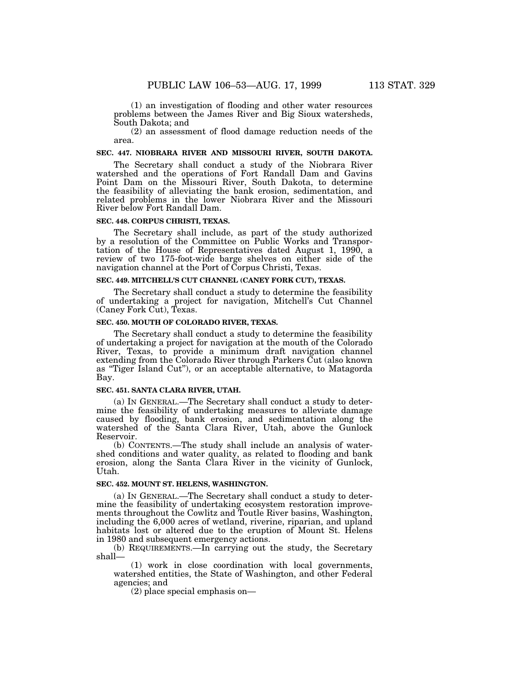(1) an investigation of flooding and other water resources problems between the James River and Big Sioux watersheds, South Dakota; and

(2) an assessment of flood damage reduction needs of the area.

#### **SEC. 447. NIOBRARA RIVER AND MISSOURI RIVER, SOUTH DAKOTA.**

The Secretary shall conduct a study of the Niobrara River watershed and the operations of Fort Randall Dam and Gavins Point Dam on the Missouri River, South Dakota, to determine the feasibility of alleviating the bank erosion, sedimentation, and related problems in the lower Niobrara River and the Missouri River below Fort Randall Dam.

#### **SEC. 448. CORPUS CHRISTI, TEXAS.**

The Secretary shall include, as part of the study authorized by a resolution of the Committee on Public Works and Transportation of the House of Representatives dated August 1, 1990, a review of two 175-foot-wide barge shelves on either side of the navigation channel at the Port of Corpus Christi, Texas.

#### **SEC. 449. MITCHELL'S CUT CHANNEL (CANEY FORK CUT), TEXAS.**

The Secretary shall conduct a study to determine the feasibility of undertaking a project for navigation, Mitchell's Cut Channel (Caney Fork Cut), Texas.

#### **SEC. 450. MOUTH OF COLORADO RIVER, TEXAS.**

The Secretary shall conduct a study to determine the feasibility of undertaking a project for navigation at the mouth of the Colorado River, Texas, to provide a minimum draft navigation channel extending from the Colorado River through Parkers Cut (also known as ''Tiger Island Cut''), or an acceptable alternative, to Matagorda Bay.

#### **SEC. 451. SANTA CLARA RIVER, UTAH.**

(a) IN GENERAL.—The Secretary shall conduct a study to determine the feasibility of undertaking measures to alleviate damage caused by flooding, bank erosion, and sedimentation along the watershed of the Santa Clara River, Utah, above the Gunlock Reservoir.

(b) CONTENTS.—The study shall include an analysis of watershed conditions and water quality, as related to flooding and bank erosion, along the Santa Clara River in the vicinity of Gunlock, Utah.

# **SEC. 452. MOUNT ST. HELENS, WASHINGTON.**

(a) IN GENERAL.—The Secretary shall conduct a study to determine the feasibility of undertaking ecosystem restoration improvements throughout the Cowlitz and Toutle River basins, Washington, including the 6,000 acres of wetland, riverine, riparian, and upland habitats lost or altered due to the eruption of Mount St. Helens in 1980 and subsequent emergency actions.

(b) REQUIREMENTS.—In carrying out the study, the Secretary shall—

(1) work in close coordination with local governments, watershed entities, the State of Washington, and other Federal agencies; and

(2) place special emphasis on—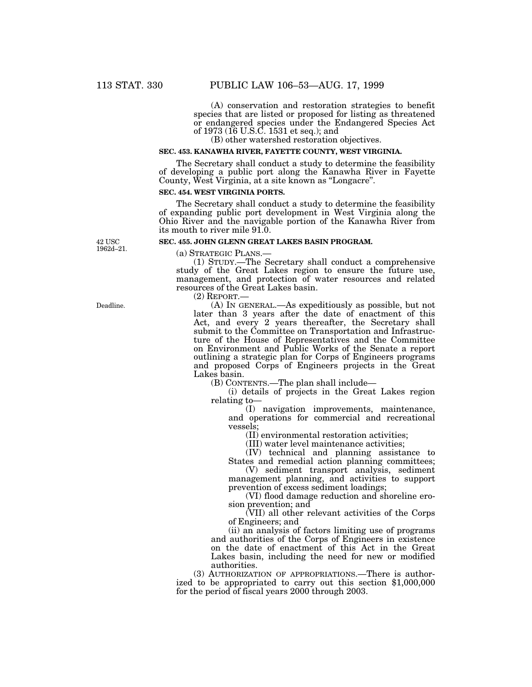(A) conservation and restoration strategies to benefit species that are listed or proposed for listing as threatened or endangered species under the Endangered Species Act of 1973 (16 U.S.C. 1531 et seq.); and

(B) other watershed restoration objectives.

#### **SEC. 453. KANAWHA RIVER, FAYETTE COUNTY, WEST VIRGINIA.**

The Secretary shall conduct a study to determine the feasibility of developing a public port along the Kanawha River in Fayette County, West Virginia, at a site known as ''Longacre''.

### **SEC. 454. WEST VIRGINIA PORTS.**

The Secretary shall conduct a study to determine the feasibility of expanding public port development in West Virginia along the Ohio River and the navigable portion of the Kanawha River from its mouth to river mile 91.0.

# **SEC. 455. JOHN GLENN GREAT LAKES BASIN PROGRAM.**

(a) STRATEGIC PLANS.— (1) STUDY.—The Secretary shall conduct a comprehensive study of the Great Lakes region to ensure the future use, management, and protection of water resources and related resources of the Great Lakes basin.

(2) REPORT.—

(A) IN GENERAL.—As expeditiously as possible, but not later than 3 years after the date of enactment of this Act, and every 2 years thereafter, the Secretary shall submit to the Committee on Transportation and Infrastructure of the House of Representatives and the Committee on Environment and Public Works of the Senate a report outlining a strategic plan for Corps of Engineers programs and proposed Corps of Engineers projects in the Great Lakes basin.

(B) CONTENTS.—The plan shall include—

(i) details of projects in the Great Lakes region relating to—

(I) navigation improvements, maintenance, and operations for commercial and recreational vessels;

(II) environmental restoration activities;

(III) water level maintenance activities;

(IV) technical and planning assistance to States and remedial action planning committees;

(V) sediment transport analysis, sediment management planning, and activities to support prevention of excess sediment loadings;

(VI) flood damage reduction and shoreline erosion prevention; and

(VII) all other relevant activities of the Corps of Engineers; and

(ii) an analysis of factors limiting use of programs and authorities of the Corps of Engineers in existence on the date of enactment of this Act in the Great Lakes basin, including the need for new or modified authorities.

(3) AUTHORIZATION OF APPROPRIATIONS.—There is authorized to be appropriated to carry out this section \$1,000,000 for the period of fiscal years 2000 through 2003.

Deadline.

42 USC 1962d–21.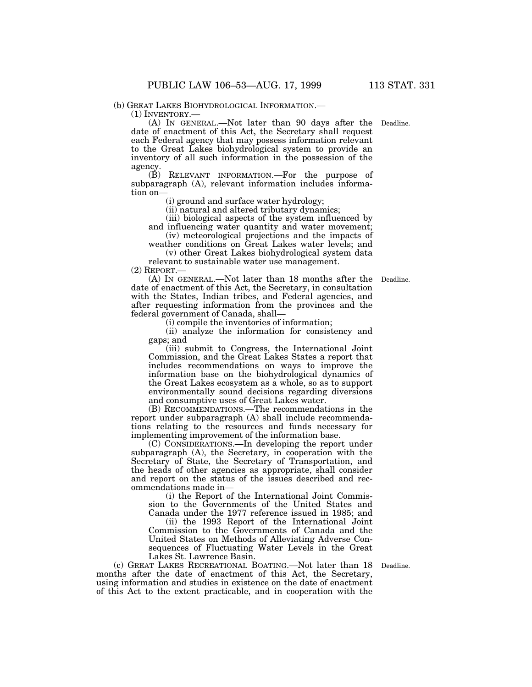(b) GREAT LAKES BIOHYDROLOGICAL INFORMATION.— (1) INVENTORY.— (A) IN GENERAL.—Not later than 90 days after the Deadline.date of enactment of this Act, the Secretary shall request each Federal agency that may possess information relevant to the Great Lakes biohydrological system to provide an inventory of all such information in the possession of the agency.

(B) RELEVANT INFORMATION.—For the purpose of subparagraph (A), relevant information includes information on—

(i) ground and surface water hydrology;

(ii) natural and altered tributary dynamics;

(iii) biological aspects of the system influenced by and influencing water quantity and water movement;

(iv) meteorological projections and the impacts of weather conditions on Great Lakes water levels; and

(v) other Great Lakes biohydrological system data relevant to sustainable water use management.

(2) REPORT.—

(A) IN GENERAL.—Not later than 18 months after the Deadline. date of enactment of this Act, the Secretary, in consultation with the States, Indian tribes, and Federal agencies, and after requesting information from the provinces and the federal government of Canada, shall—

(i) compile the inventories of information;

(ii) analyze the information for consistency and gaps; and

(iii) submit to Congress, the International Joint Commission, and the Great Lakes States a report that includes recommendations on ways to improve the information base on the biohydrological dynamics of the Great Lakes ecosystem as a whole, so as to support environmentally sound decisions regarding diversions and consumptive uses of Great Lakes water.

(B) RECOMMENDATIONS.—The recommendations in the report under subparagraph (A) shall include recommendations relating to the resources and funds necessary for implementing improvement of the information base.

(C) CONSIDERATIONS.—In developing the report under subparagraph (A), the Secretary, in cooperation with the Secretary of State, the Secretary of Transportation, and the heads of other agencies as appropriate, shall consider and report on the status of the issues described and recommendations made in—

(i) the Report of the International Joint Commission to the Governments of the United States and Canada under the 1977 reference issued in 1985; and

(ii) the 1993 Report of the International Joint Commission to the Governments of Canada and the United States on Methods of Alleviating Adverse Consequences of Fluctuating Water Levels in the Great Lakes St. Lawrence Basin.

(c) GREAT LAKES RECREATIONAL BOATING.—Not later than 18 Deadline. months after the date of enactment of this Act, the Secretary, using information and studies in existence on the date of enactment of this Act to the extent practicable, and in cooperation with the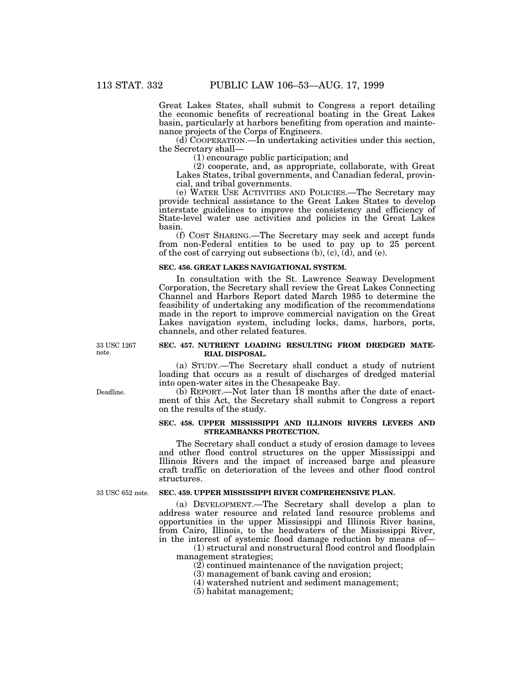Great Lakes States, shall submit to Congress a report detailing the economic benefits of recreational boating in the Great Lakes basin, particularly at harbors benefiting from operation and maintenance projects of the Corps of Engineers.

 $(d)$  COOPERATION.—In undertaking activities under this section, the Secretary shall—

(1) encourage public participation; and

(2) cooperate, and, as appropriate, collaborate, with Great Lakes States, tribal governments, and Canadian federal, provincial, and tribal governments.

(e) WATER USE ACTIVITIES AND POLICIES.—The Secretary may provide technical assistance to the Great Lakes States to develop interstate guidelines to improve the consistency and efficiency of State-level water use activities and policies in the Great Lakes basin.

(f) COST SHARING.—The Secretary may seek and accept funds from non-Federal entities to be used to pay up to 25 percent of the cost of carrying out subsections  $(b)$ ,  $(c)$ ,  $(d)$ , and  $(e)$ .

#### **SEC. 456. GREAT LAKES NAVIGATIONAL SYSTEM.**

In consultation with the St. Lawrence Seaway Development Corporation, the Secretary shall review the Great Lakes Connecting Channel and Harbors Report dated March 1985 to determine the feasibility of undertaking any modification of the recommendations made in the report to improve commercial navigation on the Great Lakes navigation system, including locks, dams, harbors, ports, channels, and other related features.

33 USC 1267 note.

Deadline.

### **SEC. 457. NUTRIENT LOADING RESULTING FROM DREDGED MATE-RIAL DISPOSAL.**

(a) STUDY.—The Secretary shall conduct a study of nutrient loading that occurs as a result of discharges of dredged material into open-water sites in the Chesapeake Bay.

(b) REPORT.—Not later than 18 months after the date of enactment of this Act, the Secretary shall submit to Congress a report on the results of the study.

### **SEC. 458. UPPER MISSISSIPPI AND ILLINOIS RIVERS LEVEES AND STREAMBANKS PROTECTION.**

The Secretary shall conduct a study of erosion damage to levees and other flood control structures on the upper Mississippi and Illinois Rivers and the impact of increased barge and pleasure craft traffic on deterioration of the levees and other flood control structures.

33 USC 652 note.

# **SEC. 459. UPPER MISSISSIPPI RIVER COMPREHENSIVE PLAN.**

(a) DEVELOPMENT.—The Secretary shall develop a plan to address water resource and related land resource problems and opportunities in the upper Mississippi and Illinois River basins, from Cairo, Illinois, to the headwaters of the Mississippi River, in the interest of systemic flood damage reduction by means of—

(1) structural and nonstructural flood control and floodplain management strategies;

(2) continued maintenance of the navigation project;

(3) management of bank caving and erosion;

(4) watershed nutrient and sediment management;

(5) habitat management;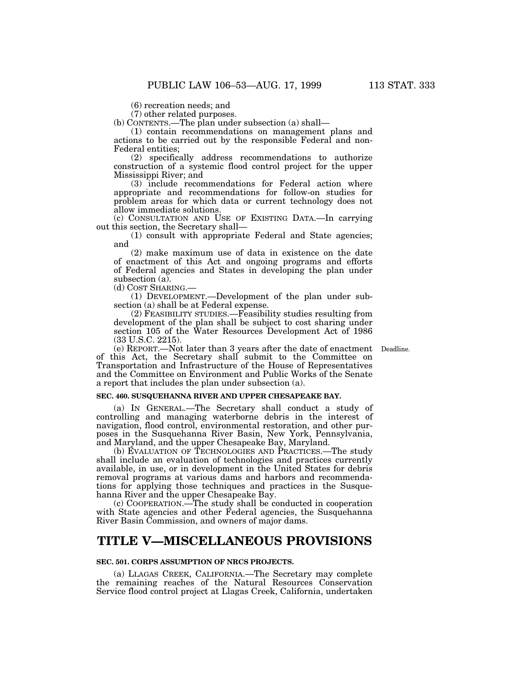(7) other related purposes.

(b) CONTENTS.—The plan under subsection (a) shall—

(1) contain recommendations on management plans and actions to be carried out by the responsible Federal and non-Federal entities;

(2) specifically address recommendations to authorize construction of a systemic flood control project for the upper Mississippi River; and

(3) include recommendations for Federal action where appropriate and recommendations for follow-on studies for problem areas for which data or current technology does not allow immediate solutions.

(c) CONSULTATION AND USE OF EXISTING DATA.—In carrying out this section, the Secretary shall—

(1) consult with appropriate Federal and State agencies; and

(2) make maximum use of data in existence on the date of enactment of this Act and ongoing programs and efforts of Federal agencies and States in developing the plan under subsection (a).

(d) COST SHARING.—

(1) DEVELOPMENT.—Development of the plan under subsection (a) shall be at Federal expense.

(2) FEASIBILITY STUDIES.—Feasibility studies resulting from development of the plan shall be subject to cost sharing under section 105 of the Water Resources Development Act of 1986 (33 U.S.C. 2215).

Deadline.

(e) REPORT.—Not later than 3 years after the date of enactment of this Act, the Secretary shall submit to the Committee on Transportation and Infrastructure of the House of Representatives and the Committee on Environment and Public Works of the Senate a report that includes the plan under subsection (a).

### **SEC. 460. SUSQUEHANNA RIVER AND UPPER CHESAPEAKE BAY.**

(a) IN GENERAL.—The Secretary shall conduct a study of controlling and managing waterborne debris in the interest of navigation, flood control, environmental restoration, and other purposes in the Susquehanna River Basin, New York, Pennsylvania, and Maryland, and the upper Chesapeake Bay, Maryland.

(b) EVALUATION OF TECHNOLOGIES AND PRACTICES.—The study shall include an evaluation of technologies and practices currently available, in use, or in development in the United States for debris removal programs at various dams and harbors and recommendations for applying those techniques and practices in the Susquehanna River and the upper Chesapeake Bay.

(c) COOPERATION.—The study shall be conducted in cooperation with State agencies and other Federal agencies, the Susquehanna River Basin Commission, and owners of major dams.

# **TITLE V—MISCELLANEOUS PROVISIONS**

### **SEC. 501. CORPS ASSUMPTION OF NRCS PROJECTS.**

(a) LLAGAS CREEK, CALIFORNIA.—The Secretary may complete the remaining reaches of the Natural Resources Conservation Service flood control project at Llagas Creek, California, undertaken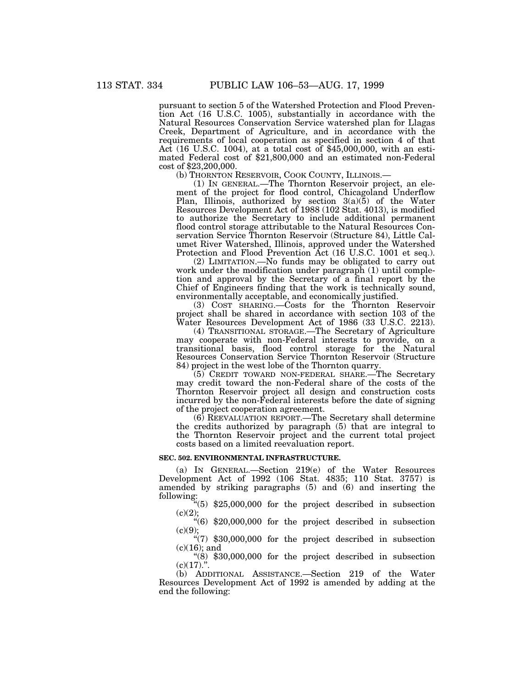pursuant to section 5 of the Watershed Protection and Flood Prevention Act (16 U.S.C. 1005), substantially in accordance with the Natural Resources Conservation Service watershed plan for Llagas Creek, Department of Agriculture, and in accordance with the requirements of local cooperation as specified in section 4 of that Act (16 U.S.C. 1004), at a total cost of \$45,000,000, with an estimated Federal cost of \$21,800,000 and an estimated non-Federal cost of \$23,200,000.

(b) THORNTON RESERVOIR, COOK COUNTY, ILLINOIS.—

(1) IN GENERAL.—The Thornton Reservoir project, an element of the project for flood control, Chicagoland Underflow Plan, Illinois, authorized by section 3(a)(5) of the Water Resources Development Act of 1988 (102 Stat. 4013), is modified to authorize the Secretary to include additional permanent flood control storage attributable to the Natural Resources Conservation Service Thornton Reservoir (Structure 84), Little Calumet River Watershed, Illinois, approved under the Watershed Protection and Flood Prevention Act (16 U.S.C. 1001 et seq.).

(2) LIMITATION.—No funds may be obligated to carry out work under the modification under paragraph (1) until completion and approval by the Secretary of a final report by the Chief of Engineers finding that the work is technically sound, environmentally acceptable, and economically justified.

(3) COST SHARING.—Costs for the Thornton Reservoir project shall be shared in accordance with section 103 of the Water Resources Development Act of 1986 (33 U.S.C. 2213).

(4) TRANSITIONAL STORAGE.—The Secretary of Agriculture may cooperate with non-Federal interests to provide, on a transitional basis, flood control storage for the Natural Resources Conservation Service Thornton Reservoir (Structure 84) project in the west lobe of the Thornton quarry.

(5) CREDIT TOWARD NON-FEDERAL SHARE.—The Secretary may credit toward the non-Federal share of the costs of the Thornton Reservoir project all design and construction costs incurred by the non-Federal interests before the date of signing of the project cooperation agreement.

(6) REEVALUATION REPORT.—The Secretary shall determine the credits authorized by paragraph (5) that are integral to the Thornton Reservoir project and the current total project costs based on a limited reevaluation report.

### **SEC. 502. ENVIRONMENTAL INFRASTRUCTURE.**

(a) IN GENERAL.—Section 219(e) of the Water Resources Development Act of 1992 (106 Stat. 4835; 110 Stat. 3757) is amended by striking paragraphs (5) and (6) and inserting the following:

''(5) \$25,000,000 for the project described in subsection  $(c)(2);$ 

 $\cdot (6)$  \$20,000,000 for the project described in subsection  $(c)(9);$ 

''(7) \$30,000,000 for the project described in subsection (c)(16); and

" $(8)$  \$30,000,000 for the project described in subsection  $(c)(17)^{n}$ .

(b) ADDITIONAL ASSISTANCE.—Section 219 of the Water Resources Development Act of 1992 is amended by adding at the end the following: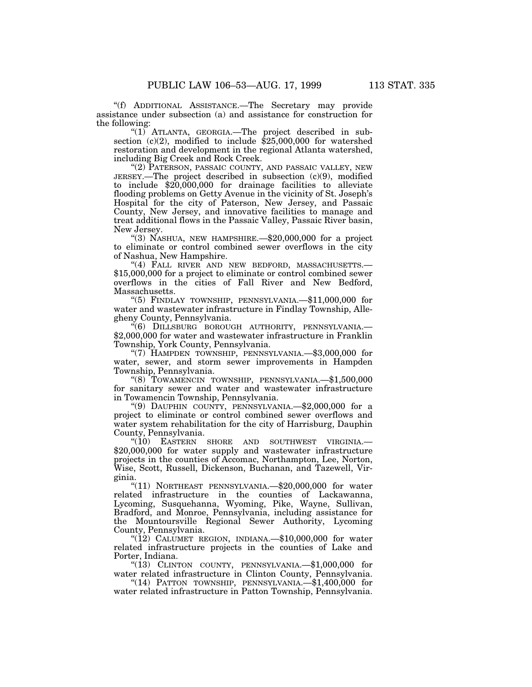''(f) ADDITIONAL ASSISTANCE.—The Secretary may provide assistance under subsection (a) and assistance for construction for the following:

"(1) ATLANTA, GEORGIA.—The project described in subsection (c)(2), modified to include \$25,000,000 for watershed restoration and development in the regional Atlanta watershed, including Big Creek and Rock Creek.

"(2) PATERSON, PASSAIC COUNTY, AND PASSAIC VALLEY, NEW JERSEY.—The project described in subsection (c)(9), modified to include \$20,000,000 for drainage facilities to alleviate flooding problems on Getty Avenue in the vicinity of St. Joseph's Hospital for the city of Paterson, New Jersey, and Passaic County, New Jersey, and innovative facilities to manage and treat additional flows in the Passaic Valley, Passaic River basin, New Jersey.

''(3) NASHUA, NEW HAMPSHIRE.—\$20,000,000 for a project to eliminate or control combined sewer overflows in the city of Nashua, New Hampshire.

"(4) FALL RIVER AND NEW BEDFORD, MASSACHUSETTS.-\$15,000,000 for a project to eliminate or control combined sewer overflows in the cities of Fall River and New Bedford, Massachusetts.

" $(5)$  FINDLAY TOWNSHIP, PENNSYLVANIA.  $\rightarrow$ \$11,000,000 for water and wastewater infrastructure in Findlay Township, Allegheny County, Pennsylvania.

''(6) DILLSBURG BOROUGH AUTHORITY, PENNSYLVANIA.— \$2,000,000 for water and wastewater infrastructure in Franklin Township, York County, Pennsylvania.

''(7) HAMPDEN TOWNSHIP, PENNSYLVANIA.—\$3,000,000 for water, sewer, and storm sewer improvements in Hampden Township, Pennsylvania.

''(8) TOWAMENCIN TOWNSHIP, PENNSYLVANIA.—\$1,500,000 for sanitary sewer and water and wastewater infrastructure in Towamencin Township, Pennsylvania.

''(9) DAUPHIN COUNTY, PENNSYLVANIA.—\$2,000,000 for a project to eliminate or control combined sewer overflows and water system rehabilitation for the city of Harrisburg, Dauphin County, Pennsylvania.

"(10) EASTERN SHORE AND SOUTHWEST VIRGINIA.— \$20,000,000 for water supply and wastewater infrastructure projects in the counties of Accomac, Northampton, Lee, Norton, Wise, Scott, Russell, Dickenson, Buchanan, and Tazewell, Virginia.

''(11) NORTHEAST PENNSYLVANIA.—\$20,000,000 for water related infrastructure in the counties of Lackawanna, Lycoming, Susquehanna, Wyoming, Pike, Wayne, Sullivan, Bradford, and Monroe, Pennsylvania, including assistance for the Mountoursville Regional Sewer Authority, Lycoming County, Pennsylvania.

" $(12)$  CALUMET REGION, INDIANA.— $$10,000,000$  for water related infrastructure projects in the counties of Lake and Porter, Indiana.

" $(13)$  CLINTON COUNTY, PENNSYLVANIA.  $\leftarrow$ \$1,000,000 for water related infrastructure in Clinton County, Pennsylvania.

''(14) PATTON TOWNSHIP, PENNSYLVANIA.—\$1,400,000 for water related infrastructure in Patton Township, Pennsylvania.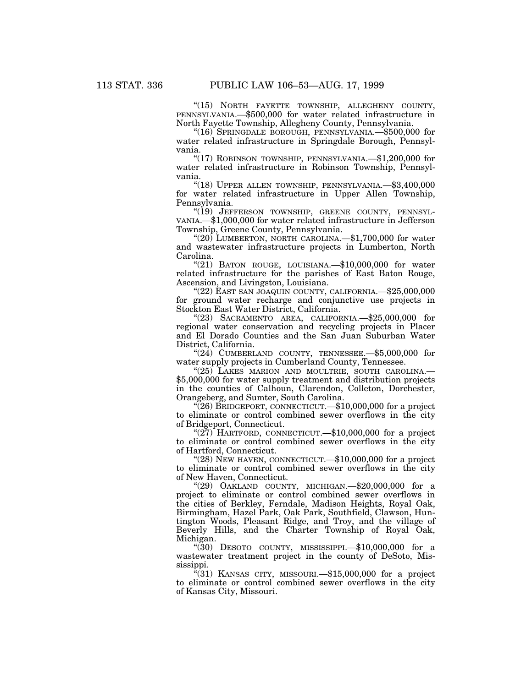"(15) NORTH FAYETTE TOWNSHIP, ALLEGHENY COUNTY, PENNSYLVANIA.—\$500,000 for water related infrastructure in North Fayette Township, Allegheny County, Pennsylvania.

''(16) SPRINGDALE BOROUGH, PENNSYLVANIA.—\$500,000 for water related infrastructure in Springdale Borough, Pennsylvania.

" $(17)$  ROBINSON TOWNSHIP, PENNSYLVANIA.— $$1,200,000$  for water related infrastructure in Robinson Township, Pennsylvania.

''(18) UPPER ALLEN TOWNSHIP, PENNSYLVANIA.—\$3,400,000 for water related infrastructure in Upper Allen Township, Pennsylvania.

"(19) JEFFERSON TOWNSHIP, GREENE COUNTY, PENNSYL-VANIA.—\$1,000,000 for water related infrastructure in Jefferson Township, Greene County, Pennsylvania.

"(20) LUMBERTON, NORTH CAROLINA.—\$1,700,000 for water and wastewater infrastructure projects in Lumberton, North Carolina.

" $(21)$  BATON ROUGE, LOUISIANA.  $$10,000,000$  for water related infrastructure for the parishes of East Baton Rouge, Ascension, and Livingston, Louisiana.

"(22) EAST SAN JOAQUIN COUNTY, CALIFORNIA.—\$25,000,000 for ground water recharge and conjunctive use projects in Stockton East Water District, California.

''(23) SACRAMENTO AREA, CALIFORNIA.—\$25,000,000 for regional water conservation and recycling projects in Placer and El Dorado Counties and the San Juan Suburban Water District, California.

" $(24)$  CUMBERLAND COUNTY, TENNESSEE.  $$5,000,000$  for water supply projects in Cumberland County, Tennessee.

"(25) LAKES MARION AND MOULTRIE, SOUTH CAROLINA.— \$5,000,000 for water supply treatment and distribution projects in the counties of Calhoun, Clarendon, Colleton, Dorchester, Orangeberg, and Sumter, South Carolina.

"(26) BRIDGEPORT, CONNECTICUT.— $$10,000,000$  for a project to eliminate or control combined sewer overflows in the city of Bridgeport, Connecticut.

" $(27)$  HARTFORD, CONNECTICUT.—\$10,000,000 for a project to eliminate or control combined sewer overflows in the city of Hartford, Connecticut.

" $(28)$  NEW HAVEN, CONNECTICUT.— $$10,000,000$  for a project to eliminate or control combined sewer overflows in the city of New Haven, Connecticut.

"(29) OAKLAND COUNTY, MICHIGAN. $-$ \$20,000,000 for a project to eliminate or control combined sewer overflows in the cities of Berkley, Ferndale, Madison Heights, Royal Oak, Birmingham, Hazel Park, Oak Park, Southfield, Clawson, Huntington Woods, Pleasant Ridge, and Troy, and the village of Beverly Hills, and the Charter Township of Royal Oak, Michigan.

" $(30)$  DESOTO COUNTY, MISSISSIPPI.— $$10,000,000$  for a wastewater treatment project in the county of DeSoto, Mississippi.

 $\sqrt[4]{31}$  KANSAS CITY, MISSOURI.— $$15,000,000$  for a project to eliminate or control combined sewer overflows in the city of Kansas City, Missouri.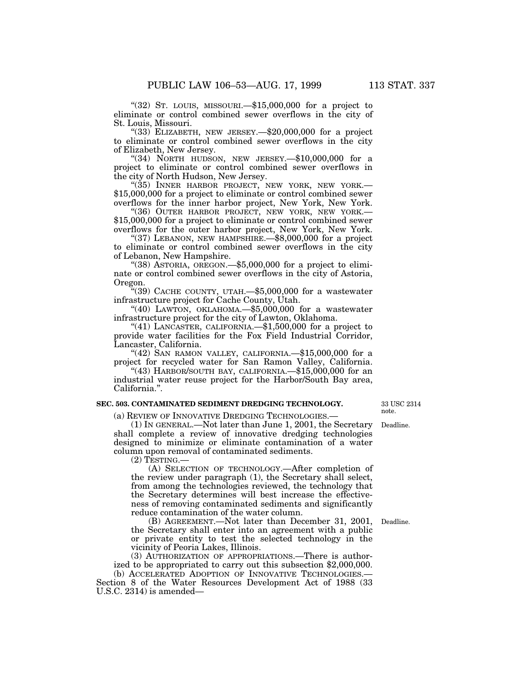"(32) St. LOUIS, MISSOURI.—\$15,000,000 for a project to eliminate or control combined sewer overflows in the city of St. Louis, Missouri.

" $(33)$  ELIZABETH, NEW JERSEY.— $$20,000,000$  for a project to eliminate or control combined sewer overflows in the city of Elizabeth, New Jersey.

" $(34)$  NORTH HUDSON, NEW JERSEY.  $$10,000,000$  for a project to eliminate or control combined sewer overflows in the city of North Hudson, New Jersey.

"(35) INNER HARBOR PROJECT, NEW YORK, NEW YORK.-\$15,000,000 for a project to eliminate or control combined sewer overflows for the inner harbor project, New York, New York.

"(36) OUTER HARBOR PROJECT, NEW YORK, NEW YORK.-\$15,000,000 for a project to eliminate or control combined sewer overflows for the outer harbor project, New York, New York.

"(37) LEBANON, NEW HAMPSHIRE.—\$8,000,000 for a project to eliminate or control combined sewer overflows in the city of Lebanon, New Hampshire.

''(38) ASTORIA, OREGON.—\$5,000,000 for a project to eliminate or control combined sewer overflows in the city of Astoria, Oregon.

"(39) CACHE COUNTY, UTAH. $-$ \$5,000,000 for a wastewater infrastructure project for Cache County, Utah.

" $(40)$  LAWTON, OKLAHOMA.— $$5,000,000$  for a wastewater infrastructure project for the city of Lawton, Oklahoma.

"(41) LANCASTER, CALIFORNIA.— $$1,500,000$  for a project to provide water facilities for the Fox Field Industrial Corridor, Lancaster, California.

" $(42)$  SAN RAMON VALLEY, CALIFORNIA.  $$15,000,000$  for a project for recycled water for San Ramon Valley, California.

"(43) HARBOR/SOUTH BAY, CALIFORNIA. $-\$15,000,000$  for an industrial water reuse project for the Harbor/South Bay area, California.''.

### **SEC. 503. CONTAMINATED SEDIMENT DREDGING TECHNOLOGY.**

33 USC 2314 note.

Deadline.

(a) REVIEW OF INNOVATIVE DREDGING TECHNOLOGIES.—

(1) IN GENERAL.—Not later than June 1, 2001, the Secretary shall complete a review of innovative dredging technologies designed to minimize or eliminate contamination of a water column upon removal of contaminated sediments.

 $(2)$  Testing.

(A) SELECTION OF TECHNOLOGY.—After completion of the review under paragraph (1), the Secretary shall select, from among the technologies reviewed, the technology that the Secretary determines will best increase the effectiveness of removing contaminated sediments and significantly reduce contamination of the water column.

(B) AGREEMENT.—Not later than December 31, 2001, the Secretary shall enter into an agreement with a public or private entity to test the selected technology in the vicinity of Peoria Lakes, Illinois.

(3) AUTHORIZATION OF APPROPRIATIONS.—There is authorized to be appropriated to carry out this subsection \$2,000,000.

(b) ACCELERATED ADOPTION OF INNOVATIVE TECHNOLOGIES.— Section 8 of the Water Resources Development Act of 1988 (33 U.S.C. 2314) is amended—

Deadline.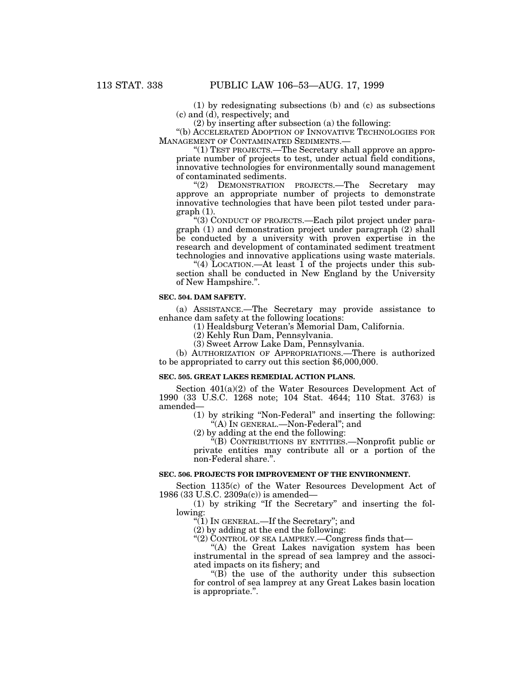(1) by redesignating subsections (b) and (c) as subsections (c) and (d), respectively; and

(2) by inserting after subsection (a) the following:

''(b) ACCELERATED ADOPTION OF INNOVATIVE TECHNOLOGIES FOR MANAGEMENT OF CONTAMINATED SEDIMENTS.—

''(1) TEST PROJECTS.—The Secretary shall approve an appropriate number of projects to test, under actual field conditions, innovative technologies for environmentally sound management of contaminated sediments.

''(2) DEMONSTRATION PROJECTS.—The Secretary may approve an appropriate number of projects to demonstrate innovative technologies that have been pilot tested under paragraph (1).

''(3) CONDUCT OF PROJECTS.—Each pilot project under paragraph (1) and demonstration project under paragraph (2) shall be conducted by a university with proven expertise in the research and development of contaminated sediment treatment technologies and innovative applications using waste materials.

"(4) LOCATION.—At least  $\overline{1}$  of the projects under this subsection shall be conducted in New England by the University of New Hampshire.''.

#### **SEC. 504. DAM SAFETY.**

(a) ASSISTANCE.—The Secretary may provide assistance to enhance dam safety at the following locations:

(1) Healdsburg Veteran's Memorial Dam, California.

(2) Kehly Run Dam, Pennsylvania.

(3) Sweet Arrow Lake Dam, Pennsylvania.

(b) AUTHORIZATION OF APPROPRIATIONS.—There is authorized to be appropriated to carry out this section \$6,000,000.

### **SEC. 505. GREAT LAKES REMEDIAL ACTION PLANS.**

Section  $401(a)(2)$  of the Water Resources Development Act of 1990 (33 U.S.C. 1268 note; 104 Stat. 4644; 110 Stat. 3763) is amended—

(1) by striking ''Non-Federal'' and inserting the following: "(A) IN GENERAL.—Non-Federal"; and

(2) by adding at the end the following:

''(B) CONTRIBUTIONS BY ENTITIES.—Nonprofit public or private entities may contribute all or a portion of the non-Federal share.''.

# **SEC. 506. PROJECTS FOR IMPROVEMENT OF THE ENVIRONMENT.**

Section 1135(c) of the Water Resources Development Act of 1986 (33 U.S.C. 2309a(c)) is amended—

(1) by striking ''If the Secretary'' and inserting the following:

" $(1)$  In GENERAL.—If the Secretary"; and

(2) by adding at the end the following:

''(2) CONTROL OF SEA LAMPREY.—Congress finds that—

''(A) the Great Lakes navigation system has been instrumental in the spread of sea lamprey and the associated impacts on its fishery; and

 $(G)$  the use of the authority under this subsection for control of sea lamprey at any Great Lakes basin location is appropriate.''.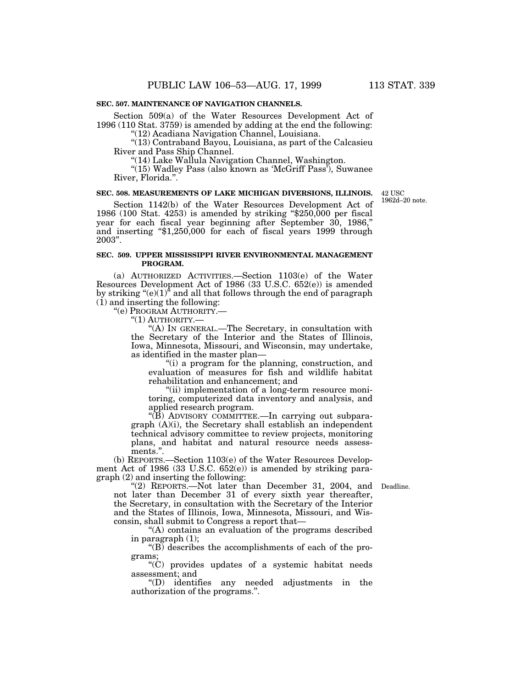# **SEC. 507. MAINTENANCE OF NAVIGATION CHANNELS.**

Section 509(a) of the Water Resources Development Act of 1996 (110 Stat. 3759) is amended by adding at the end the following:

''(12) Acadiana Navigation Channel, Louisiana.

''(13) Contraband Bayou, Louisiana, as part of the Calcasieu River and Pass Ship Channel.

''(14) Lake Wallula Navigation Channel, Washington.

 $\sqrt{\frac{2}{15}}$  Wadley Pass (also known as 'McGriff Pass'), Suwanee River, Florida.''.

#### **SEC. 508. MEASUREMENTS OF LAKE MICHIGAN DIVERSIONS, ILLINOIS.**

42 USC 1962d–20 note.

Section 1142(b) of the Water Resources Development Act of 1986 (100 Stat. 4253) is amended by striking ''\$250,000 per fiscal year for each fiscal year beginning after September 30, 1986,'' and inserting ''\$1,250,000 for each of fiscal years 1999 through 2003''.

# **SEC. 509. UPPER MISSISSIPPI RIVER ENVIRONMENTAL MANAGEMENT PROGRAM.**

(a) AUTHORIZED ACTIVITIES.—Section 1103(e) of the Water Resources Development Act of 1986 (33 U.S.C. 652(e)) is amended by striking " $(e)(1)^5$  and all that follows through the end of paragraph  $(i)$  and inserting the following:

''(e) PROGRAM AUTHORITY.—

"(1) AUTHORITY.-

''(A) IN GENERAL.—The Secretary, in consultation with the Secretary of the Interior and the States of Illinois, Iowa, Minnesota, Missouri, and Wisconsin, may undertake, as identified in the master plan—

''(i) a program for the planning, construction, and evaluation of measures for fish and wildlife habitat rehabilitation and enhancement; and

"(ii) implementation of a long-term resource monitoring, computerized data inventory and analysis, and applied research program.

''(B) ADVISORY COMMITTEE.—In carrying out subparagraph (A)(i), the Secretary shall establish an independent technical advisory committee to review projects, monitoring plans, and habitat and natural resource needs assessments.".

(b) REPORTS.—Section 1103(e) of the Water Resources Development Act of 1986 (33 U.S.C. 652(e)) is amended by striking paragraph (2) and inserting the following:

"(2) REPORTS.—Not later than December 31, 2004, and Deadline. not later than December 31 of every sixth year thereafter, the Secretary, in consultation with the Secretary of the Interior and the States of Illinois, Iowa, Minnesota, Missouri, and Wisconsin, shall submit to Congress a report that—

"(A) contains an evaluation of the programs described in paragraph (1);

 $\cdot$ (B) describes the accomplishments of each of the programs;

''(C) provides updates of a systemic habitat needs assessment; and

''(D) identifies any needed adjustments in the authorization of the programs.''.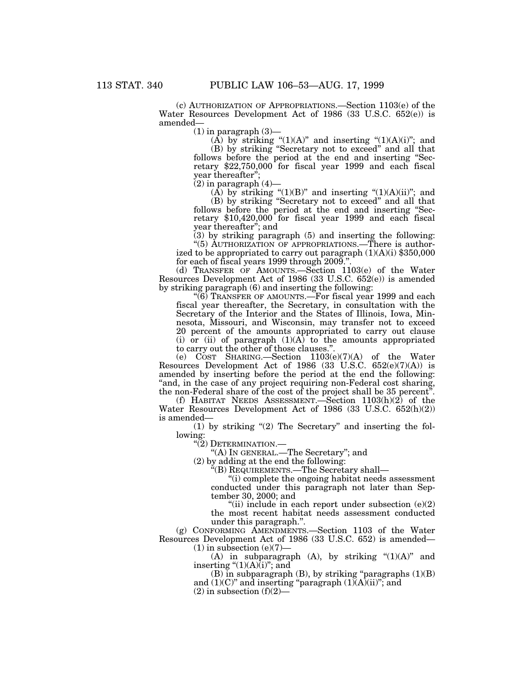(c) AUTHORIZATION OF APPROPRIATIONS.—Section 1103(e) of the Water Resources Development Act of 1986 (33 U.S.C. 652(e)) is amended—

 $(1)$  in paragraph  $(3)$ —

(A) by striking " $(1)(A)$ " and inserting " $(1)(A)(i)$ "; and (B) by striking ''Secretary not to exceed'' and all that follows before the period at the end and inserting "Secretary \$22,750,000 for fiscal year 1999 and each fiscal year thereafter'';

 $(2)$  in paragraph  $(4)$ —

(A) by striking " $(1)(B)$ " and inserting " $(1)(A)(ii)$ "; and

(B) by striking ''Secretary not to exceed'' and all that follows before the period at the end and inserting "Secretary \$10,420,000 for fiscal year 1999 and each fiscal year thereafter''; and

(3) by striking paragraph (5) and inserting the following: "(5) AUTHORIZATION OF APPROPRIATIONS.—There is author-

ized to be appropriated to carry out paragraph (1)(A)(i) \$350,000 for each of fiscal years 1999 through 2009.''.

(d) TRANSFER OF AMOUNTS.—Section 1103(e) of the Water Resources Development Act of 1986 (33 U.S.C. 652(e)) is amended by striking paragraph (6) and inserting the following:

''(6) TRANSFER OF AMOUNTS.—For fiscal year 1999 and each fiscal year thereafter, the Secretary, in consultation with the Secretary of the Interior and the States of Illinois, Iowa, Minnesota, Missouri, and Wisconsin, may transfer not to exceed 20 percent of the amounts appropriated to carry out clause (i) or (ii) of paragraph  $(1)(A)$  to the amounts appropriated to carry out the other of those clauses.''.

(e) COST SHARING.—Section 1103(e)(7)(A) of the Water Resources Development Act of 1986 (33 U.S.C. 652(e)(7)(A)) is amended by inserting before the period at the end the following: "and, in the case of any project requiring non-Federal cost sharing, the non-Federal share of the cost of the project shall be 35 percent''.

(f) HABITAT NEEDS ASSESSMENT.—Section 1103(h)(2) of the Water Resources Development Act of 1986 (33 U.S.C. 652(h)(2)) is amended—

 $(1)$  by striking " $(2)$  The Secretary" and inserting the following:

''(2) DETERMINATION.—

''(A) IN GENERAL.—The Secretary''; and

(2) by adding at the end the following:

''(B) REQUIREMENTS.—The Secretary shall—

''(i) complete the ongoing habitat needs assessment conducted under this paragraph not later than September 30, 2000; and

"(ii) include in each report under subsection  $(e)(2)$ the most recent habitat needs assessment conducted under this paragraph.''.

(g) CONFORMING AMENDMENTS.—Section 1103 of the Water Resources Development Act of 1986 (33 U.S.C. 652) is amended—  $(1)$  in subsection  $(e)(7)$ 

(A) in subparagraph (A), by striking  $(1)(A)$ " and inserting " $(1)(A)(i)$ "; and

 $(B)$  in subparagraph  $(B)$ , by striking "paragraphs  $(1)(B)$ and  $(1)(C)$ " and inserting "paragraph  $(1)(A)(ii)$ "; and

 $(2)$  in subsection  $(f)(2)$ —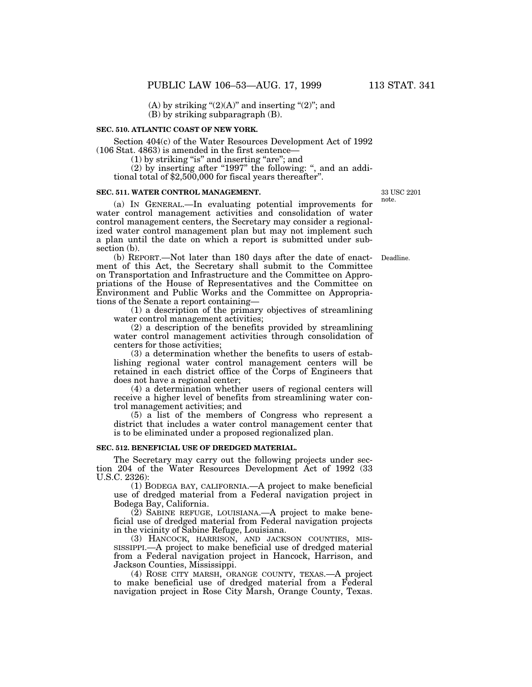(A) by striking " $(2)(A)$ " and inserting " $(2)$ "; and (B) by striking subparagraph (B).

#### **SEC. 510. ATLANTIC COAST OF NEW YORK.**

Section 404(c) of the Water Resources Development Act of 1992 (106 Stat. 4863) is amended in the first sentence—

 $(1)$  by striking "is" and inserting "are"; and

 $(2)$  by inserting after "1997" the following: ", and an additional total of \$2,500,000 for fiscal years thereafter''.

#### **SEC. 511. WATER CONTROL MANAGEMENT.**

(a) IN GENERAL.—In evaluating potential improvements for water control management activities and consolidation of water control management centers, the Secretary may consider a regionalized water control management plan but may not implement such a plan until the date on which a report is submitted under subsection (b).

(b) REPORT.—Not later than 180 days after the date of enact-Deadline. ment of this Act, the Secretary shall submit to the Committee on Transportation and Infrastructure and the Committee on Appropriations of the House of Representatives and the Committee on Environment and Public Works and the Committee on Appropriations of the Senate a report containing—

(1) a description of the primary objectives of streamlining water control management activities;

(2) a description of the benefits provided by streamlining water control management activities through consolidation of centers for those activities;

(3) a determination whether the benefits to users of establishing regional water control management centers will be retained in each district office of the Corps of Engineers that does not have a regional center;

(4) a determination whether users of regional centers will receive a higher level of benefits from streamlining water control management activities; and

(5) a list of the members of Congress who represent a district that includes a water control management center that is to be eliminated under a proposed regionalized plan.

## **SEC. 512. BENEFICIAL USE OF DREDGED MATERIAL.**

The Secretary may carry out the following projects under section 204 of the Water Resources Development Act of 1992 (33 U.S.C. 2326):

(1) BODEGA BAY, CALIFORNIA.—A project to make beneficial use of dredged material from a Federal navigation project in Bodega Bay, California.

(2) SABINE REFUGE, LOUISIANA.—A project to make beneficial use of dredged material from Federal navigation projects in the vicinity of Sabine Refuge, Louisiana.

(3) HANCOCK, HARRISON, AND JACKSON COUNTIES, MIS-SISSIPPI.—A project to make beneficial use of dredged material from a Federal navigation project in Hancock, Harrison, and Jackson Counties, Mississippi.

(4) ROSE CITY MARSH, ORANGE COUNTY, TEXAS.—A project to make beneficial use of dredged material from a Federal navigation project in Rose City Marsh, Orange County, Texas.

33 USC 2201 note.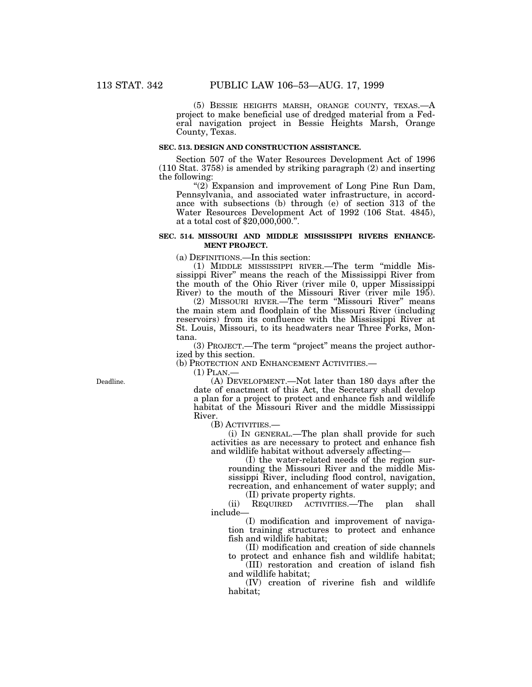(5) BESSIE HEIGHTS MARSH, ORANGE COUNTY, TEXAS.—A project to make beneficial use of dredged material from a Federal navigation project in Bessie Heights Marsh, Orange County, Texas.

## **SEC. 513. DESIGN AND CONSTRUCTION ASSISTANCE.**

Section 507 of the Water Resources Development Act of 1996 (110 Stat. 3758) is amended by striking paragraph (2) and inserting the following:

" $(2)$ <sup>"</sup>Expansion and improvement of Long Pine Run Dam, Pennsylvania, and associated water infrastructure, in accordance with subsections (b) through (e) of section 313 of the Water Resources Development Act of 1992 (106 Stat. 4845), at a total cost of \$20,000,000.''.

### **SEC. 514. MISSOURI AND MIDDLE MISSISSIPPI RIVERS ENHANCE-MENT PROJECT.**

(a) DEFINITIONS.—In this section:

(1) MIDDLE MISSISSIPPI RIVER.—The term ''middle Mississippi River'' means the reach of the Mississippi River from the mouth of the Ohio River (river mile 0, upper Mississippi River) to the mouth of the Missouri River (river mile 195).

(2) MISSOURI RIVER.—The term ''Missouri River'' means the main stem and floodplain of the Missouri River (including reservoirs) from its confluence with the Mississippi River at St. Louis, Missouri, to its headwaters near Three Forks, Montana.

(3) PROJECT.—The term ''project'' means the project authorized by this section.

(b) PROTECTION AND ENHANCEMENT ACTIVITIES.—

(1) PLAN.—

(A) DEVELOPMENT.—Not later than 180 days after the date of enactment of this Act, the Secretary shall develop a plan for a project to protect and enhance fish and wildlife habitat of the Missouri River and the middle Mississippi River.

(B) ACTIVITIES.—

(i) IN GENERAL.—The plan shall provide for such activities as are necessary to protect and enhance fish and wildlife habitat without adversely affecting—

(I) the water-related needs of the region surrounding the Missouri River and the middle Mississippi River, including flood control, navigation, recreation, and enhancement of water supply; and (II) private property rights.

(ii) REQUIRED ACTIVITIES.—The plan shall include—

(I) modification and improvement of navigation training structures to protect and enhance fish and wildlife habitat;

(II) modification and creation of side channels to protect and enhance fish and wildlife habitat;

(III) restoration and creation of island fish and wildlife habitat;

(IV) creation of riverine fish and wildlife habitat;

Deadline.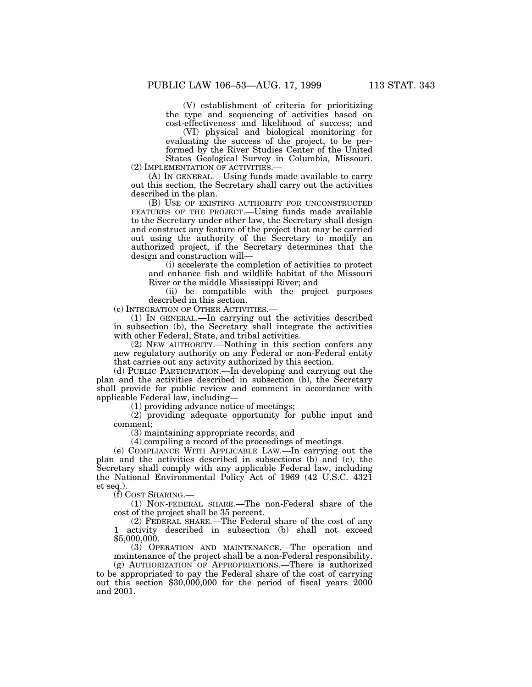(V) establishment of criteria for prioritizing the type and sequencing of activities based on cost-effectiveness and likelihood of success; and

(VI) physical and biological monitoring for evaluating the success of the project, to be performed by the River Studies Center of the United States Geological Survey in Columbia, Missouri.

(2) IMPLEMENTATION OF ACTIVITIES.—

(A) IN GENERAL.—Using funds made available to carry out this section, the Secretary shall carry out the activities described in the plan.

(B) USE OF EXISTING AUTHORITY FOR UNCONSTRUCTED FEATURES OF THE PROJECT.—Using funds made available to the Secretary under other law, the Secretary shall design and construct any feature of the project that may be carried out using the authority of the Secretary to modify an authorized project, if the Secretary determines that the design and construction will—

(i) accelerate the completion of activities to protect and enhance fish and wildlife habitat of the Missouri River or the middle Mississippi River; and

(ii) be compatible with the project purposes described in this section.

(c) INTEGRATION OF OTHER ACTIVITIES.—

(1) IN GENERAL.—In carrying out the activities described in subsection (b), the Secretary shall integrate the activities with other Federal, State, and tribal activities.

(2) NEW AUTHORITY.—Nothing in this section confers any new regulatory authority on any Federal or non-Federal entity that carries out any activity authorized by this section.

(d) PUBLIC PARTICIPATION.—In developing and carrying out the plan and the activities described in subsection (b), the Secretary shall provide for public review and comment in accordance with applicable Federal law, including—

(1) providing advance notice of meetings;

(2) providing adequate opportunity for public input and comment;

(3) maintaining appropriate records; and

(4) compiling a record of the proceedings of meetings.

(e) COMPLIANCE WITH APPLICABLE LAW.—In carrying out the plan and the activities described in subsections (b) and (c), the Secretary shall comply with any applicable Federal law, including the National Environmental Policy Act of 1969 (42 U.S.C. 4321 et seq.).

(f) COST SHARING.—

(1) NON-FEDERAL SHARE.—The non-Federal share of the cost of the project shall be 35 percent.

(2) FEDERAL SHARE.—The Federal share of the cost of any activity described in subsection (b) shall not exceed \$5,000,000.

(3) OPERATION AND MAINTENANCE.—The operation and maintenance of the project shall be a non-Federal responsibility.

(g) AUTHORIZATION OF APPROPRIATIONS.—There is authorized to be appropriated to pay the Federal share of the cost of carrying out this section \$30,000,000 for the period of fiscal years 2000 and 2001.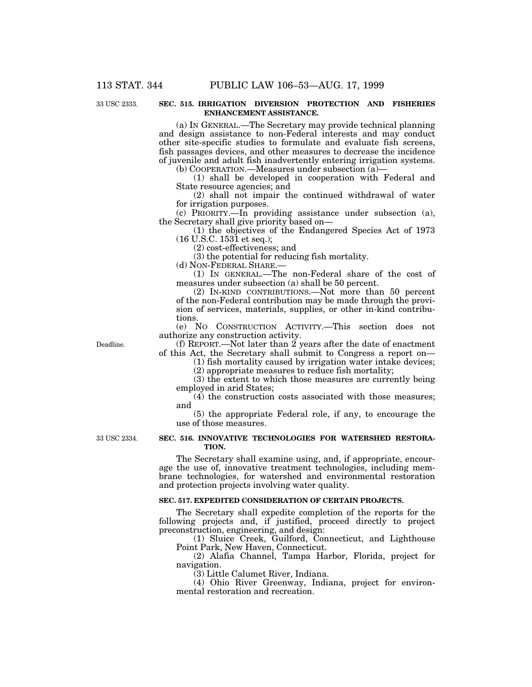# 33 USC 2333.

## **SEC. 515. IRRIGATION DIVERSION PROTECTION AND FISHERIES ENHANCEMENT ASSISTANCE.**

(a) IN GENERAL.—The Secretary may provide technical planning and design assistance to non-Federal interests and may conduct other site-specific studies to formulate and evaluate fish screens, fish passages devices, and other measures to decrease the incidence of juvenile and adult fish inadvertently entering irrigation systems.

(b) COOPERATION.—Measures under subsection (a)—

(1) shall be developed in cooperation with Federal and State resource agencies; and

(2) shall not impair the continued withdrawal of water for irrigation purposes.

(c) PRIORITY.—In providing assistance under subsection (a), the Secretary shall give priority based on—

(1) the objectives of the Endangered Species Act of 1973 (16 U.S.C. 1531 et seq.);

(2) cost-effectiveness; and

(3) the potential for reducing fish mortality.

(d) NON-FEDERAL SHARE.—

(1) IN GENERAL.—The non-Federal share of the cost of measures under subsection (a) shall be 50 percent.

(2) IN-KIND CONTRIBUTIONS.—Not more than 50 percent of the non-Federal contribution may be made through the provision of services, materials, supplies, or other in-kind contributions.

(e) NO CONSTRUCTION ACTIVITY.—This section does not authorize any construction activity.

Deadline.

(f) REPORT.—Not later than 2 years after the date of enactment of this Act, the Secretary shall submit to Congress a report on—

(1) fish mortality caused by irrigation water intake devices; (2) appropriate measures to reduce fish mortality;

(3) the extent to which those measures are currently being

employed in arid States; (4) the construction costs associated with those measures;

and

(5) the appropriate Federal role, if any, to encourage the use of those measures.

33 USC 2334.

## **SEC. 516. INNOVATIVE TECHNOLOGIES FOR WATERSHED RESTORA-TION.**

The Secretary shall examine using, and, if appropriate, encourage the use of, innovative treatment technologies, including membrane technologies, for watershed and environmental restoration and protection projects involving water quality.

### **SEC. 517. EXPEDITED CONSIDERATION OF CERTAIN PROJECTS.**

The Secretary shall expedite completion of the reports for the following projects and, if justified, proceed directly to project preconstruction, engineering, and design:

(1) Sluice Creek, Guilford, Connecticut, and Lighthouse Point Park, New Haven, Connecticut.

(2) Alafia Channel, Tampa Harbor, Florida, project for navigation.

(3) Little Calumet River, Indiana.

(4) Ohio River Greenway, Indiana, project for environmental restoration and recreation.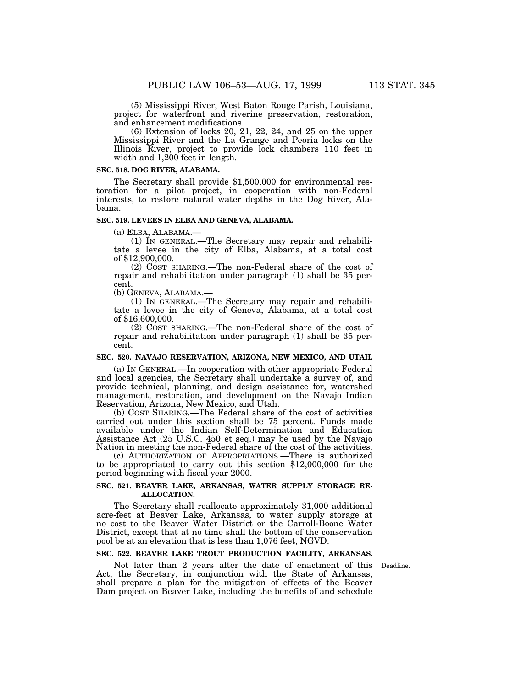(5) Mississippi River, West Baton Rouge Parish, Louisiana, project for waterfront and riverine preservation, restoration, and enhancement modifications.

(6) Extension of locks 20, 21, 22, 24, and 25 on the upper Mississippi River and the La Grange and Peoria locks on the Illinois River, project to provide lock chambers 110 feet in width and 1,200 feet in length.

### **SEC. 518. DOG RIVER, ALABAMA.**

The Secretary shall provide \$1,500,000 for environmental restoration for a pilot project, in cooperation with non-Federal interests, to restore natural water depths in the Dog River, Alabama.

## **SEC. 519. LEVEES IN ELBA AND GENEVA, ALABAMA.**

(a) ELBA, ALABAMA.— (1) IN GENERAL.—The Secretary may repair and rehabilitate a levee in the city of Elba, Alabama, at a total cost of \$12,900,000.

(2) COST SHARING.—The non-Federal share of the cost of repair and rehabilitation under paragraph (1) shall be 35 percent.

(b) GENEVA, ALABAMA.— (1) IN GENERAL.—The Secretary may repair and rehabilitate a levee in the city of Geneva, Alabama, at a total cost of \$16,600,000.

(2) COST SHARING.—The non-Federal share of the cost of repair and rehabilitation under paragraph (1) shall be 35 percent.

### **SEC. 520. NAVAJO RESERVATION, ARIZONA, NEW MEXICO, AND UTAH.**

(a) IN GENERAL.—In cooperation with other appropriate Federal and local agencies, the Secretary shall undertake a survey of, and provide technical, planning, and design assistance for, watershed management, restoration, and development on the Navajo Indian Reservation, Arizona, New Mexico, and Utah.

(b) COST SHARING.—The Federal share of the cost of activities carried out under this section shall be 75 percent. Funds made available under the Indian Self-Determination and Education Assistance Act (25 U.S.C. 450 et seq.) may be used by the Navajo Nation in meeting the non-Federal share of the cost of the activities.

(c) AUTHORIZATION OF APPROPRIATIONS.—There is authorized to be appropriated to carry out this section \$12,000,000 for the period beginning with fiscal year 2000.

## **SEC. 521. BEAVER LAKE, ARKANSAS, WATER SUPPLY STORAGE RE-ALLOCATION.**

The Secretary shall reallocate approximately 31,000 additional acre-feet at Beaver Lake, Arkansas, to water supply storage at no cost to the Beaver Water District or the Carroll-Boone Water District, except that at no time shall the bottom of the conservation pool be at an elevation that is less than 1,076 feet, NGVD.

#### **SEC. 522. BEAVER LAKE TROUT PRODUCTION FACILITY, ARKANSAS.**

Not later than 2 years after the date of enactment of this Deadline. Act, the Secretary, in conjunction with the State of Arkansas, shall prepare a plan for the mitigation of effects of the Beaver Dam project on Beaver Lake, including the benefits of and schedule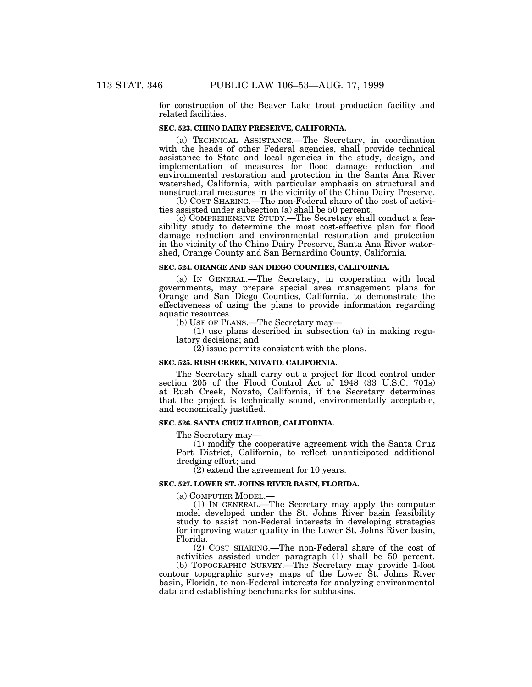for construction of the Beaver Lake trout production facility and related facilities.

## **SEC. 523. CHINO DAIRY PRESERVE, CALIFORNIA.**

(a) TECHNICAL ASSISTANCE.—The Secretary, in coordination with the heads of other Federal agencies, shall provide technical assistance to State and local agencies in the study, design, and implementation of measures for flood damage reduction and environmental restoration and protection in the Santa Ana River watershed, California, with particular emphasis on structural and nonstructural measures in the vicinity of the Chino Dairy Preserve.

(b) COST SHARING.—The non-Federal share of the cost of activities assisted under subsection (a) shall be 50 percent.

(c) COMPREHENSIVE STUDY.—The Secretary shall conduct a feasibility study to determine the most cost-effective plan for flood damage reduction and environmental restoration and protection in the vicinity of the Chino Dairy Preserve, Santa Ana River watershed, Orange County and San Bernardino County, California.

### **SEC. 524. ORANGE AND SAN DIEGO COUNTIES, CALIFORNIA.**

(a) IN GENERAL.—The Secretary, in cooperation with local governments, may prepare special area management plans for Orange and San Diego Counties, California, to demonstrate the effectiveness of using the plans to provide information regarding aquatic resources.

(b) USE OF PLANS.—The Secretary may—

(1) use plans described in subsection (a) in making regulatory decisions; and

(2) issue permits consistent with the plans.

# **SEC. 525. RUSH CREEK, NOVATO, CALIFORNIA.**

The Secretary shall carry out a project for flood control under section 205 of the Flood Control Act of 1948 (33 U.S.C. 701s) at Rush Creek, Novato, California, if the Secretary determines that the project is technically sound, environmentally acceptable, and economically justified.

### **SEC. 526. SANTA CRUZ HARBOR, CALIFORNIA.**

The Secretary may—

(1) modify the cooperative agreement with the Santa Cruz Port District, California, to reflect unanticipated additional dredging effort; and

(2) extend the agreement for 10 years.

#### **SEC. 527. LOWER ST. JOHNS RIVER BASIN, FLORIDA.**

(a) COMPUTER MODEL.—

(1) IN GENERAL.—The Secretary may apply the computer model developed under the St. Johns River basin feasibility study to assist non-Federal interests in developing strategies for improving water quality in the Lower St. Johns River basin, Florida.

(2) COST SHARING.—The non-Federal share of the cost of activities assisted under paragraph (1) shall be 50 percent. (b) TOPOGRAPHIC SURVEY.—The Secretary may provide 1-foot contour topographic survey maps of the Lower St. Johns River basin, Florida, to non-Federal interests for analyzing environmental data and establishing benchmarks for subbasins.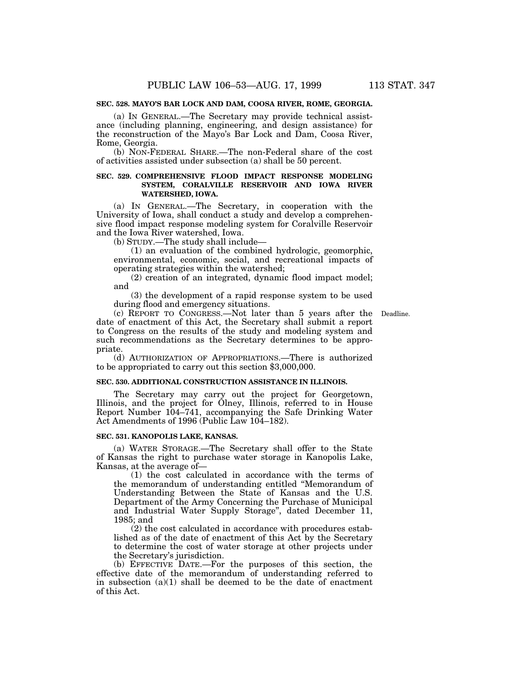# **SEC. 528. MAYO'S BAR LOCK AND DAM, COOSA RIVER, ROME, GEORGIA.**

(a) IN GENERAL.—The Secretary may provide technical assistance (including planning, engineering, and design assistance) for the reconstruction of the Mayo's Bar Lock and Dam, Coosa River, Rome, Georgia.

(b) NON-FEDERAL SHARE.—The non-Federal share of the cost of activities assisted under subsection (a) shall be 50 percent.

## **SEC. 529. COMPREHENSIVE FLOOD IMPACT RESPONSE MODELING SYSTEM, CORALVILLE RESERVOIR AND IOWA RIVER WATERSHED, IOWA.**

(a) IN GENERAL.—The Secretary, in cooperation with the University of Iowa, shall conduct a study and develop a comprehensive flood impact response modeling system for Coralville Reservoir and the Iowa River watershed, Iowa.

(b) STUDY.—The study shall include—

(1) an evaluation of the combined hydrologic, geomorphic, environmental, economic, social, and recreational impacts of operating strategies within the watershed;

(2) creation of an integrated, dynamic flood impact model; and

(3) the development of a rapid response system to be used during flood and emergency situations.

(c) REPORT TO CONGRESS.—Not later than 5 years after the Deadline.date of enactment of this Act, the Secretary shall submit a report to Congress on the results of the study and modeling system and such recommendations as the Secretary determines to be appropriate.

(d) AUTHORIZATION OF APPROPRIATIONS.—There is authorized to be appropriated to carry out this section \$3,000,000.

### **SEC. 530. ADDITIONAL CONSTRUCTION ASSISTANCE IN ILLINOIS.**

The Secretary may carry out the project for Georgetown, Illinois, and the project for Olney, Illinois, referred to in House Report Number 104–741, accompanying the Safe Drinking Water Act Amendments of 1996 (Public Law 104–182).

#### **SEC. 531. KANOPOLIS LAKE, KANSAS.**

(a) WATER STORAGE.—The Secretary shall offer to the State of Kansas the right to purchase water storage in Kanopolis Lake, Kansas, at the average of—

(1) the cost calculated in accordance with the terms of the memorandum of understanding entitled ''Memorandum of Understanding Between the State of Kansas and the U.S. Department of the Army Concerning the Purchase of Municipal and Industrial Water Supply Storage'', dated December 11, 1985; and

(2) the cost calculated in accordance with procedures established as of the date of enactment of this Act by the Secretary to determine the cost of water storage at other projects under the Secretary's jurisdiction.

(b) EFFECTIVE DATE.—For the purposes of this section, the effective date of the memorandum of understanding referred to in subsection  $(a)(1)$  shall be deemed to be the date of enactment of this Act.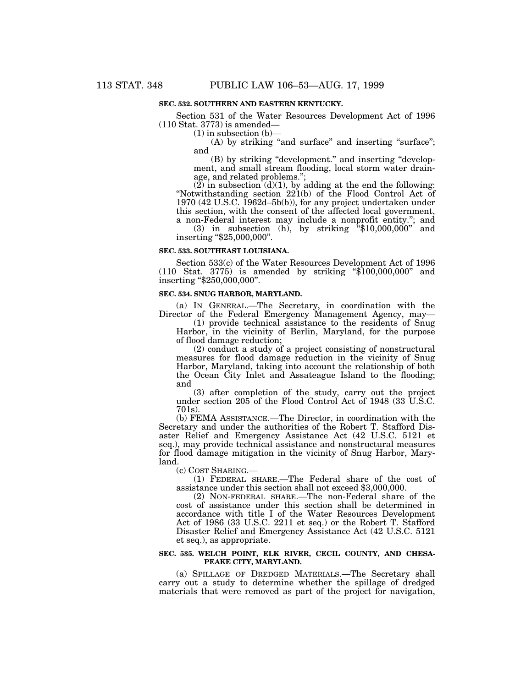### **SEC. 532. SOUTHERN AND EASTERN KENTUCKY.**

Section 531 of the Water Resources Development Act of 1996 (110 Stat. 3773) is amended—

 $(1)$  in subsection  $(b)$ –

(A) by striking "and surface" and inserting "surface"; and

(B) by striking ''development.'' and inserting ''development, and small stream flooding, local storm water drainage, and related problems.'';

 $(2)$  in subsection  $(d)(1)$ , by adding at the end the following: ''Notwithstanding section 221(b) of the Flood Control Act of 1970 (42 U.S.C. 1962d–5b(b)), for any project undertaken under this section, with the consent of the affected local government, a non-Federal interest may include a nonprofit entity.''; and

(3) in subsection (h), by striking ''\$10,000,000'' and inserting "\$25,000,000".

#### **SEC. 533. SOUTHEAST LOUISIANA.**

Section 533(c) of the Water Resources Development Act of 1996 (110 Stat. 3775) is amended by striking ''\$100,000,000'' and inserting ''\$250,000,000''.

#### **SEC. 534. SNUG HARBOR, MARYLAND.**

(a) IN GENERAL.—The Secretary, in coordination with the Director of the Federal Emergency Management Agency, may—

(1) provide technical assistance to the residents of Snug Harbor, in the vicinity of Berlin, Maryland, for the purpose of flood damage reduction;

(2) conduct a study of a project consisting of nonstructural measures for flood damage reduction in the vicinity of Snug Harbor, Maryland, taking into account the relationship of both the Ocean City Inlet and Assateague Island to the flooding; and

(3) after completion of the study, carry out the project under section 205 of the Flood Control Act of 1948 (33 U.S.C. 701s).

(b) FEMA ASSISTANCE.—The Director, in coordination with the Secretary and under the authorities of the Robert T. Stafford Disaster Relief and Emergency Assistance Act (42 U.S.C. 5121 et seq.), may provide technical assistance and nonstructural measures for flood damage mitigation in the vicinity of Snug Harbor, Maryland.<br>(c) COST SHARING.

 $(1)$  FEDERAL SHARE.—The Federal share of the cost of assistance under this section shall not exceed \$3,000,000.

(2) NON-FEDERAL SHARE.—The non-Federal share of the cost of assistance under this section shall be determined in accordance with title I of the Water Resources Development Act of 1986 (33 U.S.C. 2211 et seq.) or the Robert T. Stafford Disaster Relief and Emergency Assistance Act (42 U.S.C. 5121 et seq.), as appropriate.

### **SEC. 535. WELCH POINT, ELK RIVER, CECIL COUNTY, AND CHESA-PEAKE CITY, MARYLAND.**

(a) SPILLAGE OF DREDGED MATERIALS.—The Secretary shall carry out a study to determine whether the spillage of dredged materials that were removed as part of the project for navigation,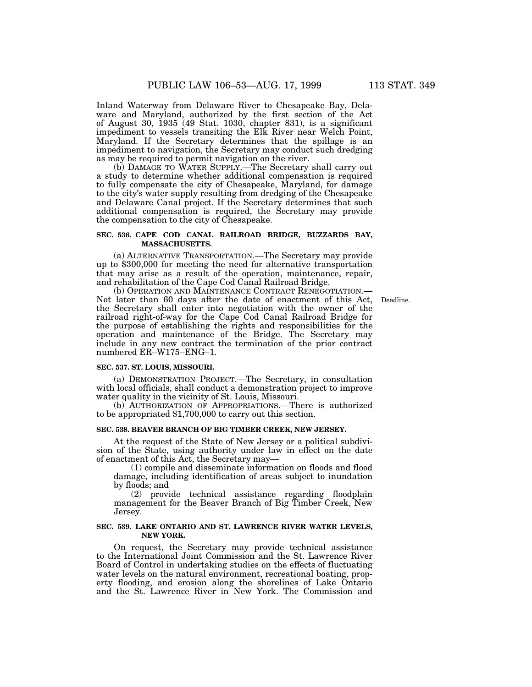Inland Waterway from Delaware River to Chesapeake Bay, Delaware and Maryland, authorized by the first section of the Act of August 30, 1935 (49 Stat. 1030, chapter 831), is a significant impediment to vessels transiting the Elk River near Welch Point, Maryland. If the Secretary determines that the spillage is an impediment to navigation, the Secretary may conduct such dredging as may be required to permit navigation on the river.

(b) DAMAGE TO WATER SUPPLY.—The Secretary shall carry out a study to determine whether additional compensation is required to fully compensate the city of Chesapeake, Maryland, for damage to the city's water supply resulting from dredging of the Chesapeake and Delaware Canal project. If the Secretary determines that such additional compensation is required, the Secretary may provide the compensation to the city of Chesapeake.

## **SEC. 536. CAPE COD CANAL RAILROAD BRIDGE, BUZZARDS BAY, MASSACHUSETTS.**

(a) ALTERNATIVE TRANSPORTATION.—The Secretary may provide up to \$300,000 for meeting the need for alternative transportation that may arise as a result of the operation, maintenance, repair, and rehabilitation of the Cape Cod Canal Railroad Bridge.

(b) OPERATION AND MAINTENANCE CONTRACT RENEGOTIATION.— Not later than 60 days after the date of enactment of this Act, Deadline.the Secretary shall enter into negotiation with the owner of the railroad right-of-way for the Cape Cod Canal Railroad Bridge for the purpose of establishing the rights and responsibilities for the operation and maintenance of the Bridge. The Secretary may include in any new contract the termination of the prior contract numbered ER–W175–ENG–1.

#### **SEC. 537. ST. LOUIS, MISSOURI.**

(a) DEMONSTRATION PROJECT.—The Secretary, in consultation with local officials, shall conduct a demonstration project to improve water quality in the vicinity of St. Louis, Missouri.

(b) AUTHORIZATION OF APPROPRIATIONS.—There is authorized to be appropriated \$1,700,000 to carry out this section.

## **SEC. 538. BEAVER BRANCH OF BIG TIMBER CREEK, NEW JERSEY.**

At the request of the State of New Jersey or a political subdivision of the State, using authority under law in effect on the date of enactment of this Act, the Secretary may—

(1) compile and disseminate information on floods and flood damage, including identification of areas subject to inundation by floods; and

(2) provide technical assistance regarding floodplain management for the Beaver Branch of Big Timber Creek, New Jersey.

### **SEC. 539. LAKE ONTARIO AND ST. LAWRENCE RIVER WATER LEVELS, NEW YORK.**

On request, the Secretary may provide technical assistance to the International Joint Commission and the St. Lawrence River Board of Control in undertaking studies on the effects of fluctuating water levels on the natural environment, recreational boating, property flooding, and erosion along the shorelines of Lake Ontario and the St. Lawrence River in New York. The Commission and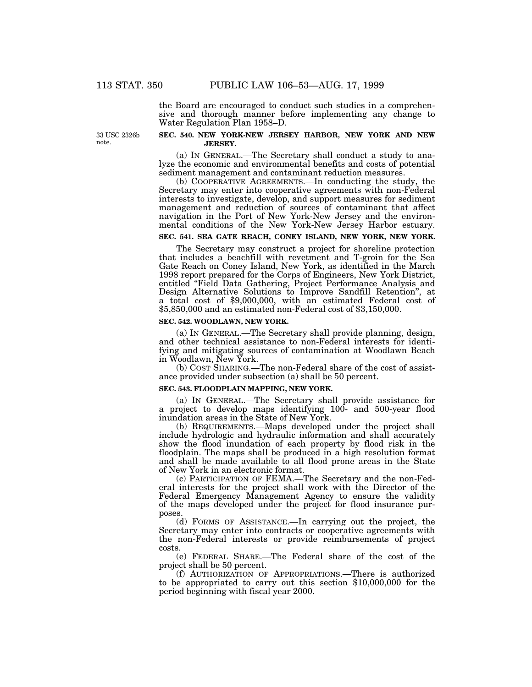the Board are encouraged to conduct such studies in a comprehensive and thorough manner before implementing any change to Water Regulation Plan 1958–D.

33 USC 2326b note.

### **SEC. 540. NEW YORK-NEW JERSEY HARBOR, NEW YORK AND NEW JERSEY.**

(a) IN GENERAL.—The Secretary shall conduct a study to analyze the economic and environmental benefits and costs of potential sediment management and contaminant reduction measures.

(b) COOPERATIVE AGREEMENTS.—In conducting the study, the Secretary may enter into cooperative agreements with non-Federal interests to investigate, develop, and support measures for sediment management and reduction of sources of contaminant that affect navigation in the Port of New York-New Jersey and the environmental conditions of the New York-New Jersey Harbor estuary.

## **SEC. 541. SEA GATE REACH, CONEY ISLAND, NEW YORK, NEW YORK.**

The Secretary may construct a project for shoreline protection that includes a beachfill with revetment and T-groin for the Sea Gate Reach on Coney Island, New York, as identified in the March 1998 report prepared for the Corps of Engineers, New York District, entitled ''Field Data Gathering, Project Performance Analysis and Design Alternative Solutions to Improve Sandfill Retention'', at a total cost of \$9,000,000, with an estimated Federal cost of \$5,850,000 and an estimated non-Federal cost of \$3,150,000.

#### **SEC. 542. WOODLAWN, NEW YORK.**

(a) IN GENERAL.—The Secretary shall provide planning, design, and other technical assistance to non-Federal interests for identifying and mitigating sources of contamination at Woodlawn Beach in Woodlawn, New York.

(b) COST SHARING.—The non-Federal share of the cost of assistance provided under subsection (a) shall be 50 percent.

#### **SEC. 543. FLOODPLAIN MAPPING, NEW YORK.**

(a) IN GENERAL.—The Secretary shall provide assistance for a project to develop maps identifying 100- and 500-year flood inundation areas in the State of New York.

(b) REQUIREMENTS.—Maps developed under the project shall include hydrologic and hydraulic information and shall accurately show the flood inundation of each property by flood risk in the floodplain. The maps shall be produced in a high resolution format and shall be made available to all flood prone areas in the State of New York in an electronic format.

(c) PARTICIPATION OF FEMA.—The Secretary and the non-Federal interests for the project shall work with the Director of the Federal Emergency Management Agency to ensure the validity of the maps developed under the project for flood insurance purposes.

(d) FORMS OF ASSISTANCE.—In carrying out the project, the Secretary may enter into contracts or cooperative agreements with the non-Federal interests or provide reimbursements of project costs.

(e) FEDERAL SHARE.—The Federal share of the cost of the project shall be 50 percent.

(f) AUTHORIZATION OF APPROPRIATIONS.—There is authorized to be appropriated to carry out this section \$10,000,000 for the period beginning with fiscal year 2000.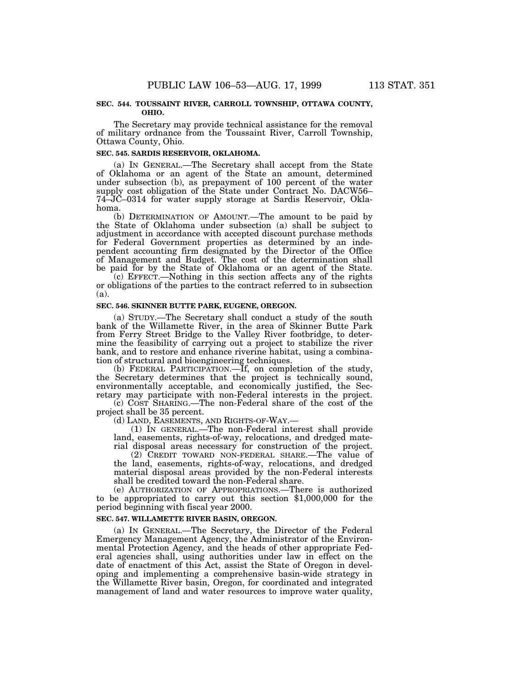#### **SEC. 544. TOUSSAINT RIVER, CARROLL TOWNSHIP, OTTAWA COUNTY, OHIO.**

The Secretary may provide technical assistance for the removal of military ordnance from the Toussaint River, Carroll Township, Ottawa County, Ohio.

### **SEC. 545. SARDIS RESERVOIR, OKLAHOMA.**

(a) IN GENERAL.—The Secretary shall accept from the State of Oklahoma or an agent of the State an amount, determined under subsection (b), as prepayment of 100 percent of the water supply cost obligation of the State under Contract No. DACW56– 74–JC–0314 for water supply storage at Sardis Reservoir, Oklahoma.

(b) DETERMINATION OF AMOUNT.—The amount to be paid by the State of Oklahoma under subsection (a) shall be subject to adjustment in accordance with accepted discount purchase methods for Federal Government properties as determined by an independent accounting firm designated by the Director of the Office of Management and Budget. The cost of the determination shall be paid for by the State of Oklahoma or an agent of the State.

(c) EFFECT.—Nothing in this section affects any of the rights or obligations of the parties to the contract referred to in subsection (a).

#### **SEC. 546. SKINNER BUTTE PARK, EUGENE, OREGON.**

(a) STUDY.—The Secretary shall conduct a study of the south bank of the Willamette River, in the area of Skinner Butte Park from Ferry Street Bridge to the Valley River footbridge, to determine the feasibility of carrying out a project to stabilize the river bank, and to restore and enhance riverine habitat, using a combination of structural and bioengineering techniques.

(b) FEDERAL PARTICIPATION.—If, on completion of the study, the Secretary determines that the project is technically sound, environmentally acceptable, and economically justified, the Secretary may participate with non-Federal interests in the project.

(c) COST SHARING.—The non-Federal share of the cost of the project shall be 35 percent.

(d) LAND, EASEMENTS, AND RIGHTS-OF-WAY.— (1) IN GENERAL.—The non-Federal interest shall provide land, easements, rights-of-way, relocations, and dredged material disposal areas necessary for construction of the project.

(2) CREDIT TOWARD NON-FEDERAL SHARE.—The value of the land, easements, rights-of-way, relocations, and dredged material disposal areas provided by the non-Federal interests shall be credited toward the non-Federal share.

(e) AUTHORIZATION OF APPROPRIATIONS.—There is authorized to be appropriated to carry out this section \$1,000,000 for the period beginning with fiscal year 2000.

#### **SEC. 547. WILLAMETTE RIVER BASIN, OREGON.**

(a) IN GENERAL.—The Secretary, the Director of the Federal Emergency Management Agency, the Administrator of the Environmental Protection Agency, and the heads of other appropriate Federal agencies shall, using authorities under law in effect on the date of enactment of this Act, assist the State of Oregon in developing and implementing a comprehensive basin-wide strategy in the Willamette River basin, Oregon, for coordinated and integrated management of land and water resources to improve water quality,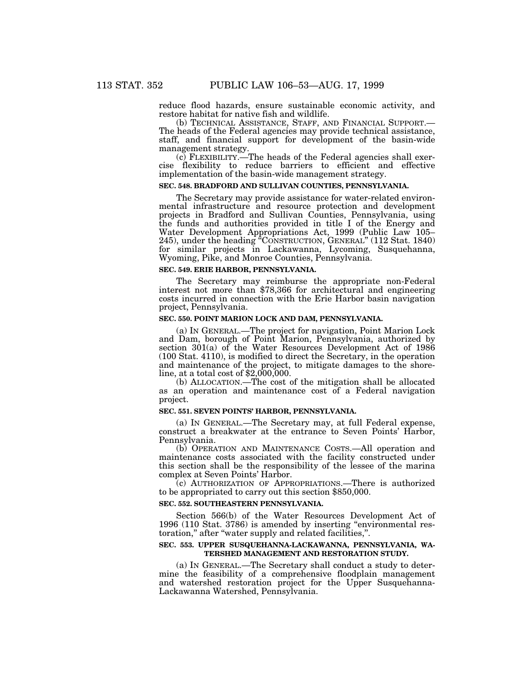reduce flood hazards, ensure sustainable economic activity, and restore habitat for native fish and wildlife.<br>
(b) TECHNICAL ASSISTANCE, STAFF, AND FINANCIAL SUPPORT.—

The heads of the Federal agencies may provide technical assistance, staff, and financial support for development of the basin-wide management strategy.

(c) FLEXIBILITY.—The heads of the Federal agencies shall exercise flexibility to reduce barriers to efficient and effective implementation of the basin-wide management strategy.

## **SEC. 548. BRADFORD AND SULLIVAN COUNTIES, PENNSYLVANIA.**

The Secretary may provide assistance for water-related environmental infrastructure and resource protection and development projects in Bradford and Sullivan Counties, Pennsylvania, using the funds and authorities provided in title I of the Energy and Water Development Appropriations Act, 1999 (Public Law 105– 245), under the heading ''CONSTRUCTION, GENERAL'' (112 Stat. 1840) for similar projects in Lackawanna, Lycoming, Susquehanna, Wyoming, Pike, and Monroe Counties, Pennsylvania.

### **SEC. 549. ERIE HARBOR, PENNSYLVANIA.**

The Secretary may reimburse the appropriate non-Federal interest not more than \$78,366 for architectural and engineering costs incurred in connection with the Erie Harbor basin navigation project, Pennsylvania.

### **SEC. 550. POINT MARION LOCK AND DAM, PENNSYLVANIA.**

(a) IN GENERAL.—The project for navigation, Point Marion Lock and Dam, borough of Point Marion, Pennsylvania, authorized by section  $301(a)$  of the Water Resources Development Act of 1986 (100 Stat. 4110), is modified to direct the Secretary, in the operation and maintenance of the project, to mitigate damages to the shoreline, at a total cost of  $$2,000,000$ .

(b) ALLOCATION.—The cost of the mitigation shall be allocated as an operation and maintenance cost of a Federal navigation project.

#### **SEC. 551. SEVEN POINTS' HARBOR, PENNSYLVANIA.**

(a) IN GENERAL.—The Secretary may, at full Federal expense, construct a breakwater at the entrance to Seven Points' Harbor, Pennsylvania.

(b) OPERATION AND MAINTENANCE COSTS.—All operation and maintenance costs associated with the facility constructed under this section shall be the responsibility of the lessee of the marina complex at Seven Points' Harbor.

(c) AUTHORIZATION OF APPROPRIATIONS.—There is authorized to be appropriated to carry out this section \$850,000.

#### **SEC. 552. SOUTHEASTERN PENNSYLVANIA.**

Section 566(b) of the Water Resources Development Act of 1996 (110 Stat. 3786) is amended by inserting ''environmental restoration,'' after ''water supply and related facilities,''.

## **SEC. 553. UPPER SUSQUEHANNA-LACKAWANNA, PENNSYLVANIA, WA-TERSHED MANAGEMENT AND RESTORATION STUDY.**

(a) IN GENERAL.—The Secretary shall conduct a study to determine the feasibility of a comprehensive floodplain management and watershed restoration project for the Upper Susquehanna-Lackawanna Watershed, Pennsylvania.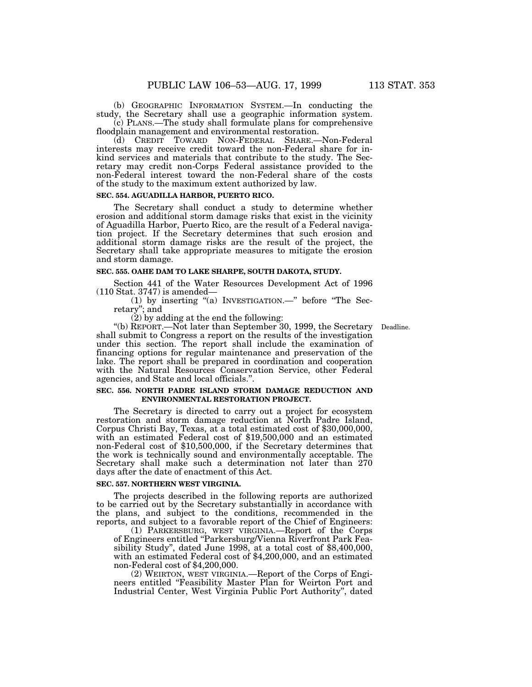(b) GEOGRAPHIC INFORMATION SYSTEM.—In conducting the study, the Secretary shall use a geographic information system.

(c) PLANS.—The study shall formulate plans for comprehensive floodplain management and environmental restoration.

(d) CREDIT TOWARD NON-FEDERAL SHARE.—Non-Federal interests may receive credit toward the non-Federal share for inkind services and materials that contribute to the study. The Secretary may credit non-Corps Federal assistance provided to the non-Federal interest toward the non-Federal share of the costs of the study to the maximum extent authorized by law.

# **SEC. 554. AGUADILLA HARBOR, PUERTO RICO.**

The Secretary shall conduct a study to determine whether erosion and additional storm damage risks that exist in the vicinity of Aguadilla Harbor, Puerto Rico, are the result of a Federal navigation project. If the Secretary determines that such erosion and additional storm damage risks are the result of the project, the Secretary shall take appropriate measures to mitigate the erosion and storm damage.

### **SEC. 555. OAHE DAM TO LAKE SHARPE, SOUTH DAKOTA, STUDY.**

Section 441 of the Water Resources Development Act of 1996 (110 Stat. 3747) is amended—

(1) by inserting "(a) INVESTIGATION.—" before "The Secretary''; and

 $(2)$  by adding at the end the following:

''(b) REPORT.—Not later than September 30, 1999, the Secretary Deadline.shall submit to Congress a report on the results of the investigation under this section. The report shall include the examination of financing options for regular maintenance and preservation of the lake. The report shall be prepared in coordination and cooperation with the Natural Resources Conservation Service, other Federal agencies, and State and local officials.''.

#### **SEC. 556. NORTH PADRE ISLAND STORM DAMAGE REDUCTION AND ENVIRONMENTAL RESTORATION PROJECT.**

The Secretary is directed to carry out a project for ecosystem restoration and storm damage reduction at North Padre Island, Corpus Christi Bay, Texas, at a total estimated cost of \$30,000,000, with an estimated Federal cost of \$19,500,000 and an estimated non-Federal cost of \$10,500,000, if the Secretary determines that the work is technically sound and environmentally acceptable. The Secretary shall make such a determination not later than 270 days after the date of enactment of this Act.

### **SEC. 557. NORTHERN WEST VIRGINIA.**

The projects described in the following reports are authorized to be carried out by the Secretary substantially in accordance with the plans, and subject to the conditions, recommended in the reports, and subject to a favorable report of the Chief of Engineers:

(1) PARKERSBURG, WEST VIRGINIA.—Report of the Corps of Engineers entitled ''Parkersburg/Vienna Riverfront Park Feasibility Study'', dated June 1998, at a total cost of \$8,400,000, with an estimated Federal cost of \$4,200,000, and an estimated non-Federal cost of \$4,200,000.

(2) WEIRTON, WEST VIRGINIA.—Report of the Corps of Engineers entitled ''Feasibility Master Plan for Weirton Port and Industrial Center, West Virginia Public Port Authority'', dated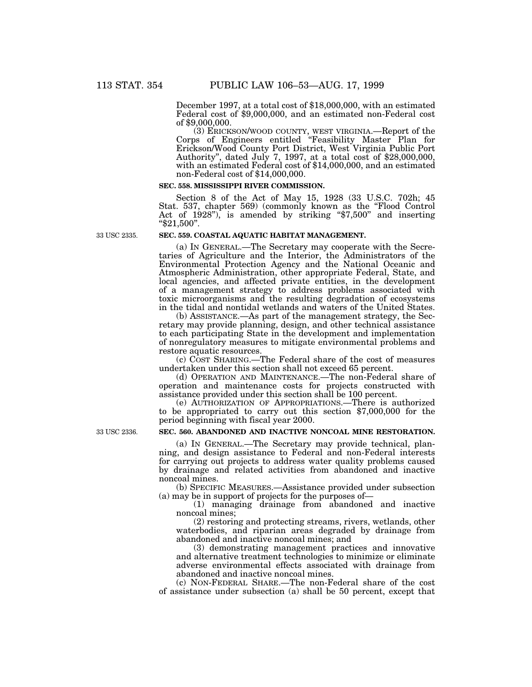December 1997, at a total cost of \$18,000,000, with an estimated Federal cost of \$9,000,000, and an estimated non-Federal cost of \$9,000,000.

(3) ERICKSON/WOOD COUNTY, WEST VIRGINIA.—Report of the Corps of Engineers entitled ''Feasibility Master Plan for Erickson/Wood County Port District, West Virginia Public Port Authority'', dated July 7, 1997, at a total cost of \$28,000,000, with an estimated Federal cost of \$14,000,000, and an estimated non-Federal cost of \$14,000,000.

#### **SEC. 558. MISSISSIPPI RIVER COMMISSION.**

Section 8 of the Act of May 15, 1928 (33 U.S.C. 702h; 45 Stat. 537, chapter 569) (commonly known as the ''Flood Control Act of 1928"), is amended by striking "\$7,500" and inserting ''\$21,500''.

33 USC 2335.

#### **SEC. 559. COASTAL AQUATIC HABITAT MANAGEMENT.**

(a) IN GENERAL.—The Secretary may cooperate with the Secretaries of Agriculture and the Interior, the Administrators of the Environmental Protection Agency and the National Oceanic and Atmospheric Administration, other appropriate Federal, State, and local agencies, and affected private entities, in the development of a management strategy to address problems associated with toxic microorganisms and the resulting degradation of ecosystems in the tidal and nontidal wetlands and waters of the United States.

(b) ASSISTANCE.—As part of the management strategy, the Secretary may provide planning, design, and other technical assistance to each participating State in the development and implementation of nonregulatory measures to mitigate environmental problems and restore aquatic resources.

(c) COST SHARING.—The Federal share of the cost of measures undertaken under this section shall not exceed 65 percent.

(d) OPERATION AND MAINTENANCE.—The non-Federal share of operation and maintenance costs for projects constructed with assistance provided under this section shall be 100 percent.

(e) AUTHORIZATION OF APPROPRIATIONS.—There is authorized to be appropriated to carry out this section \$7,000,000 for the period beginning with fiscal year 2000.

### **SEC. 560. ABANDONED AND INACTIVE NONCOAL MINE RESTORATION.**

(a) IN GENERAL.—The Secretary may provide technical, planning, and design assistance to Federal and non-Federal interests for carrying out projects to address water quality problems caused by drainage and related activities from abandoned and inactive noncoal mines.

(b) SPECIFIC MEASURES.—Assistance provided under subsection (a) may be in support of projects for the purposes of—

(1) managing drainage from abandoned and inactive noncoal mines;

(2) restoring and protecting streams, rivers, wetlands, other waterbodies, and riparian areas degraded by drainage from abandoned and inactive noncoal mines; and

(3) demonstrating management practices and innovative and alternative treatment technologies to minimize or eliminate adverse environmental effects associated with drainage from abandoned and inactive noncoal mines.

(c) NON-FEDERAL SHARE.—The non-Federal share of the cost of assistance under subsection (a) shall be 50 percent, except that

33 USC 2336.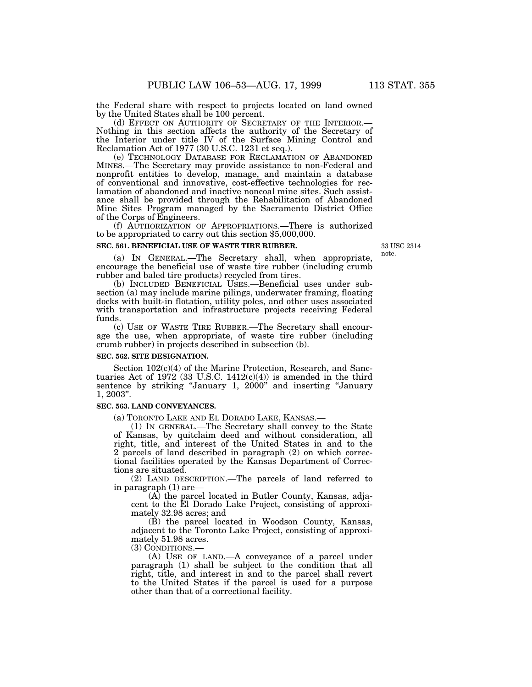the Federal share with respect to projects located on land owned by the United States shall be 100 percent.<br>(d) EFFECT ON AUTHORITY OF SECRETARY OF THE INTERIOR.—

Nothing in this section affects the authority of the Secretary of the Interior under title IV of the Surface Mining Control and Reclamation Act of 1977 (30 U.S.C. 1231 et seq.).

(e) TECHNOLOGY DATABASE FOR RECLAMATION OF ABANDONED MINES.—The Secretary may provide assistance to non-Federal and nonprofit entities to develop, manage, and maintain a database of conventional and innovative, cost-effective technologies for reclamation of abandoned and inactive noncoal mine sites. Such assistance shall be provided through the Rehabilitation of Abandoned Mine Sites Program managed by the Sacramento District Office of the Corps of Engineers.

(f) AUTHORIZATION OF APPROPRIATIONS.—There is authorized to be appropriated to carry out this section \$5,000,000.

#### **SEC. 561. BENEFICIAL USE OF WASTE TIRE RUBBER.**

33 USC 2314 note.

(a) IN GENERAL.—The Secretary shall, when appropriate, encourage the beneficial use of waste tire rubber (including crumb rubber and baled tire products) recycled from tires.

(b) INCLUDED BENEFICIAL USES.—Beneficial uses under subsection (a) may include marine pilings, underwater framing, floating docks with built-in flotation, utility poles, and other uses associated with transportation and infrastructure projects receiving Federal funds.

(c) USE OF WASTE TIRE RUBBER.—The Secretary shall encourage the use, when appropriate, of waste tire rubber (including crumb rubber) in projects described in subsection (b).

### **SEC. 562. SITE DESIGNATION.**

Section  $102(c)(4)$  of the Marine Protection, Research, and Sanctuaries Act of 1972 (33 U.S.C.  $1412(c)(4)$ ) is amended in the third sentence by striking "January 1, 2000" and inserting "January 1, 2003''.

## **SEC. 563. LAND CONVEYANCES.**

(a) TORONTO LAKE AND EL DORADO LAKE, KANSAS.— (1) IN GENERAL.—The Secretary shall convey to the State of Kansas, by quitclaim deed and without consideration, all right, title, and interest of the United States in and to the 2 parcels of land described in paragraph (2) on which correctional facilities operated by the Kansas Department of Corrections are situated.

(2) LAND DESCRIPTION.—The parcels of land referred to in paragraph (1) are—

(A) the parcel located in Butler County, Kansas, adjacent to the El Dorado Lake Project, consisting of approximately 32.98 acres; and

(B) the parcel located in Woodson County, Kansas, adjacent to the Toronto Lake Project, consisting of approximately 51.98 acres.<br>(3) CONDITIONS.—

 $(A)$  USE OF LAND.—A conveyance of a parcel under paragraph (1) shall be subject to the condition that all right, title, and interest in and to the parcel shall revert to the United States if the parcel is used for a purpose other than that of a correctional facility.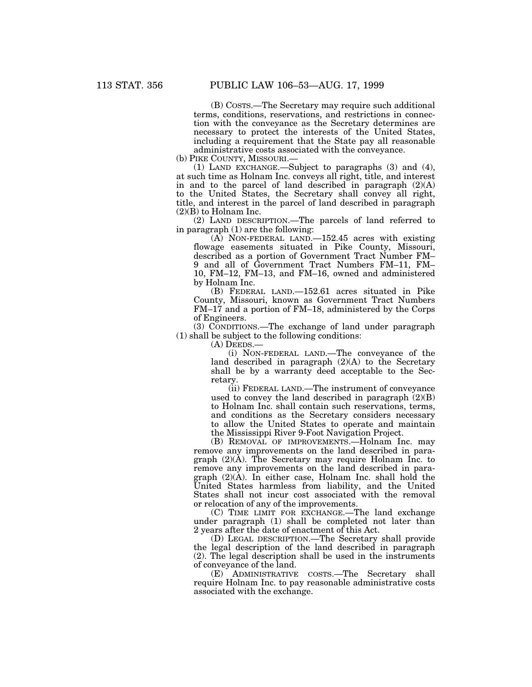(B) COSTS.—The Secretary may require such additional terms, conditions, reservations, and restrictions in connection with the conveyance as the Secretary determines are necessary to protect the interests of the United States, including a requirement that the State pay all reasonable administrative costs associated with the conveyance.

(b) PIKE COUNTY, MISSOURI.—

(1) LAND EXCHANGE.—Subject to paragraphs (3) and (4), at such time as Holnam Inc. conveys all right, title, and interest in and to the parcel of land described in paragraph (2)(A) to the United States, the Secretary shall convey all right, title, and interest in the parcel of land described in paragraph  $(2)(B)$  to Holnam Inc.

(2) LAND DESCRIPTION.—The parcels of land referred to in paragraph (1) are the following:

(A) NON-FEDERAL LAND.—152.45 acres with existing flowage easements situated in Pike County, Missouri, described as a portion of Government Tract Number FM-9 and all of Government Tract Numbers FM–11, FM– 10, FM–12, FM–13, and FM–16, owned and administered by Holnam Inc.

(B) FEDERAL LAND.—152.61 acres situated in Pike County, Missouri, known as Government Tract Numbers FM–17 and a portion of FM–18, administered by the Corps of Engineers.

(3) CONDITIONS.—The exchange of land under paragraph (1) shall be subject to the following conditions:

(A) DEEDS.—

(i) NON-FEDERAL LAND.—The conveyance of the land described in paragraph (2)(A) to the Secretary shall be by a warranty deed acceptable to the Secretary.

(ii) FEDERAL LAND.—The instrument of conveyance used to convey the land described in paragraph  $(2)(B)$ to Holnam Inc. shall contain such reservations, terms, and conditions as the Secretary considers necessary to allow the United States to operate and maintain the Mississippi River 9-Foot Navigation Project.

(B) REMOVAL OF IMPROVEMENTS.—Holnam Inc. may remove any improvements on the land described in paragraph (2)(A). The Secretary may require Holnam Inc. to remove any improvements on the land described in paragraph (2)(A). In either case, Holnam Inc. shall hold the United States harmless from liability, and the United States shall not incur cost associated with the removal or relocation of any of the improvements.

(C) TIME LIMIT FOR EXCHANGE.—The land exchange under paragraph (1) shall be completed not later than 2 years after the date of enactment of this Act.

(D) LEGAL DESCRIPTION.—The Secretary shall provide the legal description of the land described in paragraph (2). The legal description shall be used in the instruments of conveyance of the land.

(E) ADMINISTRATIVE COSTS.—The Secretary shall require Holnam Inc. to pay reasonable administrative costs associated with the exchange.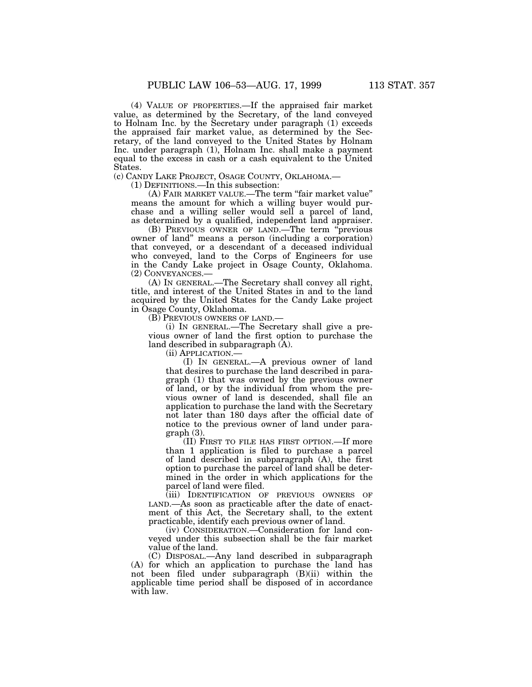(4) VALUE OF PROPERTIES.—If the appraised fair market value, as determined by the Secretary, of the land conveyed to Holnam Inc. by the Secretary under paragraph (1) exceeds the appraised fair market value, as determined by the Secretary, of the land conveyed to the United States by Holnam Inc. under paragraph (1), Holnam Inc. shall make a payment equal to the excess in cash or a cash equivalent to the United States.

(c) CANDY LAKE PROJECT, OSAGE COUNTY, OKLAHOMA.—

(1) DEFINITIONS.—In this subsection:

(A) FAIR MARKET VALUE.—The term ''fair market value'' means the amount for which a willing buyer would purchase and a willing seller would sell a parcel of land, as determined by a qualified, independent land appraiser.

(B) PREVIOUS OWNER OF LAND.—The term ''previous owner of land'' means a person (including a corporation) that conveyed, or a descendant of a deceased individual who conveyed, land to the Corps of Engineers for use in the Candy Lake project in Osage County, Oklahoma. (2) CONVEYANCES.—

(A) IN GENERAL.—The Secretary shall convey all right, title, and interest of the United States in and to the land acquired by the United States for the Candy Lake project in Osage County, Oklahoma.

(B) PREVIOUS OWNERS OF LAND.—

(i) IN GENERAL.—The Secretary shall give a previous owner of land the first option to purchase the land described in subparagraph (A).

(ii) APPLICATION.—

(I) IN GENERAL.—A previous owner of land that desires to purchase the land described in paragraph (1) that was owned by the previous owner of land, or by the individual from whom the previous owner of land is descended, shall file an application to purchase the land with the Secretary not later than 180 days after the official date of notice to the previous owner of land under paragraph (3).

(II) FIRST TO FILE HAS FIRST OPTION.—If more than 1 application is filed to purchase a parcel of land described in subparagraph (A), the first option to purchase the parcel of land shall be determined in the order in which applications for the parcel of land were filed.

(iii) IDENTIFICATION OF PREVIOUS OWNERS OF LAND.—As soon as practicable after the date of enactment of this Act, the Secretary shall, to the extent practicable, identify each previous owner of land.

(iv) CONSIDERATION.—Consideration for land conveyed under this subsection shall be the fair market value of the land.

(C) DISPOSAL.—Any land described in subparagraph (A) for which an application to purchase the land has not been filed under subparagraph (B)(ii) within the applicable time period shall be disposed of in accordance with law.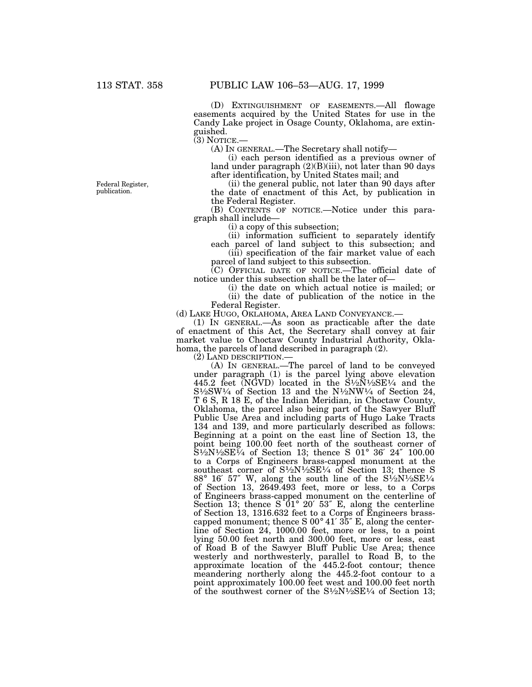(D) EXTINGUISHMENT OF EASEMENTS.—All flowage easements acquired by the United States for use in the Candy Lake project in Osage County, Oklahoma, are extinguished.

 $(3)$  NOTICE.

(A) IN GENERAL.—The Secretary shall notify—

(i) each person identified as a previous owner of land under paragraph (2)(B)(iii), not later than 90 days after identification, by United States mail; and

(ii) the general public, not later than 90 days after the date of enactment of this Act, by publication in the Federal Register.

(B) CONTENTS OF NOTICE.—Notice under this paragraph shall include—

(i) a copy of this subsection;

(ii) information sufficient to separately identify each parcel of land subject to this subsection; and  $(iii)$  specification of the fair market value of each

parcel of land subject to this subsection.

(C) OFFICIAL DATE OF NOTICE.—The official date of notice under this subsection shall be the later of—

(i) the date on which actual notice is mailed; or  $(ii)$  the date of publication of the notice in the

Federal Register.

(d) LAKE HUGO, OKLAHOMA, AREA LAND CONVEYANCE.—

(1) IN GENERAL.—As soon as practicable after the date of enactment of this Act, the Secretary shall convey at fair market value to Choctaw County Industrial Authority, Oklahoma, the parcels of land described in paragraph (2).

(2) LAND DESCRIPTION.—

(A) IN GENERAL.—The parcel of land to be conveyed under paragraph (1) is the parcel lying above elevation 445.2 feet  $\overline{(NGVD)}$  located in the  $\overline{S^{1/2}N^{1/2}SE^{1/4}}$  and the  $S\frac{1}{2}SW\frac{1}{4}$  of Section 13 and the N $\frac{1}{2}NW\frac{1}{4}$  of Section 24, T 6 S, R 18 E, of the Indian Meridian, in Choctaw County, Oklahoma, the parcel also being part of the Sawyer Bluff Public Use Area and including parts of Hugo Lake Tracts 134 and 139, and more particularly described as follows: Beginning at a point on the east line of Section 13, the point being 100.00 feet north of the southeast corner of  $S1/2N1/2SE^{1/4}$  of Section 13; thence S 01° 36' 24" 100.00 to a Corps of Engineers brass-capped monument at the southeast corner of  $S\frac{1}{2}N\frac{1}{2}SE\frac{1}{4}$  of Section 13; thence S 88° 16′ 57″ W, along the south line of the S1⁄2N1⁄2SE1⁄4 of Section 13, 2649.493 feet, more or less, to a Corps of Engineers brass-capped monument on the centerline of Section 13; thence S 01° 20′ 53″ E, along the centerline of Section 13, 1316.632 feet to a Corps of Engineers brasscapped monument; thence S 00° 41′ 35″ E, along the centerline of Section 24, 1000.00 feet, more or less, to a point lying 50.00 feet north and 300.00 feet, more or less, east of Road B of the Sawyer Bluff Public Use Area; thence westerly and northwesterly, parallel to Road B, to the approximate location of the 445.2-foot contour; thence meandering northerly along the 445.2-foot contour to a point approximately 100.00 feet west and 100.00 feet north of the southwest corner of the  $S<sup>1</sup>⁄<sub>2</sub>N<sup>1</sup>⁄<sub>2</sub>SE<sup>1</sup>⁄<sub>4</sub>$  of Section 13;

Federal Register, publication.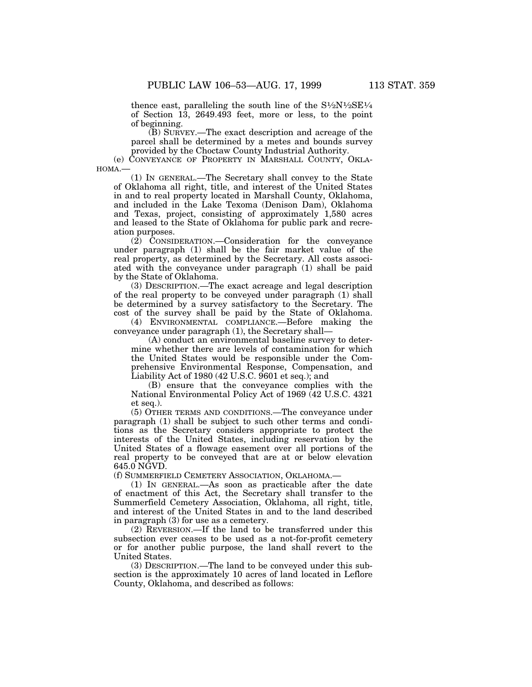thence east, paralleling the south line of the  $S\frac{1}{2}N\frac{1}{2}SE\frac{1}{4}$ of Section 13, 2649.493 feet, more or less, to the point of beginning.

(B) SURVEY.—The exact description and acreage of the parcel shall be determined by a metes and bounds survey provided by the Choctaw County Industrial Authority.

(e) CONVEYANCE OF PROPERTY IN MARSHALL COUNTY, OKLA-HOMA.—

(1) IN GENERAL.—The Secretary shall convey to the State of Oklahoma all right, title, and interest of the United States in and to real property located in Marshall County, Oklahoma, and included in the Lake Texoma (Denison Dam), Oklahoma and Texas, project, consisting of approximately 1,580 acres and leased to the State of Oklahoma for public park and recreation purposes.

(2) CONSIDERATION.—Consideration for the conveyance under paragraph (1) shall be the fair market value of the real property, as determined by the Secretary. All costs associated with the conveyance under paragraph (1) shall be paid by the State of Oklahoma.

(3) DESCRIPTION.—The exact acreage and legal description of the real property to be conveyed under paragraph (1) shall be determined by a survey satisfactory to the Secretary. The cost of the survey shall be paid by the State of Oklahoma.

(4) ENVIRONMENTAL COMPLIANCE.—Before making the conveyance under paragraph (1), the Secretary shall—

(A) conduct an environmental baseline survey to determine whether there are levels of contamination for which the United States would be responsible under the Comprehensive Environmental Response, Compensation, and Liability Act of 1980 (42 U.S.C. 9601 et seq.); and

(B) ensure that the conveyance complies with the National Environmental Policy Act of 1969 (42 U.S.C. 4321 et seq.).

(5) OTHER TERMS AND CONDITIONS.—The conveyance under paragraph (1) shall be subject to such other terms and conditions as the Secretary considers appropriate to protect the interests of the United States, including reservation by the United States of a flowage easement over all portions of the real property to be conveyed that are at or below elevation 645.0 NGVD.

(f) SUMMERFIELD CEMETERY ASSOCIATION, OKLAHOMA.—

(1) IN GENERAL.—As soon as practicable after the date of enactment of this Act, the Secretary shall transfer to the Summerfield Cemetery Association, Oklahoma, all right, title, and interest of the United States in and to the land described in paragraph (3) for use as a cemetery.

(2) REVERSION.—If the land to be transferred under this subsection ever ceases to be used as a not-for-profit cemetery or for another public purpose, the land shall revert to the United States.

(3) DESCRIPTION.—The land to be conveyed under this subsection is the approximately 10 acres of land located in Leflore County, Oklahoma, and described as follows: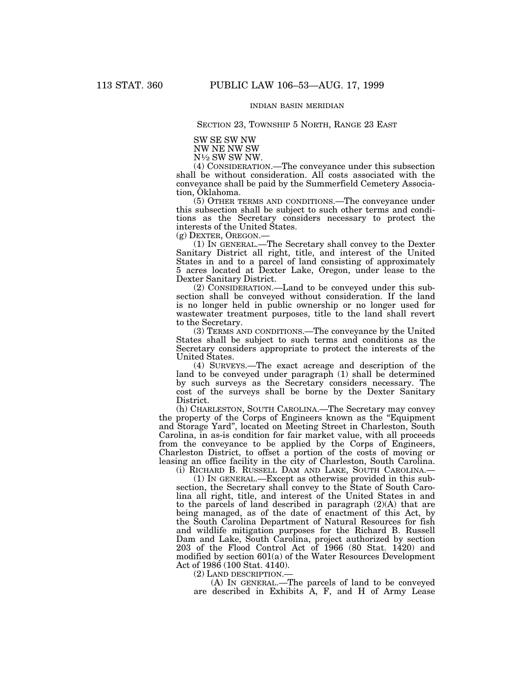# INDIAN BASIN MERIDIAN

# SECTION 23, TOWNSHIP 5 NORTH, RANGE 23 EAST

SW SE SW NW

NW NE NW SW

N1⁄2 SW SW NW.

(4) CONSIDERATION.—The conveyance under this subsection shall be without consideration. All costs associated with the conveyance shall be paid by the Summerfield Cemetery Association, Oklahoma.

(5) OTHER TERMS AND CONDITIONS.—The conveyance under this subsection shall be subject to such other terms and conditions as the Secretary considers necessary to protect the interests of the United States.

(g) DEXTER, OREGON.—

(1) IN GENERAL.—The Secretary shall convey to the Dexter Sanitary District all right, title, and interest of the United States in and to a parcel of land consisting of approximately 5 acres located at Dexter Lake, Oregon, under lease to the Dexter Sanitary District.

(2) CONSIDERATION.—Land to be conveyed under this subsection shall be conveyed without consideration. If the land is no longer held in public ownership or no longer used for wastewater treatment purposes, title to the land shall revert to the Secretary.

(3) TERMS AND CONDITIONS.—The conveyance by the United States shall be subject to such terms and conditions as the Secretary considers appropriate to protect the interests of the United States.

(4) SURVEYS.—The exact acreage and description of the land to be conveyed under paragraph (1) shall be determined by such surveys as the Secretary considers necessary. The cost of the surveys shall be borne by the Dexter Sanitary District.

(h) CHARLESTON, SOUTH CAROLINA.—The Secretary may convey the property of the Corps of Engineers known as the ''Equipment and Storage Yard'', located on Meeting Street in Charleston, South Carolina, in as-is condition for fair market value, with all proceeds from the conveyance to be applied by the Corps of Engineers, Charleston District, to offset a portion of the costs of moving or leasing an office facility in the city of Charleston, South Carolina.

(i) RICHARD B. RUSSELL DAM AND LAKE, SOUTH CAROLINA.—

(1) IN GENERAL.—Except as otherwise provided in this subsection, the Secretary shall convey to the State of South Carolina all right, title, and interest of the United States in and to the parcels of land described in paragraph (2)(A) that are being managed, as of the date of enactment of this Act, by the South Carolina Department of Natural Resources for fish and wildlife mitigation purposes for the Richard B. Russell Dam and Lake, South Carolina, project authorized by section 203 of the Flood Control Act of 1966 (80 Stat. 1420) and modified by section 601(a) of the Water Resources Development Act of 1986 (100 Stat. 4140).

(2) LAND DESCRIPTION.—

(A) IN GENERAL.—The parcels of land to be conveyed are described in Exhibits A, F, and H of Army Lease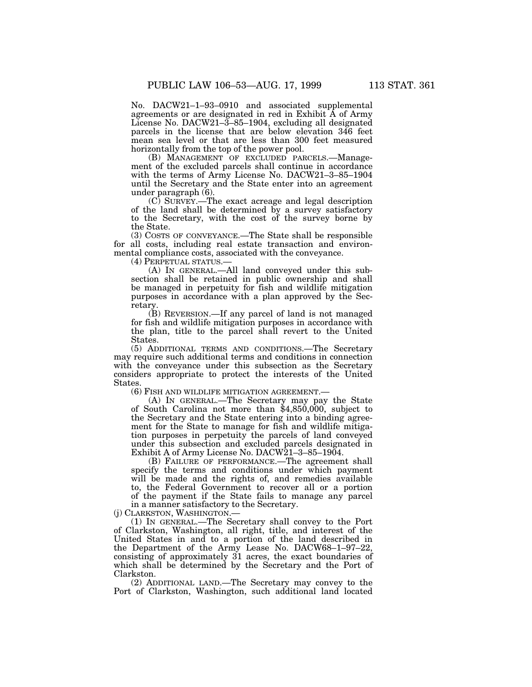No. DACW21–1–93–0910 and associated supplemental agreements or are designated in red in Exhibit A of Army License No. DACW21–3–85–1904, excluding all designated parcels in the license that are below elevation 346 feet mean sea level or that are less than 300 feet measured horizontally from the top of the power pool.

(B) MANAGEMENT OF EXCLUDED PARCELS.—Management of the excluded parcels shall continue in accordance with the terms of Army License No. DACW21–3–85–1904 until the Secretary and the State enter into an agreement under paragraph (6).

(C) SURVEY.—The exact acreage and legal description of the land shall be determined by a survey satisfactory to the Secretary, with the cost of the survey borne by the State.

(3) COSTS OF CONVEYANCE.—The State shall be responsible for all costs, including real estate transaction and environmental compliance costs, associated with the conveyance.

(4) PERPETUAL STATUS.—

(A) IN GENERAL.—All land conveyed under this subsection shall be retained in public ownership and shall be managed in perpetuity for fish and wildlife mitigation purposes in accordance with a plan approved by the Secretary.

(B) REVERSION.—If any parcel of land is not managed for fish and wildlife mitigation purposes in accordance with the plan, title to the parcel shall revert to the United States.

(5) ADDITIONAL TERMS AND CONDITIONS.—The Secretary may require such additional terms and conditions in connection with the conveyance under this subsection as the Secretary considers appropriate to protect the interests of the United States.

(6) FISH AND WILDLIFE MITIGATION AGREEMENT.—

(A) IN GENERAL.—The Secretary may pay the State of South Carolina not more than \$4,850,000, subject to the Secretary and the State entering into a binding agreement for the State to manage for fish and wildlife mitigation purposes in perpetuity the parcels of land conveyed under this subsection and excluded parcels designated in Exhibit A of Army License No. DACW21–3–85–1904.

(B) FAILURE OF PERFORMANCE.—The agreement shall specify the terms and conditions under which payment will be made and the rights of, and remedies available to, the Federal Government to recover all or a portion of the payment if the State fails to manage any parcel in a manner satisfactory to the Secretary.

(j) CLARKSTON, WASHINGTON.—

(1) IN GENERAL.—The Secretary shall convey to the Port of Clarkston, Washington, all right, title, and interest of the United States in and to a portion of the land described in the Department of the Army Lease No. DACW68–1–97–22, consisting of approximately 31 acres, the exact boundaries of which shall be determined by the Secretary and the Port of Clarkston.

(2) ADDITIONAL LAND.—The Secretary may convey to the Port of Clarkston, Washington, such additional land located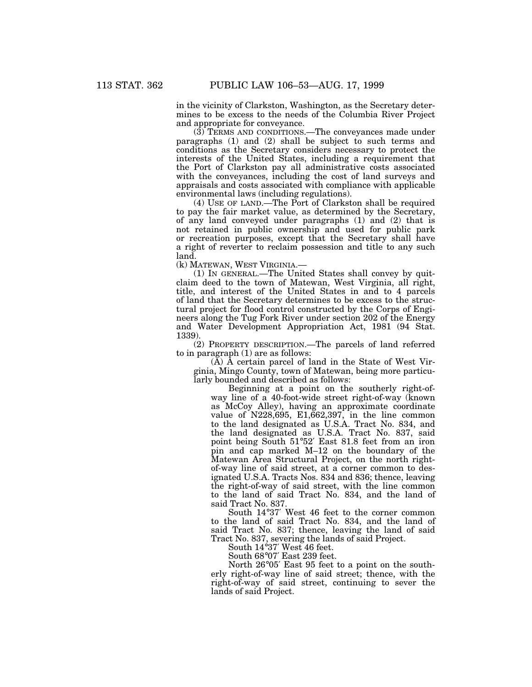in the vicinity of Clarkston, Washington, as the Secretary determines to be excess to the needs of the Columbia River Project and appropriate for conveyance.

 $(3)$  TERMS AND CONDITIONS.—The conveyances made under paragraphs (1) and (2) shall be subject to such terms and conditions as the Secretary considers necessary to protect the interests of the United States, including a requirement that the Port of Clarkston pay all administrative costs associated with the conveyances, including the cost of land surveys and appraisals and costs associated with compliance with applicable environmental laws (including regulations).

(4) USE OF LAND.—The Port of Clarkston shall be required to pay the fair market value, as determined by the Secretary, of any land conveyed under paragraphs (1) and (2) that is not retained in public ownership and used for public park or recreation purposes, except that the Secretary shall have a right of reverter to reclaim possession and title to any such land.

(k) MATEWAN, WEST VIRGINIA.—

(1) IN GENERAL.—The United States shall convey by quitclaim deed to the town of Matewan, West Virginia, all right, title, and interest of the United States in and to 4 parcels of land that the Secretary determines to be excess to the structural project for flood control constructed by the Corps of Engineers along the Tug Fork River under section 202 of the Energy and Water Development Appropriation Act, 1981 (94 Stat. 1339).

(2) PROPERTY DESCRIPTION.—The parcels of land referred to in paragraph (1) are as follows:

 $(A)$   $\overline{A}$  certain parcel of land in the State of West Virginia, Mingo County, town of Matewan, being more particularly bounded and described as follows:

Beginning at a point on the southerly right-ofway line of a 40-foot-wide street right-of-way (known as McCoy Alley), having an approximate coordinate value of N228,695, E1,662,397, in the line common to the land designated as U.S.A. Tract No. 834, and the land designated as U.S.A. Tract No. 837, said point being South 51°52′ East 81.8 feet from an iron pin and cap marked M–12 on the boundary of the Matewan Area Structural Project, on the north rightof-way line of said street, at a corner common to designated U.S.A. Tracts Nos. 834 and 836; thence, leaving the right-of-way of said street, with the line common to the land of said Tract No. 834, and the land of said Tract No. 837.

South 14°37′ West 46 feet to the corner common to the land of said Tract No. 834, and the land of said Tract No. 837; thence, leaving the land of said Tract No. 837, severing the lands of said Project.

South 14°37′ West 46 feet.

South 68°07′ East 239 feet.

North 26°05′ East 95 feet to a point on the southerly right-of-way line of said street; thence, with the right-of-way of said street, continuing to sever the lands of said Project.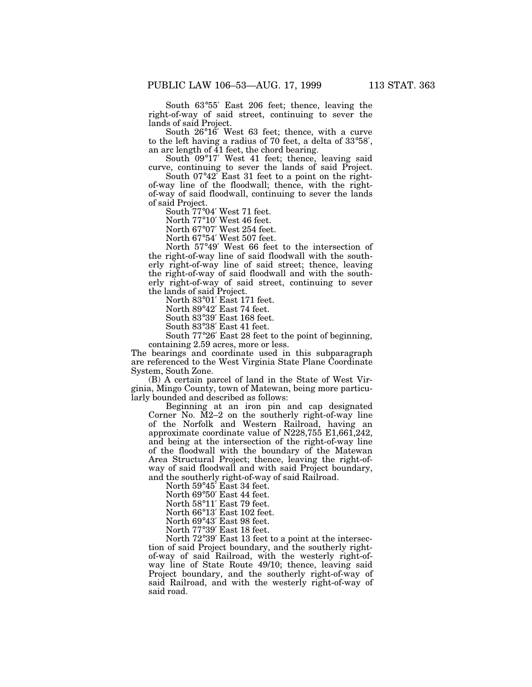South 63°55′ East 206 feet; thence, leaving the right-of-way of said street, continuing to sever the lands of said Project.

South 26°16′ West 63 feet; thence, with a curve to the left having a radius of 70 feet, a delta of 33°58′, an arc length of 41 feet, the chord bearing.

South 09°17′ West 41 feet; thence, leaving said curve, continuing to sever the lands of said Project.

South  $07^{\circ}42^{\circ}$  East 31 feet to a point on the rightof-way line of the floodwall; thence, with the rightof-way of said floodwall, continuing to sever the lands of said Project.

South 77°04′ West 71 feet.

North 77°10′ West 46 feet.

North 67°07′ West 254 feet.

North 67°54′ West 507 feet.

North 57°49′ West 66 feet to the intersection of the right-of-way line of said floodwall with the southerly right-of-way line of said street; thence, leaving the right-of-way of said floodwall and with the southerly right-of-way of said street, continuing to sever the lands of said Project.

North 83°01′ East 171 feet.

North 89°42′ East 74 feet.

South 83°39′ East 168 feet.

South 83°38′ East 41 feet.

South 77°26′ East 28 feet to the point of beginning, containing 2.59 acres, more or less.

The bearings and coordinate used in this subparagraph are referenced to the West Virginia State Plane Coordinate System, South Zone.

(B) A certain parcel of land in the State of West Virginia, Mingo County, town of Matewan, being more particularly bounded and described as follows:

Beginning at an iron pin and cap designated Corner No. M2–2 on the southerly right-of-way line of the Norfolk and Western Railroad, having an approximate coordinate value of N228,755 E1,661,242, and being at the intersection of the right-of-way line of the floodwall with the boundary of the Matewan Area Structural Project; thence, leaving the right-ofway of said floodwall and with said Project boundary, and the southerly right-of-way of said Railroad.

North 59°45′ East 34 feet.

North 69°50′ East 44 feet.

North 58°11′ East 79 feet.

North 66°13′ East 102 feet.

North 69°43′ East 98 feet.

North 77°39′ East 18 feet.

North 72°39′ East 13 feet to a point at the intersection of said Project boundary, and the southerly rightof-way of said Railroad, with the westerly right-ofway line of State Route 49/10; thence, leaving said Project boundary, and the southerly right-of-way of said Railroad, and with the westerly right-of-way of said road.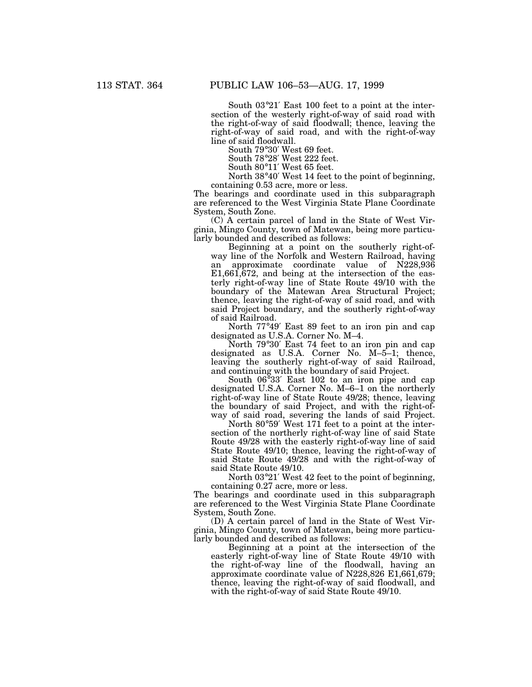South 03°21′ East 100 feet to a point at the intersection of the westerly right-of-way of said road with the right-of-way of said floodwall; thence, leaving the right-of-way of said road, and with the right-of-way line of said floodwall.

South 79°30′ West 69 feet.

South 78°28′ West 222 feet.

South 80°11′ West 65 feet.

North 38°40′ West 14 feet to the point of beginning,

containing 0.53 acre, more or less.

The bearings and coordinate used in this subparagraph are referenced to the West Virginia State Plane Coordinate System, South Zone.

(C) A certain parcel of land in the State of West Virginia, Mingo County, town of Matewan, being more particularly bounded and described as follows:

Beginning at a point on the southerly right-ofway line of the Norfolk and Western Railroad, having an approximate coordinate value of N228,936 E1,661,672, and being at the intersection of the easterly right-of-way line of State Route 49/10 with the boundary of the Matewan Area Structural Project; thence, leaving the right-of-way of said road, and with said Project boundary, and the southerly right-of-way of said Railroad.

North 77°49′ East 89 feet to an iron pin and cap designated as U.S.A. Corner No. M–4.

North 79°30′ East 74 feet to an iron pin and cap designated as U.S.A. Corner No. M–5–1; thence, leaving the southerly right-of-way of said Railroad, and continuing with the boundary of said Project.

South 06°33′ East 102 to an iron pipe and cap designated U.S.A. Corner No. M–6–1 on the northerly right-of-way line of State Route 49/28; thence, leaving the boundary of said Project, and with the right-ofway of said road, severing the lands of said Project.

North 80°59′ West 171 feet to a point at the intersection of the northerly right-of-way line of said State Route 49/28 with the easterly right-of-way line of said State Route 49/10; thence, leaving the right-of-way of said State Route 49/28 and with the right-of-way of said State Route 49/10.

North 03°21′ West 42 feet to the point of beginning, containing 0.27 acre, more or less.

The bearings and coordinate used in this subparagraph are referenced to the West Virginia State Plane Coordinate System, South Zone.

(D) A certain parcel of land in the State of West Virginia, Mingo County, town of Matewan, being more particularly bounded and described as follows:

Beginning at a point at the intersection of the easterly right-of-way line of State Route 49/10 with the right-of-way line of the floodwall, having an approximate coordinate value of N228,826 E1,661,679; thence, leaving the right-of-way of said floodwall, and with the right-of-way of said State Route 49/10.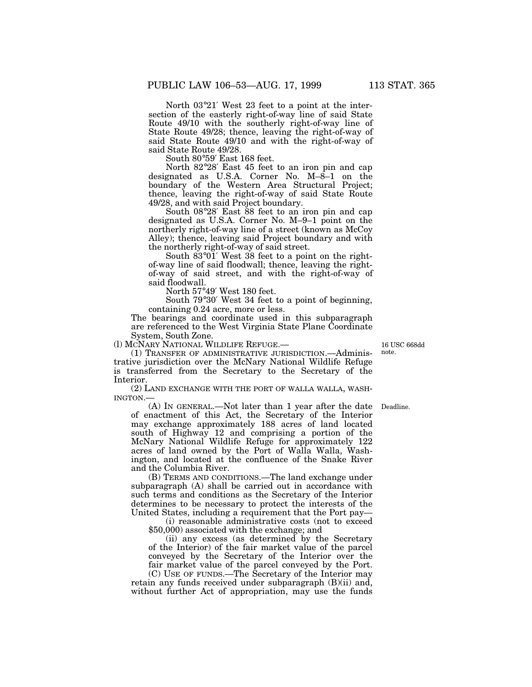North 03°21′ West 23 feet to a point at the intersection of the easterly right-of-way line of said State Route 49/10 with the southerly right-of-way line of State Route 49/28; thence, leaving the right-of-way of said State Route 49/10 and with the right-of-way of said State Route 49/28.

South 80°59′ East 168 feet.

North 82°28′ East 45 feet to an iron pin and cap designated as U.S.A. Corner No. M–8–1 on the boundary of the Western Area Structural Project; thence, leaving the right-of-way of said State Route 49/28, and with said Project boundary.

South 08°28′ East 88 feet to an iron pin and cap designated as U.S.A. Corner No. M–9–1 point on the northerly right-of-way line of a street (known as McCoy Alley); thence, leaving said Project boundary and with the northerly right-of-way of said street.

South  $83^{\circ}01'$  West  $38$  feet to a point on the rightof-way line of said floodwall; thence, leaving the rightof-way of said street, and with the right-of-way of said floodwall.

North 57°49′ West 180 feet.

South 79°30′ West 34 feet to a point of beginning, containing 0.24 acre, more or less.

The bearings and coordinate used in this subparagraph are referenced to the West Virginia State Plane Coordinate System, South Zone.

(l) MCNARY NATIONAL WILDLIFE REFUGE.—

(1) TRANSFER OF ADMINISTRATIVE JURISDICTION.—Administrative jurisdiction over the McNary National Wildlife Refuge is transferred from the Secretary to the Secretary of the Interior.

(2) LAND EXCHANGE WITH THE PORT OF WALLA WALLA, WASH-INGTON.—

(A) IN GENERAL.—Not later than 1 year after the date Deadline. of enactment of this Act, the Secretary of the Interior may exchange approximately 188 acres of land located south of Highway 12 and comprising a portion of the McNary National Wildlife Refuge for approximately 122 acres of land owned by the Port of Walla Walla, Washington, and located at the confluence of the Snake River and the Columbia River.

(B) TERMS AND CONDITIONS.—The land exchange under subparagraph (A) shall be carried out in accordance with such terms and conditions as the Secretary of the Interior determines to be necessary to protect the interests of the United States, including a requirement that the Port pay—

(i) reasonable administrative costs (not to exceed \$50,000) associated with the exchange; and

(ii) any excess (as determined by the Secretary of the Interior) of the fair market value of the parcel conveyed by the Secretary of the Interior over the fair market value of the parcel conveyed by the Port.

(C) USE OF FUNDS.—The Secretary of the Interior may retain any funds received under subparagraph (B)(ii) and, without further Act of appropriation, may use the funds

16 USC 668dd note.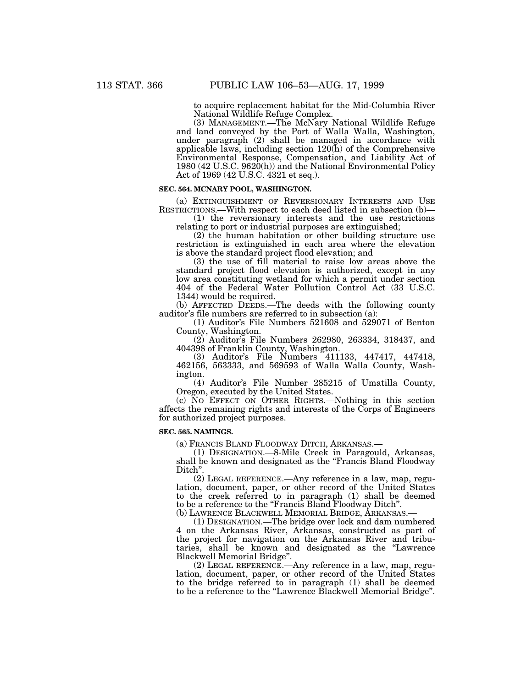to acquire replacement habitat for the Mid-Columbia River National Wildlife Refuge Complex.

(3) MANAGEMENT.—The McNary National Wildlife Refuge and land conveyed by the Port of Walla Walla, Washington, under paragraph (2) shall be managed in accordance with applicable laws, including section  $120(\tilde{h})$  of the Comprehensive Environmental Response, Compensation, and Liability Act of 1980 (42 U.S.C. 9620(h)) and the National Environmental Policy Act of 1969 (42 U.S.C. 4321 et seq.).

#### **SEC. 564. MCNARY POOL, WASHINGTON.**

(a) EXTINGUISHMENT OF REVERSIONARY INTERESTS AND USE RESTRICTIONS.—With respect to each deed listed in subsection (b)—

(1) the reversionary interests and the use restrictions relating to port or industrial purposes are extinguished;

(2) the human habitation or other building structure use restriction is extinguished in each area where the elevation is above the standard project flood elevation; and

(3) the use of fill material to raise low areas above the standard project flood elevation is authorized, except in any low area constituting wetland for which a permit under section 404 of the Federal Water Pollution Control Act (33 U.S.C. 1344) would be required.

(b) AFFECTED DEEDS.—The deeds with the following county auditor's file numbers are referred to in subsection (a):

(1) Auditor's File Numbers 521608 and 529071 of Benton County, Washington.

(2) Auditor's File Numbers 262980, 263334, 318437, and 404398 of Franklin County, Washington.

(3) Auditor's File Numbers 411133, 447417, 447418, 462156, 563333, and 569593 of Walla Walla County, Washington.

(4) Auditor's File Number 285215 of Umatilla County, Oregon, executed by the United States.

(c) NO EFFECT ON OTHER RIGHTS.—Nothing in this section affects the remaining rights and interests of the Corps of Engineers for authorized project purposes.

#### **SEC. 565. NAMINGS.**

(a) FRANCIS BLAND FLOODWAY DITCH, ARKANSAS.—

(1) DESIGNATION.—8-Mile Creek in Paragould, Arkansas, shall be known and designated as the "Francis Bland Floodway Ditch''.

(2) LEGAL REFERENCE.—Any reference in a law, map, regulation, document, paper, or other record of the United States to the creek referred to in paragraph (1) shall be deemed to be a reference to the ''Francis Bland Floodway Ditch''.

(b) LAWRENCE BLACKWELL MEMORIAL BRIDGE, ARKANSAS.—

(1) DESIGNATION.—The bridge over lock and dam numbered 4 on the Arkansas River, Arkansas, constructed as part of the project for navigation on the Arkansas River and tributaries, shall be known and designated as the ''Lawrence Blackwell Memorial Bridge''.

(2) LEGAL REFERENCE.—Any reference in a law, map, regulation, document, paper, or other record of the United States to the bridge referred to in paragraph (1) shall be deemed to be a reference to the ''Lawrence Blackwell Memorial Bridge''.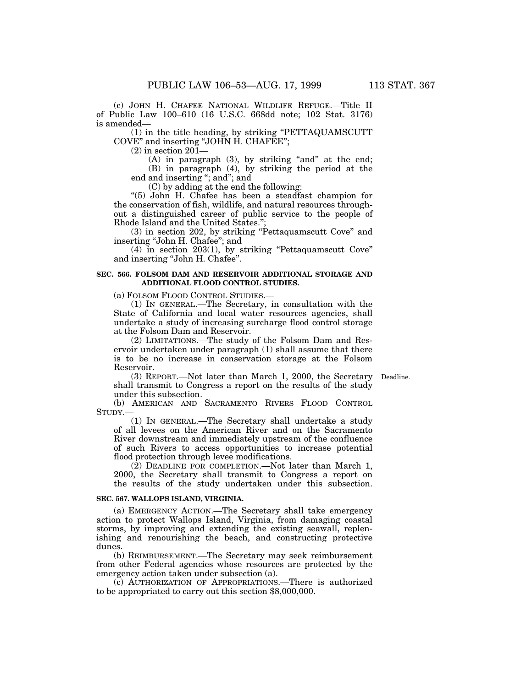(c) JOHN H. CHAFEE NATIONAL WILDLIFE REFUGE.—Title II of Public Law 100–610 (16 U.S.C. 668dd note; 102 Stat. 3176) is amended—

(1) in the title heading, by striking ''PETTAQUAMSCUTT COVE'' and inserting ''JOHN H. CHAFEE'';

(2) in section 201—

 $(A)$  in paragraph  $(3)$ , by striking "and" at the end; (B) in paragraph (4), by striking the period at the end and inserting ''; and''; and

(C) by adding at the end the following:

''(5) John H. Chafee has been a steadfast champion for the conservation of fish, wildlife, and natural resources throughout a distinguished career of public service to the people of Rhode Island and the United States.'';

(3) in section 202, by striking ''Pettaquamscutt Cove'' and inserting ''John H. Chafee''; and

(4) in section 203(1), by striking ''Pettaquamscutt Cove'' and inserting ''John H. Chafee''.

### **SEC. 566. FOLSOM DAM AND RESERVOIR ADDITIONAL STORAGE AND ADDITIONAL FLOOD CONTROL STUDIES.**

(a) FOLSOM FLOOD CONTROL STUDIES.—

(1) IN GENERAL.—The Secretary, in consultation with the State of California and local water resources agencies, shall undertake a study of increasing surcharge flood control storage at the Folsom Dam and Reservoir.

(2) LIMITATIONS.—The study of the Folsom Dam and Reservoir undertaken under paragraph (1) shall assume that there is to be no increase in conservation storage at the Folsom Reservoir.

(3) REPORT.—Not later than March 1, 2000, the Secretary Deadline.shall transmit to Congress a report on the results of the study under this subsection.

(b) AMERICAN AND SACRAMENTO RIVERS FLOOD CONTROL STUDY.—

(1) IN GENERAL.—The Secretary shall undertake a study of all levees on the American River and on the Sacramento River downstream and immediately upstream of the confluence of such Rivers to access opportunities to increase potential flood protection through levee modifications.

(2) DEADLINE FOR COMPLETION.—Not later than March 1, 2000, the Secretary shall transmit to Congress a report on the results of the study undertaken under this subsection.

### **SEC. 567. WALLOPS ISLAND, VIRGINIA.**

(a) EMERGENCY ACTION.—The Secretary shall take emergency action to protect Wallops Island, Virginia, from damaging coastal storms, by improving and extending the existing seawall, replenishing and renourishing the beach, and constructing protective dunes.

(b) REIMBURSEMENT.—The Secretary may seek reimbursement from other Federal agencies whose resources are protected by the emergency action taken under subsection (a).

(c) AUTHORIZATION OF APPROPRIATIONS.—There is authorized to be appropriated to carry out this section \$8,000,000.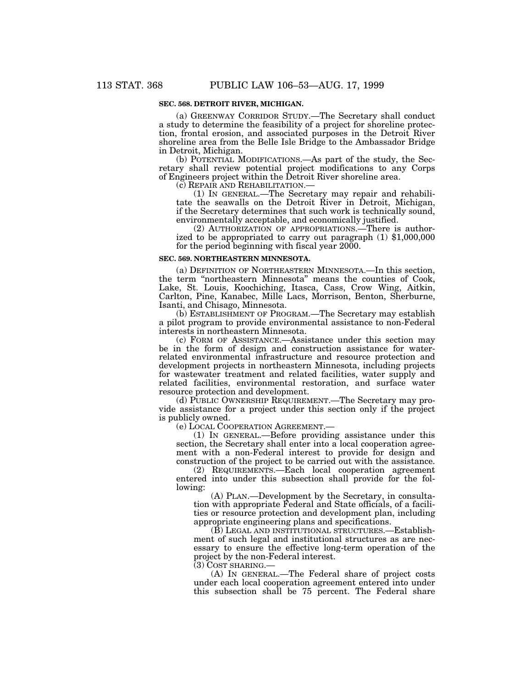## **SEC. 568. DETROIT RIVER, MICHIGAN.**

(a) GREENWAY CORRIDOR STUDY.—The Secretary shall conduct a study to determine the feasibility of a project for shoreline protection, frontal erosion, and associated purposes in the Detroit River shoreline area from the Belle Isle Bridge to the Ambassador Bridge in Detroit, Michigan.

(b) POTENTIAL MODIFICATIONS.—As part of the study, the Secretary shall review potential project modifications to any Corps of Engineers project within the Detroit River shoreline area.

(c) REPAIR AND REHABILITATION.—

(1) IN GENERAL.—The Secretary may repair and rehabilitate the seawalls on the Detroit River in Detroit, Michigan, if the Secretary determines that such work is technically sound, environmentally acceptable, and economically justified.

(2) AUTHORIZATION OF APPROPRIATIONS.—There is authorized to be appropriated to carry out paragraph (1) \$1,000,000 for the period beginning with fiscal year 2000.

### **SEC. 569. NORTHEASTERN MINNESOTA.**

(a) DEFINITION OF NORTHEASTERN MINNESOTA.—In this section, the term ''northeastern Minnesota'' means the counties of Cook, Lake, St. Louis, Koochiching, Itasca, Cass, Crow Wing, Aitkin, Carlton, Pine, Kanabec, Mille Lacs, Morrison, Benton, Sherburne, Isanti, and Chisago, Minnesota.

(b) ESTABLISHMENT OF PROGRAM.—The Secretary may establish a pilot program to provide environmental assistance to non-Federal interests in northeastern Minnesota.

(c) FORM OF ASSISTANCE.—Assistance under this section may be in the form of design and construction assistance for waterrelated environmental infrastructure and resource protection and development projects in northeastern Minnesota, including projects for wastewater treatment and related facilities, water supply and related facilities, environmental restoration, and surface water resource protection and development.

(d) PUBLIC OWNERSHIP REQUIREMENT.—The Secretary may provide assistance for a project under this section only if the project is publicly owned.

(e) LOCAL COOPERATION AGREEMENT.—

(1) IN GENERAL.—Before providing assistance under this section, the Secretary shall enter into a local cooperation agreement with a non-Federal interest to provide for design and construction of the project to be carried out with the assistance.

(2) REQUIREMENTS.—Each local cooperation agreement entered into under this subsection shall provide for the following:

(A) PLAN.—Development by the Secretary, in consultation with appropriate Federal and State officials, of a facilities or resource protection and development plan, including appropriate engineering plans and specifications.

(B) LEGAL AND INSTITUTIONAL STRUCTURES.—Establishment of such legal and institutional structures as are necessary to ensure the effective long-term operation of the project by the non-Federal interest.

(3) COST SHARING.—

(A) IN GENERAL.—The Federal share of project costs under each local cooperation agreement entered into under this subsection shall be 75 percent. The Federal share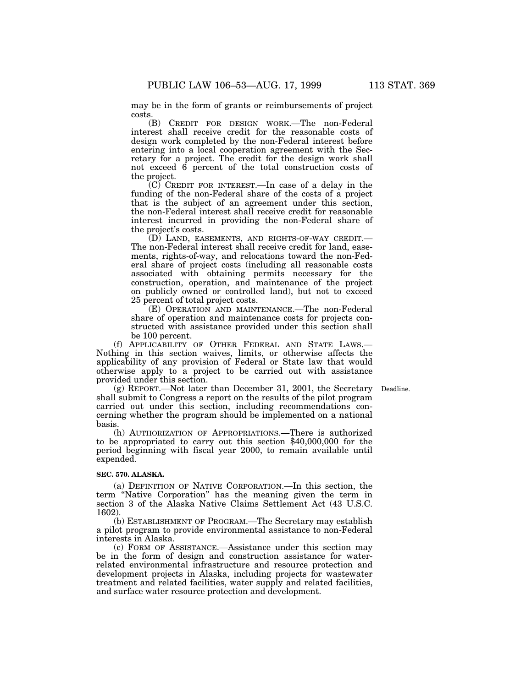may be in the form of grants or reimbursements of project costs.

(B) CREDIT FOR DESIGN WORK.—The non-Federal interest shall receive credit for the reasonable costs of design work completed by the non-Federal interest before entering into a local cooperation agreement with the Secretary for a project. The credit for the design work shall not exceed 6 percent of the total construction costs of the project.

(C) CREDIT FOR INTEREST.—In case of a delay in the funding of the non-Federal share of the costs of a project that is the subject of an agreement under this section, the non-Federal interest shall receive credit for reasonable interest incurred in providing the non-Federal share of the project's costs.

(D) LAND, EASEMENTS, AND RIGHTS-OF-WAY CREDIT.— The non-Federal interest shall receive credit for land, easements, rights-of-way, and relocations toward the non-Federal share of project costs (including all reasonable costs associated with obtaining permits necessary for the construction, operation, and maintenance of the project on publicly owned or controlled land), but not to exceed 25 percent of total project costs.

(E) OPERATION AND MAINTENANCE.—The non-Federal share of operation and maintenance costs for projects constructed with assistance provided under this section shall be 100 percent.

(f) APPLICABILITY OF OTHER FEDERAL AND STATE LAWS.— Nothing in this section waives, limits, or otherwise affects the applicability of any provision of Federal or State law that would otherwise apply to a project to be carried out with assistance provided under this section.

(g) REPORT.—Not later than December 31, 2001, the Secretary Deadline.shall submit to Congress a report on the results of the pilot program carried out under this section, including recommendations concerning whether the program should be implemented on a national basis.

(h) AUTHORIZATION OF APPROPRIATIONS.—There is authorized to be appropriated to carry out this section \$40,000,000 for the period beginning with fiscal year 2000, to remain available until expended.

#### **SEC. 570. ALASKA.**

(a) DEFINITION OF NATIVE CORPORATION.—In this section, the term "Native Corporation" has the meaning given the term in section 3 of the Alaska Native Claims Settlement Act (43 U.S.C. 1602).

(b) ESTABLISHMENT OF PROGRAM.—The Secretary may establish a pilot program to provide environmental assistance to non-Federal interests in Alaska.

(c) FORM OF ASSISTANCE.—Assistance under this section may be in the form of design and construction assistance for waterrelated environmental infrastructure and resource protection and development projects in Alaska, including projects for wastewater treatment and related facilities, water supply and related facilities, and surface water resource protection and development.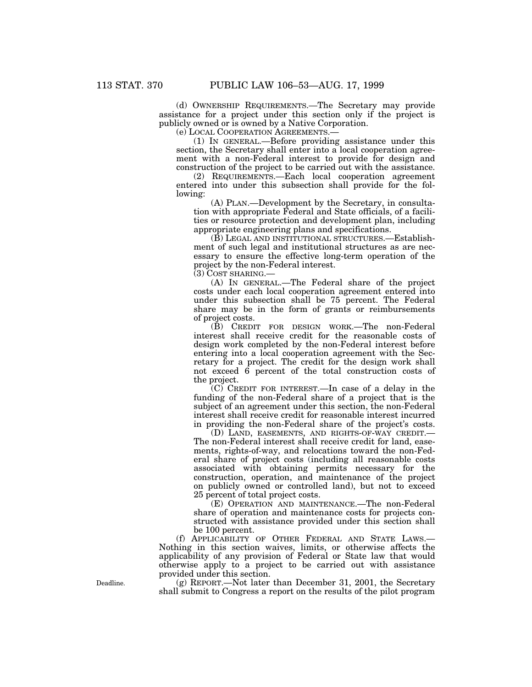(d) OWNERSHIP REQUIREMENTS.—The Secretary may provide assistance for a project under this section only if the project is publicly owned or is owned by a Native Corporation.

(e) LOCAL COOPERATION AGREEMENTS.—

(1) IN GENERAL.—Before providing assistance under this section, the Secretary shall enter into a local cooperation agreement with a non-Federal interest to provide for design and construction of the project to be carried out with the assistance.

(2) REQUIREMENTS.—Each local cooperation agreement entered into under this subsection shall provide for the following:

(A) PLAN.—Development by the Secretary, in consultation with appropriate Federal and State officials, of a facilities or resource protection and development plan, including appropriate engineering plans and specifications.

(B) LEGAL AND INSTITUTIONAL STRUCTURES.—Establishment of such legal and institutional structures as are necessary to ensure the effective long-term operation of the project by the non-Federal interest.

(3) COST SHARING.—

(A) IN GENERAL.—The Federal share of the project costs under each local cooperation agreement entered into under this subsection shall be 75 percent. The Federal share may be in the form of grants or reimbursements of project costs.

(B) CREDIT FOR DESIGN WORK.—The non-Federal interest shall receive credit for the reasonable costs of design work completed by the non-Federal interest before entering into a local cooperation agreement with the Secretary for a project. The credit for the design work shall not exceed 6 percent of the total construction costs of the project.

(C) CREDIT FOR INTEREST.—In case of a delay in the funding of the non-Federal share of a project that is the subject of an agreement under this section, the non-Federal interest shall receive credit for reasonable interest incurred in providing the non-Federal share of the project's costs.

(D) LAND, EASEMENTS, AND RIGHTS-OF-WAY CREDIT.— The non-Federal interest shall receive credit for land, easements, rights-of-way, and relocations toward the non-Federal share of project costs (including all reasonable costs associated with obtaining permits necessary for the construction, operation, and maintenance of the project on publicly owned or controlled land), but not to exceed 25 percent of total project costs.

(E) OPERATION AND MAINTENANCE.—The non-Federal share of operation and maintenance costs for projects constructed with assistance provided under this section shall be 100 percent.

(f) APPLICABILITY OF OTHER FEDERAL AND STATE LAWS.— Nothing in this section waives, limits, or otherwise affects the applicability of any provision of Federal or State law that would otherwise apply to a project to be carried out with assistance provided under this section.

(g) REPORT.—Not later than December 31, 2001, the Secretary shall submit to Congress a report on the results of the pilot program

Deadline.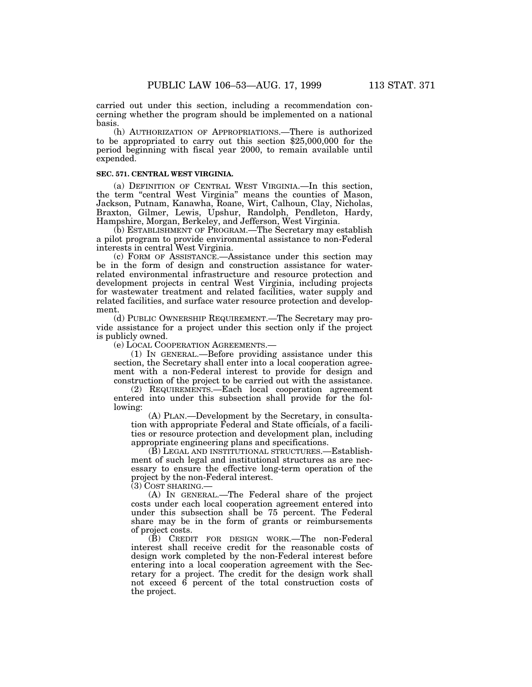carried out under this section, including a recommendation concerning whether the program should be implemented on a national basis.

(h) AUTHORIZATION OF APPROPRIATIONS.—There is authorized to be appropriated to carry out this section \$25,000,000 for the period beginning with fiscal year 2000, to remain available until expended.

#### **SEC. 571. CENTRAL WEST VIRGINIA.**

(a) DEFINITION OF CENTRAL WEST VIRGINIA.—In this section, the term "central West Virginia" means the counties of Mason, Jackson, Putnam, Kanawha, Roane, Wirt, Calhoun, Clay, Nicholas, Braxton, Gilmer, Lewis, Upshur, Randolph, Pendleton, Hardy, Hampshire, Morgan, Berkeley, and Jefferson, West Virginia.

(b) ESTABLISHMENT OF PROGRAM.—The Secretary may establish a pilot program to provide environmental assistance to non-Federal interests in central West Virginia.

(c) FORM OF ASSISTANCE.—Assistance under this section may be in the form of design and construction assistance for waterrelated environmental infrastructure and resource protection and development projects in central West Virginia, including projects for wastewater treatment and related facilities, water supply and related facilities, and surface water resource protection and development.

(d) PUBLIC OWNERSHIP REQUIREMENT.—The Secretary may provide assistance for a project under this section only if the project is publicly owned.

(e) LOCAL COOPERATION AGREEMENTS.—

(1) IN GENERAL.—Before providing assistance under this section, the Secretary shall enter into a local cooperation agreement with a non-Federal interest to provide for design and construction of the project to be carried out with the assistance.

(2) REQUIREMENTS.—Each local cooperation agreement entered into under this subsection shall provide for the following:

(A) PLAN.—Development by the Secretary, in consultation with appropriate Federal and State officials, of a facilities or resource protection and development plan, including appropriate engineering plans and specifications.

(B) LEGAL AND INSTITUTIONAL STRUCTURES.—Establishment of such legal and institutional structures as are necessary to ensure the effective long-term operation of the project by the non-Federal interest.

(3) COST SHARING.—

(A) IN GENERAL.—The Federal share of the project costs under each local cooperation agreement entered into under this subsection shall be 75 percent. The Federal share may be in the form of grants or reimbursements of project costs.

(B) CREDIT FOR DESIGN WORK.—The non-Federal interest shall receive credit for the reasonable costs of design work completed by the non-Federal interest before entering into a local cooperation agreement with the Secretary for a project. The credit for the design work shall not exceed 6 percent of the total construction costs of the project.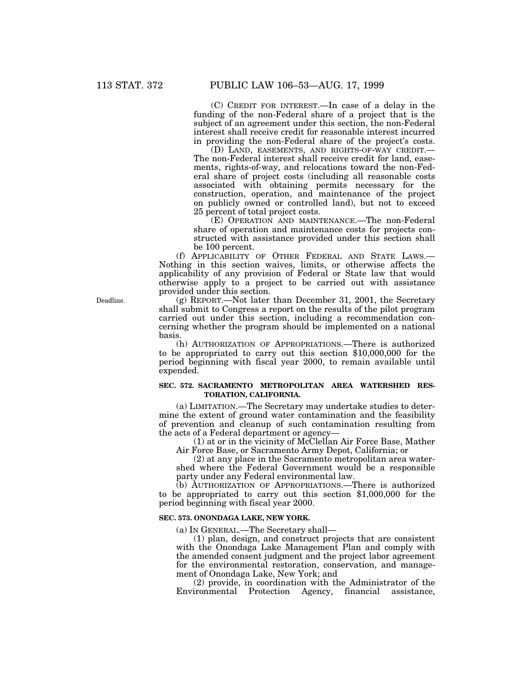(C) CREDIT FOR INTEREST.—In case of a delay in the funding of the non-Federal share of a project that is the subject of an agreement under this section, the non-Federal interest shall receive credit for reasonable interest incurred in providing the non-Federal share of the project's costs.

(D) LAND, EASEMENTS, AND RIGHTS-OF-WAY CREDIT.— The non-Federal interest shall receive credit for land, easements, rights-of-way, and relocations toward the non-Federal share of project costs (including all reasonable costs associated with obtaining permits necessary for the construction, operation, and maintenance of the project on publicly owned or controlled land), but not to exceed 25 percent of total project costs.

(E) OPERATION AND MAINTENANCE.—The non-Federal share of operation and maintenance costs for projects constructed with assistance provided under this section shall be 100 percent.

(f) APPLICABILITY OF OTHER FEDERAL AND STATE LAWS.— Nothing in this section waives, limits, or otherwise affects the applicability of any provision of Federal or State law that would otherwise apply to a project to be carried out with assistance provided under this section.

(g) REPORT.—Not later than December 31, 2001, the Secretary shall submit to Congress a report on the results of the pilot program carried out under this section, including a recommendation concerning whether the program should be implemented on a national basis.

(h) AUTHORIZATION OF APPROPRIATIONS.—There is authorized to be appropriated to carry out this section \$10,000,000 for the period beginning with fiscal year 2000, to remain available until expended.

# **SEC. 572. SACRAMENTO METROPOLITAN AREA WATERSHED RES-TORATION, CALIFORNIA.**

(a) LIMITATION.—The Secretary may undertake studies to determine the extent of ground water contamination and the feasibility of prevention and cleanup of such contamination resulting from the acts of a Federal department or agency—

(1) at or in the vicinity of McClellan Air Force Base, Mather Air Force Base, or Sacramento Army Depot, California; or

(2) at any place in the Sacramento metropolitan area watershed where the Federal Government would be a responsible party under any Federal environmental law.

(b) AUTHORIZATION OF APPROPRIATIONS.—There is authorized to be appropriated to carry out this section \$1,000,000 for the period beginning with fiscal year 2000.

#### **SEC. 573. ONONDAGA LAKE, NEW YORK.**

(a) IN GENERAL.—The Secretary shall—

(1) plan, design, and construct projects that are consistent with the Onondaga Lake Management Plan and comply with the amended consent judgment and the project labor agreement for the environmental restoration, conservation, and management of Onondaga Lake, New York; and

(2) provide, in coordination with the Administrator of the Environmental Protection Agency, financial assistance,

Deadline.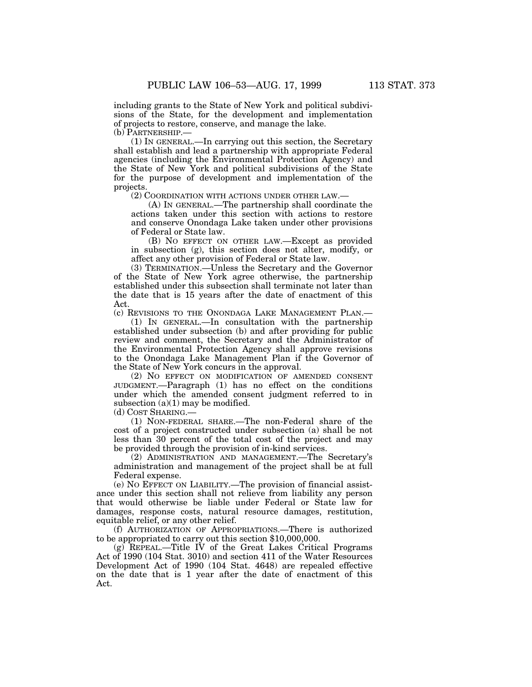including grants to the State of New York and political subdivisions of the State, for the development and implementation of projects to restore, conserve, and manage the lake. (b) PARTNERSHIP.—

(1) IN GENERAL.—In carrying out this section, the Secretary shall establish and lead a partnership with appropriate Federal agencies (including the Environmental Protection Agency) and the State of New York and political subdivisions of the State for the purpose of development and implementation of the projects.

(2) COORDINATION WITH ACTIONS UNDER OTHER LAW.—

(A) IN GENERAL.—The partnership shall coordinate the actions taken under this section with actions to restore and conserve Onondaga Lake taken under other provisions of Federal or State law.

(B) NO EFFECT ON OTHER LAW.—Except as provided in subsection (g), this section does not alter, modify, or affect any other provision of Federal or State law.

(3) TERMINATION.—Unless the Secretary and the Governor of the State of New York agree otherwise, the partnership established under this subsection shall terminate not later than the date that is 15 years after the date of enactment of this Act.

(c) REVISIONS TO THE ONONDAGA LAKE MANAGEMENT PLAN.—

(1) IN GENERAL.—In consultation with the partnership established under subsection (b) and after providing for public review and comment, the Secretary and the Administrator of the Environmental Protection Agency shall approve revisions to the Onondaga Lake Management Plan if the Governor of the State of New York concurs in the approval.

(2) NO EFFECT ON MODIFICATION OF AMENDED CONSENT JUDGMENT.—Paragraph (1) has no effect on the conditions under which the amended consent judgment referred to in subsection  $(a)(1)$  may be modified.

(d) COST SHARING.—

(1) NON-FEDERAL SHARE.—The non-Federal share of the cost of a project constructed under subsection (a) shall be not less than 30 percent of the total cost of the project and may be provided through the provision of in-kind services.

(2) ADMINISTRATION AND MANAGEMENT.—The Secretary's administration and management of the project shall be at full Federal expense.

(e) NO EFFECT ON LIABILITY.—The provision of financial assistance under this section shall not relieve from liability any person that would otherwise be liable under Federal or State law for damages, response costs, natural resource damages, restitution, equitable relief, or any other relief.

(f) AUTHORIZATION OF APPROPRIATIONS.—There is authorized to be appropriated to carry out this section \$10,000,000.

(g) REPEAL.—Title IV of the Great Lakes Critical Programs Act of 1990 (104 Stat. 3010) and section 411 of the Water Resources Development Act of 1990 (104 Stat. 4648) are repealed effective on the date that is 1 year after the date of enactment of this Act.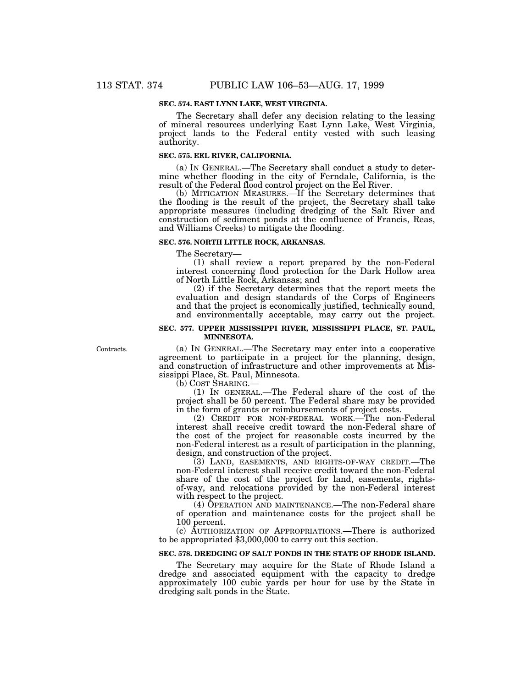### **SEC. 574. EAST LYNN LAKE, WEST VIRGINIA.**

The Secretary shall defer any decision relating to the leasing of mineral resources underlying East Lynn Lake, West Virginia, project lands to the Federal entity vested with such leasing authority.

#### **SEC. 575. EEL RIVER, CALIFORNIA.**

(a) IN GENERAL.—The Secretary shall conduct a study to determine whether flooding in the city of Ferndale, California, is the result of the Federal flood control project on the Eel River.

(b) MITIGATION MEASURES.—If the Secretary determines that the flooding is the result of the project, the Secretary shall take appropriate measures (including dredging of the Salt River and construction of sediment ponds at the confluence of Francis, Reas, and Williams Creeks) to mitigate the flooding.

#### **SEC. 576. NORTH LITTLE ROCK, ARKANSAS.**

The Secretary—

(1) shall review a report prepared by the non-Federal interest concerning flood protection for the Dark Hollow area of North Little Rock, Arkansas; and

(2) if the Secretary determines that the report meets the evaluation and design standards of the Corps of Engineers and that the project is economically justified, technically sound, and environmentally acceptable, may carry out the project.

### **SEC. 577. UPPER MISSISSIPPI RIVER, MISSISSIPPI PLACE, ST. PAUL, MINNESOTA.**

Contracts.

(a) IN GENERAL.—The Secretary may enter into a cooperative agreement to participate in a project for the planning, design, and construction of infrastructure and other improvements at Mississippi Place, St. Paul, Minnesota.

(b) COST SHARING.—

(1) IN GENERAL.—The Federal share of the cost of the project shall be 50 percent. The Federal share may be provided in the form of grants or reimbursements of project costs.

(2) CREDIT FOR NON-FEDERAL WORK.—The non-Federal interest shall receive credit toward the non-Federal share of the cost of the project for reasonable costs incurred by the non-Federal interest as a result of participation in the planning, design, and construction of the project.

(3) LAND, EASEMENTS, AND RIGHTS-OF-WAY CREDIT.—The non-Federal interest shall receive credit toward the non-Federal share of the cost of the project for land, easements, rightsof-way, and relocations provided by the non-Federal interest with respect to the project.

(4) OPERATION AND MAINTENANCE.—The non-Federal share of operation and maintenance costs for the project shall be 100 percent.

(c) AUTHORIZATION OF APPROPRIATIONS.—There is authorized to be appropriated \$3,000,000 to carry out this section.

#### **SEC. 578. DREDGING OF SALT PONDS IN THE STATE OF RHODE ISLAND.**

The Secretary may acquire for the State of Rhode Island a dredge and associated equipment with the capacity to dredge approximately 100 cubic yards per hour for use by the State in dredging salt ponds in the State.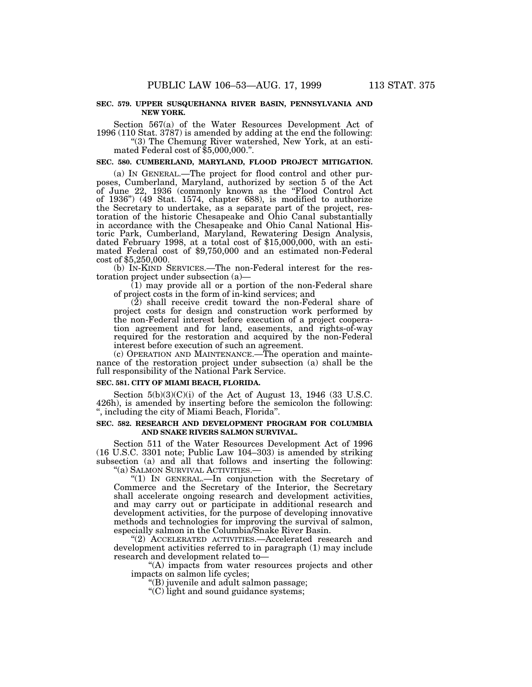#### **SEC. 579. UPPER SUSQUEHANNA RIVER BASIN, PENNSYLVANIA AND NEW YORK.**

Section 567(a) of the Water Resources Development Act of 1996 (110 Stat. 3787) is amended by adding at the end the following:

''(3) The Chemung River watershed, New York, at an esti- mated Federal cost of \$5,000,000.''.

**SEC. 580. CUMBERLAND, MARYLAND, FLOOD PROJECT MITIGATION.**

(a) IN GENERAL.—The project for flood control and other purposes, Cumberland, Maryland, authorized by section 5 of the Act of June 22, 1936 (commonly known as the ''Flood Control Act of 1936'') (49 Stat. 1574, chapter 688), is modified to authorize the Secretary to undertake, as a separate part of the project, restoration of the historic Chesapeake and Ohio Canal substantially in accordance with the Chesapeake and Ohio Canal National Historic Park, Cumberland, Maryland, Rewatering Design Analysis, dated February 1998, at a total cost of \$15,000,000, with an estimated Federal cost of \$9,750,000 and an estimated non-Federal cost of \$5,250,000.

(b) IN-KIND SERVICES.—The non-Federal interest for the restoration project under subsection (a)—

(1) may provide all or a portion of the non-Federal share of project costs in the form of in-kind services; and

(2) shall receive credit toward the non-Federal share of project costs for design and construction work performed by the non-Federal interest before execution of a project cooperation agreement and for land, easements, and rights-of-way required for the restoration and acquired by the non-Federal interest before execution of such an agreement.

(c) OPERATION AND MAINTENANCE.—The operation and maintenance of the restoration project under subsection (a) shall be the full responsibility of the National Park Service.

# **SEC. 581. CITY OF MIAMI BEACH, FLORIDA.**

Section  $5(b)(3)(C)(i)$  of the Act of August 13, 1946 (33 U.S.C. 426h), is amended by inserting before the semicolon the following: '', including the city of Miami Beach, Florida''.

### **SEC. 582. RESEARCH AND DEVELOPMENT PROGRAM FOR COLUMBIA AND SNAKE RIVERS SALMON SURVIVAL.**

Section 511 of the Water Resources Development Act of 1996 (16 U.S.C. 3301 note; Public Law 104–303) is amended by striking subsection (a) and all that follows and inserting the following: "(a) SALMON SURVIVAL ACTIVITIES.—

"(1) IN GENERAL.—In conjunction with the Secretary of Commerce and the Secretary of the Interior, the Secretary shall accelerate ongoing research and development activities, and may carry out or participate in additional research and development activities, for the purpose of developing innovative methods and technologies for improving the survival of salmon, especially salmon in the Columbia/Snake River Basin.

"(2) ACCELERATED ACTIVITIES.—Accelerated research and development activities referred to in paragraph (1) may include research and development related to—

''(A) impacts from water resources projects and other impacts on salmon life cycles;

''(B) juvenile and adult salmon passage;

''(C) light and sound guidance systems;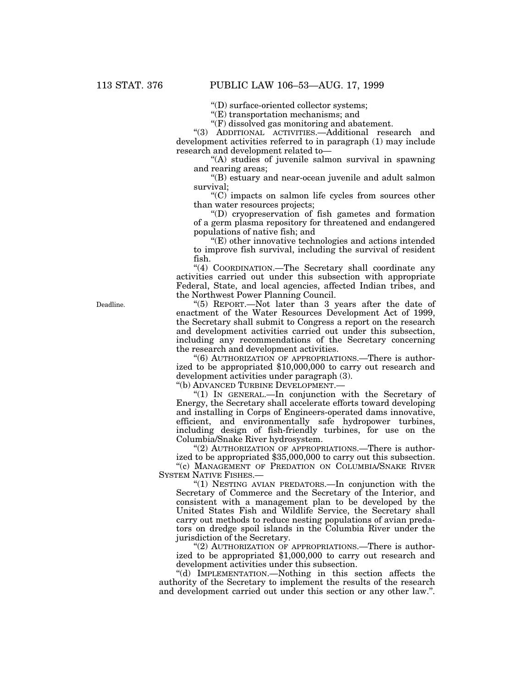''(D) surface-oriented collector systems;

''(E) transportation mechanisms; and

" $(F)$  dissolved gas monitoring and abatement.

''(3) ADDITIONAL ACTIVITIES.—Additional research and development activities referred to in paragraph (1) may include research and development related to—

"(A) studies of juvenile salmon survival in spawning and rearing areas;

''(B) estuary and near-ocean juvenile and adult salmon survival;

''(C) impacts on salmon life cycles from sources other than water resources projects;

''(D) cryopreservation of fish gametes and formation of a germ plasma repository for threatened and endangered populations of native fish; and

''(E) other innovative technologies and actions intended to improve fish survival, including the survival of resident fish.

''(4) COORDINATION.—The Secretary shall coordinate any activities carried out under this subsection with appropriate Federal, State, and local agencies, affected Indian tribes, and the Northwest Power Planning Council.

''(5) REPORT.—Not later than 3 years after the date of enactment of the Water Resources Development Act of 1999, the Secretary shall submit to Congress a report on the research and development activities carried out under this subsection, including any recommendations of the Secretary concerning the research and development activities.

"(6) AUTHORIZATION OF APPROPRIATIONS.—There is authorized to be appropriated \$10,000,000 to carry out research and development activities under paragraph (3).

''(b) ADVANCED TURBINE DEVELOPMENT.—

''(1) IN GENERAL.—In conjunction with the Secretary of Energy, the Secretary shall accelerate efforts toward developing and installing in Corps of Engineers-operated dams innovative, efficient, and environmentally safe hydropower turbines, including design of fish-friendly turbines, for use on the Columbia/Snake River hydrosystem.

"(2) AUTHORIZATION OF APPROPRIATIONS.—There is authorized to be appropriated \$35,000,000 to carry out this subsection.

"(c) MANAGEMENT OF PREDATION ON COLUMBIA/SNAKE RIVER SYSTEM NATIVE FISHES.—

"(1) NESTING AVIAN PREDATORS.—In conjunction with the Secretary of Commerce and the Secretary of the Interior, and consistent with a management plan to be developed by the United States Fish and Wildlife Service, the Secretary shall carry out methods to reduce nesting populations of avian predators on dredge spoil islands in the Columbia River under the jurisdiction of the Secretary.

"(2) AUTHORIZATION OF APPROPRIATIONS.—There is authorized to be appropriated \$1,000,000 to carry out research and development activities under this subsection.

''(d) IMPLEMENTATION.—Nothing in this section affects the authority of the Secretary to implement the results of the research and development carried out under this section or any other law.''.

Deadline.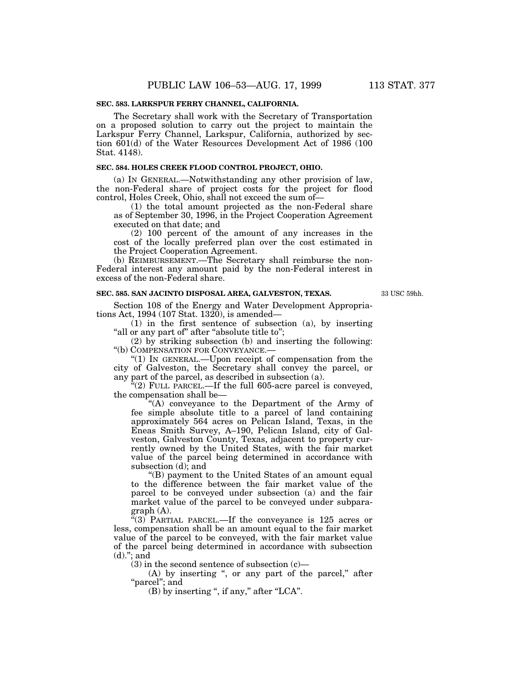## **SEC. 583. LARKSPUR FERRY CHANNEL, CALIFORNIA.**

The Secretary shall work with the Secretary of Transportation on a proposed solution to carry out the project to maintain the Larkspur Ferry Channel, Larkspur, California, authorized by section 601(d) of the Water Resources Development Act of 1986 (100 Stat. 4148).

# **SEC. 584. HOLES CREEK FLOOD CONTROL PROJECT, OHIO.**

(a) IN GENERAL.—Notwithstanding any other provision of law, the non-Federal share of project costs for the project for flood control, Holes Creek, Ohio, shall not exceed the sum of—

(1) the total amount projected as the non-Federal share as of September 30, 1996, in the Project Cooperation Agreement executed on that date; and

(2) 100 percent of the amount of any increases in the cost of the locally preferred plan over the cost estimated in the Project Cooperation Agreement.

(b) REIMBURSEMENT.—The Secretary shall reimburse the non-Federal interest any amount paid by the non-Federal interest in excess of the non-Federal share.

#### **SEC. 585. SAN JACINTO DISPOSAL AREA, GALVESTON, TEXAS.**

33 USC 59hh.

Section 108 of the Energy and Water Development Appropriations Act, 1994 (107 Stat. 1320), is amended—

(1) in the first sentence of subsection (a), by inserting "all or any part of" after "absolute title to";

(2) by striking subsection (b) and inserting the following: ''(b) COMPENSATION FOR CONVEYANCE.—

" $(1)$  In GENERAL.—Upon receipt of compensation from the city of Galveston, the Secretary shall convey the parcel, or any part of the parcel, as described in subsection (a).

 $f(2)$  FULL PARCEL.—If the full 605-acre parcel is conveyed, the compensation shall be—

''(A) conveyance to the Department of the Army of fee simple absolute title to a parcel of land containing approximately 564 acres on Pelican Island, Texas, in the Eneas Smith Survey, A–190, Pelican Island, city of Galveston, Galveston County, Texas, adjacent to property currently owned by the United States, with the fair market value of the parcel being determined in accordance with subsection (d); and

''(B) payment to the United States of an amount equal to the difference between the fair market value of the parcel to be conveyed under subsection (a) and the fair market value of the parcel to be conveyed under subparagraph (A).

''(3) PARTIAL PARCEL.—If the conveyance is 125 acres or less, compensation shall be an amount equal to the fair market value of the parcel to be conveyed, with the fair market value of the parcel being determined in accordance with subsection  $(d)$ ."; and

 $(3)$  in the second sentence of subsection  $(c)$ —

(A) by inserting ", or any part of the parcel," after "parcel"; and

(B) by inserting ", if any," after "LCA".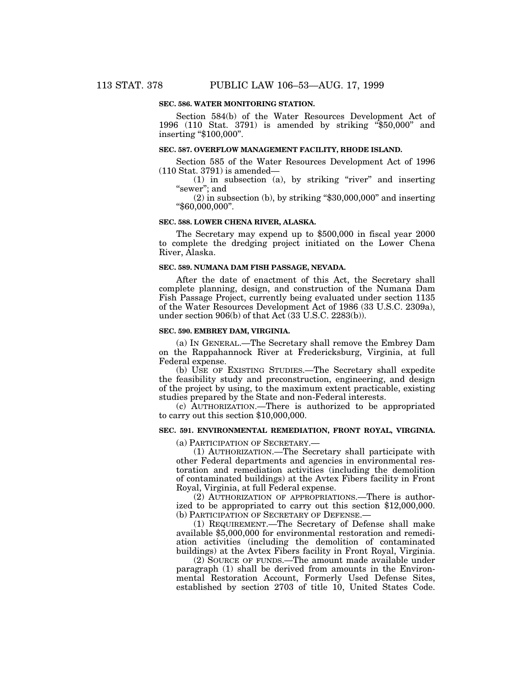### **SEC. 586. WATER MONITORING STATION.**

Section 584(b) of the Water Resources Development Act of 1996 (110 Stat. 3791) is amended by striking ''\$50,000'' and inserting ''\$100,000''.

## **SEC. 587. OVERFLOW MANAGEMENT FACILITY, RHODE ISLAND.**

Section 585 of the Water Resources Development Act of 1996 (110 Stat. 3791) is amended—

 $(1)$  in subsection  $(a)$ , by striking "river" and inserting ''sewer''; and

 $(2)$  in subsection  $(b)$ , by striking "\$30,000,000" and inserting ''\$60,000,000''.

#### **SEC. 588. LOWER CHENA RIVER, ALASKA.**

The Secretary may expend up to \$500,000 in fiscal year 2000 to complete the dredging project initiated on the Lower Chena River, Alaska.

#### **SEC. 589. NUMANA DAM FISH PASSAGE, NEVADA.**

After the date of enactment of this Act, the Secretary shall complete planning, design, and construction of the Numana Dam Fish Passage Project, currently being evaluated under section 1135 of the Water Resources Development Act of 1986 (33 U.S.C. 2309a), under section 906(b) of that Act (33 U.S.C. 2283(b)).

#### **SEC. 590. EMBREY DAM, VIRGINIA.**

(a) IN GENERAL.—The Secretary shall remove the Embrey Dam on the Rappahannock River at Fredericksburg, Virginia, at full Federal expense.

(b) USE OF EXISTING STUDIES.—The Secretary shall expedite the feasibility study and preconstruction, engineering, and design of the project by using, to the maximum extent practicable, existing studies prepared by the State and non-Federal interests.

(c) AUTHORIZATION.—There is authorized to be appropriated to carry out this section \$10,000,000.

# **SEC. 591. ENVIRONMENTAL REMEDIATION, FRONT ROYAL, VIRGINIA.**

(a) PARTICIPATION OF SECRETARY.—

(1) AUTHORIZATION.—The Secretary shall participate with other Federal departments and agencies in environmental restoration and remediation activities (including the demolition of contaminated buildings) at the Avtex Fibers facility in Front Royal, Virginia, at full Federal expense.

(2) AUTHORIZATION OF APPROPRIATIONS.—There is authorized to be appropriated to carry out this section \$12,000,000. (b) PARTICIPATION OF SECRETARY OF DEFENSE.—

(1) REQUIREMENT.—The Secretary of Defense shall make available \$5,000,000 for environmental restoration and remediation activities (including the demolition of contaminated buildings) at the Avtex Fibers facility in Front Royal, Virginia.

(2) SOURCE OF FUNDS.—The amount made available under paragraph (1) shall be derived from amounts in the Environmental Restoration Account, Formerly Used Defense Sites, established by section 2703 of title 10, United States Code.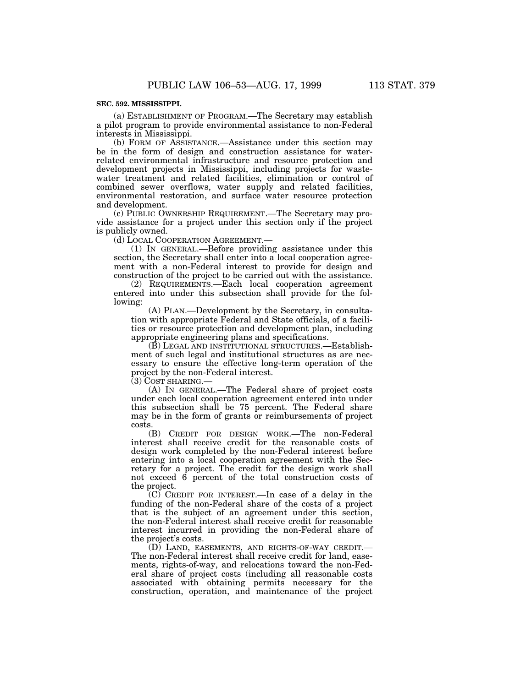#### **SEC. 592. MISSISSIPPI.**

(a) ESTABLISHMENT OF PROGRAM.—The Secretary may establish a pilot program to provide environmental assistance to non-Federal interests in Mississippi.

(b) FORM OF ASSISTANCE.—Assistance under this section may be in the form of design and construction assistance for waterrelated environmental infrastructure and resource protection and development projects in Mississippi, including projects for wastewater treatment and related facilities, elimination or control of combined sewer overflows, water supply and related facilities, environmental restoration, and surface water resource protection and development.

(c) PUBLIC OWNERSHIP REQUIREMENT.—The Secretary may provide assistance for a project under this section only if the project is publicly owned.

(d) LOCAL COOPERATION AGREEMENT.—

(1) IN GENERAL.—Before providing assistance under this section, the Secretary shall enter into a local cooperation agreement with a non-Federal interest to provide for design and construction of the project to be carried out with the assistance.

(2) REQUIREMENTS.—Each local cooperation agreement entered into under this subsection shall provide for the following:

(A) PLAN.—Development by the Secretary, in consultation with appropriate Federal and State officials, of a facilities or resource protection and development plan, including appropriate engineering plans and specifications.

(B) LEGAL AND INSTITUTIONAL STRUCTURES.—Establishment of such legal and institutional structures as are necessary to ensure the effective long-term operation of the project by the non-Federal interest.

(3) COST SHARING.—

(A) IN GENERAL.—The Federal share of project costs under each local cooperation agreement entered into under this subsection shall be 75 percent. The Federal share may be in the form of grants or reimbursements of project costs.

(B) CREDIT FOR DESIGN WORK.—The non-Federal interest shall receive credit for the reasonable costs of design work completed by the non-Federal interest before entering into a local cooperation agreement with the Secretary for a project. The credit for the design work shall not exceed 6 percent of the total construction costs of the project.

(C) CREDIT FOR INTEREST.—In case of a delay in the funding of the non-Federal share of the costs of a project that is the subject of an agreement under this section, the non-Federal interest shall receive credit for reasonable interest incurred in providing the non-Federal share of the project's costs.

(D) LAND, EASEMENTS, AND RIGHTS-OF-WAY CREDIT.— The non-Federal interest shall receive credit for land, easements, rights-of-way, and relocations toward the non-Federal share of project costs (including all reasonable costs associated with obtaining permits necessary for the construction, operation, and maintenance of the project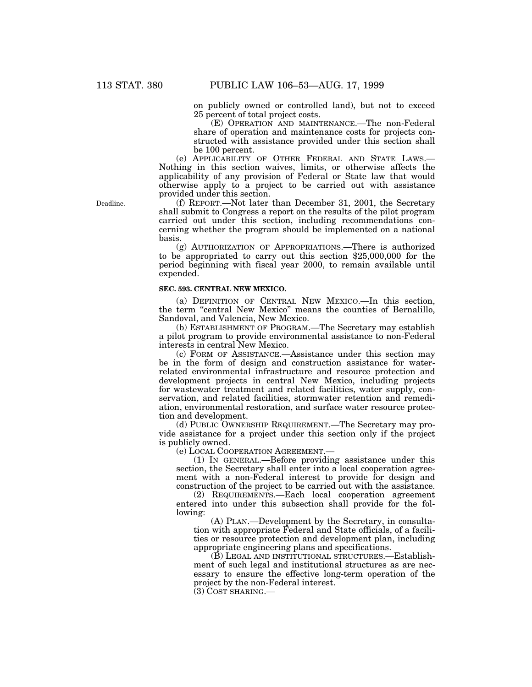on publicly owned or controlled land), but not to exceed 25 percent of total project costs.

(E) OPERATION AND MAINTENANCE.—The non-Federal share of operation and maintenance costs for projects constructed with assistance provided under this section shall be 100 percent.

(e) APPLICABILITY OF OTHER FEDERAL AND STATE LAWS.— Nothing in this section waives, limits, or otherwise affects the applicability of any provision of Federal or State law that would otherwise apply to a project to be carried out with assistance provided under this section.

(f) REPORT.—Not later than December 31, 2001, the Secretary shall submit to Congress a report on the results of the pilot program carried out under this section, including recommendations concerning whether the program should be implemented on a national basis.

(g) AUTHORIZATION OF APPROPRIATIONS.—There is authorized to be appropriated to carry out this section \$25,000,000 for the period beginning with fiscal year 2000, to remain available until expended.

## **SEC. 593. CENTRAL NEW MEXICO.**

(a) DEFINITION OF CENTRAL NEW MEXICO.—In this section, the term "central New Mexico" means the counties of Bernalillo, Sandoval, and Valencia, New Mexico.

(b) ESTABLISHMENT OF PROGRAM.—The Secretary may establish a pilot program to provide environmental assistance to non-Federal interests in central New Mexico.

(c) FORM OF ASSISTANCE.—Assistance under this section may be in the form of design and construction assistance for waterrelated environmental infrastructure and resource protection and development projects in central New Mexico, including projects for wastewater treatment and related facilities, water supply, conservation, and related facilities, stormwater retention and remediation, environmental restoration, and surface water resource protection and development.

(d) PUBLIC OWNERSHIP REQUIREMENT.—The Secretary may provide assistance for a project under this section only if the project is publicly owned.

(e) LOCAL COOPERATION AGREEMENT.—

(1) IN GENERAL.—Before providing assistance under this section, the Secretary shall enter into a local cooperation agreement with a non-Federal interest to provide for design and construction of the project to be carried out with the assistance.

(2) REQUIREMENTS.—Each local cooperation agreement entered into under this subsection shall provide for the following:

(A) PLAN.—Development by the Secretary, in consultation with appropriate Federal and State officials, of a facilities or resource protection and development plan, including appropriate engineering plans and specifications.

(B) LEGAL AND INSTITUTIONAL STRUCTURES.—Establishment of such legal and institutional structures as are necessary to ensure the effective long-term operation of the project by the non-Federal interest.

(3) COST SHARING.—

Deadline.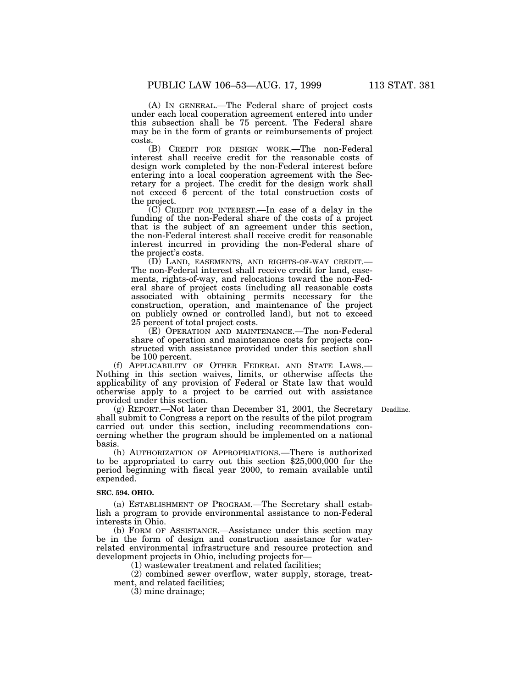(A) IN GENERAL.—The Federal share of project costs under each local cooperation agreement entered into under this subsection shall be 75 percent. The Federal share may be in the form of grants or reimbursements of project costs.

(B) CREDIT FOR DESIGN WORK.—The non-Federal interest shall receive credit for the reasonable costs of design work completed by the non-Federal interest before entering into a local cooperation agreement with the Secretary for a project. The credit for the design work shall not exceed 6 percent of the total construction costs of the project.

(C) CREDIT FOR INTEREST.—In case of a delay in the funding of the non-Federal share of the costs of a project that is the subject of an agreement under this section, the non-Federal interest shall receive credit for reasonable interest incurred in providing the non-Federal share of the project's costs.

(D) LAND, EASEMENTS, AND RIGHTS-OF-WAY CREDIT.— The non-Federal interest shall receive credit for land, easements, rights-of-way, and relocations toward the non-Federal share of project costs (including all reasonable costs associated with obtaining permits necessary for the construction, operation, and maintenance of the project on publicly owned or controlled land), but not to exceed 25 percent of total project costs.

(E) OPERATION AND MAINTENANCE.—The non-Federal share of operation and maintenance costs for projects constructed with assistance provided under this section shall be 100 percent.

(f) APPLICABILITY OF OTHER FEDERAL AND STATE LAWS.— Nothing in this section waives, limits, or otherwise affects the applicability of any provision of Federal or State law that would otherwise apply to a project to be carried out with assistance provided under this section.

(g) REPORT.—Not later than December 31, 2001, the Secretary Deadline.shall submit to Congress a report on the results of the pilot program carried out under this section, including recommendations concerning whether the program should be implemented on a national basis.

(h) AUTHORIZATION OF APPROPRIATIONS.—There is authorized to be appropriated to carry out this section \$25,000,000 for the period beginning with fiscal year 2000, to remain available until expended.

# **SEC. 594. OHIO.**

(a) ESTABLISHMENT OF PROGRAM.—The Secretary shall establish a program to provide environmental assistance to non-Federal interests in Ohio.

(b) FORM OF ASSISTANCE.—Assistance under this section may be in the form of design and construction assistance for waterrelated environmental infrastructure and resource protection and development projects in Ohio, including projects for—

(1) wastewater treatment and related facilities;

(2) combined sewer overflow, water supply, storage, treatment, and related facilities;

(3) mine drainage;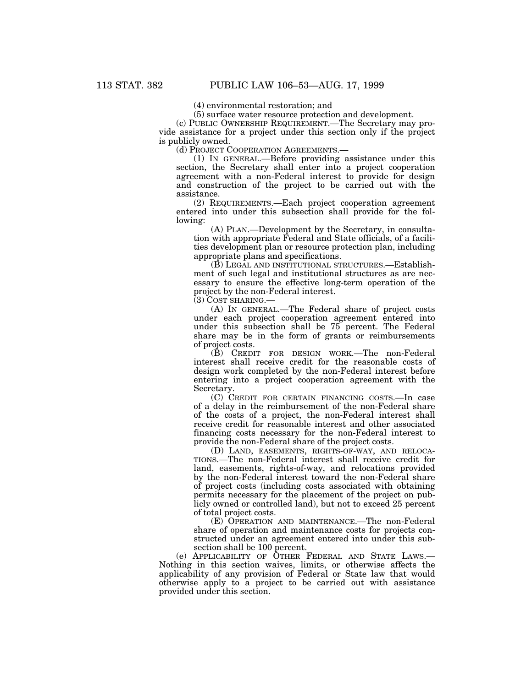(4) environmental restoration; and

(5) surface water resource protection and development.

(c) PUBLIC OWNERSHIP REQUIREMENT.—The Secretary may provide assistance for a project under this section only if the project is publicly owned.

(d) PROJECT COOPERATION AGREEMENTS.—

(1) IN GENERAL.—Before providing assistance under this section, the Secretary shall enter into a project cooperation agreement with a non-Federal interest to provide for design and construction of the project to be carried out with the assistance.

(2) REQUIREMENTS.—Each project cooperation agreement entered into under this subsection shall provide for the following:

(A) PLAN.—Development by the Secretary, in consultation with appropriate Federal and State officials, of a facilities development plan or resource protection plan, including appropriate plans and specifications.

(B) LEGAL AND INSTITUTIONAL STRUCTURES.—Establishment of such legal and institutional structures as are necessary to ensure the effective long-term operation of the project by the non-Federal interest.

(3) COST SHARING.—

(A) IN GENERAL.—The Federal share of project costs under each project cooperation agreement entered into under this subsection shall be 75 percent. The Federal share may be in the form of grants or reimbursements of project costs.

(B) CREDIT FOR DESIGN WORK.—The non-Federal interest shall receive credit for the reasonable costs of design work completed by the non-Federal interest before entering into a project cooperation agreement with the Secretary.

(C) CREDIT FOR CERTAIN FINANCING COSTS.—In case of a delay in the reimbursement of the non-Federal share of the costs of a project, the non-Federal interest shall receive credit for reasonable interest and other associated financing costs necessary for the non-Federal interest to provide the non-Federal share of the project costs.

(D) LAND, EASEMENTS, RIGHTS-OF-WAY, AND RELOCA-TIONS.—The non-Federal interest shall receive credit for land, easements, rights-of-way, and relocations provided by the non-Federal interest toward the non-Federal share of project costs (including costs associated with obtaining permits necessary for the placement of the project on publicly owned or controlled land), but not to exceed 25 percent of total project costs.

(E) OPERATION AND MAINTENANCE.—The non-Federal share of operation and maintenance costs for projects constructed under an agreement entered into under this subsection shall be 100 percent.

(e) APPLICABILITY OF OTHER FEDERAL AND STATE LAWS.— Nothing in this section waives, limits, or otherwise affects the applicability of any provision of Federal or State law that would otherwise apply to a project to be carried out with assistance provided under this section.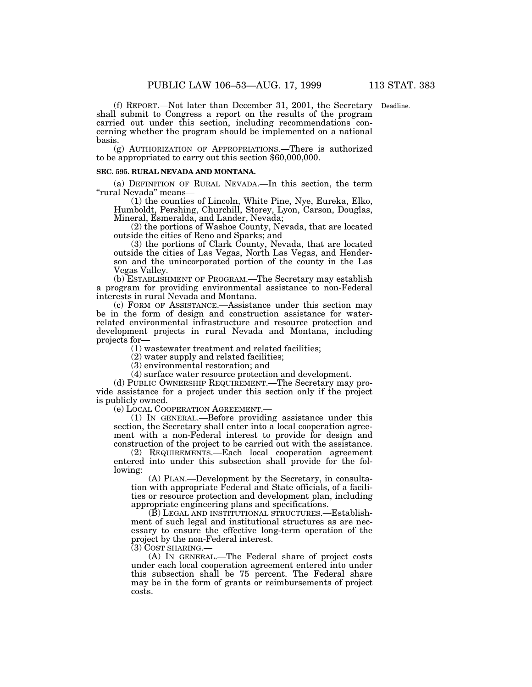(f) REPORT.—Not later than December 31, 2001, the Secretary Deadline.shall submit to Congress a report on the results of the program carried out under this section, including recommendations concerning whether the program should be implemented on a national basis.

(g) AUTHORIZATION OF APPROPRIATIONS.—There is authorized to be appropriated to carry out this section \$60,000,000.

# **SEC. 595. RURAL NEVADA AND MONTANA.**

(a) DEFINITION OF RURAL NEVADA.—In this section, the term ''rural Nevada'' means—

(1) the counties of Lincoln, White Pine, Nye, Eureka, Elko, Humboldt, Pershing, Churchill, Storey, Lyon, Carson, Douglas, Mineral, Esmeralda, and Lander, Nevada;

(2) the portions of Washoe County, Nevada, that are located outside the cities of Reno and Sparks; and

(3) the portions of Clark County, Nevada, that are located outside the cities of Las Vegas, North Las Vegas, and Henderson and the unincorporated portion of the county in the Las Vegas Valley.

(b) ESTABLISHMENT OF PROGRAM.—The Secretary may establish a program for providing environmental assistance to non-Federal interests in rural Nevada and Montana.

(c) FORM OF ASSISTANCE.—Assistance under this section may be in the form of design and construction assistance for waterrelated environmental infrastructure and resource protection and development projects in rural Nevada and Montana, including projects for—

(1) wastewater treatment and related facilities;

(2) water supply and related facilities;

(3) environmental restoration; and

(4) surface water resource protection and development.

(d) PUBLIC OWNERSHIP REQUIREMENT.—The Secretary may provide assistance for a project under this section only if the project is publicly owned.

(e) LOCAL COOPERATION AGREEMENT.—

(1) IN GENERAL.—Before providing assistance under this section, the Secretary shall enter into a local cooperation agreement with a non-Federal interest to provide for design and construction of the project to be carried out with the assistance.

(2) REQUIREMENTS.—Each local cooperation agreement entered into under this subsection shall provide for the following:

(A) PLAN.—Development by the Secretary, in consultation with appropriate Federal and State officials, of a facilities or resource protection and development plan, including appropriate engineering plans and specifications.

(B) LEGAL AND INSTITUTIONAL STRUCTURES.—Establishment of such legal and institutional structures as are necessary to ensure the effective long-term operation of the project by the non-Federal interest.

(3) COST SHARING.—

(A) IN GENERAL.—The Federal share of project costs under each local cooperation agreement entered into under this subsection shall be 75 percent. The Federal share may be in the form of grants or reimbursements of project costs.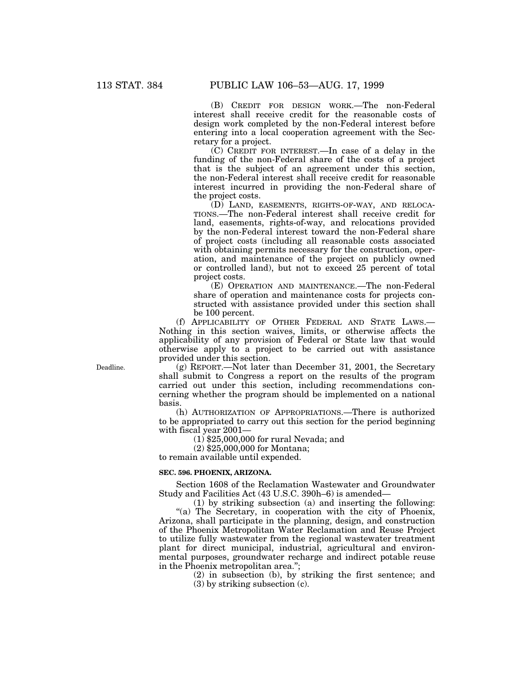(B) CREDIT FOR DESIGN WORK.—The non-Federal interest shall receive credit for the reasonable costs of design work completed by the non-Federal interest before entering into a local cooperation agreement with the Secretary for a project.

(C) CREDIT FOR INTEREST.—In case of a delay in the funding of the non-Federal share of the costs of a project that is the subject of an agreement under this section, the non-Federal interest shall receive credit for reasonable interest incurred in providing the non-Federal share of the project costs.

(D) LAND, EASEMENTS, RIGHTS-OF-WAY, AND RELOCA-TIONS.—The non-Federal interest shall receive credit for land, easements, rights-of-way, and relocations provided by the non-Federal interest toward the non-Federal share of project costs (including all reasonable costs associated with obtaining permits necessary for the construction, operation, and maintenance of the project on publicly owned or controlled land), but not to exceed 25 percent of total project costs.

(E) OPERATION AND MAINTENANCE.—The non-Federal share of operation and maintenance costs for projects constructed with assistance provided under this section shall be 100 percent.

(f) APPLICABILITY OF OTHER FEDERAL AND STATE LAWS.— Nothing in this section waives, limits, or otherwise affects the applicability of any provision of Federal or State law that would otherwise apply to a project to be carried out with assistance provided under this section.

(g) REPORT.—Not later than December 31, 2001, the Secretary shall submit to Congress a report on the results of the program carried out under this section, including recommendations concerning whether the program should be implemented on a national basis.

(h) AUTHORIZATION OF APPROPRIATIONS.—There is authorized to be appropriated to carry out this section for the period beginning with fiscal year 2001—

(1) \$25,000,000 for rural Nevada; and

(2) \$25,000,000 for Montana;

to remain available until expended.

# **SEC. 596. PHOENIX, ARIZONA.**

Section 1608 of the Reclamation Wastewater and Groundwater Study and Facilities Act (43 U.S.C. 390h–6) is amended—

(1) by striking subsection (a) and inserting the following: "(a) The Secretary, in cooperation with the city of Phoenix, Arizona, shall participate in the planning, design, and construction of the Phoenix Metropolitan Water Reclamation and Reuse Project to utilize fully wastewater from the regional wastewater treatment plant for direct municipal, industrial, agricultural and environmental purposes, groundwater recharge and indirect potable reuse in the Phoenix metropolitan area.'';

(2) in subsection (b), by striking the first sentence; and (3) by striking subsection (c).

Deadline.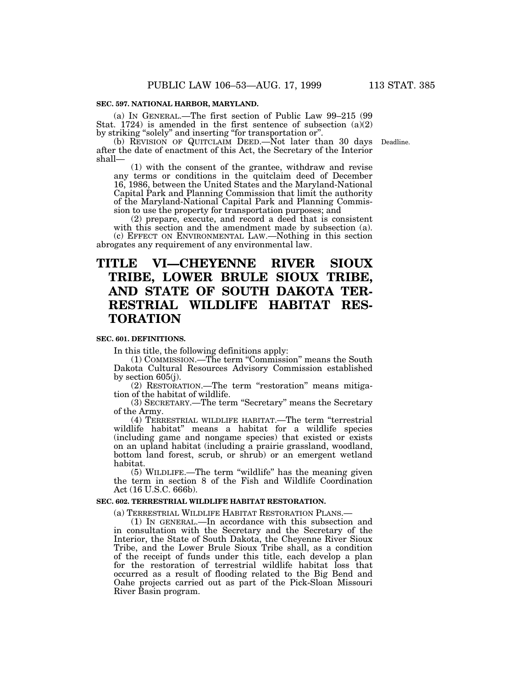(a) IN GENERAL.—The first section of Public Law 99–215 (99 Stat. 1724) is amended in the first sentence of subsection (a)(2) by striking ''solely'' and inserting ''for transportation or''.

(b) REVISION OF QUITCLAIM DEED.—Not later than 30 days Deadline. after the date of enactment of this Act, the Secretary of the Interior shall—

(1) with the consent of the grantee, withdraw and revise any terms or conditions in the quitclaim deed of December 16, 1986, between the United States and the Maryland-National Capital Park and Planning Commission that limit the authority of the Maryland-National Capital Park and Planning Commission to use the property for transportation purposes; and

(2) prepare, execute, and record a deed that is consistent with this section and the amendment made by subsection (a). (c) EFFECT ON ENVIRONMENTAL LAW.—Nothing in this section abrogates any requirement of any environmental law.

# **TITLE VI—CHEYENNE RIVER SIOUX TRIBE, LOWER BRULE SIOUX TRIBE, AND STATE OF SOUTH DAKOTA TER-RESTRIAL WILDLIFE HABITAT RES-TORATION**

# **SEC. 601. DEFINITIONS.**

In this title, the following definitions apply:

(1) COMMISSION.—The term ''Commission'' means the South Dakota Cultural Resources Advisory Commission established by section 605(j).

(2) RESTORATION.—The term ''restoration'' means mitigation of the habitat of wildlife.

(3) SECRETARY.—The term ''Secretary'' means the Secretary of the Army.

(4) TERRESTRIAL WILDLIFE HABITAT.—The term ''terrestrial wildlife habitat'' means a habitat for a wildlife species (including game and nongame species) that existed or exists on an upland habitat (including a prairie grassland, woodland, bottom land forest, scrub, or shrub) or an emergent wetland habitat.

(5) WILDLIFE.—The term ''wildlife'' has the meaning given the term in section 8 of the Fish and Wildlife Coordination Act (16 U.S.C. 666b).

### **SEC. 602. TERRESTRIAL WILDLIFE HABITAT RESTORATION.**

(a) TERRESTRIAL WILDLIFE HABITAT RESTORATION PLANS.—

(1) IN GENERAL.—In accordance with this subsection and in consultation with the Secretary and the Secretary of the Interior, the State of South Dakota, the Cheyenne River Sioux Tribe, and the Lower Brule Sioux Tribe shall, as a condition of the receipt of funds under this title, each develop a plan for the restoration of terrestrial wildlife habitat loss that occurred as a result of flooding related to the Big Bend and Oahe projects carried out as part of the Pick-Sloan Missouri River Basin program.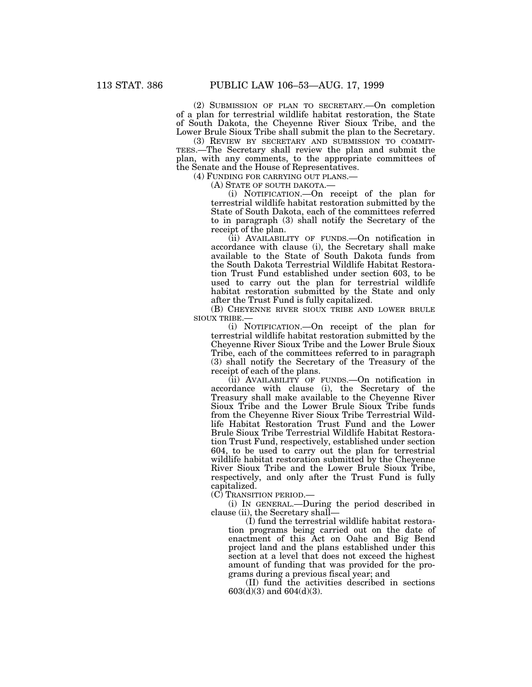(2) SUBMISSION OF PLAN TO SECRETARY.—On completion of a plan for terrestrial wildlife habitat restoration, the State of South Dakota, the Cheyenne River Sioux Tribe, and the Lower Brule Sioux Tribe shall submit the plan to the Secretary.

(3) REVIEW BY SECRETARY AND SUBMISSION TO COMMIT-TEES.—The Secretary shall review the plan and submit the plan, with any comments, to the appropriate committees of the Senate and the House of Representatives.

(4) FUNDING FOR CARRYING OUT PLANS.—

(A) STATE OF SOUTH DAKOTA.—

(i) NOTIFICATION.—On receipt of the plan for terrestrial wildlife habitat restoration submitted by the State of South Dakota, each of the committees referred to in paragraph (3) shall notify the Secretary of the receipt of the plan.

(ii) AVAILABILITY OF FUNDS.—On notification in accordance with clause (i), the Secretary shall make available to the State of South Dakota funds from the South Dakota Terrestrial Wildlife Habitat Restoration Trust Fund established under section 603, to be used to carry out the plan for terrestrial wildlife habitat restoration submitted by the State and only after the Trust Fund is fully capitalized.

(B) CHEYENNE RIVER SIOUX TRIBE AND LOWER BRULE SIOUX TRIBE.—

(i) NOTIFICATION.—On receipt of the plan for terrestrial wildlife habitat restoration submitted by the Cheyenne River Sioux Tribe and the Lower Brule Sioux Tribe, each of the committees referred to in paragraph (3) shall notify the Secretary of the Treasury of the receipt of each of the plans.

(ii) AVAILABILITY OF FUNDS.—On notification in accordance with clause (i), the Secretary of the Treasury shall make available to the Cheyenne River Sioux Tribe and the Lower Brule Sioux Tribe funds from the Cheyenne River Sioux Tribe Terrestrial Wildlife Habitat Restoration Trust Fund and the Lower Brule Sioux Tribe Terrestrial Wildlife Habitat Restoration Trust Fund, respectively, established under section 604, to be used to carry out the plan for terrestrial wildlife habitat restoration submitted by the Cheyenne River Sioux Tribe and the Lower Brule Sioux Tribe, respectively, and only after the Trust Fund is fully capitalized.

(C) TRANSITION PERIOD.—

(i) IN GENERAL.—During the period described in clause (ii), the Secretary shall—

(I) fund the terrestrial wildlife habitat restoration programs being carried out on the date of enactment of this Act on Oahe and Big Bend project land and the plans established under this section at a level that does not exceed the highest amount of funding that was provided for the programs during a previous fiscal year; and

(II) fund the activities described in sections 603(d)(3) and 604(d)(3).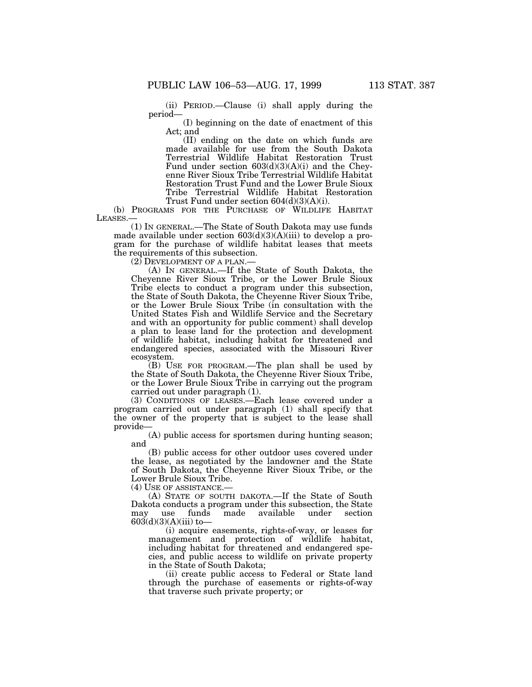(ii) PERIOD.—Clause (i) shall apply during the period—

(I) beginning on the date of enactment of this Act; and

(II) ending on the date on which funds are made available for use from the South Dakota Terrestrial Wildlife Habitat Restoration Trust Fund under section 603(d)(3)(A)(i) and the Cheyenne River Sioux Tribe Terrestrial Wildlife Habitat Restoration Trust Fund and the Lower Brule Sioux Tribe Terrestrial Wildlife Habitat Restoration Trust Fund under section 604(d)(3)(A)(i).

(b) PROGRAMS FOR THE PURCHASE OF WILDLIFE HABITAT LEASES.—

(1) IN GENERAL.—The State of South Dakota may use funds made available under section  $603(d)(3)(A)(iii)$  to develop a program for the purchase of wildlife habitat leases that meets the requirements of this subsection.

 $(2)$  DEVELOPMENT OF A PLAN.

(A) IN GENERAL.—If the State of South Dakota, the Cheyenne River Sioux Tribe, or the Lower Brule Sioux Tribe elects to conduct a program under this subsection, the State of South Dakota, the Cheyenne River Sioux Tribe, or the Lower Brule Sioux Tribe (in consultation with the United States Fish and Wildlife Service and the Secretary and with an opportunity for public comment) shall develop a plan to lease land for the protection and development of wildlife habitat, including habitat for threatened and endangered species, associated with the Missouri River ecosystem.

(B) USE FOR PROGRAM.—The plan shall be used by the State of South Dakota, the Cheyenne River Sioux Tribe, or the Lower Brule Sioux Tribe in carrying out the program carried out under paragraph (1).

(3) CONDITIONS OF LEASES.—Each lease covered under a program carried out under paragraph (1) shall specify that the owner of the property that is subject to the lease shall provide—

(A) public access for sportsmen during hunting season; and

(B) public access for other outdoor uses covered under the lease, as negotiated by the landowner and the State of South Dakota, the Cheyenne River Sioux Tribe, or the Lower Brule Sioux Tribe.

(4) USE OF ASSISTANCE.—

(A) STATE OF SOUTH DAKOTA.—If the State of South Dakota conducts a program under this subsection, the State may use funds made available under section  $603(d)(3)(A)(iii)$  to-

(i) acquire easements, rights-of-way, or leases for management and protection of wildlife habitat, including habitat for threatened and endangered species, and public access to wildlife on private property in the State of South Dakota;

(ii) create public access to Federal or State land through the purchase of easements or rights-of-way that traverse such private property; or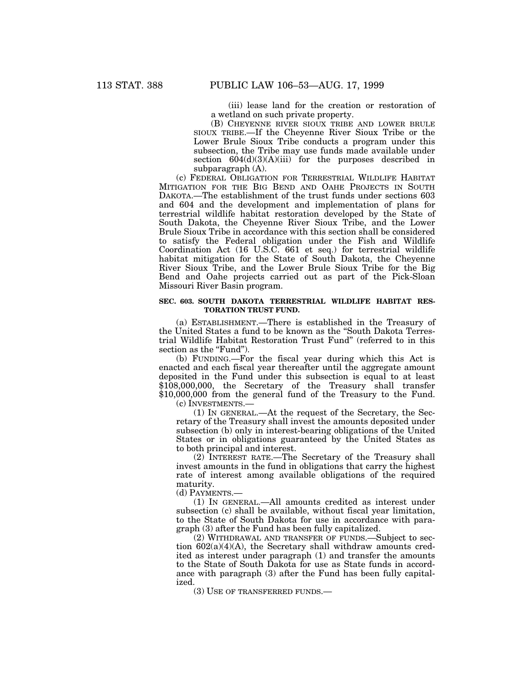(iii) lease land for the creation or restoration of a wetland on such private property.

(B) CHEYENNE RIVER SIOUX TRIBE AND LOWER BRULE SIOUX TRIBE.—If the Cheyenne River Sioux Tribe or the Lower Brule Sioux Tribe conducts a program under this subsection, the Tribe may use funds made available under section  $604(d)(3)(A)(iii)$  for the purposes described in subparagraph (A).

(c) FEDERAL OBLIGATION FOR TERRESTRIAL WILDLIFE HABITAT MITIGATION FOR THE BIG BEND AND OAHE PROJECTS IN SOUTH DAKOTA.—The establishment of the trust funds under sections 603 and 604 and the development and implementation of plans for terrestrial wildlife habitat restoration developed by the State of South Dakota, the Cheyenne River Sioux Tribe, and the Lower Brule Sioux Tribe in accordance with this section shall be considered to satisfy the Federal obligation under the Fish and Wildlife Coordination Act (16 U.S.C. 661 et seq.) for terrestrial wildlife habitat mitigation for the State of South Dakota, the Cheyenne River Sioux Tribe, and the Lower Brule Sioux Tribe for the Big Bend and Oahe projects carried out as part of the Pick-Sloan Missouri River Basin program.

# **SEC. 603. SOUTH DAKOTA TERRESTRIAL WILDLIFE HABITAT RES-TORATION TRUST FUND.**

(a) ESTABLISHMENT.—There is established in the Treasury of the United States a fund to be known as the ''South Dakota Terrestrial Wildlife Habitat Restoration Trust Fund'' (referred to in this section as the "Fund".

(b) FUNDING.—For the fiscal year during which this Act is enacted and each fiscal year thereafter until the aggregate amount deposited in the Fund under this subsection is equal to at least \$108,000,000, the Secretary of the Treasury shall transfer \$10,000,000 from the general fund of the Treasury to the Fund.

(c) INVESTMENTS.—

(1) IN GENERAL.—At the request of the Secretary, the Secretary of the Treasury shall invest the amounts deposited under subsection (b) only in interest-bearing obligations of the United States or in obligations guaranteed by the United States as to both principal and interest.

(2) INTEREST RATE.—The Secretary of the Treasury shall invest amounts in the fund in obligations that carry the highest rate of interest among available obligations of the required maturity.

(d) PAYMENTS.—

(1) IN GENERAL.—All amounts credited as interest under subsection (c) shall be available, without fiscal year limitation, to the State of South Dakota for use in accordance with paragraph (3) after the Fund has been fully capitalized.

(2) WITHDRAWAL AND TRANSFER OF FUNDS.—Subject to section 602(a)(4)(A), the Secretary shall withdraw amounts credited as interest under paragraph (1) and transfer the amounts to the State of South Dakota for use as State funds in accordance with paragraph (3) after the Fund has been fully capitalized.

(3) USE OF TRANSFERRED FUNDS.—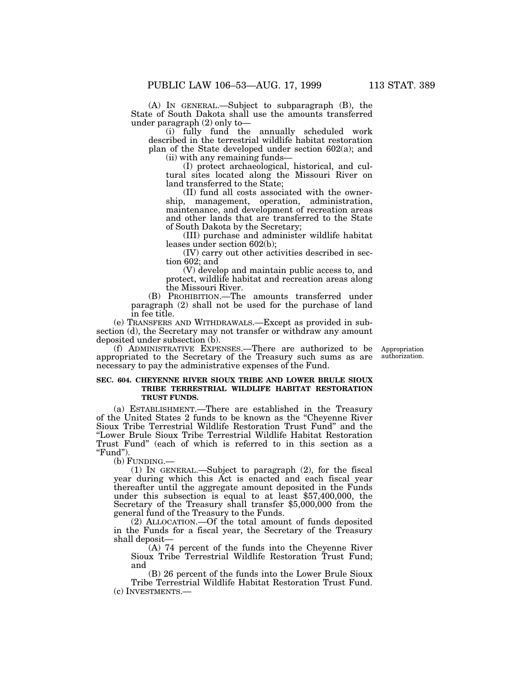(A) IN GENERAL.—Subject to subparagraph (B), the State of South Dakota shall use the amounts transferred under paragraph (2) only to—

(i) fully fund the annually scheduled work described in the terrestrial wildlife habitat restoration plan of the State developed under section 602(a); and (ii) with any remaining funds—

(I) protect archaeological, historical, and cultural sites located along the Missouri River on land transferred to the State;

(II) fund all costs associated with the ownership, management, operation, administration, maintenance, and development of recreation areas and other lands that are transferred to the State of South Dakota by the Secretary;

(III) purchase and administer wildlife habitat leases under section 602(b);

(IV) carry out other activities described in section 602; and

(V) develop and maintain public access to, and protect, wildlife habitat and recreation areas along the Missouri River.

(B) PROHIBITION.—The amounts transferred under paragraph (2) shall not be used for the purchase of land in fee title.

(e) TRANSFERS AND WITHDRAWALS.—Except as provided in subsection (d), the Secretary may not transfer or withdraw any amount deposited under subsection (b).

(f) ADMINISTRATIVE EXPENSES.—There are authorized to be appropriated to the Secretary of the Treasury such sums as are necessary to pay the administrative expenses of the Fund.

**SEC. 604. CHEYENNE RIVER SIOUX TRIBE AND LOWER BRULE SIOUX TRIBE TERRESTRIAL WILDLIFE HABITAT RESTORATION TRUST FUNDS.**

(a) ESTABLISHMENT.—There are established in the Treasury of the United States 2 funds to be known as the ''Cheyenne River Sioux Tribe Terrestrial Wildlife Restoration Trust Fund'' and the ''Lower Brule Sioux Tribe Terrestrial Wildlife Habitat Restoration Trust Fund'' (each of which is referred to in this section as a "Fund").

(b) FUNDING.—

(1) IN GENERAL.—Subject to paragraph (2), for the fiscal year during which this Act is enacted and each fiscal year thereafter until the aggregate amount deposited in the Funds under this subsection is equal to at least \$57,400,000, the Secretary of the Treasury shall transfer \$5,000,000 from the general fund of the Treasury to the Funds.

(2) ALLOCATION.—Of the total amount of funds deposited in the Funds for a fiscal year, the Secretary of the Treasury shall deposit—

(A) 74 percent of the funds into the Cheyenne River Sioux Tribe Terrestrial Wildlife Restoration Trust Fund; and

(B) 26 percent of the funds into the Lower Brule Sioux Tribe Terrestrial Wildlife Habitat Restoration Trust Fund. (c) INVESTMENTS.—

Appropriation authorization.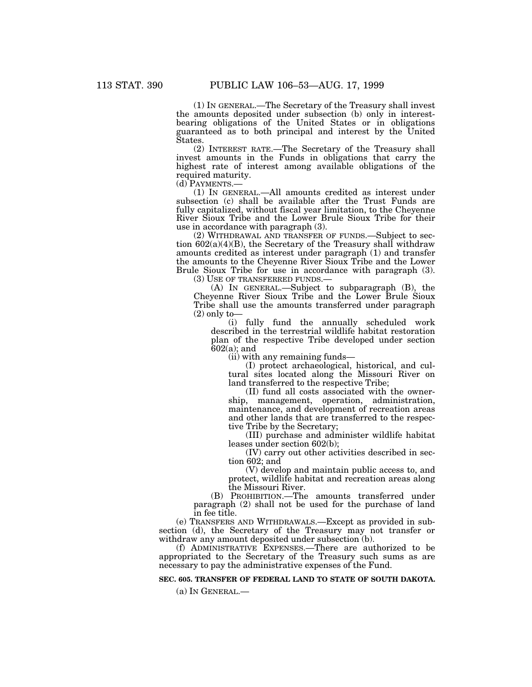(1) IN GENERAL.—The Secretary of the Treasury shall invest the amounts deposited under subsection (b) only in interestbearing obligations of the United States or in obligations guaranteed as to both principal and interest by the United States.

(2) INTEREST RATE.—The Secretary of the Treasury shall invest amounts in the Funds in obligations that carry the highest rate of interest among available obligations of the required maturity.

(d) PAYMENTS.—

(1) IN GENERAL.—All amounts credited as interest under subsection (c) shall be available after the Trust Funds are fully capitalized, without fiscal year limitation, to the Cheyenne River Sioux Tribe and the Lower Brule Sioux Tribe for their use in accordance with paragraph (3).

(2) WITHDRAWAL AND TRANSFER OF FUNDS.—Subject to section 602(a)(4)(B), the Secretary of the Treasury shall withdraw amounts credited as interest under paragraph (1) and transfer the amounts to the Cheyenne River Sioux Tribe and the Lower Brule Sioux Tribe for use in accordance with paragraph (3).

(3) USE OF TRANSFERRED FUNDS.—

(A) IN GENERAL.—Subject to subparagraph (B), the Cheyenne River Sioux Tribe and the Lower Brule Sioux Tribe shall use the amounts transferred under paragraph  $(2)$  only to-

(i) fully fund the annually scheduled work described in the terrestrial wildlife habitat restoration plan of the respective Tribe developed under section 602(a); and

(ii) with any remaining funds—

(I) protect archaeological, historical, and cultural sites located along the Missouri River on land transferred to the respective Tribe;

(II) fund all costs associated with the ownership, management, operation, administration, maintenance, and development of recreation areas and other lands that are transferred to the respective Tribe by the Secretary;

(III) purchase and administer wildlife habitat leases under section 602(b);

(IV) carry out other activities described in section 602; and

(V) develop and maintain public access to, and protect, wildlife habitat and recreation areas along the Missouri River.

(B) PROHIBITION.—The amounts transferred under paragraph (2) shall not be used for the purchase of land in fee title.

(e) TRANSFERS AND WITHDRAWALS.—Except as provided in subsection (d), the Secretary of the Treasury may not transfer or withdraw any amount deposited under subsection (b).

(f) ADMINISTRATIVE EXPENSES.—There are authorized to be appropriated to the Secretary of the Treasury such sums as are necessary to pay the administrative expenses of the Fund.

# **SEC. 605. TRANSFER OF FEDERAL LAND TO STATE OF SOUTH DAKOTA.**

(a) IN GENERAL.—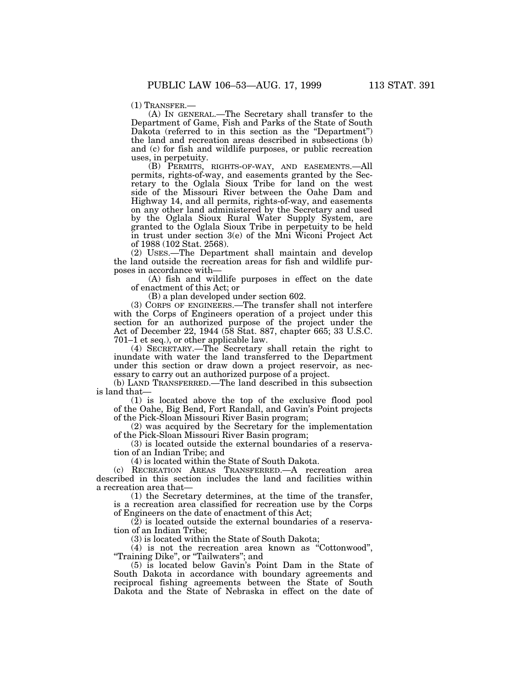(1) TRANSFER.— (A) IN GENERAL.—The Secretary shall transfer to the Department of Game, Fish and Parks of the State of South Dakota (referred to in this section as the "Department") the land and recreation areas described in subsections (b) and (c) for fish and wildlife purposes, or public recreation uses, in perpetuity.

(B) PERMITS, RIGHTS-OF-WAY, AND EASEMENTS.—All permits, rights-of-way, and easements granted by the Secretary to the Oglala Sioux Tribe for land on the west side of the Missouri River between the Oahe Dam and Highway 14, and all permits, rights-of-way, and easements on any other land administered by the Secretary and used by the Oglala Sioux Rural Water Supply System, are granted to the Oglala Sioux Tribe in perpetuity to be held in trust under section 3(e) of the Mni Wiconi Project Act of 1988 (102 Stat. 2568).

(2) USES.—The Department shall maintain and develop the land outside the recreation areas for fish and wildlife purposes in accordance with—

(A) fish and wildlife purposes in effect on the date of enactment of this Act; or

(B) a plan developed under section 602.

(3) CORPS OF ENGINEERS.—The transfer shall not interfere with the Corps of Engineers operation of a project under this section for an authorized purpose of the project under the Act of December 22, 1944 (58 Stat. 887, chapter 665; 33 U.S.C. 701–1 et seq.), or other applicable law.

(4) SECRETARY.—The Secretary shall retain the right to inundate with water the land transferred to the Department under this section or draw down a project reservoir, as necessary to carry out an authorized purpose of a project.

(b) LAND TRANSFERRED.—The land described in this subsection is land that—

(1) is located above the top of the exclusive flood pool of the Oahe, Big Bend, Fort Randall, and Gavin's Point projects of the Pick-Sloan Missouri River Basin program;

(2) was acquired by the Secretary for the implementation of the Pick-Sloan Missouri River Basin program;

(3) is located outside the external boundaries of a reservation of an Indian Tribe; and

(4) is located within the State of South Dakota.

(c) RECREATION AREAS TRANSFERRED.—A recreation area described in this section includes the land and facilities within a recreation area that—

(1) the Secretary determines, at the time of the transfer, is a recreation area classified for recreation use by the Corps of Engineers on the date of enactment of this Act;

 $(2)$  is located outside the external boundaries of a reservation of an Indian Tribe;

(3) is located within the State of South Dakota;

(4) is not the recreation area known as ''Cottonwood'', ''Training Dike'', or ''Tailwaters''; and

(5) is located below Gavin's Point Dam in the State of South Dakota in accordance with boundary agreements and reciprocal fishing agreements between the State of South Dakota and the State of Nebraska in effect on the date of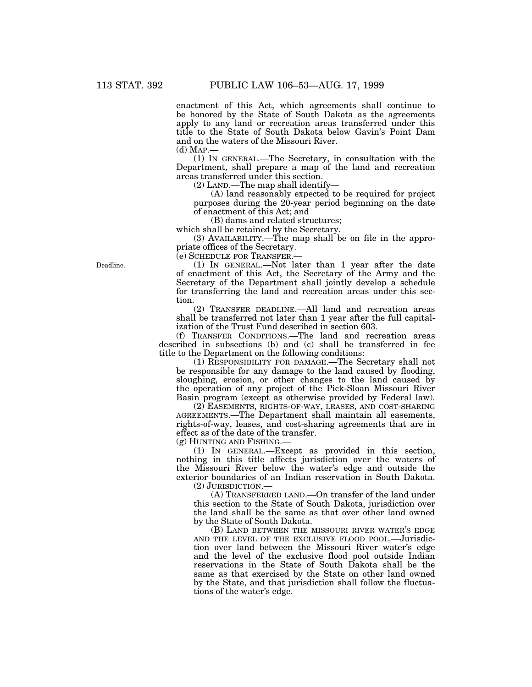enactment of this Act, which agreements shall continue to be honored by the State of South Dakota as the agreements apply to any land or recreation areas transferred under this title to the State of South Dakota below Gavin's Point Dam and on the waters of the Missouri River.

(d) MAP.—

(1) IN GENERAL.—The Secretary, in consultation with the Department, shall prepare a map of the land and recreation areas transferred under this section.

(2) LAND.—The map shall identify—

(A) land reasonably expected to be required for project purposes during the 20-year period beginning on the date of enactment of this Act; and

(B) dams and related structures;

which shall be retained by the Secretary.

(3) AVAILABILITY.—The map shall be on file in the appropriate offices of the Secretary.

(e) SCHEDULE FOR TRANSFER.—

(1) IN GENERAL.—Not later than 1 year after the date of enactment of this Act, the Secretary of the Army and the Secretary of the Department shall jointly develop a schedule for transferring the land and recreation areas under this section.

(2) TRANSFER DEADLINE.—All land and recreation areas shall be transferred not later than 1 year after the full capitalization of the Trust Fund described in section 603.

(f) TRANSFER CONDITIONS.—The land and recreation areas described in subsections (b) and (c) shall be transferred in fee title to the Department on the following conditions:

(1) RESPONSIBILITY FOR DAMAGE.—The Secretary shall not be responsible for any damage to the land caused by flooding, sloughing, erosion, or other changes to the land caused by the operation of any project of the Pick-Sloan Missouri River Basin program (except as otherwise provided by Federal law).

(2) EASEMENTS, RIGHTS-OF-WAY, LEASES, AND COST-SHARING AGREEMENTS.—The Department shall maintain all easements, rights-of-way, leases, and cost-sharing agreements that are in effect as of the date of the transfer.

(g) HUNTING AND FISHING.—

(1) IN GENERAL.—Except as provided in this section, nothing in this title affects jurisdiction over the waters of the Missouri River below the water's edge and outside the exterior boundaries of an Indian reservation in South Dakota. (2) JURISDICTION.—

(A) TRANSFERRED LAND.—On transfer of the land under this section to the State of South Dakota, jurisdiction over the land shall be the same as that over other land owned by the State of South Dakota.

(B) LAND BETWEEN THE MISSOURI RIVER WATER'S EDGE AND THE LEVEL OF THE EXCLUSIVE FLOOD POOL.—Jurisdiction over land between the Missouri River water's edge and the level of the exclusive flood pool outside Indian reservations in the State of South Dakota shall be the same as that exercised by the State on other land owned by the State, and that jurisdiction shall follow the fluctuations of the water's edge.

Deadline.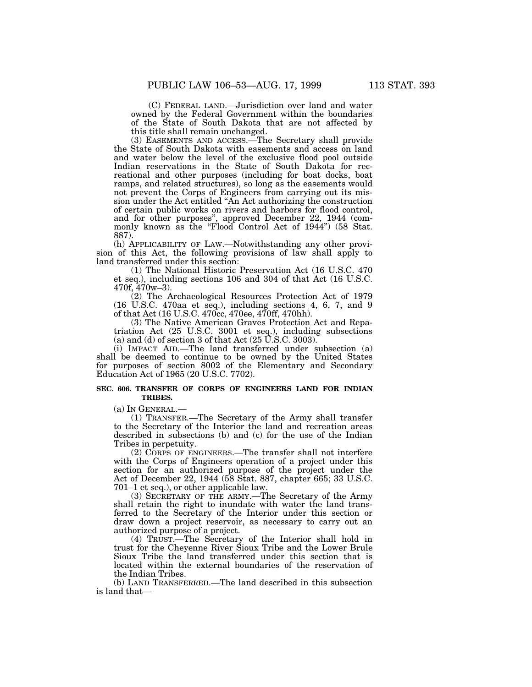(C) FEDERAL LAND.—Jurisdiction over land and water owned by the Federal Government within the boundaries of the State of South Dakota that are not affected by this title shall remain unchanged.

(3) EASEMENTS AND ACCESS.—The Secretary shall provide the State of South Dakota with easements and access on land and water below the level of the exclusive flood pool outside Indian reservations in the State of South Dakota for recreational and other purposes (including for boat docks, boat ramps, and related structures), so long as the easements would not prevent the Corps of Engineers from carrying out its mission under the Act entitled ''An Act authorizing the construction of certain public works on rivers and harbors for flood control, and for other purposes'', approved December 22, 1944 (commonly known as the ''Flood Control Act of 1944'') (58 Stat. 887).

(h) APPLICABILITY OF LAW.—Notwithstanding any other provision of this Act, the following provisions of law shall apply to land transferred under this section:

(1) The National Historic Preservation Act (16 U.S.C. 470 et seq.), including sections 106 and 304 of that Act (16 U.S.C. 470f, 470w–3).

(2) The Archaeological Resources Protection Act of 1979 (16 U.S.C. 470aa et seq.), including sections 4, 6, 7, and 9 of that Act (16 U.S.C. 470cc, 470ee, 470ff, 470hh).

(3) The Native American Graves Protection Act and Repatriation Act (25 U.S.C. 3001 et seq.), including subsections (a) and (d) of section 3 of that Act  $(25 \text{ U.S.C. } 3003)$ .

(i) IMPACT AID.—The land transferred under subsection (a) shall be deemed to continue to be owned by the United States for purposes of section 8002 of the Elementary and Secondary Education Act of 1965 (20 U.S.C. 7702).

#### **SEC. 606. TRANSFER OF CORPS OF ENGINEERS LAND FOR INDIAN TRIBES.**

(a) IN GENERAL.—

(1) TRANSFER.—The Secretary of the Army shall transfer to the Secretary of the Interior the land and recreation areas described in subsections (b) and (c) for the use of the Indian Tribes in perpetuity.

(2) CORPS OF ENGINEERS.—The transfer shall not interfere with the Corps of Engineers operation of a project under this section for an authorized purpose of the project under the Act of December 22, 1944 (58 Stat. 887, chapter 665; 33 U.S.C. 701–1 et seq.), or other applicable law.

(3) SECRETARY OF THE ARMY.—The Secretary of the Army shall retain the right to inundate with water the land transferred to the Secretary of the Interior under this section or draw down a project reservoir, as necessary to carry out an authorized purpose of a project.

(4) TRUST.—The Secretary of the Interior shall hold in trust for the Cheyenne River Sioux Tribe and the Lower Brule Sioux Tribe the land transferred under this section that is located within the external boundaries of the reservation of the Indian Tribes.

(b) LAND TRANSFERRED.—The land described in this subsection is land that—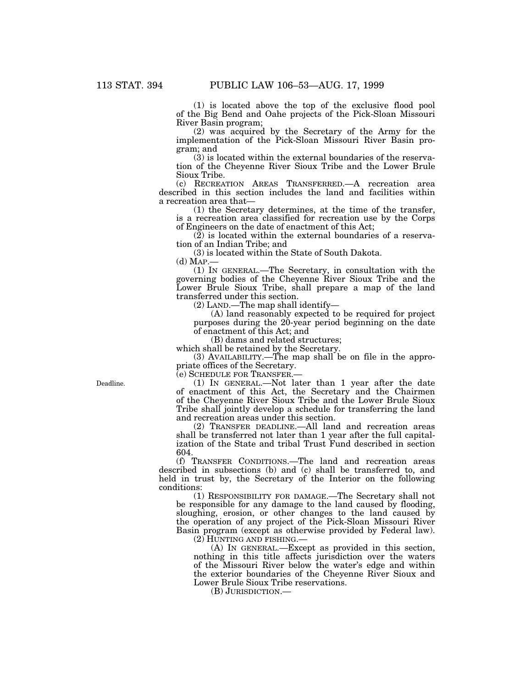(1) is located above the top of the exclusive flood pool of the Big Bend and Oahe projects of the Pick-Sloan Missouri River Basin program;

(2) was acquired by the Secretary of the Army for the implementation of the Pick-Sloan Missouri River Basin program; and

(3) is located within the external boundaries of the reservation of the Cheyenne River Sioux Tribe and the Lower Brule Sioux Tribe.

(c) RECREATION AREAS TRANSFERRED.—A recreation area described in this section includes the land and facilities within a recreation area that—

(1) the Secretary determines, at the time of the transfer, is a recreation area classified for recreation use by the Corps of Engineers on the date of enactment of this Act;

 $(2)$  is located within the external boundaries of a reservation of an Indian Tribe; and

(3) is located within the State of South Dakota.

 $(d)$  Map. $-$ 

(1) IN GENERAL.—The Secretary, in consultation with the governing bodies of the Cheyenne River Sioux Tribe and the Lower Brule Sioux Tribe, shall prepare a map of the land transferred under this section.

(2) LAND.—The map shall identify—

(A) land reasonably expected to be required for project purposes during the 20-year period beginning on the date of enactment of this Act; and

(B) dams and related structures;

which shall be retained by the Secretary.

(3) AVAILABILITY.—The map shall be on file in the appropriate offices of the Secretary.

(e) SCHEDULE FOR TRANSFER.—

(1) IN GENERAL.—Not later than 1 year after the date of enactment of this Act, the Secretary and the Chairmen of the Cheyenne River Sioux Tribe and the Lower Brule Sioux Tribe shall jointly develop a schedule for transferring the land and recreation areas under this section.

(2) TRANSFER DEADLINE.—All land and recreation areas shall be transferred not later than 1 year after the full capitalization of the State and tribal Trust Fund described in section 604.

(f) TRANSFER CONDITIONS.—The land and recreation areas described in subsections (b) and (c) shall be transferred to, and held in trust by, the Secretary of the Interior on the following conditions:

(1) RESPONSIBILITY FOR DAMAGE.—The Secretary shall not be responsible for any damage to the land caused by flooding, sloughing, erosion, or other changes to the land caused by the operation of any project of the Pick-Sloan Missouri River Basin program (except as otherwise provided by Federal law).

(2) HUNTING AND FISHING.—

(A) IN GENERAL.—Except as provided in this section, nothing in this title affects jurisdiction over the waters of the Missouri River below the water's edge and within the exterior boundaries of the Cheyenne River Sioux and Lower Brule Sioux Tribe reservations.

(B) JURISDICTION.—

Deadline.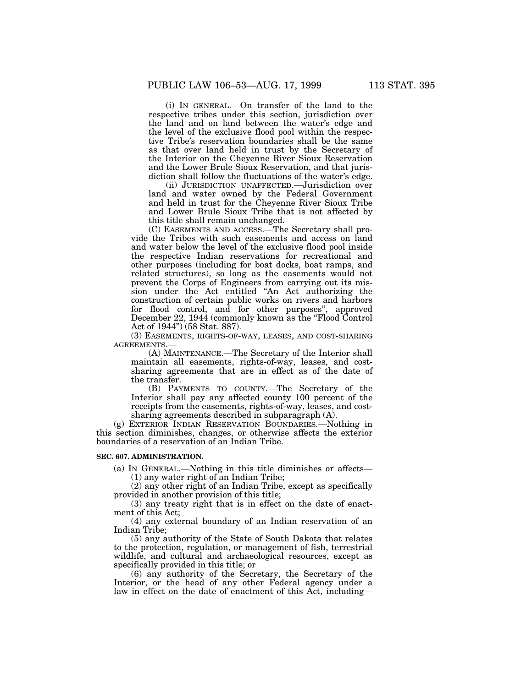(i) IN GENERAL.—On transfer of the land to the respective tribes under this section, jurisdiction over the land and on land between the water's edge and the level of the exclusive flood pool within the respective Tribe's reservation boundaries shall be the same as that over land held in trust by the Secretary of the Interior on the Cheyenne River Sioux Reservation and the Lower Brule Sioux Reservation, and that jurisdiction shall follow the fluctuations of the water's edge.

(ii) JURISDICTION UNAFFECTED.—Jurisdiction over land and water owned by the Federal Government and held in trust for the Cheyenne River Sioux Tribe and Lower Brule Sioux Tribe that is not affected by this title shall remain unchanged.

(C) EASEMENTS AND ACCESS.—The Secretary shall provide the Tribes with such easements and access on land and water below the level of the exclusive flood pool inside the respective Indian reservations for recreational and other purposes (including for boat docks, boat ramps, and related structures), so long as the easements would not prevent the Corps of Engineers from carrying out its mission under the Act entitled ''An Act authorizing the construction of certain public works on rivers and harbors for flood control, and for other purposes'', approved December 22, 1944 (commonly known as the "Flood Control" Act of 1944'') (58 Stat. 887).

(3) EASEMENTS, RIGHTS-OF-WAY, LEASES, AND COST-SHARING AGREEMENTS.—

(A) MAINTENANCE.—The Secretary of the Interior shall maintain all easements, rights-of-way, leases, and costsharing agreements that are in effect as of the date of the transfer.

(B) PAYMENTS TO COUNTY.—The Secretary of the Interior shall pay any affected county 100 percent of the receipts from the easements, rights-of-way, leases, and costsharing agreements described in subparagraph (A).

(g) EXTERIOR INDIAN RESERVATION BOUNDARIES.—Nothing in this section diminishes, changes, or otherwise affects the exterior boundaries of a reservation of an Indian Tribe.

## **SEC. 607. ADMINISTRATION.**

(a) IN GENERAL.—Nothing in this title diminishes or affects—  $(1)$  any water right of an Indian Tribe;

(2) any other right of an Indian Tribe, except as specifically provided in another provision of this title;

(3) any treaty right that is in effect on the date of enactment of this Act;

(4) any external boundary of an Indian reservation of an Indian Tribe;

(5) any authority of the State of South Dakota that relates to the protection, regulation, or management of fish, terrestrial wildlife, and cultural and archaeological resources, except as specifically provided in this title; or

(6) any authority of the Secretary, the Secretary of the Interior, or the head of any other Federal agency under a law in effect on the date of enactment of this Act, including—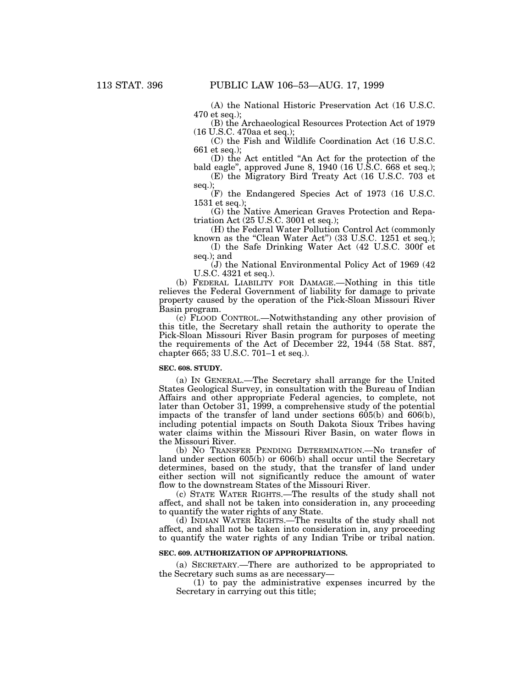(A) the National Historic Preservation Act (16 U.S.C. 470 et seq.);

(B) the Archaeological Resources Protection Act of 1979 (16 U.S.C. 470aa et seq.);

(C) the Fish and Wildlife Coordination Act (16 U.S.C. 661 et seq.);

(D) the Act entitled ''An Act for the protection of the bald eagle'', approved June 8, 1940 (16 U.S.C. 668 et seq.);

(E) the Migratory Bird Treaty Act (16 U.S.C. 703 et seq.);

(F) the Endangered Species Act of 1973 (16 U.S.C. 1531 et seq.);

(G) the Native American Graves Protection and Repatriation Act (25 U.S.C. 3001 et seq.);

(H) the Federal Water Pollution Control Act (commonly known as the "Clean Water Act") (33 U.S.C. 1251 et seq.);

(I) the Safe Drinking Water Act (42 U.S.C. 300f et seq.); and

(J) the National Environmental Policy Act of 1969 (42 U.S.C. 4321 et seq.).

(b) FEDERAL LIABILITY FOR DAMAGE.—Nothing in this title relieves the Federal Government of liability for damage to private property caused by the operation of the Pick-Sloan Missouri River Basin program.

(c) FLOOD CONTROL.—Notwithstanding any other provision of this title, the Secretary shall retain the authority to operate the Pick-Sloan Missouri River Basin program for purposes of meeting the requirements of the Act of December 22, 1944 (58 Stat. 887, chapter 665; 33 U.S.C. 701–1 et seq.).

#### **SEC. 608. STUDY.**

(a) IN GENERAL.—The Secretary shall arrange for the United States Geological Survey, in consultation with the Bureau of Indian Affairs and other appropriate Federal agencies, to complete, not later than October 31, 1999, a comprehensive study of the potential impacts of the transfer of land under sections 605(b) and 606(b), including potential impacts on South Dakota Sioux Tribes having water claims within the Missouri River Basin, on water flows in the Missouri River.

(b) NO TRANSFER PENDING DETERMINATION.—No transfer of land under section 605(b) or 606(b) shall occur until the Secretary determines, based on the study, that the transfer of land under either section will not significantly reduce the amount of water flow to the downstream States of the Missouri River.

(c) STATE WATER RIGHTS.—The results of the study shall not affect, and shall not be taken into consideration in, any proceeding to quantify the water rights of any State.

(d) INDIAN WATER RIGHTS.—The results of the study shall not affect, and shall not be taken into consideration in, any proceeding to quantify the water rights of any Indian Tribe or tribal nation.

#### **SEC. 609. AUTHORIZATION OF APPROPRIATIONS.**

(a) SECRETARY.—There are authorized to be appropriated to the Secretary such sums as are necessary—

(1) to pay the administrative expenses incurred by the Secretary in carrying out this title;